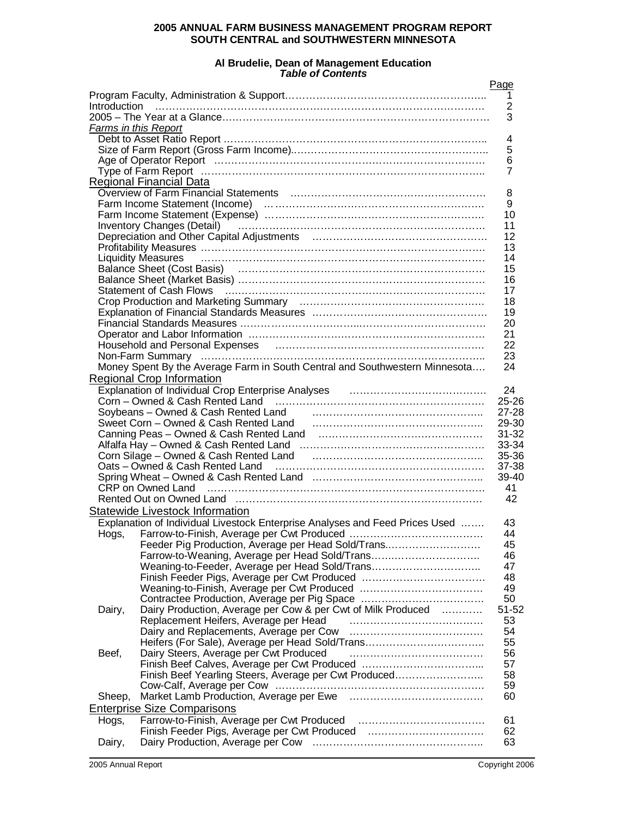# **2005 ANNUAL FARM BUSINESS MANAGEMENT PROGRAM REPORT SOUTH CENTRAL and SOUTHWESTERN MINNESOTA**

#### **Al Brudelie, Dean of Management Education** *Table of Contents*

|                             |                                                                                                                      | Page           |
|-----------------------------|----------------------------------------------------------------------------------------------------------------------|----------------|
|                             |                                                                                                                      | $\overline{1}$ |
|                             |                                                                                                                      | $\overline{2}$ |
|                             |                                                                                                                      | 3              |
| <b>Farms in this Report</b> |                                                                                                                      |                |
|                             |                                                                                                                      | 4              |
|                             |                                                                                                                      | 5              |
|                             |                                                                                                                      | 6              |
|                             |                                                                                                                      | 7              |
|                             | Regional Financial Data                                                                                              |                |
|                             |                                                                                                                      | 8              |
|                             | Farm Income Statement (Income)<br>Farm Income Statement (Expense)<br>All Allen Constant (Expense)                    | 9              |
|                             |                                                                                                                      | 10             |
|                             | Inventory Changes (Detail) (Changer Changes Contains) (Changes (Detail)                                              | 11             |
|                             |                                                                                                                      | 12<br>13       |
|                             |                                                                                                                      | 14             |
|                             | <b>Liquidity Measures</b>                                                                                            | 15             |
|                             |                                                                                                                      | 16             |
|                             | Statement of Cash Flows (and the continuum continuum continuum continuum continuum continuum continuum continu       | 17             |
|                             |                                                                                                                      | 18             |
|                             |                                                                                                                      | 19             |
|                             |                                                                                                                      | 20             |
|                             |                                                                                                                      | 21             |
|                             | Household and Personal Expenses (and the continuum continuum continuum continuum continuum continuum continuum       | 22             |
|                             |                                                                                                                      | 23             |
|                             | Money Spent By the Average Farm in South Central and Southwestern Minnesota                                          | 24             |
|                             | Regional Crop Information                                                                                            |                |
|                             | Explanation of Individual Crop Enterprise Analyses [11] [11] [11] Explanation of Individual Crop Enterprise Analyses | 24             |
|                             |                                                                                                                      | $25 - 26$      |
|                             |                                                                                                                      | $27 - 28$      |
|                             |                                                                                                                      | 29-30          |
|                             |                                                                                                                      | $31 - 32$      |
|                             |                                                                                                                      | 33-34          |
|                             | Corn Silage – Owned & Cash Rented Land (and manufacture corner and manufacture of the Corner of Silage – Owned       | 35-36          |
|                             |                                                                                                                      | 37-38          |
|                             |                                                                                                                      | 39-40          |
|                             |                                                                                                                      | 41             |
|                             |                                                                                                                      | 42             |
|                             | Statewide Livestock Information                                                                                      |                |
|                             | Explanation of Individual Livestock Enterprise Analyses and Feed Prices Used                                         | 43             |
|                             |                                                                                                                      | 44             |
|                             | Feeder Pig Production, Average per Head Sold/Trans                                                                   | 45             |
|                             | Farrow-to-Weaning, Average per Head Sold/Trans                                                                       | 46             |
|                             | Weaning-to-Feeder, Average per Head Sold/Trans                                                                       | 47             |
|                             | Finish Feeder Pigs, Average per Cwt Produced                                                                         | 48             |
|                             |                                                                                                                      | 49             |
|                             | Contractee Production, Average per Pig Space                                                                         | 50             |
| Dairy,                      | Dairy Production, Average per Cow & per Cwt of Milk Produced                                                         | 51-52          |
|                             | Replacement Heifers, Average per Head                                                                                | 53             |
|                             |                                                                                                                      | 54             |
|                             | Heifers (For Sale), Average per Head Sold/Trans                                                                      | 55             |
| Beef,                       | Dairy Steers, Average per Cwt Produced                                                                               | 56             |
|                             |                                                                                                                      | 57             |
|                             | Finish Beef Yearling Steers, Average per Cwt Produced                                                                | 58             |
|                             |                                                                                                                      | 59             |
| Sheep,                      |                                                                                                                      | 60             |
|                             | <b>Enterprise Size Comparisons</b>                                                                                   |                |
| Hogs,                       |                                                                                                                      | 61             |
|                             | Finish Feeder Pigs, Average per Cwt Produced                                                                         | 62             |
| Dairy,                      |                                                                                                                      | 63             |
|                             |                                                                                                                      |                |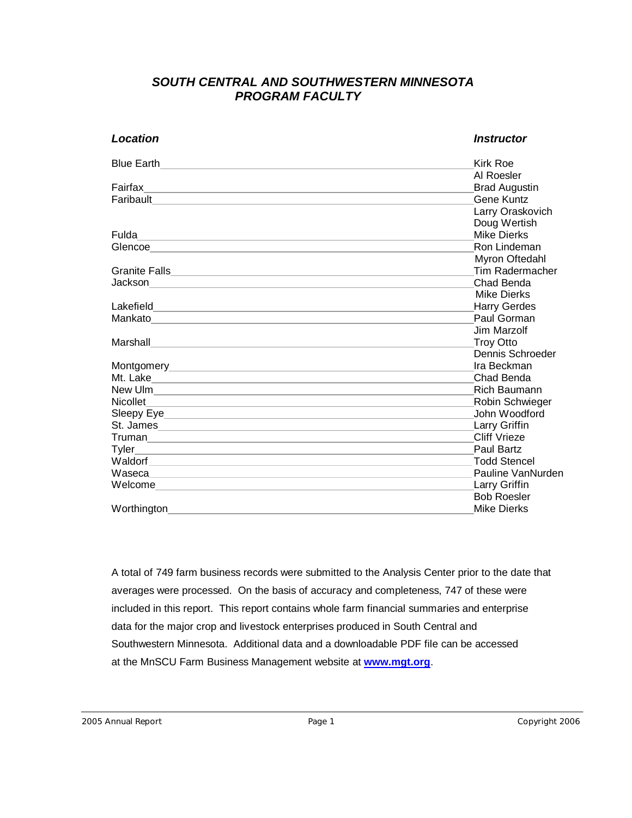# *SOUTH CENTRAL AND SOUTHWESTERN MINNESOTA PROGRAM FACULTY*

| Location                                                                                                                                                                                                                                 | <i><b>Instructor</b></i> |
|------------------------------------------------------------------------------------------------------------------------------------------------------------------------------------------------------------------------------------------|--------------------------|
| <b>Blue Earth</b>                                                                                                                                                                                                                        | Kirk Roe                 |
|                                                                                                                                                                                                                                          | Al Roesler               |
| Fairfax<br>the control of the control of the control of the control of the control of the control of the control of the control of the control of the control of the control of the control of the control of the control of the control | <b>Brad Augustin</b>     |
| Faribault <b>Explorer School Control</b> Property of the Control Control Control Control Control Control Control Control Control Control Control Control Control Control Control Control Control Control Control Control Control Co      | Gene Kuntz               |
|                                                                                                                                                                                                                                          | Larry Oraskovich         |
|                                                                                                                                                                                                                                          | Doug Wertish             |
| Fulda<br><u> 1989 - Johann Stoff, amerikansk politiker (* 1908)</u>                                                                                                                                                                      | <b>Mike Dierks</b>       |
|                                                                                                                                                                                                                                          | Ron Lindeman             |
|                                                                                                                                                                                                                                          | Myron Oftedahl           |
|                                                                                                                                                                                                                                          | Tim Radermacher          |
|                                                                                                                                                                                                                                          | Chad Benda               |
|                                                                                                                                                                                                                                          | Mike Dierks              |
|                                                                                                                                                                                                                                          | <b>Harry Gerdes</b>      |
| Mankato                                                                                                                                                                                                                                  | Paul Gorman              |
|                                                                                                                                                                                                                                          | Jim Marzolf              |
| Marshall<br>a sa bagaimar a ta <u>san sa bagaimar a ta san sa bagaimar a ta san sa bagaimar a ta san sa bagaimar sa sa sa sa</u>                                                                                                         | <b>Troy Otto</b>         |
|                                                                                                                                                                                                                                          | Dennis Schroeder         |
|                                                                                                                                                                                                                                          | Ira Beckman              |
|                                                                                                                                                                                                                                          | Chad Benda               |
| New Ulm                                                                                                                                                                                                                                  | <b>Rich Baumann</b>      |
|                                                                                                                                                                                                                                          | Robin Schwieger          |
|                                                                                                                                                                                                                                          | John Woodford            |
| St. James                                                                                                                                                                                                                                | <b>Larry Griffin</b>     |
|                                                                                                                                                                                                                                          | Cliff Vrieze             |
|                                                                                                                                                                                                                                          | <b>Paul Bartz</b>        |
|                                                                                                                                                                                                                                          | <b>Todd Stencel</b>      |
| Waseca <b>Management and Contact Contact and Contact Contact Contact Contact Contact Contact Contact Contact Contact Contact Contact Contact Contact Contact Contact Contact Contact Contact Contact Contact Contact Contact Con</b>     | Pauline VanNurden        |
|                                                                                                                                                                                                                                          | <b>Larry Griffin</b>     |
|                                                                                                                                                                                                                                          | <b>Bob Roesler</b>       |
| Worthington                                                                                                                                                                                                                              | Mike Dierks              |

A total of 749 farm business records were submitted to the Analysis Center prior to the date that averages were processed. On the basis of accuracy and completeness, 747 of these were included in this report. This report contains whole farm financial summaries and enterprise data for the major crop and livestock enterprises produced in South Central and Southwestern Minnesota. Additional data and a downloadable PDF file can be accessed at the MnSCU Farm Business Management website at **www.mgt.org**.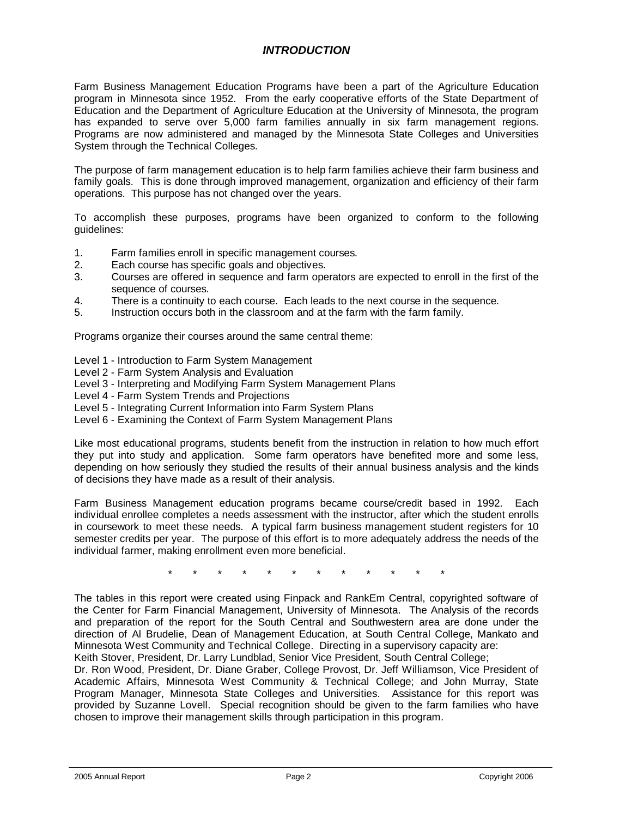# *INTRODUCTION*

Farm Business Management Education Programs have been a part of the Agriculture Education program in Minnesota since 1952. From the early cooperative efforts of the State Department of Education and the Department of Agriculture Education at the University of Minnesota, the program has expanded to serve over 5,000 farm families annually in six farm management regions. Programs are now administered and managed by the Minnesota State Colleges and Universities System through the Technical Colleges.

The purpose of farm management education is to help farm families achieve their farm business and family goals. This is done through improved management, organization and efficiency of their farm operations. This purpose has not changed over the years.

To accomplish these purposes, programs have been organized to conform to the following guidelines:

- 1. Farm families enroll in specific management courses.
- 2. Each course has specific goals and objectives.
- 3. Courses are offered in sequence and farm operators are expected to enroll in the first of the sequence of courses.<br>4. There is a continuity t
- There is a continuity to each course. Each leads to the next course in the sequence.
- 5. Instruction occurs both in the classroom and at the farm with the farm family.

Programs organize their courses around the same central theme:

- Level 1 Introduction to Farm System Management
- Level 2 Farm System Analysis and Evaluation
- Level 3 Interpreting and Modifying Farm System Management Plans
- Level 4 Farm System Trends and Projections
- Level 5 Integrating Current Information into Farm System Plans
- Level 6 Examining the Context of Farm System Management Plans

Like most educational programs, students benefit from the instruction in relation to how much effort they put into study and application. Some farm operators have benefited more and some less, depending on how seriously they studied the results of their annual business analysis and the kinds of decisions they have made as a result of their analysis.

Farm Business Management education programs became course/credit based in 1992. Each individual enrollee completes a needs assessment with the instructor, after which the student enrolls in coursework to meet these needs. A typical farm business management student registers for 10 semester credits per year. The purpose of this effort is to more adequately address the needs of the individual farmer, making enrollment even more beneficial.

\* \* \* \* \* \* \* \* \* \* \* \*

The tables in this report were created using Finpack and RankEm Central, copyrighted software of the Center for Farm Financial Management, University of Minnesota. The Analysis of the records and preparation of the report for the South Central and Southwestern area are done under the direction of Al Brudelie, Dean of Management Education, at South Central College, Mankato and Minnesota West Community and Technical College. Directing in a supervisory capacity are: Keith Stover, President, Dr. Larry Lundblad, Senior Vice President, South Central College;

Dr. Ron Wood, President, Dr. Diane Graber, College Provost, Dr. Jeff Williamson, Vice President of Academic Affairs, Minnesota West Community & Technical College; and John Murray, State Program Manager, Minnesota State Colleges and Universities. Assistance for this report was provided by Suzanne Lovell. Special recognition should be given to the farm families who have chosen to improve their management skills through participation in this program.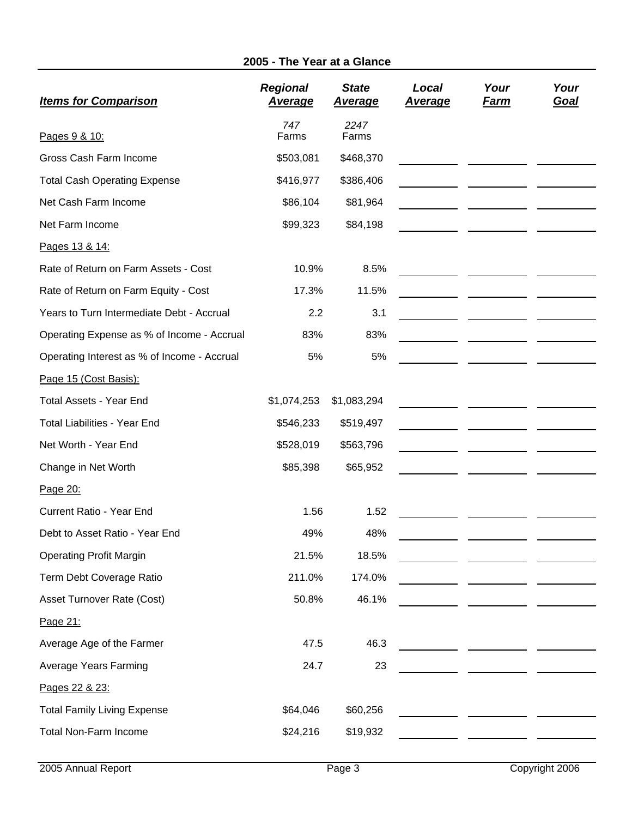# **2005 - The Year at a Glance**

| <b>Items for Comparison</b>                 | <b>Regional</b><br><u>Average</u> | <b>State</b><br><u>Average</u> | Local<br><b>Average</b> | Your<br><u>Farm</u> | Your<br><u>Goal</u> |
|---------------------------------------------|-----------------------------------|--------------------------------|-------------------------|---------------------|---------------------|
| Pages 9 & 10:                               | 747<br>Farms                      | 2247<br>Farms                  |                         |                     |                     |
| Gross Cash Farm Income                      | \$503,081                         | \$468,370                      |                         |                     |                     |
| <b>Total Cash Operating Expense</b>         | \$416,977                         | \$386,406                      |                         |                     |                     |
| Net Cash Farm Income                        | \$86,104                          | \$81,964                       |                         |                     |                     |
| Net Farm Income                             | \$99,323                          | \$84,198                       |                         |                     |                     |
| Pages 13 & 14:                              |                                   |                                |                         |                     |                     |
| Rate of Return on Farm Assets - Cost        | 10.9%                             | 8.5%                           |                         |                     |                     |
| Rate of Return on Farm Equity - Cost        | 17.3%                             | 11.5%                          |                         |                     |                     |
| Years to Turn Intermediate Debt - Accrual   | 2.2                               | 3.1                            |                         |                     |                     |
| Operating Expense as % of Income - Accrual  | 83%                               | 83%                            |                         |                     |                     |
| Operating Interest as % of Income - Accrual | 5%                                | 5%                             |                         |                     |                     |
| Page 15 (Cost Basis):                       |                                   |                                |                         |                     |                     |
| <b>Total Assets - Year End</b>              | \$1,074,253                       | \$1,083,294                    |                         |                     |                     |
| <b>Total Liabilities - Year End</b>         | \$546,233                         | \$519,497                      |                         |                     |                     |
| Net Worth - Year End                        | \$528,019                         | \$563,796                      |                         |                     |                     |
| Change in Net Worth                         | \$85,398                          | \$65,952                       |                         |                     |                     |
| Page 20:                                    |                                   |                                |                         |                     |                     |
| Current Ratio - Year End                    | 1.56                              | 1.52                           |                         |                     |                     |
| Debt to Asset Ratio - Year End              | 49%                               | 48%                            |                         |                     |                     |
| <b>Operating Profit Margin</b>              | 21.5%                             | 18.5%                          |                         |                     |                     |
| Term Debt Coverage Ratio                    | 211.0%                            | 174.0%                         |                         |                     |                     |
| <b>Asset Turnover Rate (Cost)</b>           | 50.8%                             | 46.1%                          |                         |                     |                     |
| Page 21:                                    |                                   |                                |                         |                     |                     |
| Average Age of the Farmer                   | 47.5                              | 46.3                           |                         |                     |                     |
| <b>Average Years Farming</b>                | 24.7                              | 23                             |                         |                     |                     |
| Pages 22 & 23:                              |                                   |                                |                         |                     |                     |
| <b>Total Family Living Expense</b>          | \$64,046                          | \$60,256                       |                         |                     |                     |
| <b>Total Non-Farm Income</b>                | \$24,216                          | \$19,932                       |                         |                     |                     |
|                                             |                                   |                                |                         |                     |                     |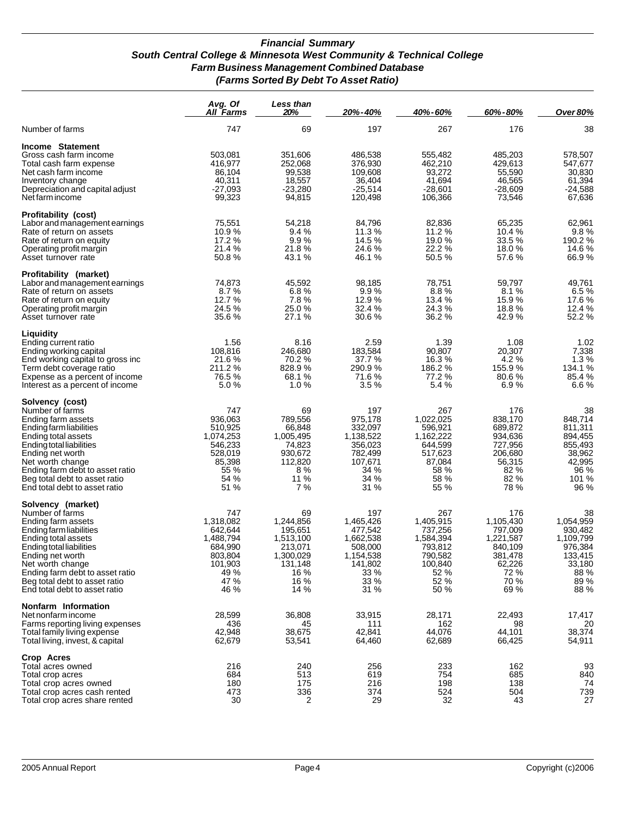#### *Financial Summary South Central College & Minnesota West Community & Technical College Farm Business Management Combined Database (Farms Sorted By Debt To Asset Ratio)*

|                                                                                                                                                                                                                                                                                       | Avg. Of<br>All Farms                                                                              | <b>Less than</b><br>20%                                                                            | 20%-40%                                                                                             | 40%-60%                                                                                           | 60%-80%                                                                                          | <b>Over 80%</b>                                                                                 |
|---------------------------------------------------------------------------------------------------------------------------------------------------------------------------------------------------------------------------------------------------------------------------------------|---------------------------------------------------------------------------------------------------|----------------------------------------------------------------------------------------------------|-----------------------------------------------------------------------------------------------------|---------------------------------------------------------------------------------------------------|--------------------------------------------------------------------------------------------------|-------------------------------------------------------------------------------------------------|
| Number of farms                                                                                                                                                                                                                                                                       | 747                                                                                               | 69                                                                                                 | 197                                                                                                 | 267                                                                                               | 176                                                                                              | 38                                                                                              |
| Income Statement<br>Gross cash farm income<br>Total cash farm expense<br>Net cash farm income<br>Inventory change<br>Depreciation and capital adjust<br>Net farm income                                                                                                               | 503,081<br>416,977<br>86,104<br>40,311<br>$-27,093$<br>99,323                                     | 351,606<br>252,068<br>99,538<br>18,557<br>$-23,280$<br>94,815                                      | 486,538<br>376,930<br>109,608<br>36,404<br>$-25,514$<br>120,498                                     | 555,482<br>462,210<br>93,272<br>41,694<br>$-28,601$<br>106,366                                    | 485,203<br>429,613<br>55,590<br>46,565<br>$-28,609$<br>73,546                                    | 578,507<br>547,677<br>30,830<br>61,394<br>$-24,588$<br>67,636                                   |
| Profitability (cost)<br>Labor and management earnings<br>Rate of return on assets<br>Rate of return on equity<br>Operating profit margin<br>Asset turnover rate                                                                                                                       | 75,551<br>10.9%<br>17.2%<br>21.4 %<br>50.8%                                                       | 54,218<br>9.4%<br>9.9%<br>21.8%<br>43.1 %                                                          | 84,796<br>11.3 %<br>14.5 %<br>24.6 %<br>46.1%                                                       | 82,836<br>11.2 %<br>19.0 %<br>22.2 %<br>50.5%                                                     | 65,235<br>10.4 %<br>33.5%<br>18.0%<br>57.6%                                                      | 62,961<br>9.8%<br>190.2 %<br>14.6 %<br>66.9%                                                    |
| Profitability (market)<br>Labor and management earnings<br>Rate of return on assets<br>Rate of return on equity<br>Operating profit margin<br>Asset turnover rate                                                                                                                     | 74,873<br>8.7%<br>12.7 %<br>24.5 %<br>35.6%                                                       | 45,592<br>6.8%<br>7.8%<br>25.0%<br>27.1 %                                                          | 98,185<br>9.9%<br>12.9 %<br>32.4%<br>30.6 %                                                         | 78,751<br>8.8%<br>13.4 %<br>24.3%<br>36.2 %                                                       | 59,797<br>8.1%<br>15.9%<br>18.8%<br>42.9%                                                        | 49,761<br>6.5%<br>17.6 %<br>12.4 %<br>52.2 %                                                    |
| Liquidity<br>Ending current ratio<br>Ending working capital<br>End working capital to gross inc<br>Term debt coverage ratio<br>Expense as a percent of income<br>Interest as a percent of income                                                                                      | 1.56<br>108,816<br>21.6%<br>211.2 %<br>76.5%<br>5.0%                                              | 8.16<br>246,680<br>70.2%<br>828.9%<br>68.1%<br>1.0%                                                | 2.59<br>183,584<br>37.7 %<br>290.9%<br>71.6%<br>3.5%                                                | 1.39<br>90.807<br>16.3%<br>186.2 %<br>77.2 %<br>5.4%                                              | 1.08<br>20,307<br>4.2%<br>155.9%<br>80.6%<br>6.9%                                                | 1.02<br>7,338<br>1.3%<br>134.1 %<br>85.4 %<br>6.6%                                              |
| Solvency (cost)<br>Number of farms<br>Ending farm assets<br>Ending farm liabilities<br>Ending total assets<br>Ending total liabilities<br>Ending net worth<br>Net worth change<br>Ending farm debt to asset ratio<br>Beg total debt to asset ratio<br>End total debt to asset ratio   | 747<br>936,063<br>510,925<br>1,074,253<br>546,233<br>528,019<br>85,398<br>55 %<br>54 %<br>51 %    | 69<br>789,556<br>66,848<br>1,005,495<br>74,823<br>930,672<br>112,820<br>8%<br>11 %<br>7%           | 197<br>975,178<br>332,097<br>1,138,522<br>356,023<br>782,499<br>107,671<br>34 %<br>34 %<br>31 %     | 267<br>1,022,025<br>596,921<br>1,162,222<br>644,599<br>517,623<br>87,084<br>58 %<br>58 %<br>55 %  | 176<br>838,170<br>689,872<br>934,636<br>727,956<br>206,680<br>56,315<br>82 %<br>82 %<br>78 %     | 38<br>848,714<br>811,311<br>894,455<br>855,493<br>38,962<br>42,995<br>96 %<br>101 %<br>96 %     |
| Solvency (market)<br>Number of farms<br>Ending farm assets<br>Ending farm liabilities<br>Ending total assets<br>Ending total liabilities<br>Ending net worth<br>Net worth change<br>Ending farm debt to asset ratio<br>Beg total debt to asset ratio<br>End total debt to asset ratio | 747<br>1,318,082<br>642.644<br>1,488,794<br>684,990<br>803.804<br>101,903<br>49 %<br>47 %<br>46 % | 69<br>1,244,856<br>195,651<br>1,513,100<br>213,071<br>1,300,029<br>131,148<br>16 %<br>16 %<br>14 % | 197<br>1,465,426<br>477,542<br>1,662,538<br>508,000<br>1.154.538<br>141,802<br>33 %<br>33 %<br>31 % | 267<br>1,405,915<br>737,256<br>1,584,394<br>793,812<br>790,582<br>100,840<br>52 %<br>52 %<br>50 % | 176<br>1,105,430<br>797,009<br>1,221,587<br>840,109<br>381,478<br>62,226<br>72 %<br>70 %<br>69 % | 38<br>1,054,959<br>930,482<br>1,109,799<br>976,384<br>133,415<br>33,180<br>88 %<br>89 %<br>88 % |
| Nonfarm Information<br>Net nonfarm income<br>Farms reporting living expenses<br>Total family living expense<br>Total living, invest, & capital                                                                                                                                        | 28,599<br>436<br>42,948<br>62,679                                                                 | 36,808<br>45<br>38,675<br>53,541                                                                   | 33,915<br>111<br>42,841<br>64,460                                                                   | 28,171<br>162<br>44,076<br>62,689                                                                 | 22,493<br>98<br>44,101<br>66,425                                                                 | 17,417<br>20<br>38,374<br>54,911                                                                |
| Crop Acres<br>Total acres owned<br>Total crop acres<br>Total crop acres owned<br>Total crop acres cash rented<br>Total crop acres share rented                                                                                                                                        | 216<br>684<br>180<br>473<br>30                                                                    | 240<br>513<br>175<br>336<br>2                                                                      | 256<br>619<br>216<br>374<br>29                                                                      | 233<br>754<br>198<br>524<br>32                                                                    | 162<br>685<br>138<br>504<br>43                                                                   | 93<br>840<br>74<br>739<br>27                                                                    |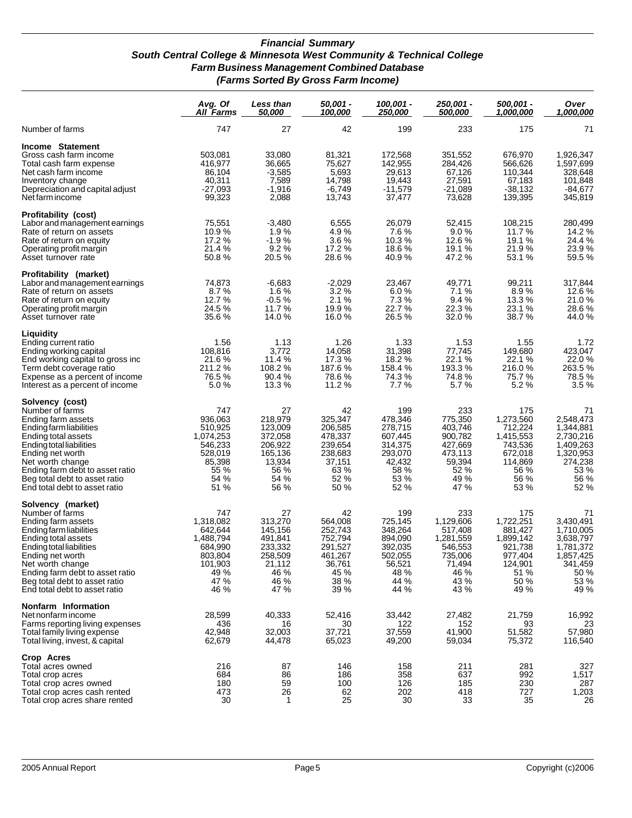#### *Financial Summary South Central College & Minnesota West Community & Technical College Farm Business Management Combined Database (Farms Sorted By Gross Farm Income)*

|                                                                                                                                                                                                                                                                                       | Avg. Of<br>All Farms                                                                              | <b>Less than</b><br><i><b>50.000</b></i>                                                    | 50,001 -<br>100.000                                                                         | 100,001 -<br>250,000                                                                         | 250.001 -<br>500,000                                                                             | 500,001 -<br>1,000,000                                                                            | Over<br>1.000.000                                                                                      |
|---------------------------------------------------------------------------------------------------------------------------------------------------------------------------------------------------------------------------------------------------------------------------------------|---------------------------------------------------------------------------------------------------|---------------------------------------------------------------------------------------------|---------------------------------------------------------------------------------------------|----------------------------------------------------------------------------------------------|--------------------------------------------------------------------------------------------------|---------------------------------------------------------------------------------------------------|--------------------------------------------------------------------------------------------------------|
| Number of farms                                                                                                                                                                                                                                                                       | 747                                                                                               | 27                                                                                          | 42                                                                                          | 199                                                                                          | 233                                                                                              | 175                                                                                               | 71                                                                                                     |
| Income Statement<br>Gross cash farm income<br>Total cash farm expense<br>Net cash farm income<br>Inventory change<br>Depreciation and capital adjust<br>Net farm income                                                                                                               | 503,081<br>416.977<br>86,104<br>40,311<br>$-27,093$<br>99,323                                     | 33,080<br>36,665<br>$-3,585$<br>7,589<br>$-1,916$<br>2,088                                  | 81,321<br>75,627<br>5,693<br>14,798<br>$-6,749$<br>13,743                                   | 172,568<br>142,955<br>29,613<br>19,443<br>$-11,579$<br>37,477                                | 351,552<br>284,426<br>67,126<br>27,591<br>$-21,089$<br>73,628                                    | 676,970<br>566,626<br>110,344<br>67,183<br>$-38,132$<br>139,395                                   | 1,926,347<br>1,597,699<br>328,648<br>101,848<br>$-84,677$<br>345,819                                   |
| Profitability (cost)<br>Labor and management earnings<br>Rate of return on assets<br>Rate of return on equity<br>Operating profit margin<br>Asset turnover rate                                                                                                                       | 75,551<br>10.9%<br>17.2 %<br>21.4 %<br>50.8%                                                      | $-3,480$<br>1.9%<br>$-1.9%$<br>9.2%<br>20.5%                                                | 6,555<br>4.9%<br>3.6%<br>17.2 %<br>28.6%                                                    | 26,079<br>7.6%<br>10.3%<br>18.6%<br>40.9 %                                                   | 52,415<br>9.0%<br>12.6 %<br>19.1 %<br>47.2%                                                      | 108,215<br>11.7 %<br>19.1 %<br>21.9%<br>53.1 %                                                    | 280,499<br>14.2 %<br>24.4 %<br>23.9%<br>59.5 %                                                         |
| Profitability (market)<br>Labor and management earnings<br>Rate of return on assets<br>Rate of return on equity<br>Operating profit margin<br>Asset turnover rate                                                                                                                     | 74,873<br>8.7%<br>12.7 %<br>24.5 %<br>35.6 %                                                      | -6.683<br>1.6%<br>$-0.5%$<br>11.7 %<br>14.0 %                                               | $-2,029$<br>3.2%<br>2.1%<br>19.9%<br>16.0%                                                  | 23,467<br>6.0%<br>7.3%<br>22.7%<br>26.5%                                                     | 49,771<br>7.1%<br>9.4%<br>22.3%<br>32.0%                                                         | 99,211<br>8.9%<br>13.3 %<br>23.1 %<br>38.7 %                                                      | 317,844<br>12.6 %<br>21.0%<br>28.6%<br>44.0%                                                           |
| Liquidity<br>Ending current ratio<br>Ending working capital<br>End working capital to gross inc<br>Term debt coverage ratio<br>Expense as a percent of income<br>Interest as a percent of income                                                                                      | 1.56<br>108,816<br>21.6%<br>211.2%<br>76.5%<br>5.0%                                               | 1.13<br>3,772<br>11.4%<br>108.2 %<br>90.4%<br>13.3 %                                        | 1.26<br>14.058<br>17.3%<br>187.6%<br>78.6%<br>11.2 %                                        | 1.33<br>31,398<br>18.2%<br>158.4 %<br>74.3%<br>7.7%                                          | 1.53<br>77,745<br>22.1%<br>193.3%<br>74.8%<br>5.7%                                               | 1.55<br>149.680<br>22.1 %<br>216.0%<br>75.7%<br>5.2%                                              | 1.72<br>423,047<br>22.0%<br>263.5 %<br>78.5%<br>3.5%                                                   |
| Solvency (cost)<br>Number of farms<br>Ending farm assets<br>Ending farm liabilities<br>Ending total assets<br>Ending total liabilities<br>Ending net worth<br>Net worth change<br>Ending farm debt to asset ratio<br>Beg total debt to asset ratio<br>End total debt to asset ratio   | 747<br>936,063<br>510,925<br>1,074,253<br>546,233<br>528,019<br>85,398<br>55 %<br>54 %<br>51 %    | 27<br>218,979<br>123,009<br>372,058<br>206,922<br>165,136<br>13,934<br>56 %<br>54 %<br>56 % | 42<br>325,347<br>206,585<br>478,337<br>239,654<br>238,683<br>37,151<br>63 %<br>52 %<br>50 % | 199<br>478,346<br>278,715<br>607,445<br>314,375<br>293,070<br>42,432<br>58 %<br>53 %<br>52 % | 233<br>775,350<br>403,746<br>900,782<br>427,669<br>473,113<br>59,394<br>52 %<br>49 %<br>47 %     | 175<br>1,273,560<br>712,224<br>1,415,553<br>743,536<br>672,018<br>114,869<br>56 %<br>56 %<br>53 % | 71<br>2,548,473<br>1,344,881<br>2,730,216<br>1,409,263<br>1,320,953<br>274,238<br>53 %<br>56 %<br>52 % |
| Solvency (market)<br>Number of farms<br>Ending farm assets<br>Ending farm liabilities<br>Ending total assets<br>Ending total liabilities<br>Ending net worth<br>Net worth change<br>Ending farm debt to asset ratio<br>Beg total debt to asset ratio<br>End total debt to asset ratio | 747<br>1,318,082<br>642,644<br>1,488,794<br>684,990<br>803,804<br>101,903<br>49 %<br>47 %<br>46 % | 27<br>313,270<br>145,156<br>491,841<br>233,332<br>258,509<br>21,112<br>46 %<br>46 %<br>47 % | 42<br>564,008<br>252,743<br>752,794<br>291,527<br>461,267<br>36,761<br>45 %<br>38 %<br>39 % | 199<br>725,145<br>348,264<br>894,090<br>392,035<br>502,055<br>56,521<br>48 %<br>44 %<br>44 % | 233<br>1,129,606<br>517,408<br>1,281,559<br>546,553<br>735,006<br>71,494<br>46 %<br>43 %<br>43 % | 175<br>1,722,251<br>881,427<br>1,899,142<br>921,738<br>977,404<br>124,901<br>51 %<br>50 %<br>49 % | 71<br>3,430,491<br>1,710,005<br>3,638,797<br>1,781,372<br>1,857,425<br>341,459<br>50 %<br>53 %<br>49 % |
| Nonfarm Information<br>Net nonfarm income<br>Farms reporting living expenses<br>Total family living expense<br>Total living, invest, & capital                                                                                                                                        | 28,599<br>436<br>42,948<br>62,679                                                                 | 40,333<br>16<br>32,003<br>44,478                                                            | 52,416<br>30<br>37,721<br>65,023                                                            | 33,442<br>122<br>37,559<br>49,200                                                            | 27,482<br>152<br>41,900<br>59,034                                                                | 21,759<br>93<br>51,582<br>75,372                                                                  | 16,992<br>23<br>57,980<br>116,540                                                                      |
| Crop Acres<br>Total acres owned<br>Total crop acres<br>Total crop acres owned<br>Total crop acres cash rented<br>Total crop acres share rented                                                                                                                                        | 216<br>684<br>180<br>473<br>30                                                                    | 87<br>86<br>59<br>26<br>$\mathbf 1$                                                         | 146<br>186<br>100<br>62<br>25                                                               | 158<br>358<br>126<br>202<br>30                                                               | 211<br>637<br>185<br>418<br>33                                                                   | 281<br>992<br>230<br>727<br>35                                                                    | 327<br>1,517<br>287<br>1,203<br>26                                                                     |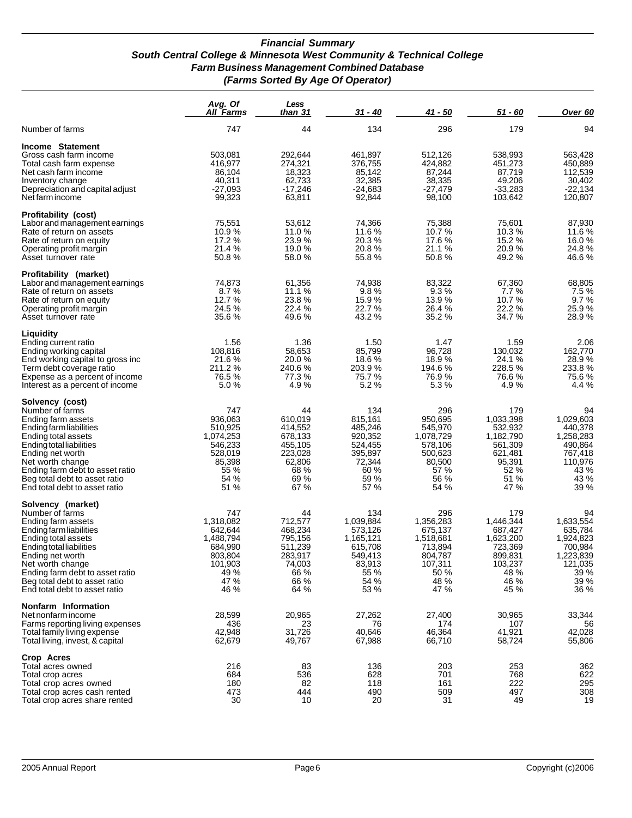#### *Financial Summary South Central College & Minnesota West Community & Technical College Farm Business Management Combined Database (Farms Sorted By Age Of Operator)*

|                                                                                                                                                                                                                                                                                       | Avg. Of<br><b>All Farms</b>                                                                       | Less<br>than 31                                                                             | 31 - 40                                                                                          | 41 - 50                                                                                           | $51 - 60$                                                                                         | Over 60                                                                                            |
|---------------------------------------------------------------------------------------------------------------------------------------------------------------------------------------------------------------------------------------------------------------------------------------|---------------------------------------------------------------------------------------------------|---------------------------------------------------------------------------------------------|--------------------------------------------------------------------------------------------------|---------------------------------------------------------------------------------------------------|---------------------------------------------------------------------------------------------------|----------------------------------------------------------------------------------------------------|
| Number of farms                                                                                                                                                                                                                                                                       | 747                                                                                               | 44                                                                                          | 134                                                                                              | 296                                                                                               | 179                                                                                               | 94                                                                                                 |
| Income Statement<br>Gross cash farm income<br>Total cash farm expense<br>Net cash farm income<br>Inventory change<br>Depreciation and capital adjust<br>Net farm income                                                                                                               | 503,081<br>416,977<br>86,104<br>40,311<br>-27,093<br>99,323                                       | 292,644<br>274,321<br>18,323<br>62,733<br>-17,246<br>63,811                                 | 461,897<br>376,755<br>85,142<br>32,385<br>$-24,683$<br>92,844                                    | 512,126<br>424,882<br>87,244<br>38,335<br>$-27,479$<br>98,100                                     | 538,993<br>451,273<br>87,719<br>49,206<br>$-33,283$<br>103,642                                    | 563,428<br>450,889<br>112,539<br>30,402<br>$-22,134$<br>120,807                                    |
| Profitability (cost)<br>Labor and management earnings<br>Rate of return on assets<br>Rate of return on equity<br>Operating profit margin<br>Asset turnover rate                                                                                                                       | 75,551<br>10.9%<br>17.2 %<br>21.4 %<br>50.8%                                                      | 53,612<br>11.0 %<br>23.9%<br>19.0 %<br>58.0%                                                | 74,366<br>11.6 %<br>20.3%<br>20.8%<br>55.8%                                                      | 75,388<br>10.7 %<br>17.6%<br>21.1 %<br>50.8%                                                      | 75,601<br>10.3%<br>15.2%<br>20.9%<br>49.2%                                                        | 87,930<br>11.6 %<br>16.0%<br>24.8%<br>46.6%                                                        |
| Profitability (market)<br>Labor and management earnings<br>Rate of return on assets<br>Rate of return on equity<br>Operating profit margin<br>Asset turnover rate                                                                                                                     | 74,873<br>8.7%<br>12.7%<br>24.5 %<br>35.6 %                                                       | 61,356<br>11.1 %<br>23.8%<br>22.4 %<br>49.6 %                                               | 74,938<br>9.8%<br>15.9%<br>22.7%<br>43.2 %                                                       | 83,322<br>9.3%<br>13.9%<br>26.4%<br>35.2 %                                                        | 67,360<br>7.7%<br>10.7 %<br>22.2%<br>34.7 %                                                       | 68,805<br>7.5%<br>9.7%<br>25.9%<br>28.9 %                                                          |
| Liquidity<br>Ending current ratio<br>Ending working capital<br>End working capital to gross inc<br>Term debt coverage ratio<br>Expense as a percent of income<br>Interest as a percent of income                                                                                      | 1.56<br>108,816<br>21.6%<br>211.2%<br>76.5%<br>5.0%                                               | 1.36<br>58,653<br>20.0 %<br>240.6%<br>77.3%<br>4.9%                                         | 1.50<br>85,799<br>18.6%<br>203.9%<br>75.7%<br>5.2%                                               | 1.47<br>96,728<br>18.9%<br>194.6 %<br>76.9%<br>5.3%                                               | 1.59<br>130,032<br>24.1%<br>228.5 %<br>76.6%<br>4.9%                                              | 2.06<br>162,770<br>28.9%<br>233.8%<br>75.6%<br>4.4 %                                               |
| Solvency (cost)<br>Number of farms<br>Ending farm assets<br>Ending farm liabilities<br>Ending total assets<br>Ending total liabilities<br>Ending net worth<br>Net worth change<br>Ending farm debt to asset ratio<br>Beg total debt to asset ratio<br>End total debt to asset ratio   | 747<br>936,063<br>510,925<br>1,074,253<br>546,233<br>528,019<br>85,398<br>55 %<br>54 %<br>51 %    | 44<br>610,019<br>414,552<br>678,133<br>455,105<br>223,028<br>62,806<br>68 %<br>69 %<br>67 % | 134<br>815,161<br>485,246<br>920,352<br>524,455<br>395,897<br>72,344<br>60 %<br>59 %<br>57 %     | 296<br>950,695<br>545,970<br>1,078,729<br>578,106<br>500,623<br>80,500<br>57 %<br>56 %<br>54 %    | 179<br>1,033,398<br>532,932<br>1,182,790<br>561,309<br>621,481<br>95,391<br>52 %<br>51 %<br>47 %  | 94<br>1,029,603<br>440,378<br>1,258,283<br>490,864<br>767,418<br>110,976<br>43 %<br>43 %<br>39 %   |
| Solvency (market)<br>Number of farms<br>Ending farm assets<br>Ending farm liabilities<br>Ending total assets<br>Ending total liabilities<br>Ending net worth<br>Net worth change<br>Ending farm debt to asset ratio<br>Beg total debt to asset ratio<br>End total debt to asset ratio | 747<br>1.318.082<br>642.644<br>1,488,794<br>684,990<br>803,804<br>101,903<br>49 %<br>47 %<br>46 % | 44<br>712,577<br>468,234<br>795,156<br>511,239<br>283,917<br>74,003<br>66 %<br>66 %<br>64 % | 134<br>1,039,884<br>573,126<br>1,165,121<br>615,708<br>549,413<br>83,913<br>55 %<br>54 %<br>53 % | 296<br>1,356,283<br>675,137<br>1,518,681<br>713,894<br>804,787<br>107,311<br>50 %<br>48 %<br>47 % | 179<br>1,446,344<br>687,427<br>1,623,200<br>723,369<br>899,831<br>103,237<br>48 %<br>46 %<br>45 % | 94<br>1,633,554<br>635,784<br>1,924,823<br>700,984<br>1,223,839<br>121,035<br>39 %<br>39 %<br>36 % |
| Nonfarm Information<br>Net nonfarm income<br>Farms reporting living expenses<br>Total family living expense<br>Total living, invest, & capital                                                                                                                                        | 28,599<br>436<br>42,948<br>62,679                                                                 | 20,965<br>23<br>31,726<br>49,767                                                            | 27,262<br>76<br>40,646<br>67,988                                                                 | 27,400<br>174<br>46,364<br>66,710                                                                 | 30,965<br>107<br>41,921<br>58,724                                                                 | 33,344<br>56<br>42,028<br>55,806                                                                   |
| Crop Acres<br>Total acres owned<br>Total crop acres<br>Total crop acres owned<br>Total crop acres cash rented<br>Total crop acres share rented                                                                                                                                        | 216<br>684<br>180<br>473<br>30                                                                    | 83<br>536<br>82<br>444<br>10                                                                | 136<br>628<br>118<br>490<br>20                                                                   | 203<br>701<br>161<br>509<br>31                                                                    | 253<br>768<br>222<br>497<br>49                                                                    | 362<br>622<br>295<br>308<br>19                                                                     |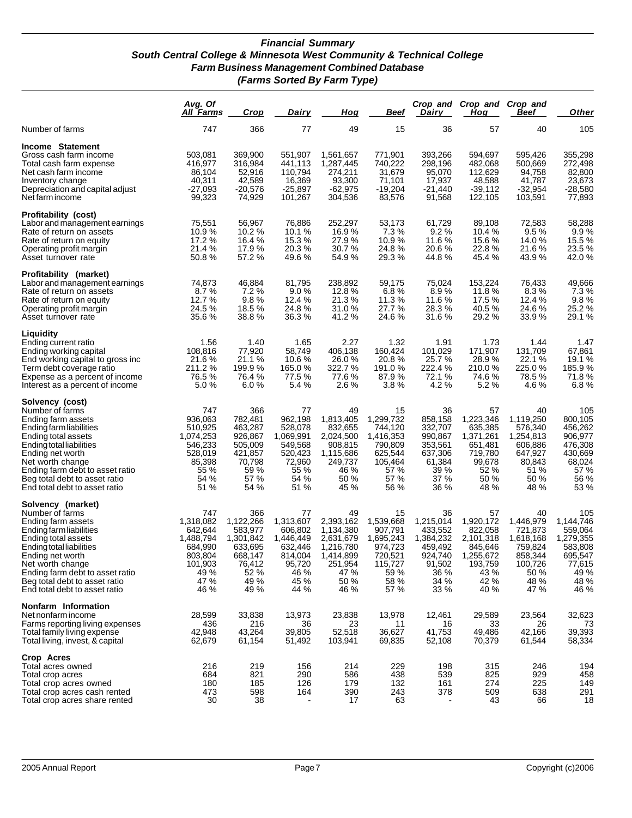#### *Financial Summary South Central College & Minnesota West Community & Technical College Farm Business Management Combined Database (Farms Sorted By Farm Type)*

|                                                                                                                                                                                                                                                                                       | Avg. Of<br><b>All Farms</b>                                                                       | Crop                                                                                             | <u>Dairy</u>                                                                                    | Hog                                                                                                    | <u>Beef</u>                                                                                      | <b>Dairy</b>                                                                                    | Crop and Crop and Crop and<br>Hoa                                                                  | Beef                                                                                             | <b>Other</b>                                                                                     |
|---------------------------------------------------------------------------------------------------------------------------------------------------------------------------------------------------------------------------------------------------------------------------------------|---------------------------------------------------------------------------------------------------|--------------------------------------------------------------------------------------------------|-------------------------------------------------------------------------------------------------|--------------------------------------------------------------------------------------------------------|--------------------------------------------------------------------------------------------------|-------------------------------------------------------------------------------------------------|----------------------------------------------------------------------------------------------------|--------------------------------------------------------------------------------------------------|--------------------------------------------------------------------------------------------------|
| Number of farms                                                                                                                                                                                                                                                                       | 747                                                                                               | 366                                                                                              | 77                                                                                              | 49                                                                                                     | 15                                                                                               | 36                                                                                              | 57                                                                                                 | 40                                                                                               | 105                                                                                              |
| Income Statement<br>Gross cash farm income<br>Total cash farm expense<br>Net cash farm income<br>Inventory change<br>Depreciation and capital adjust<br>Net farm income                                                                                                               | 503,081<br>416,977<br>86,104<br>40,311<br>-27,093<br>99,323                                       | 369,900<br>316,984<br>52,916<br>42,589<br>$-20,576$<br>74.929                                    | 551,907<br>441.113<br>110,794<br>16,369<br>$-25,897$<br>101,267                                 | 1,561,657<br>1,287,445<br>274,211<br>93,300<br>-62,975<br>304,536                                      | 771,901<br>740,222<br>31,679<br>71,101<br>$-19,204$<br>83,576                                    | 393,266<br>298,196<br>95,070<br>17,937<br>$-21,440$<br>91,568                                   | 594,697<br>482,068<br>112,629<br>48,588<br>$-39,112$<br>122,105                                    | 595,426<br>500,669<br>94,758<br>41,787<br>$-32,954$<br>103,591                                   | 355,298<br>272,498<br>82,800<br>23,673<br>-28,580<br>77,893                                      |
| <b>Profitability (cost)</b><br>Labor and management earnings<br>Rate of return on assets<br>Rate of return on equity<br>Operating profit margin<br>Asset turnover rate                                                                                                                | 75,551<br>10.9%<br>17.2 %<br>21.4 %<br>50.8%                                                      | 56,967<br>10.2 %<br>16.4%<br>17.9%<br>57.2 %                                                     | 76.886<br>10.1 %<br>15.3%<br>20.3%<br>49.6 %                                                    | 252,297<br>16.9%<br>27.9%<br>30.7 %<br>54.9 %                                                          | 53,173<br>7.3%<br>10.9%<br>24.8%<br>29.3 %                                                       | 61,729<br>9.2%<br>11.6%<br>20.6 %<br>44.8%                                                      | 89,108<br>10.4 %<br>15.6 %<br>22.8 %<br>45.4 %                                                     | 72,583<br>9.5%<br>14.0%<br>21.6 %<br>43.9 %                                                      | 58,288<br>9.9%<br>15.5 %<br>23.5 %<br>42.0 %                                                     |
| Profitability (market)<br>Labor and management earnings<br>Rate of return on assets<br>Rate of return on equity<br>Operating profit margin<br>Asset turnover rate                                                                                                                     | 74,873<br>8.7%<br>12.7 %<br>24.5 %<br>35.6 %                                                      | 46,884<br>7.2%<br>9.8%<br>18.5%<br>38.8%                                                         | 81,795<br>9.0%<br>12.4 %<br>24.8%<br>36.3 %                                                     | 238,892<br>12.8 %<br>21.3%<br>31.0 %<br>41.2%                                                          | 59,175<br>6.8%<br>11.3 %<br>27.7 %<br>24.6 %                                                     | 75,024<br>8.9%<br>11.6 %<br>28.3%<br>31.6 %                                                     | 153,224<br>11.8 $%$<br>17.5 %<br>40.5%<br>29.2 %                                                   | 76,433<br>8.3%<br>12.4 %<br>24.6%<br>33.9 %                                                      | 49,666<br>7.3%<br>9.8%<br>25.2 %<br>29.1 %                                                       |
| Liquidity<br>Ending current ratio<br>Ending working capital<br>End working capital to gross inc<br>Term debt coverage ratio<br>Expense as a percent of income<br>Interest as a percent of income                                                                                      | 1.56<br>108,816<br>21.6 %<br>211.2%<br>76.5%<br>5.0%                                              | 1.40<br>77,920<br>21.1 %<br>199.9 %<br>76.4%<br>6.0%                                             | 1.65<br>58.749<br>10.6%<br>165.0%<br>77.5 %<br>5.4%                                             | 2.27<br>406,138<br>26.0 %<br>322.7 %<br>77.6 %<br>2.6%                                                 | 1.32<br>160,424<br>20.8%<br>191.0 %<br>87.9 %<br>3.8%                                            | 1.91<br>101,029<br>25.7 %<br>222.4 %<br>72.1 %<br>4.2 %                                         | 1.73<br>171,907<br>28.9 %<br>210.0%<br>74.6 %<br>5.2%                                              | 1.44<br>131,709<br>22.1 %<br>225.0%<br>78.5%<br>4.6 %                                            | 1.47<br>67,861<br>19.1 %<br>185.9%<br>71.8%<br>6.8%                                              |
| Solvency (cost)<br>Number of farms<br>Ending farm assets<br>Ending farm liabilities<br>Ending total assets<br>Ending total liabilities<br>Ending net worth<br>Net worth change<br>Ending farm debt to asset ratio<br>Beg total debt to asset ratio<br>End total debt to asset ratio   | 747<br>936,063<br>510,925<br>1,074,253<br>546,233<br>528,019<br>85,398<br>55 %<br>54 %<br>51 %    | 366<br>782,481<br>463,287<br>926,867<br>505,009<br>421,857<br>70,798<br>59 %<br>57 %<br>54 %     | 77<br>962,198<br>528,078<br>1,069,991<br>549,568<br>520,423<br>72,960<br>55 %<br>54 %<br>51 %   | 49<br>1,813,405<br>832,655<br>2,024,500<br>908,815<br>1,115,686<br>249,737<br>46 %<br>50 %<br>45 %     | 15<br>1,299,732<br>744,120<br>1,416,353<br>790,809<br>625,544<br>105,464<br>57 %<br>57 %<br>56 % | 36<br>858,158<br>332,707<br>990,867<br>353,561<br>637,306<br>61,384<br>39 %<br>37 %<br>36 %     | 57<br>1,223,346<br>635,385<br>1,371,261<br>651,481<br>719,780<br>99,678<br>52 %<br>50 %<br>48 %    | 40<br>1,119,250<br>576,340<br>1,254,813<br>606,886<br>647,927<br>80,843<br>51 %<br>50 %<br>48 %  | 105<br>800,105<br>456,262<br>906,977<br>476,308<br>430,669<br>68,024<br>57 %<br>56 %<br>53 %     |
| Solvency (market)<br>Number of farms<br>Ending farm assets<br>Ending farm liabilities<br>Ending total assets<br>Ending total liabilities<br>Ending net worth<br>Net worth change<br>Ending farm debt to asset ratio<br>Beg total debt to asset ratio<br>End total debt to asset ratio | 747<br>1,318,082<br>642,644<br>1,488,794<br>684,990<br>803,804<br>101,903<br>49 %<br>47 %<br>46 % | 366<br>1,122,266<br>583,977<br>1,301,842<br>633,695<br>668,147<br>76,412<br>52 %<br>49 %<br>49 % | 77<br>1,313,607<br>606,802<br>1,446,449<br>632,446<br>814,004<br>95,720<br>46 %<br>45 %<br>44 % | 49<br>2,393,162<br>1,134,380<br>2,631,679<br>1,216,780<br>1,414,899<br>251,954<br>47 %<br>50 %<br>46 % | 15<br>1,539,668<br>907,791<br>1,695,243<br>974,723<br>720,521<br>115,727<br>59 %<br>58 %<br>57 % | 36<br>1,215,014<br>433,552<br>1,384,232<br>459,492<br>924,740<br>91,502<br>36 %<br>34 %<br>33 % | 57<br>1,920,172<br>822,058<br>2,101,318<br>845,646<br>1,255,672<br>193,759<br>43 %<br>42 %<br>40 % | 40<br>1,446,979<br>721,873<br>1,618,168<br>759,824<br>858,344<br>100,726<br>50 %<br>48 %<br>47 % | 105<br>1,144,746<br>559,064<br>1,279,355<br>583,808<br>695,547<br>77,615<br>49 %<br>48 %<br>46 % |
| Nonfarm Information<br>Net nonfarm income<br>Farms reporting living expenses<br>Total family living expense<br>Total living, invest, & capital                                                                                                                                        | 28,599<br>436<br>42,948<br>62,679                                                                 | 33,838<br>216<br>43,264<br>61,154                                                                | 13,973<br>36<br>39,805<br>51,492                                                                | 23,838<br>23<br>52,518<br>103,941                                                                      | 13,978<br>11<br>36,627<br>69,835                                                                 | 12,461<br>16<br>41,753<br>52,108                                                                | 29,589<br>33<br>49,486<br>70,379                                                                   | 23,564<br>26<br>42,166<br>61,544                                                                 | 32,623<br>73<br>39,393<br>58,334                                                                 |
| Crop Acres<br>Total acres owned<br>Total crop acres<br>Total crop acres owned<br>Total crop acres cash rented<br>Total crop acres share rented                                                                                                                                        | 216<br>684<br>180<br>473<br>30                                                                    | 219<br>821<br>185<br>598<br>38                                                                   | 156<br>290<br>126<br>164                                                                        | 214<br>586<br>179<br>390<br>17                                                                         | 229<br>438<br>132<br>243<br>63                                                                   | 198<br>539<br>161<br>378                                                                        | 315<br>825<br>274<br>509<br>43                                                                     | 246<br>929<br>225<br>638<br>66                                                                   | 194<br>458<br>149<br>291<br>18                                                                   |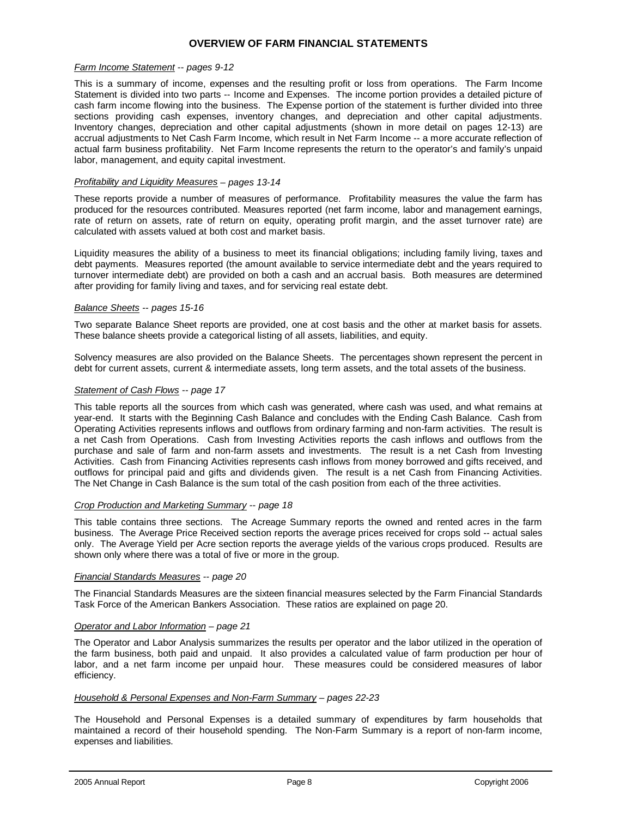#### **OVERVIEW OF FARM FINANCIAL STATEMENTS**

#### *Farm Income Statement -- pages 9-12*

This is a summary of income, expenses and the resulting profit or loss from operations. The Farm Income Statement is divided into two parts -- Income and Expenses. The income portion provides a detailed picture of cash farm income flowing into the business. The Expense portion of the statement is further divided into three sections providing cash expenses, inventory changes, and depreciation and other capital adjustments. Inventory changes, depreciation and other capital adjustments (shown in more detail on pages 12-13) are accrual adjustments to Net Cash Farm Income, which result in Net Farm Income -- a more accurate reflection of actual farm business profitability. Net Farm Income represents the return to the operator's and family's unpaid labor, management, and equity capital investment.

#### *Profitability and Liquidity Measures – pages 13-14*

These reports provide a number of measures of performance. Profitability measures the value the farm has produced for the resources contributed. Measures reported (net farm income, labor and management earnings, rate of return on assets, rate of return on equity, operating profit margin, and the asset turnover rate) are calculated with assets valued at both cost and market basis.

Liquidity measures the ability of a business to meet its financial obligations; including family living, taxes and debt payments. Measures reported (the amount available to service intermediate debt and the years required to turnover intermediate debt) are provided on both a cash and an accrual basis. Both measures are determined after providing for family living and taxes, and for servicing real estate debt.

#### *Balance Sheets -- pages 15-16*

Two separate Balance Sheet reports are provided, one at cost basis and the other at market basis for assets. These balance sheets provide a categorical listing of all assets, liabilities, and equity.

Solvency measures are also provided on the Balance Sheets. The percentages shown represent the percent in debt for current assets, current & intermediate assets, long term assets, and the total assets of the business.

#### *Statement of Cash Flows -- page 17*

This table reports all the sources from which cash was generated, where cash was used, and what remains at year-end. It starts with the Beginning Cash Balance and concludes with the Ending Cash Balance. Cash from Operating Activities represents inflows and outflows from ordinary farming and non-farm activities. The result is a net Cash from Operations. Cash from Investing Activities reports the cash inflows and outflows from the purchase and sale of farm and non-farm assets and investments. The result is a net Cash from Investing Activities. Cash from Financing Activities represents cash inflows from money borrowed and gifts received, and outflows for principal paid and gifts and dividends given. The result is a net Cash from Financing Activities. The Net Change in Cash Balance is the sum total of the cash position from each of the three activities.

#### *Crop Production and Marketing Summary -- page 18*

This table contains three sections. The Acreage Summary reports the owned and rented acres in the farm business. The Average Price Received section reports the average prices received for crops sold -- actual sales only. The Average Yield per Acre section reports the average yields of the various crops produced. Results are shown only where there was a total of five or more in the group.

#### *Financial Standards Measures -- page 20*

The Financial Standards Measures are the sixteen financial measures selected by the Farm Financial Standards Task Force of the American Bankers Association. These ratios are explained on page 20.

#### *Operator and Labor Information – page 21*

The Operator and Labor Analysis summarizes the results per operator and the labor utilized in the operation of the farm business, both paid and unpaid. It also provides a calculated value of farm production per hour of labor, and a net farm income per unpaid hour. These measures could be considered measures of labor efficiency.

#### *Household & Personal Expenses and Non-Farm Summary – pages 22-23*

The Household and Personal Expenses is a detailed summary of expenditures by farm households that maintained a record of their household spending. The Non-Farm Summary is a report of non-farm income, expenses and liabilities.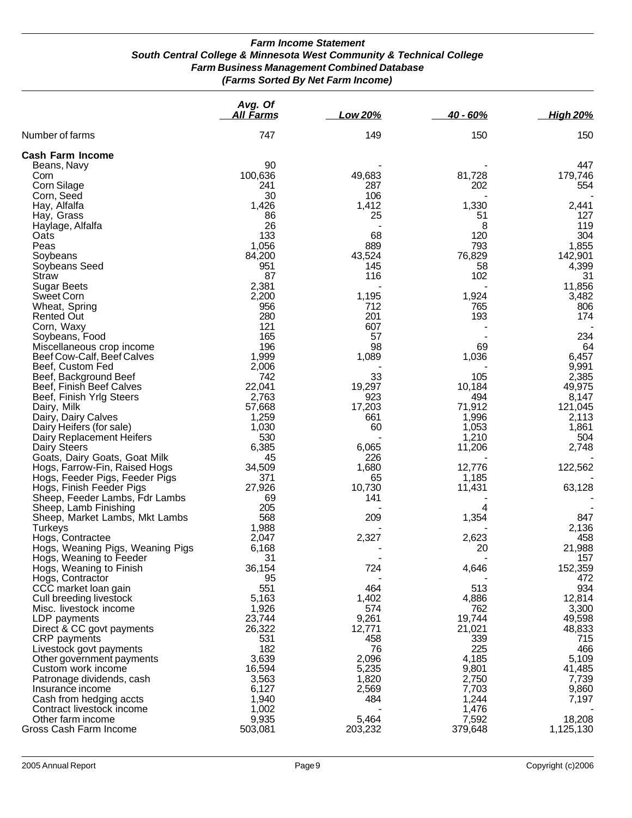#### *Farm Income Statement South Central College & Minnesota West Community & Technical College Farm Business Management Combined Database (Farms Sorted By Net Farm Income)*

|                                                         | Avg. Of<br><u>All Farms</u> | <b>Low 20%</b>  | $40 - 60%$       | <b>High 20%</b>  |
|---------------------------------------------------------|-----------------------------|-----------------|------------------|------------------|
| Number of farms                                         | 747                         | 149             | 150              | 150              |
| <b>Cash Farm Income</b>                                 |                             |                 |                  |                  |
| Beans, Navy                                             | 90                          |                 |                  | 447              |
| Corn                                                    | 100,636                     | 49,683          | 81,728           | 179,746          |
| Corn Silage                                             | 241                         | 287             | 202              | 554              |
| Corn, Seed                                              | 30                          | 106             |                  |                  |
| Hay, Alfalfa                                            | 1,426                       | 1,412           | 1,330            | 2,441            |
| Hay, Grass                                              | 86<br>26                    | 25              | 51               | 127<br>119       |
| Haylage, Alfalfa<br>Oats                                | 133                         | 68              | 8<br>120         | 304              |
| Peas                                                    | 1,056                       | 889             | 793              | 1,855            |
| Soybeans                                                | 84,200                      | 43,524          | 76,829           | 142,901          |
| Soybeans Seed                                           | 951                         | 145             | 58               | 4,399            |
| <b>Straw</b>                                            | 87                          | 116             | 102              | 31               |
| <b>Sugar Beets</b>                                      | 2,381                       |                 |                  | 11,856           |
| <b>Sweet Corn</b>                                       | 2,200                       | 1,195           | 1,924            | 3,482            |
| Wheat, Spring                                           | 956                         | 712             | 765              | 806              |
| <b>Rented Out</b>                                       | 280                         | 201             | 193              | 174              |
| Corn, Waxy                                              | 121                         | 607             |                  |                  |
| Soybeans, Food                                          | 165                         | 57              |                  | 234              |
| Miscellaneous crop income                               | 196                         | 98              | 69               | 64               |
| Beef Cow-Calf, Beef Calves<br>Beef, Custom Fed          | 1,999<br>2,006              | 1,089           | 1,036            | 6,457<br>9,991   |
| Beef, Background Beef                                   | 742                         | 33              | 105              | 2,385            |
| Beef, Finish Beef Calves                                | 22,041                      | 19,297          | 10,184           | 49,975           |
| Beef, Finish Yrlg Steers                                | 2,763                       | 923             | 494              | 8,147            |
| Dairy, Milk                                             | 57,668                      | 17,203          | 71,912           | 121,045          |
| Dairy, Dairy Calves                                     | 1,259                       | 661             | 1,996            | 2,113            |
| Dairy Heifers (for sale)                                | 1,030                       | 60              | 1,053            | 1,861            |
| Dairy Replacement Heifers                               | 530                         |                 | 1,210            | 504              |
| Dairy Steers                                            | 6,385                       | 6,065           | 11,206           | 2,748            |
| Goats, Dairy Goats, Goat Milk                           | 45                          | 226             |                  |                  |
| Hogs, Farrow-Fin, Raised Hogs                           | 34,509                      | 1,680           | 12,776           | 122,562          |
| Hogs, Feeder Pigs, Feeder Pigs                          | 371                         | 65              | 1,185            |                  |
| Hogs, Finish Feeder Pigs                                | 27,926<br>69                | 10,730<br>141   | 11,431           | 63,128           |
| Sheep, Feeder Lambs, Fdr Lambs<br>Sheep, Lamb Finishing | 205                         |                 | 4                |                  |
| Sheep, Market Lambs, Mkt Lambs                          | 568                         | 209             | 1,354            | 847              |
| <b>Turkeys</b>                                          | 1,988                       |                 |                  | 2,136            |
| Hogs, Contractee                                        | 2,047                       | 2,327           | 2,623            | 458              |
| Hogs, Weaning Pigs, Weaning Pigs                        | 6,168                       |                 | 20               | 21,988           |
| Hogs, Weaning to Feeder                                 | 31                          |                 |                  | 157              |
| Hogs, Weaning to Finish                                 | 36,154                      | 724             | 4,646            | 152,359          |
| Hogs, Contractor                                        | 95                          |                 |                  | 472              |
| CCC market loan gain                                    | 551                         | 464             | 513              | 934              |
| Cull breeding livestock                                 | 5,163                       | 1,402           | 4,886            | 12,814           |
| Misc. livestock income                                  | 1,926                       | 574             | 762              | 3,300            |
| LDP payments<br>Direct & CC govt payments               | 23,744<br>26,322            | 9,261<br>12,771 | 19,744<br>21,021 | 49,598<br>48,833 |
| CRP payments                                            | 531                         | 458             | 339              | 715              |
| Livestock govt payments                                 | 182                         | 76              | 225              | 466              |
| Other government payments                               | 3,639                       | 2,096           | 4,185            | 5,109            |
| Custom work income                                      | 16,594                      | 5,235           | 9,801            | 41,485           |
| Patronage dividends, cash                               | 3,563                       | 1,820           | 2,750            | 7,739            |
| Insurance income                                        | 6,127                       | 2,569           | 7,703            | 9,860            |
| Cash from hedging accts                                 | 1,940                       | 484             | 1,244            | 7,197            |
| Contract livestock income                               | 1,002                       |                 | 1,476            |                  |
| Other farm income                                       | 9,935                       | 5,464           | 7,592            | 18,208           |
| Gross Cash Farm Income                                  | 503,081                     | 203,232         | 379,648          | 1,125,130        |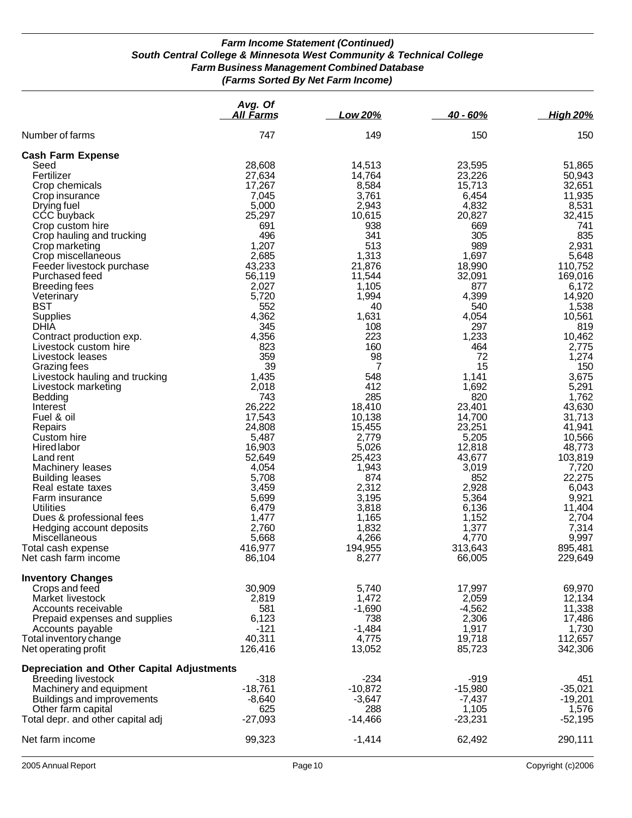### *Farm Income Statement (Continued) South Central College & Minnesota West Community & Technical College Farm Business Management Combined Database (Farms Sorted By Net Farm Income)*

|                                                  | Avg. Of<br>All Farms | Low 20%           | $40 - 60%$        | <b>High 20%</b>    |
|--------------------------------------------------|----------------------|-------------------|-------------------|--------------------|
| Number of farms                                  | 747                  | 149               | 150               | 150                |
| <b>Cash Farm Expense</b>                         |                      |                   |                   |                    |
| Seed                                             | 28,608               | 14,513            | 23,595            | 51,865             |
| Fertilizer                                       | 27,634               | 14,764            | 23,226            | 50,943             |
| Crop chemicals                                   | 17,267               | 8,584             | 15,713            | 32,651             |
| Crop insurance                                   | 7,045                | 3,761             | 6,454             | 11,935             |
| Drying fuel                                      | 5,000                | 2,943             | 4,832             | 8,531              |
| CCC buyback<br>Crop custom hire                  | 25,297<br>691        | 10,615<br>938     | 20,827<br>669     | 32,415<br>741      |
| Crop hauling and trucking                        | 496                  | 341               | 305               | 835                |
| Crop marketing                                   | 1,207                | 513               | 989               | 2,931              |
| Crop miscellaneous                               | 2,685                | 1,313             | 1,697             | 5,648              |
| Feeder livestock purchase                        | 43,233               | 21,876            | 18,990            | 110,752            |
| Purchased feed                                   | 56,119               | 11,544            | 32,091            | 169,016            |
| <b>Breeding fees</b>                             | 2,027                | 1,105             | 877               | 6,172              |
| Veterinary                                       | 5,720                | 1,994             | 4,399             | 14,920             |
| <b>BST</b>                                       | 552                  | 40<br>1,631       | 540<br>4,054      | 1,538              |
| Supplies<br>DHIA                                 | 4,362<br>345         | 108               | 297               | 10,561<br>819      |
| Contract production exp.                         | 4,356                | 223               | 1,233             | 10,462             |
| Livestock custom hire                            | 823                  | 160               | 464               | 2,775              |
| Livestock leases                                 | 359                  | 98                | 72                | 1,274              |
| Grazing fees                                     | 39                   | 7                 | 15                | 150                |
| Livestock hauling and trucking                   | 1,435                | 548               | 1,141             | 3,675              |
| Livestock marketing                              | 2,018                | 412               | 1,692             | 5,291              |
| Bedding                                          | 743                  | 285               | 820               | 1,762              |
| Interest                                         | 26,222               | 18,410            | 23,401            | 43,630             |
| Fuel & oil<br>Repairs                            | 17,543<br>24,808     | 10,138<br>15,455  | 14,700<br>23,251  | 31,713<br>41,941   |
| Custom hire                                      | 5,487                | 2,779             | 5,205             | 10,566             |
| Hired labor                                      | 16,903               | 5,026             | 12,818            | 48,773             |
| Land rent                                        | 52,649               | 25,423            | 43,677            | 103,819            |
| Machinery leases                                 | 4,054                | 1,943             | 3,019             | 7,720              |
| <b>Building leases</b>                           | 5,708                | 874               | 852               | 22,275             |
| Real estate taxes                                | 3,459                | 2,312             | 2,928             | 6,043              |
| Farm insurance                                   | 5,699                | 3,195             | 5,364             | 9,921              |
| Utilities<br>Dues & professional fees            | 6,479<br>1,477       | 3,818<br>1,165    | 6,136<br>1,152    | 11,404<br>2,704    |
| Hedging account deposits                         | 2,760                | 1,832             | 1,377             | 7,314              |
| Miscellaneous                                    | 5,668                | 4,266             | 4,770             | 9,997              |
| Total cash expense                               | 416,977              | 194,955           | 313,643           | 895,481            |
| Net cash farm income                             | 86,104               | 8,277             | 66,005            | 229,649            |
| <b>Inventory Changes</b>                         |                      |                   |                   |                    |
| Crops and feed                                   | 30,909               | 5,740             | 17,997            | 69,970             |
| Market livestock                                 | 2,819                | 1,472             | 2,059             | 12,134             |
| Accounts receivable                              | 581                  | $-1,690$          | $-4,562$          | 11,338             |
| Prepaid expenses and supplies                    | 6,123                | 738               | 2,306             | 17,486             |
| Accounts payable                                 | $-121$<br>40,311     | $-1,484$<br>4,775 | 1,917             | 1,730              |
| Total inventory change<br>Net operating profit   | 126,416              | 13,052            | 19,718<br>85,723  | 112,657<br>342,306 |
|                                                  |                      |                   |                   |                    |
| Depreciation and Other Capital Adjustments       |                      |                   |                   |                    |
| Breeding livestock                               | $-318$               | $-234$            | $-919$            | 451                |
| Machinery and equipment                          | $-18,761$            | $-10,872$         | $-15,980$         | $-35,021$          |
| Buildings and improvements<br>Other farm capital | $-8,640$<br>625      | $-3,647$<br>288   | $-7,437$<br>1,105 | $-19,201$<br>1,576 |
| Total depr. and other capital adj                | $-27,093$            | $-14,466$         | $-23,231$         | $-52,195$          |
|                                                  |                      |                   |                   |                    |
| Net farm income                                  | 99,323               | $-1,414$          | 62,492            | 290,111            |
|                                                  |                      |                   |                   |                    |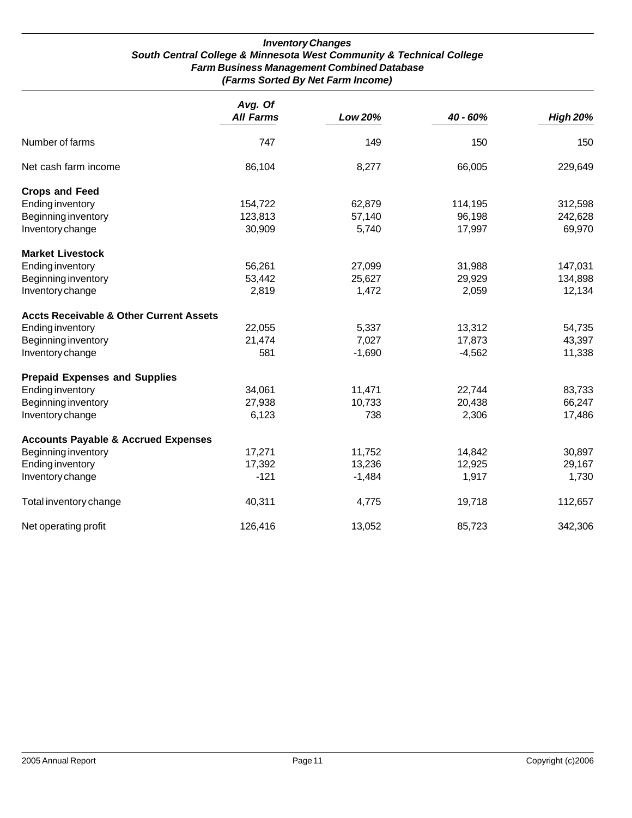#### *Inventory Changes South Central College & Minnesota West Community & Technical College Farm Business Management Combined Database (Farms Sorted By Net Farm Income)*

|                                                    | Avg. Of<br><b>All Farms</b> | Low 20%  | 40 - 60% | <b>High 20%</b> |
|----------------------------------------------------|-----------------------------|----------|----------|-----------------|
| Number of farms                                    | 747                         | 149      | 150      | 150             |
| Net cash farm income                               | 86,104                      | 8,277    | 66,005   | 229,649         |
| <b>Crops and Feed</b>                              |                             |          |          |                 |
| <b>Ending inventory</b>                            | 154,722                     | 62,879   | 114,195  | 312,598         |
| Beginning inventory                                | 123,813                     | 57,140   | 96,198   | 242,628         |
| Inventory change                                   | 30,909                      | 5,740    | 17,997   | 69,970          |
| <b>Market Livestock</b>                            |                             |          |          |                 |
| <b>Ending inventory</b>                            | 56,261                      | 27,099   | 31,988   | 147,031         |
| Beginning inventory                                | 53,442                      | 25,627   | 29,929   | 134,898         |
| Inventory change                                   | 2,819                       | 1,472    | 2,059    | 12,134          |
| <b>Accts Receivable &amp; Other Current Assets</b> |                             |          |          |                 |
| <b>Ending inventory</b>                            | 22,055                      | 5,337    | 13,312   | 54,735          |
| Beginning inventory                                | 21,474                      | 7,027    | 17,873   | 43,397          |
| Inventory change                                   | 581                         | $-1,690$ | $-4,562$ | 11,338          |
| <b>Prepaid Expenses and Supplies</b>               |                             |          |          |                 |
| <b>Ending inventory</b>                            | 34,061                      | 11,471   | 22,744   | 83,733          |
| Beginning inventory                                | 27,938                      | 10,733   | 20,438   | 66,247          |
| Inventory change                                   | 6,123                       | 738      | 2,306    | 17,486          |
| <b>Accounts Payable &amp; Accrued Expenses</b>     |                             |          |          |                 |
| Beginning inventory                                | 17,271                      | 11,752   | 14,842   | 30,897          |
| <b>Ending inventory</b>                            | 17,392                      | 13,236   | 12,925   | 29,167          |
| Inventory change                                   | $-121$                      | $-1,484$ | 1,917    | 1,730           |
| Total inventory change                             | 40,311                      | 4,775    | 19,718   | 112,657         |
| Net operating profit                               | 126,416                     | 13,052   | 85,723   | 342,306         |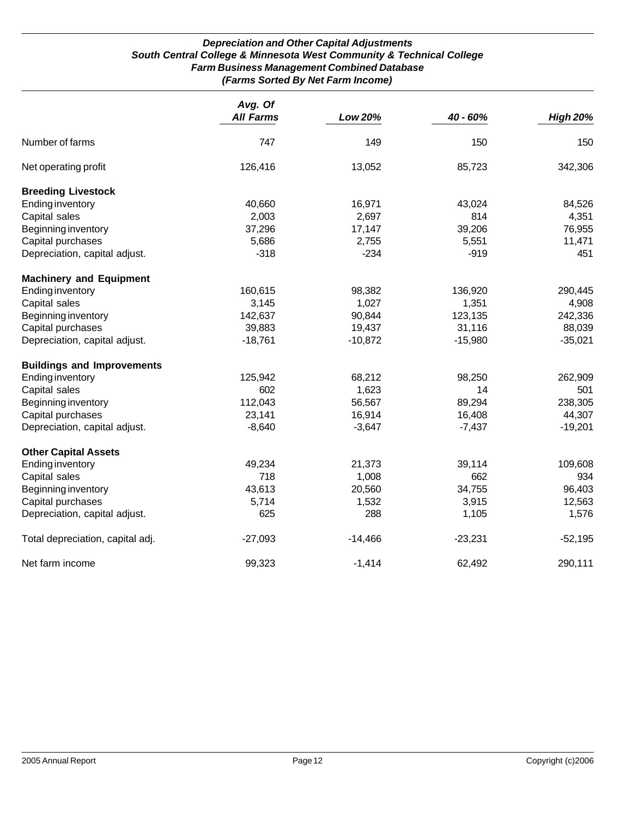#### *Depreciation and Other Capital Adjustments South Central College & Minnesota West Community & Technical College Farm Business Management Combined Database (Farms Sorted By Net Farm Income)*

|                                   | Avg. Of<br><b>All Farms</b> | Low 20%   | 40 - 60%  | <b>High 20%</b> |
|-----------------------------------|-----------------------------|-----------|-----------|-----------------|
| Number of farms                   | 747                         | 149       | 150       | 150             |
| Net operating profit              | 126,416                     | 13,052    | 85,723    | 342,306         |
| <b>Breeding Livestock</b>         |                             |           |           |                 |
| <b>Ending inventory</b>           | 40,660                      | 16,971    | 43,024    | 84,526          |
| Capital sales                     | 2,003                       | 2,697     | 814       | 4,351           |
| Beginning inventory               | 37,296                      | 17,147    | 39,206    | 76,955          |
| Capital purchases                 | 5,686                       | 2,755     | 5,551     | 11,471          |
| Depreciation, capital adjust.     | $-318$                      | $-234$    | $-919$    | 451             |
| <b>Machinery and Equipment</b>    |                             |           |           |                 |
| <b>Ending inventory</b>           | 160,615                     | 98,382    | 136,920   | 290,445         |
| Capital sales                     | 3,145                       | 1,027     | 1,351     | 4,908           |
| Beginning inventory               | 142,637                     | 90,844    | 123,135   | 242,336         |
| Capital purchases                 | 39,883                      | 19,437    | 31,116    | 88,039          |
| Depreciation, capital adjust.     | $-18,761$                   | $-10,872$ | $-15,980$ | $-35,021$       |
| <b>Buildings and Improvements</b> |                             |           |           |                 |
| <b>Ending inventory</b>           | 125,942                     | 68,212    | 98,250    | 262,909         |
| Capital sales                     | 602                         | 1,623     | 14        | 501             |
| Beginning inventory               | 112,043                     | 56,567    | 89,294    | 238,305         |
| Capital purchases                 | 23,141                      | 16,914    | 16,408    | 44,307          |
| Depreciation, capital adjust.     | $-8,640$                    | $-3,647$  | $-7,437$  | $-19,201$       |
| <b>Other Capital Assets</b>       |                             |           |           |                 |
| <b>Ending inventory</b>           | 49,234                      | 21,373    | 39,114    | 109,608         |
| Capital sales                     | 718                         | 1,008     | 662       | 934             |
| Beginning inventory               | 43,613                      | 20,560    | 34,755    | 96,403          |
| Capital purchases                 | 5,714                       | 1,532     | 3,915     | 12,563          |
| Depreciation, capital adjust.     | 625                         | 288       | 1,105     | 1,576           |
| Total depreciation, capital adj.  | $-27,093$                   | $-14,466$ | $-23,231$ | $-52,195$       |
| Net farm income                   | 99,323                      | $-1,414$  | 62,492    | 290,111         |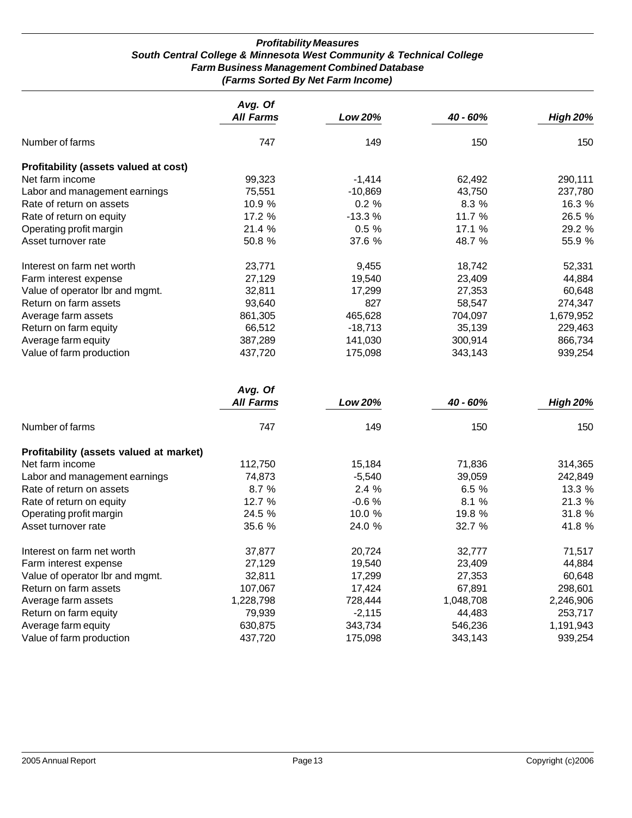#### *Profitability Measures South Central College & Minnesota West Community & Technical College Farm Business Management Combined Database (Farms Sorted By Net Farm Income)*

|                                       | Avg. Of<br><b>All Farms</b> | Low 20%   | 40 - 60% | <b>High 20%</b> |
|---------------------------------------|-----------------------------|-----------|----------|-----------------|
| Number of farms                       | 747                         | 149       | 150      | 150             |
| Profitability (assets valued at cost) |                             |           |          |                 |
| Net farm income                       | 99,323                      | $-1,414$  | 62,492   | 290,111         |
| Labor and management earnings         | 75,551                      | $-10,869$ | 43,750   | 237,780         |
| Rate of return on assets              | 10.9%                       | 0.2%      | 8.3%     | 16.3 %          |
| Rate of return on equity              | 17.2 %                      | $-13.3%$  | 11.7 %   | 26.5 %          |
| Operating profit margin               | 21.4 %                      | 0.5%      | 17.1 %   | 29.2 %          |
| Asset turnover rate                   | 50.8 %                      | 37.6 %    | 48.7 %   | 55.9 %          |
| Interest on farm net worth            | 23,771                      | 9,455     | 18,742   | 52,331          |
| Farm interest expense                 | 27,129                      | 19,540    | 23,409   | 44,884          |
| Value of operator Ibr and mgmt.       | 32,811                      | 17,299    | 27,353   | 60,648          |
| Return on farm assets                 | 93,640                      | 827       | 58,547   | 274,347         |
| Average farm assets                   | 861,305                     | 465,628   | 704,097  | 1,679,952       |
| Return on farm equity                 | 66,512                      | -18,713   | 35,139   | 229,463         |
| Average farm equity                   | 387,289                     | 141,030   | 300,914  | 866,734         |
| Value of farm production              | 437,720                     | 175,098   | 343,143  | 939,254         |

|                                         | Avg. Of<br><b>All Farms</b> |          |           |                 |
|-----------------------------------------|-----------------------------|----------|-----------|-----------------|
|                                         |                             | Low 20%  | 40 - 60%  | <b>High 20%</b> |
| Number of farms                         | 747                         | 149      | 150       | 150             |
| Profitability (assets valued at market) |                             |          |           |                 |
| Net farm income                         | 112,750                     | 15,184   | 71,836    | 314,365         |
| Labor and management earnings           | 74,873                      | $-5,540$ | 39,059    | 242,849         |
| Rate of return on assets                | 8.7%                        | 2.4%     | 6.5%      | 13.3 %          |
| Rate of return on equity                | 12.7 %                      | $-0.6%$  | 8.1%      | 21.3 %          |
| Operating profit margin                 | 24.5 %                      | 10.0 %   | 19.8 %    | 31.8 %          |
| Asset turnover rate                     | 35.6 %                      | 24.0 %   | 32.7 %    | 41.8 %          |
| Interest on farm net worth              | 37,877                      | 20,724   | 32,777    | 71,517          |
| Farm interest expense                   | 27,129                      | 19,540   | 23,409    | 44,884          |
| Value of operator Ibr and mgmt.         | 32,811                      | 17,299   | 27,353    | 60,648          |
| Return on farm assets                   | 107,067                     | 17,424   | 67,891    | 298,601         |
| Average farm assets                     | 1,228,798                   | 728,444  | 1,048,708 | 2,246,906       |
| Return on farm equity                   | 79,939                      | $-2,115$ | 44,483    | 253,717         |
| Average farm equity                     | 630,875                     | 343,734  | 546,236   | 1,191,943       |
| Value of farm production                | 437,720                     | 175,098  | 343,143   | 939,254         |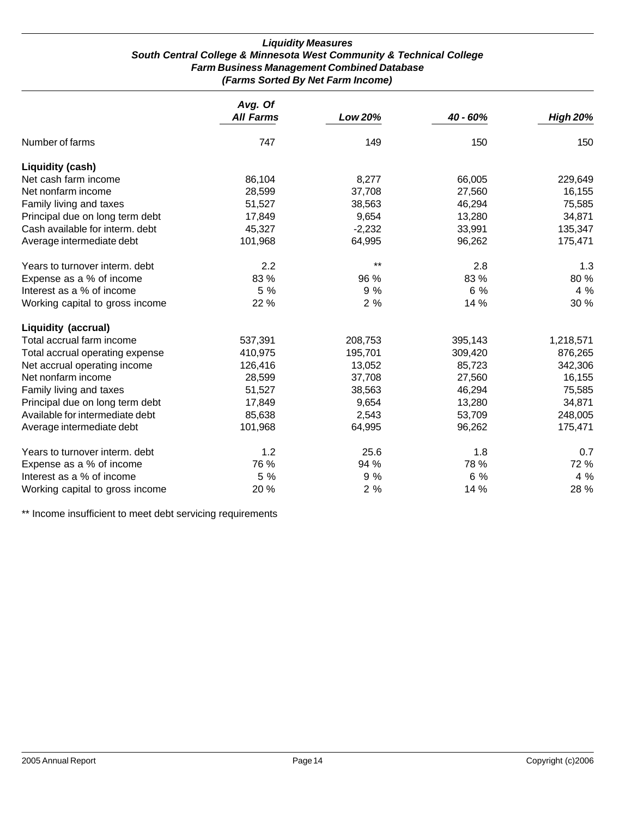#### *Liquidity Measures South Central College & Minnesota West Community & Technical College Farm Business Management Combined Database (Farms Sorted By Net Farm Income)*

|                                 | Avg. Of          |          |            |                 |
|---------------------------------|------------------|----------|------------|-----------------|
|                                 | <b>All Farms</b> | Low 20%  | $40 - 60%$ | <b>High 20%</b> |
| Number of farms                 | 747              | 149      | 150        | 150             |
| <b>Liquidity (cash)</b>         |                  |          |            |                 |
| Net cash farm income            | 86,104           | 8,277    | 66,005     | 229,649         |
| Net nonfarm income              | 28,599           | 37,708   | 27,560     | 16,155          |
| Family living and taxes         | 51,527           | 38,563   | 46,294     | 75,585          |
| Principal due on long term debt | 17,849           | 9,654    | 13,280     | 34,871          |
| Cash available for interm. debt | 45,327           | $-2,232$ | 33,991     | 135,347         |
| Average intermediate debt       | 101,968          | 64,995   | 96,262     | 175,471         |
| Years to turnover interm. debt  | 2.2              | $***$    | 2.8        | 1.3             |
| Expense as a % of income        | 83 %             | 96 %     | 83 %       | 80%             |
| Interest as a % of income       | 5 %              | 9%       | 6 %        | 4 %             |
| Working capital to gross income | 22 %             | 2%       | 14 %       | 30 %            |
| <b>Liquidity (accrual)</b>      |                  |          |            |                 |
| Total accrual farm income       | 537,391          | 208,753  | 395,143    | 1,218,571       |
| Total accrual operating expense | 410,975          | 195,701  | 309,420    | 876,265         |
| Net accrual operating income    | 126,416          | 13,052   | 85,723     | 342,306         |
| Net nonfarm income              | 28,599           | 37,708   | 27,560     | 16,155          |
| Family living and taxes         | 51,527           | 38,563   | 46,294     | 75,585          |
| Principal due on long term debt | 17,849           | 9,654    | 13,280     | 34,871          |
| Available for intermediate debt | 85,638           | 2,543    | 53,709     | 248,005         |
| Average intermediate debt       | 101,968          | 64,995   | 96,262     | 175,471         |
| Years to turnover interm. debt  | 1.2              | 25.6     | 1.8        | 0.7             |
| Expense as a % of income        | 76 %             | 94 %     | 78 %       | 72 %            |
| Interest as a % of income       | 5 %              | 9 %      | 6 %        | 4 %             |
| Working capital to gross income | 20%              | 2%       | 14 %       | 28 %            |

\*\* Income insufficient to meet debt servicing requirements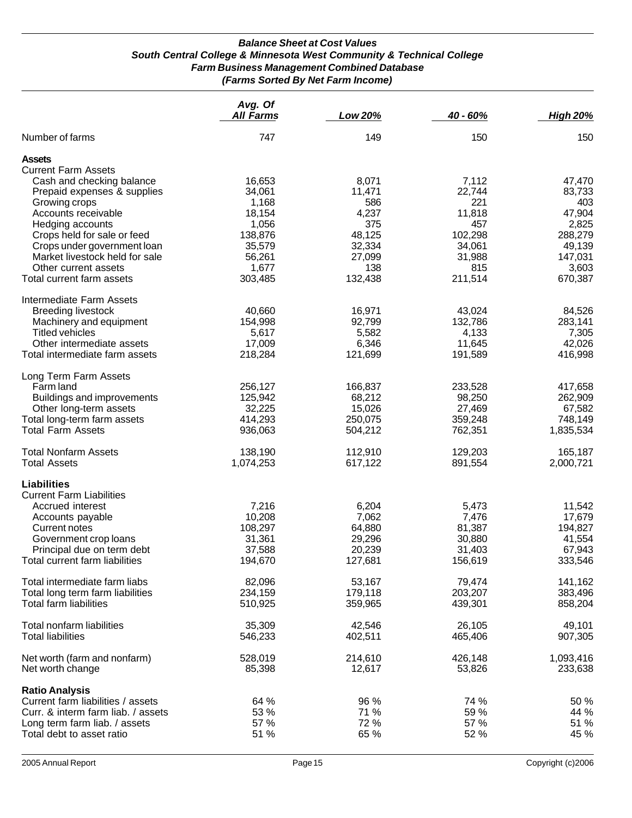#### *Balance Sheet at Cost Values South Central College & Minnesota West Community & Technical College Farm Business Management Combined Database (Farms Sorted By Net Farm Income)*

|                                                                                                  | Avg. Of<br><b>All Farms</b> | Low 20%      | 40 - 60%     | <b>High 20%</b> |
|--------------------------------------------------------------------------------------------------|-----------------------------|--------------|--------------|-----------------|
| Number of farms                                                                                  | 747                         | 149          | 150          | 150             |
| <b>Assets</b><br><b>Current Farm Assets</b><br>Cash and checking balance                         | 16,653                      | 8,071        | 7,112        | 47,470          |
| Prepaid expenses & supplies                                                                      | 34,061                      | 11,471       | 22,744       | 83,733          |
| Growing crops                                                                                    | 1,168                       | 586          | 221          | 403             |
| Accounts receivable                                                                              | 18,154                      | 4,237        | 11,818       | 47,904          |
| Hedging accounts                                                                                 | 1,056                       | 375          | 457          | 2,825           |
| Crops held for sale or feed                                                                      | 138,876                     | 48,125       | 102,298      | 288,279         |
| Crops under government loan                                                                      | 35,579                      | 32,334       | 34,061       | 49,139          |
| Market livestock held for sale                                                                   | 56,261                      | 27,099       | 31,988       | 147,031         |
| Other current assets                                                                             | 1,677                       | 138          | 815          | 3,603           |
| Total current farm assets                                                                        | 303,485                     | 132,438      | 211,514      | 670,387         |
| Intermediate Farm Assets<br><b>Breeding livestock</b>                                            | 40,660                      | 16,971       | 43,024       | 84,526          |
| Machinery and equipment                                                                          | 154,998                     | 92,799       | 132,786      | 283,141         |
| <b>Titled vehicles</b>                                                                           | 5,617                       | 5,582        | 4,133        | 7,305           |
| Other intermediate assets                                                                        | 17,009                      | 6,346        | 11,645       | 42,026          |
| Total intermediate farm assets<br>Long Term Farm Assets                                          | 218,284                     | 121,699      | 191,589      | 416,998         |
| Farm land                                                                                        | 256,127                     | 166,837      | 233,528      | 417,658         |
| Buildings and improvements                                                                       | 125,942                     | 68,212       | 98,250       | 262,909         |
| Other long-term assets                                                                           | 32,225                      | 15,026       | 27,469       | 67,582          |
| Total long-term farm assets                                                                      | 414,293                     | 250,075      | 359,248      | 748,149         |
| <b>Total Farm Assets</b>                                                                         | 936,063                     | 504,212      | 762,351      | 1,835,534       |
| <b>Total Nonfarm Assets</b>                                                                      | 138,190                     | 112,910      | 129,203      | 165,187         |
| <b>Total Assets</b>                                                                              | 1,074,253                   | 617,122      | 891,554      | 2,000,721       |
| <b>Liabilities</b><br><b>Current Farm Liabilities</b>                                            |                             |              |              |                 |
| Accrued interest                                                                                 | 7,216                       | 6,204        | 5,473        | 11,542          |
| Accounts payable                                                                                 | 10,208                      | 7,062        | 7,476        | 17,679          |
| Current notes                                                                                    | 108,297                     | 64,880       | 81,387       | 194,827         |
| Government crop loans                                                                            | 31,361                      | 29,296       | 30,880       | 41,554          |
| Principal due on term debt                                                                       | 37,588                      | 20,239       | 31,403       | 67,943          |
| Total current farm liabilities                                                                   | 194,670                     | 127,681      | 156,619      | 333,546         |
| Total intermediate farm liabs                                                                    | 82,096                      | 53,167       | 79,474       | 141,162         |
| Total long term farm liabilities                                                                 | 234,159                     | 179,118      | 203,207      | 383,496         |
| Total farm liabilities                                                                           | 510,925                     | 359,965      | 439,301      | 858,204         |
| Total nonfarm liabilities                                                                        | 35,309                      | 42,546       | 26,105       | 49,101          |
| <b>Total liabilities</b>                                                                         | 546,233                     | 402,511      | 465,406      | 907,305         |
| Net worth (farm and nonfarm)                                                                     | 528,019                     | 214,610      | 426,148      | 1,093,416       |
| Net worth change                                                                                 | 85,398                      | 12,617       | 53,826       | 233,638         |
| <b>Ratio Analysis</b><br>Current farm liabilities / assets<br>Curr. & interm farm liab. / assets | 64 %<br>53 %                | 96 %<br>71 % | 74 %<br>59 % | 50 %<br>44 %    |
| Long term farm liab. / assets                                                                    | 57 %                        | 72 %         | 57 %         | 51 %            |
| Total debt to asset ratio                                                                        | 51 %                        | 65 %         | 52 %         | 45 %            |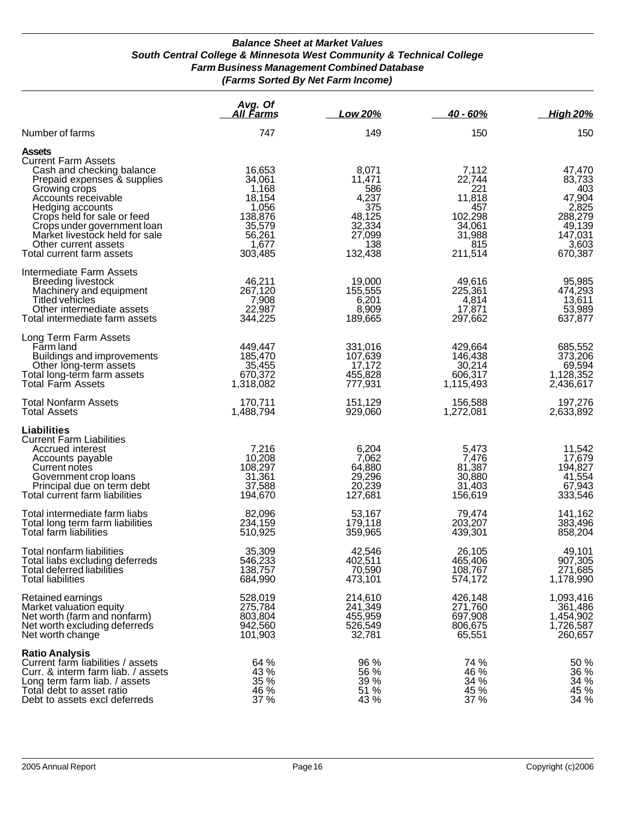#### *Balance Sheet at Market Values South Central College & Minnesota West Community & Technical College Farm Business Management Combined Database (Farms Sorted By Net Farm Income)*

|                                                                                                                                                                                                                                                                                                                          | Avg. Of<br>All Farms                                                                            | Low 20%                                                                                | 40 - 60%                                                                                 | <b>High 20%</b>                                                                                |
|--------------------------------------------------------------------------------------------------------------------------------------------------------------------------------------------------------------------------------------------------------------------------------------------------------------------------|-------------------------------------------------------------------------------------------------|----------------------------------------------------------------------------------------|------------------------------------------------------------------------------------------|------------------------------------------------------------------------------------------------|
| Number of farms                                                                                                                                                                                                                                                                                                          | 747                                                                                             | 149                                                                                    | 150                                                                                      | 150                                                                                            |
| <b>Assets</b><br><b>Current Farm Assets</b><br>Cash and checking balance<br>Prepaid expenses & supplies<br>Growing crops<br>Accounts receivable<br>Hedging accounts<br>Crops held for sale or feed<br>Crops under government loan<br>Market livestock held for sale<br>Other current assets<br>Total current farm assets | 16,653<br>34,061<br>1,168<br>18,154<br>1,056<br>138,876<br>35,579<br>56,261<br>1,677<br>303,485 | 8,071<br>11,471<br>586<br>4,237<br>375<br>48,125<br>32,334<br>27,099<br>138<br>132,438 | 7,112<br>22,744<br>221<br>11,818<br>457<br>102,298<br>34,061<br>31,988<br>815<br>211,514 | 47,470<br>83,733<br>403<br>47,904<br>2,825<br>288,279<br>49,139<br>147,031<br>3,603<br>670,387 |
| Intermediate Farm Assets<br><b>Breeding livestock</b><br>Machinery and equipment<br>Titled vehicles<br>Other intermediate assets<br>Total intermediate farm assets                                                                                                                                                       | 46,211<br>267,120<br>7,908<br>22,987<br>344,225                                                 | 19,000<br>155,555<br>6,201<br>8,909<br>189,665                                         | 49,616<br>225,361<br>4,814<br>17,871<br>297,662                                          | 95,985<br>474,293<br>13,611<br>53,989<br>637,877                                               |
| Long Term Farm Assets<br>Farm land<br>Buildings and improvements<br>Other long-term assets<br>Total long-term farm assets<br><b>Total Farm Assets</b>                                                                                                                                                                    | 449,447<br>185,470<br>35,455<br>670,372<br>1,318,082                                            | 331,016<br>107,639<br>17,172<br>455,828<br>777,931                                     | 429,664<br>146,438<br>30,214<br>606,317<br>1,115,493                                     | 685,552<br>373,206<br>69,594<br>1,128,352<br>2,436,617                                         |
| <b>Total Nonfarm Assets</b><br><b>Total Assets</b>                                                                                                                                                                                                                                                                       | 170,711<br>1,488,794                                                                            | 151,129<br>929,060                                                                     | 156,588<br>1,272,081                                                                     | 197,276<br>2,633,892                                                                           |
| Liabilities<br><b>Current Farm Liabilities</b><br>Accrued interest<br>Accounts payable<br>Current notes<br>Government crop loans<br>Principal due on term debt<br>Total current farm liabilities                                                                                                                         | 7,216<br>10,208<br>108,297<br>31,361<br>37,588<br>194,670                                       | 6,204<br>7,062<br>64,880<br>29,296<br>20,239<br>127,681                                | 5,473<br>7,476<br>81,387<br>30,880<br>31,403<br>156,619                                  | 11,542<br>17,679<br>194,827<br>41,554<br>67,943<br>333,546                                     |
| Total intermediate farm liabs<br>Total long term farm liabilities<br>Total farm liabilities                                                                                                                                                                                                                              | 82,096<br>234,159<br>510,925                                                                    | 53,167<br>179,118<br>359,965                                                           | 79,474<br>203,207<br>439,301                                                             | 141,162<br>383,496<br>858,204                                                                  |
| Total nonfarm liabilities<br>Total liabs excluding deferreds<br>Total deferred liabilities<br><b>Total liabilities</b>                                                                                                                                                                                                   | 35,309<br>546,233<br>138,757<br>684,990                                                         | 42,546<br>402,511<br>70,590<br>473,101                                                 | 26,105<br>465,406<br>108,767<br>574,172                                                  | 49,101<br>907,305<br>271,685<br>1,178,990                                                      |
| Retained earnings<br>Market valuation equity<br>Net worth (farm and nonfarm)<br>Net worth excluding deferreds<br>Net worth change                                                                                                                                                                                        | 528,019<br>275,784<br>803,804<br>942,560<br>101,903                                             | 214,610<br>241,349<br>455,959<br>526,549<br>32,781                                     | 426,148<br>271,760<br>697,908<br>806,675<br>65,551                                       | 1,093,416<br>361,486<br>1,454,902<br>1,726,587<br>260,657                                      |
| <b>Ratio Analysis</b><br>Current farm liabilities / assets<br>Curr. & interm farm liab. / assets<br>Long term farm liab. / assets<br>Total debt to asset ratio<br>Debt to assets excl deferreds                                                                                                                          | 64 %<br>43 %<br>35 %<br>46 %<br>37 %                                                            | 96 %<br>56 %<br>39 %<br>51 %<br>43 %                                                   | 74 %<br>46 %<br>34 %<br>45 %<br>37 %                                                     | 50 %<br>36 %<br>34 %<br>45 %<br>$34\%$                                                         |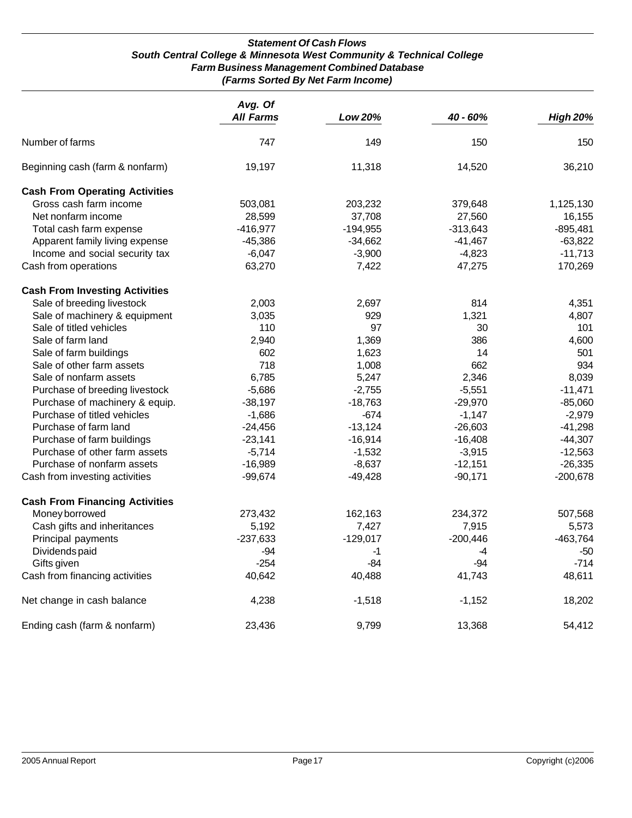#### *Statement Of Cash Flows South Central College & Minnesota West Community & Technical College Farm Business Management Combined Database (Farms Sorted By Net Farm Income)*

|                                       | Avg. Of<br><b>All Farms</b> | Low 20%    | 40 - 60%   | <b>High 20%</b> |
|---------------------------------------|-----------------------------|------------|------------|-----------------|
| Number of farms                       | 747                         | 149        | 150        | 150             |
| Beginning cash (farm & nonfarm)       | 19,197                      | 11,318     | 14,520     | 36,210          |
| <b>Cash From Operating Activities</b> |                             |            |            |                 |
| Gross cash farm income                | 503,081                     | 203,232    | 379,648    | 1,125,130       |
| Net nonfarm income                    | 28,599                      | 37,708     | 27,560     | 16,155          |
| Total cash farm expense               | $-416,977$                  | $-194,955$ | $-313,643$ | $-895,481$      |
| Apparent family living expense        | $-45,386$                   | $-34,662$  | $-41,467$  | $-63,822$       |
| Income and social security tax        | $-6,047$                    | $-3,900$   | $-4,823$   | $-11,713$       |
| Cash from operations                  | 63,270                      | 7,422      | 47,275     | 170,269         |
| <b>Cash From Investing Activities</b> |                             |            |            |                 |
| Sale of breeding livestock            | 2,003                       | 2,697      | 814        | 4,351           |
| Sale of machinery & equipment         | 3,035                       | 929        | 1,321      | 4,807           |
| Sale of titled vehicles               | 110                         | 97         | 30         | 101             |
| Sale of farm land                     | 2,940                       | 1,369      | 386        | 4,600           |
| Sale of farm buildings                | 602                         | 1,623      | 14         | 501             |
| Sale of other farm assets             | 718                         | 1,008      | 662        | 934             |
| Sale of nonfarm assets                | 6,785                       | 5,247      | 2,346      | 8,039           |
| Purchase of breeding livestock        | $-5,686$                    | $-2,755$   | $-5,551$   | $-11,471$       |
| Purchase of machinery & equip.        | $-38,197$                   | $-18,763$  | $-29,970$  | $-85,060$       |
| Purchase of titled vehicles           | $-1,686$                    | $-674$     | $-1,147$   | $-2,979$        |
| Purchase of farm land                 | $-24,456$                   | $-13,124$  | $-26,603$  | $-41,298$       |
| Purchase of farm buildings            | $-23,141$                   | $-16,914$  | $-16,408$  | $-44,307$       |
| Purchase of other farm assets         | $-5,714$                    | $-1,532$   | $-3,915$   | $-12,563$       |
| Purchase of nonfarm assets            | $-16,989$                   | $-8,637$   | $-12,151$  | $-26,335$       |
| Cash from investing activities        | $-99,674$                   | $-49,428$  | $-90,171$  | $-200,678$      |
| <b>Cash From Financing Activities</b> |                             |            |            |                 |
| Money borrowed                        | 273,432                     | 162,163    | 234,372    | 507,568         |
| Cash gifts and inheritances           | 5,192                       | 7,427      | 7,915      | 5,573           |
| Principal payments                    | $-237,633$                  | $-129,017$ | $-200,446$ | $-463,764$      |
| Dividends paid                        | $-94$                       | $-1$       | $-4$       | -50             |
| Gifts given                           | $-254$                      | $-84$      | $-94$      | $-714$          |
| Cash from financing activities        | 40,642                      | 40,488     | 41,743     | 48,611          |
| Net change in cash balance            | 4,238                       | $-1,518$   | $-1,152$   | 18,202          |
| Ending cash (farm & nonfarm)          | 23,436                      | 9,799      | 13,368     | 54,412          |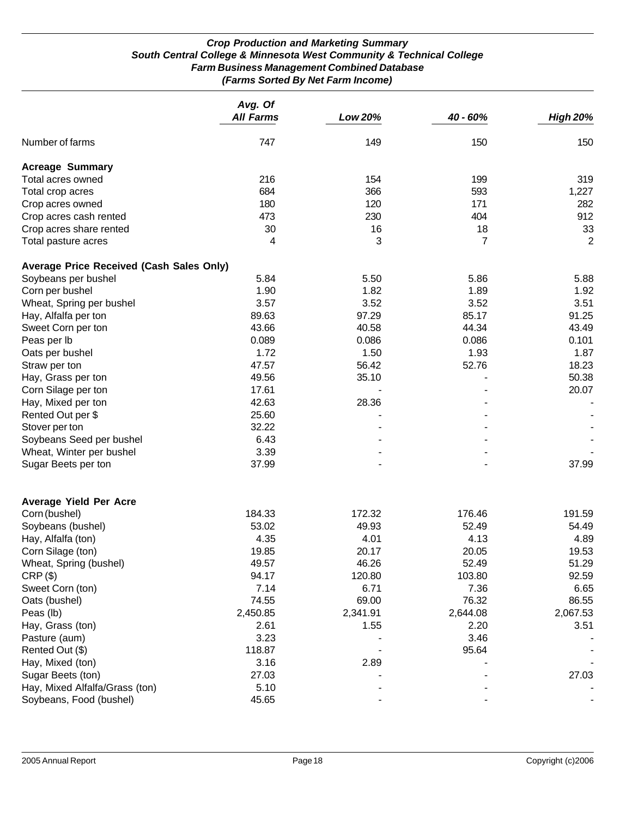#### *Crop Production and Marketing Summary South Central College & Minnesota West Community & Technical College Farm Business Management Combined Database (Farms Sorted By Net Farm Income)*

|                                                 | Avg. Of<br><b>All Farms</b> | Low 20%  | 40 - 60% | <b>High 20%</b> |
|-------------------------------------------------|-----------------------------|----------|----------|-----------------|
| Number of farms                                 | 747                         | 149      | 150      | 150             |
| <b>Acreage Summary</b>                          |                             |          |          |                 |
| Total acres owned                               | 216                         | 154      | 199      | 319             |
| Total crop acres                                | 684                         | 366      | 593      | 1,227           |
| Crop acres owned                                | 180                         | 120      | 171      | 282             |
| Crop acres cash rented                          | 473                         | 230      | 404      | 912             |
| Crop acres share rented                         | 30                          | 16       | 18       | 33              |
| Total pasture acres                             | 4                           | 3        | 7        | 2               |
| <b>Average Price Received (Cash Sales Only)</b> |                             |          |          |                 |
| Soybeans per bushel                             | 5.84                        | 5.50     | 5.86     | 5.88            |
| Corn per bushel                                 | 1.90                        | 1.82     | 1.89     | 1.92            |
| Wheat, Spring per bushel                        | 3.57                        | 3.52     | 3.52     | 3.51            |
| Hay, Alfalfa per ton                            | 89.63                       | 97.29    | 85.17    | 91.25           |
| Sweet Corn per ton                              | 43.66                       | 40.58    | 44.34    | 43.49           |
| Peas per lb                                     | 0.089                       | 0.086    | 0.086    | 0.101           |
| Oats per bushel                                 | 1.72                        | 1.50     | 1.93     | 1.87            |
| Straw per ton                                   | 47.57                       | 56.42    | 52.76    | 18.23           |
| Hay, Grass per ton                              | 49.56                       | 35.10    |          | 50.38           |
| Corn Silage per ton                             | 17.61                       |          |          | 20.07           |
| Hay, Mixed per ton                              | 42.63                       | 28.36    |          |                 |
| Rented Out per \$                               | 25.60                       |          |          |                 |
| Stover per ton                                  | 32.22                       |          |          |                 |
| Soybeans Seed per bushel                        | 6.43                        |          |          |                 |
| Wheat, Winter per bushel                        | 3.39                        |          |          |                 |
| Sugar Beets per ton                             | 37.99                       |          |          | 37.99           |
| <b>Average Yield Per Acre</b>                   |                             |          |          |                 |
| Corn (bushel)                                   | 184.33                      | 172.32   | 176.46   | 191.59          |
| Soybeans (bushel)                               | 53.02                       | 49.93    | 52.49    | 54.49           |
| Hay, Alfalfa (ton)                              | 4.35                        | 4.01     | 4.13     | 4.89            |
| Corn Silage (ton)                               | 19.85                       | 20.17    | 20.05    | 19.53           |
| Wheat, Spring (bushel)                          | 49.57                       | 46.26    | 52.49    | 51.29           |
| $CRP$ $(\$)$                                    | 94.17                       | 120.80   | 103.80   | 92.59           |
| Sweet Corn (ton)                                | 7.14                        | 6.71     | 7.36     | 6.65            |
| Oats (bushel)                                   | 74.55                       | 69.00    | 76.32    | 86.55           |
| Peas (lb)                                       | 2,450.85                    | 2,341.91 | 2,644.08 | 2,067.53        |
| Hay, Grass (ton)                                | 2.61                        | 1.55     | 2.20     | 3.51            |
| Pasture (aum)                                   | 3.23                        |          | 3.46     |                 |
| Rented Out (\$)                                 | 118.87                      |          | 95.64    |                 |
| Hay, Mixed (ton)                                | 3.16                        | 2.89     |          |                 |
| Sugar Beets (ton)                               | 27.03                       |          |          | 27.03           |
| Hay, Mixed Alfalfa/Grass (ton)                  | 5.10                        |          |          |                 |
| Soybeans, Food (bushel)                         | 45.65                       |          |          |                 |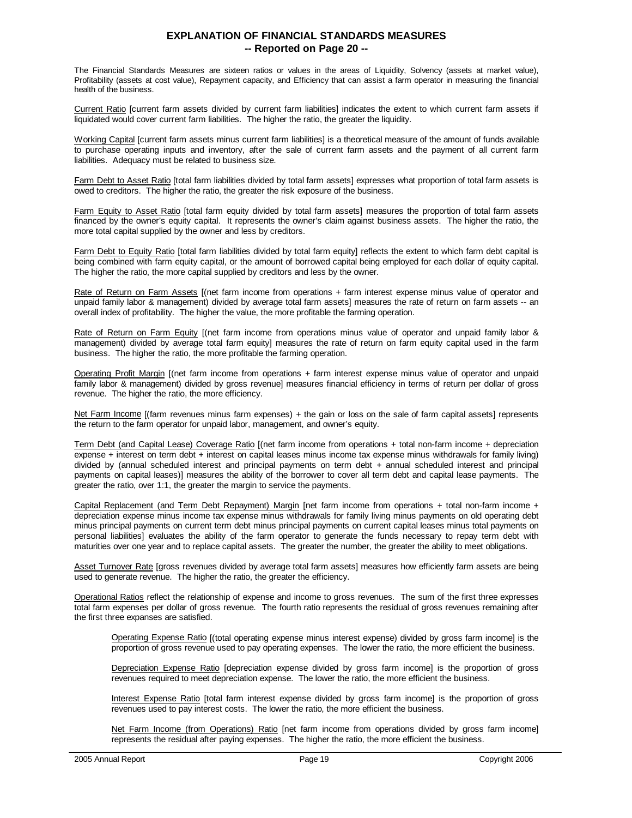#### **EXPLANATION OF FINANCIAL STANDARDS MEASURES -- Reported on Page 20 --**

The Financial Standards Measures are sixteen ratios or values in the areas of Liquidity, Solvency (assets at market value), Profitability (assets at cost value), Repayment capacity, and Efficiency that can assist a farm operator in measuring the financial health of the business.

Current Ratio [current farm assets divided by current farm liabilities] indicates the extent to which current farm assets if liquidated would cover current farm liabilities. The higher the ratio, the greater the liquidity.

Working Capital [current farm assets minus current farm liabilities] is a theoretical measure of the amount of funds available to purchase operating inputs and inventory, after the sale of current farm assets and the payment of all current farm liabilities. Adequacy must be related to business size.

Farm Debt to Asset Ratio [total farm liabilities divided by total farm assets] expresses what proportion of total farm assets is owed to creditors. The higher the ratio, the greater the risk exposure of the business.

Farm Equity to Asset Ratio [total farm equity divided by total farm assets] measures the proportion of total farm assets financed by the owner's equity capital. It represents the owner's claim against business assets. The higher the ratio, the more total capital supplied by the owner and less by creditors.

Farm Debt to Equity Ratio [total farm liabilities divided by total farm equity] reflects the extent to which farm debt capital is being combined with farm equity capital, or the amount of borrowed capital being employed for each dollar of equity capital. The higher the ratio, the more capital supplied by creditors and less by the owner.

Rate of Return on Farm Assets [(net farm income from operations + farm interest expense minus value of operator and unpaid family labor & management) divided by average total farm assets] measures the rate of return on farm assets -- an overall index of profitability. The higher the value, the more profitable the farming operation.

Rate of Return on Farm Equity [(net farm income from operations minus value of operator and unpaid family labor & management) divided by average total farm equity] measures the rate of return on farm equity capital used in the farm business. The higher the ratio, the more profitable the farming operation.

Operating Profit Margin [(net farm income from operations + farm interest expense minus value of operator and unpaid family labor & management) divided by gross revenue] measures financial efficiency in terms of return per dollar of gross revenue. The higher the ratio, the more efficiency.

Net Farm Income [(farm revenues minus farm expenses) + the gain or loss on the sale of farm capital assets] represents the return to the farm operator for unpaid labor, management, and owner's equity.

Term Debt (and Capital Lease) Coverage Ratio [(net farm income from operations + total non-farm income + depreciation expense + interest on term debt + interest on capital leases minus income tax expense minus withdrawals for family living) divided by (annual scheduled interest and principal payments on term debt + annual scheduled interest and principal payments on capital leases)] measures the ability of the borrower to cover all term debt and capital lease payments. The greater the ratio, over 1:1, the greater the margin to service the payments.

Capital Replacement (and Term Debt Repayment) Margin [net farm income from operations + total non-farm income + depreciation expense minus income tax expense minus withdrawals for family living minus payments on old operating debt minus principal payments on current term debt minus principal payments on current capital leases minus total payments on personal liabilities] evaluates the ability of the farm operator to generate the funds necessary to repay term debt with maturities over one year and to replace capital assets. The greater the number, the greater the ability to meet obligations.

Asset Turnover Rate [gross revenues divided by average total farm assets] measures how efficiently farm assets are being used to generate revenue. The higher the ratio, the greater the efficiency.

Operational Ratios reflect the relationship of expense and income to gross revenues. The sum of the first three expresses total farm expenses per dollar of gross revenue. The fourth ratio represents the residual of gross revenues remaining after the first three expanses are satisfied.

Operating Expense Ratio [(total operating expense minus interest expense) divided by gross farm income] is the proportion of gross revenue used to pay operating expenses. The lower the ratio, the more efficient the business.

 Depreciation Expense Ratio [depreciation expense divided by gross farm income] is the proportion of gross revenues required to meet depreciation expense. The lower the ratio, the more efficient the business.

Interest Expense Ratio [total farm interest expense divided by gross farm income] is the proportion of gross revenues used to pay interest costs. The lower the ratio, the more efficient the business.

Net Farm Income (from Operations) Ratio [net farm income from operations divided by gross farm income] represents the residual after paying expenses. The higher the ratio, the more efficient the business.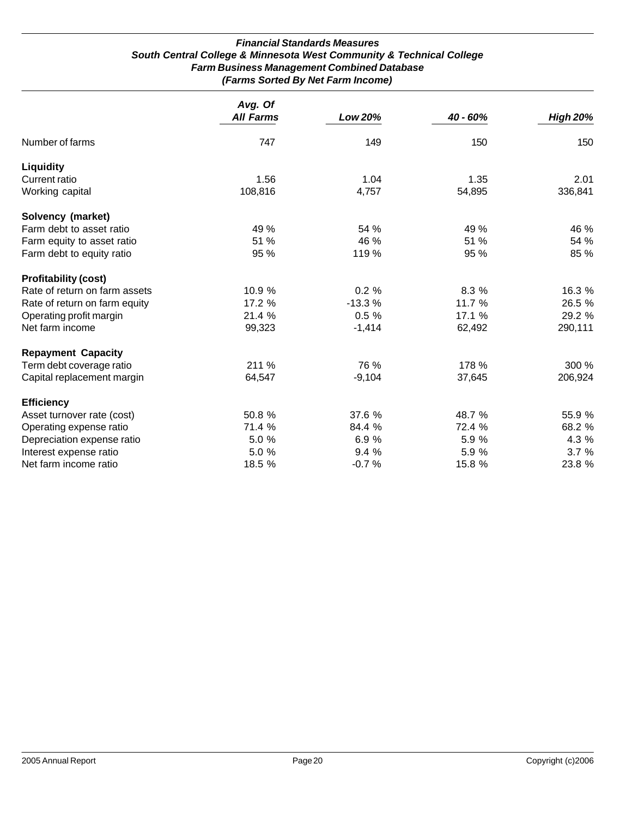#### *Financial Standards Measures South Central College & Minnesota West Community & Technical College Farm Business Management Combined Database (Farms Sorted By Net Farm Income)*

|                               | Avg. Of<br><b>All Farms</b> | Low 20%  | 40 - 60% | <b>High 20%</b> |
|-------------------------------|-----------------------------|----------|----------|-----------------|
|                               |                             |          |          |                 |
| Number of farms               | 747                         | 149      | 150      | 150             |
| <b>Liquidity</b>              |                             |          |          |                 |
| Current ratio                 | 1.56                        | 1.04     | 1.35     | 2.01            |
| Working capital               | 108,816                     | 4,757    | 54,895   | 336,841         |
| Solvency (market)             |                             |          |          |                 |
| Farm debt to asset ratio      | 49 %                        | 54 %     | 49 %     | 46 %            |
| Farm equity to asset ratio    | 51 %                        | 46 %     | 51 %     | 54 %            |
| Farm debt to equity ratio     | 95 %                        | 119 %    | 95 %     | 85 %            |
| <b>Profitability (cost)</b>   |                             |          |          |                 |
| Rate of return on farm assets | 10.9 %                      | 0.2%     | 8.3 %    | 16.3 %          |
| Rate of return on farm equity | 17.2 %                      | $-13.3%$ | 11.7 %   | 26.5 %          |
| Operating profit margin       | 21.4 %                      | 0.5%     | 17.1 %   | 29.2 %          |
| Net farm income               | 99,323                      | $-1,414$ | 62,492   | 290,111         |
| <b>Repayment Capacity</b>     |                             |          |          |                 |
| Term debt coverage ratio      | 211 %                       | 76 %     | 178 %    | 300 %           |
| Capital replacement margin    | 64,547                      | $-9,104$ | 37,645   | 206,924         |
| <b>Efficiency</b>             |                             |          |          |                 |
| Asset turnover rate (cost)    | 50.8 %                      | 37.6 %   | 48.7 %   | 55.9 %          |
| Operating expense ratio       | 71.4 %                      | 84.4 %   | 72.4 %   | 68.2 %          |
| Depreciation expense ratio    | 5.0 %                       | 6.9%     | 5.9 %    | 4.3 %           |
| Interest expense ratio        | 5.0 %                       | 9.4 %    | 5.9 %    | 3.7%            |
| Net farm income ratio         | 18.5 %                      | $-0.7%$  | 15.8 %   | 23.8 %          |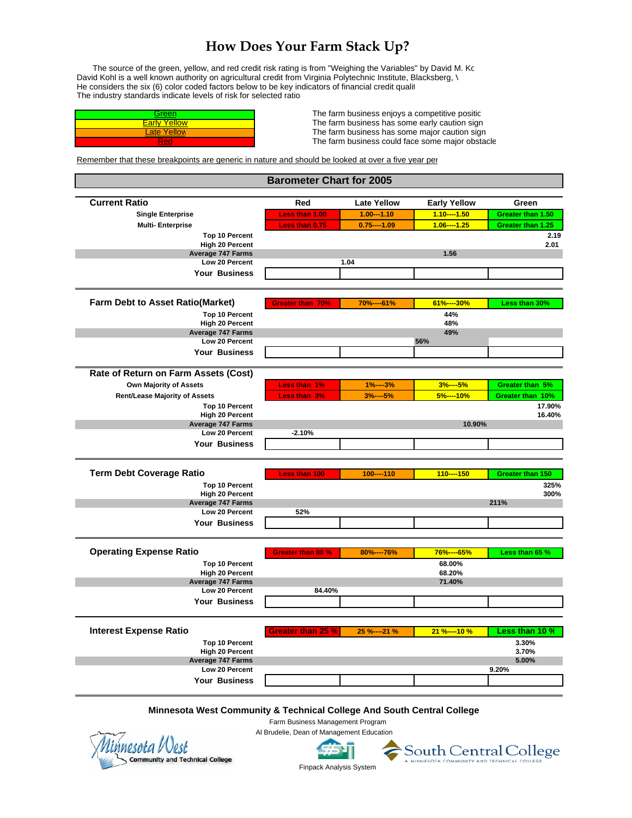# **How Does Your Farm Stack Up?**

The source of the green, yellow, and red credit risk rating is from "Weighing the Variables" by David M. Ko David Kohl is a well known authority on agricultural credit from Virginia Polytechnic Institute, Blacksberg, \ He considers the six (6) color coded factors below to be key indicators of financial credit qualit The industry standards indicate levels of risk for selected ratios

| Green                   |  |
|-------------------------|--|
| Yellow                  |  |
| <sub>-</sub> ate Yellow |  |
|                         |  |

The farm business enjoys a competitive positic The farm business has some early caution sign The farm business has some major caution sign The farm business could face some major obstacle

Remember that these breakpoints are generic in nature and should be looked at over a five year per

| <b>Barometer Chart for 2005</b>                                        |                          |                    |                     |                         |
|------------------------------------------------------------------------|--------------------------|--------------------|---------------------|-------------------------|
| <b>Current Ratio</b>                                                   | Red                      | <b>Late Yellow</b> | <b>Early Yellow</b> | Green                   |
| <b>Single Enterprise</b>                                               | Less than 1.00           | $1.00 - 1.10$      | $1.10---1.50$       | Greater than 1.50       |
| <b>Multi-Enterprise</b>                                                | Less than 0.75           | $0.75---1.09$      | $1.06---1.25$       | Greater than 1.25       |
| <b>Top 10 Percent</b>                                                  |                          |                    |                     | 2.19                    |
| <b>High 20 Percent</b>                                                 |                          |                    |                     | 2.01                    |
| <b>Average 747 Farms</b>                                               |                          |                    | 1.56                |                         |
| Low 20 Percent                                                         |                          | 1.04               |                     |                         |
| <b>Your Business</b>                                                   |                          |                    |                     |                         |
| Farm Debt to Asset Ratio(Market)                                       | <b>Greater than 70%</b>  | 70%----61%         | 61%----30%          | Less than 30%           |
| <b>Top 10 Percent</b>                                                  |                          |                    | 44%                 |                         |
| <b>High 20 Percent</b>                                                 |                          |                    | 48%                 |                         |
| Average 747 Farms                                                      |                          |                    | 49%                 |                         |
| Low 20 Percent                                                         |                          |                    | 56%                 |                         |
| Your Business                                                          |                          |                    |                     |                         |
| Rate of Return on Farm Assets (Cost)                                   |                          |                    |                     |                         |
| Own Majority of Assets                                                 | Less than 1%             | $-3%$<br>$1% -$    | $3%---5%$           | Greater than 5%         |
| <b>Rent/Lease Majority of Assets</b>                                   | Less than 3%             | $3% -$<br>$-5%$    | 5%----10%           | Greater than 10%        |
| <b>Top 10 Percent</b>                                                  |                          |                    |                     | 17.90%                  |
| <b>High 20 Percent</b>                                                 |                          |                    |                     | 16.40%                  |
| <b>Average 747 Farms</b>                                               |                          |                    | 10.90%              |                         |
| Low 20 Percent                                                         | $-2.10%$                 |                    |                     |                         |
| <b>Your Business</b>                                                   |                          |                    |                     |                         |
| <b>Term Debt Coverage Ratio</b>                                        | <b>Less than 100</b>     | $100---110$        | $110---150$         | <b>Greater than 150</b> |
| <b>Top 10 Percent</b>                                                  |                          |                    |                     | 325%                    |
| <b>High 20 Percent</b>                                                 |                          |                    |                     | 300%                    |
| <b>Average 747 Farms</b>                                               |                          |                    |                     | 211%                    |
| Low 20 Percent                                                         | 52%                      |                    |                     |                         |
| <b>Your Business</b>                                                   |                          |                    |                     |                         |
|                                                                        |                          |                    |                     |                         |
| <b>Operating Expense Ratio</b>                                         | <b>Greater than 80 %</b> | 80%---76%          | 76%----65%          | Less than 65 %          |
| <b>Top 10 Percent</b>                                                  |                          |                    | 68.00%              |                         |
| <b>High 20 Percent</b><br><b>Average 747 Farms</b>                     |                          |                    | 68.20%<br>71.40%    |                         |
| Low 20 Percent                                                         | 84.40%                   |                    |                     |                         |
| <b>Your Business</b>                                                   |                          |                    |                     |                         |
|                                                                        |                          |                    |                     |                         |
| <b>Interest Expense Ratio</b>                                          | Greater than 25 %        | 25 %----21 %       | 21 %----10 %        | Less than 10 %          |
| <b>Top 10 Percent</b>                                                  |                          |                    |                     | 3.30%                   |
| <b>High 20 Percent</b>                                                 |                          |                    |                     | 3.70%                   |
| <b>Average 747 Farms</b>                                               |                          |                    |                     | 5.00%                   |
| Low 20 Percent                                                         |                          |                    |                     | 9.20%                   |
| Your Business                                                          |                          |                    |                     |                         |
| Minnesota West Community & Technical College And South Central College |                          |                    |                     |                         |

 Farm Business Management Program Al Brudelie, Dean of Management Education

nnesota West Community and Technical College **Finding Community and Technical College Finding Community** Finance Community and Technical College

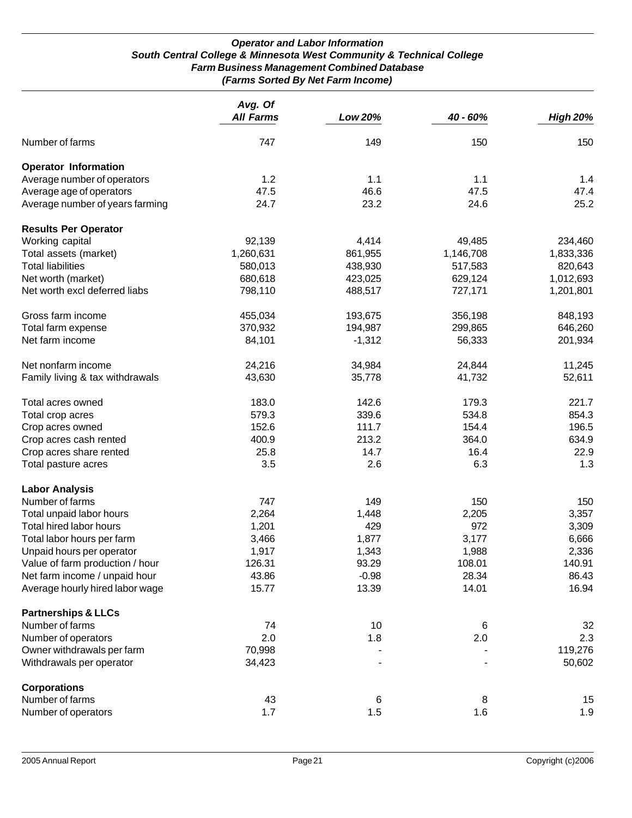#### *Operator and Labor Information South Central College & Minnesota West Community & Technical College Farm Business Management Combined Database (Farms Sorted By Net Farm Income)*

|                                 | Avg. Of<br><b>All Farms</b> | Low 20%  | 40 - 60%  | <b>High 20%</b> |
|---------------------------------|-----------------------------|----------|-----------|-----------------|
| Number of farms                 | 747                         | 149      | 150       | 150             |
| <b>Operator Information</b>     |                             |          |           |                 |
| Average number of operators     | 1.2                         | 1.1      | 1.1       | 1.4             |
| Average age of operators        | 47.5                        | 46.6     | 47.5      | 47.4            |
| Average number of years farming | 24.7                        | 23.2     | 24.6      | 25.2            |
| <b>Results Per Operator</b>     |                             |          |           |                 |
| Working capital                 | 92,139                      | 4,414    | 49,485    | 234,460         |
| Total assets (market)           | 1,260,631                   | 861,955  | 1,146,708 | 1,833,336       |
| <b>Total liabilities</b>        | 580,013                     | 438,930  | 517,583   | 820,643         |
| Net worth (market)              | 680,618                     | 423,025  | 629,124   | 1,012,693       |
| Net worth excl deferred liabs   | 798,110                     | 488,517  | 727,171   | 1,201,801       |
| Gross farm income               | 455,034                     | 193,675  | 356,198   | 848,193         |
| Total farm expense              | 370,932                     | 194,987  | 299,865   | 646,260         |
| Net farm income                 | 84,101                      | $-1,312$ | 56,333    | 201,934         |
| Net nonfarm income              | 24,216                      | 34,984   | 24,844    | 11,245          |
| Family living & tax withdrawals | 43,630                      | 35,778   | 41,732    | 52,611          |
| Total acres owned               | 183.0                       | 142.6    | 179.3     | 221.7           |
| Total crop acres                | 579.3                       | 339.6    | 534.8     | 854.3           |
| Crop acres owned                | 152.6                       | 111.7    | 154.4     | 196.5           |
| Crop acres cash rented          | 400.9                       | 213.2    | 364.0     | 634.9           |
| Crop acres share rented         | 25.8                        | 14.7     | 16.4      | 22.9            |
| Total pasture acres             | 3.5                         | 2.6      | 6.3       | 1.3             |
| <b>Labor Analysis</b>           |                             |          |           |                 |
| Number of farms                 | 747                         | 149      | 150       | 150             |
| Total unpaid labor hours        | 2,264                       | 1,448    | 2,205     | 3,357           |
| Total hired labor hours         | 1,201                       | 429      | 972       | 3,309           |
| Total labor hours per farm      | 3,466                       | 1,877    | 3,177     | 6,666           |
| Unpaid hours per operator       | 1,917                       | 1,343    | 1,988     | 2,336           |
| Value of farm production / hour | 126.31                      | 93.29    | 108.01    | 140.91          |
| Net farm income / unpaid hour   | 43.86                       | $-0.98$  | 28.34     | 86.43           |
| Average hourly hired labor wage | 15.77                       | 13.39    | 14.01     | 16.94           |
| <b>Partnerships &amp; LLCs</b>  |                             |          |           |                 |
| Number of farms                 | 74                          | 10       | 6         | 32              |
| Number of operators             | 2.0                         | 1.8      | 2.0       | 2.3             |
| Owner withdrawals per farm      | 70,998                      |          |           | 119,276         |
| Withdrawals per operator        | 34,423                      |          |           | 50,602          |
| <b>Corporations</b>             |                             |          |           |                 |
| Number of farms                 | 43                          | 6        | 8         | 15              |
| Number of operators             | 1.7                         | 1.5      | 1.6       | 1.9             |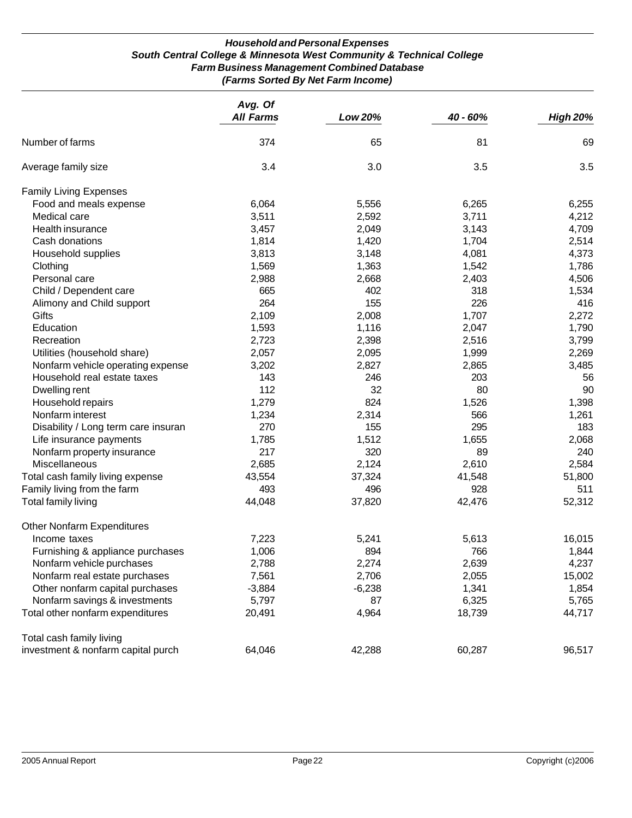#### *Household and Personal Expenses South Central College & Minnesota West Community & Technical College Farm Business Management Combined Database (Farms Sorted By Net Farm Income)*

|                                     | Avg. Of          |          |          |                 |
|-------------------------------------|------------------|----------|----------|-----------------|
|                                     | <b>All Farms</b> | Low 20%  | 40 - 60% | <b>High 20%</b> |
| Number of farms                     | 374              | 65       | 81       | 69              |
| Average family size                 | 3.4              | 3.0      | 3.5      | 3.5             |
| <b>Family Living Expenses</b>       |                  |          |          |                 |
| Food and meals expense              | 6,064            | 5,556    | 6,265    | 6,255           |
| Medical care                        | 3,511            | 2,592    | 3,711    | 4,212           |
| Health insurance                    | 3,457            | 2,049    | 3,143    | 4,709           |
| Cash donations                      | 1,814            | 1,420    | 1,704    | 2,514           |
| Household supplies                  | 3,813            | 3,148    | 4,081    | 4,373           |
| Clothing                            | 1,569            | 1,363    | 1,542    | 1,786           |
| Personal care                       | 2,988            | 2,668    | 2,403    | 4,506           |
| Child / Dependent care              | 665              | 402      | 318      | 1,534           |
| Alimony and Child support           | 264              | 155      | 226      | 416             |
| Gifts                               | 2,109            | 2,008    | 1,707    | 2,272           |
| Education                           | 1,593            | 1,116    | 2,047    | 1,790           |
| Recreation                          | 2,723            | 2,398    | 2,516    | 3,799           |
| Utilities (household share)         | 2,057            | 2,095    | 1,999    | 2,269           |
| Nonfarm vehicle operating expense   | 3,202            | 2,827    | 2,865    | 3,485           |
| Household real estate taxes         | 143              | 246      | 203      | 56              |
| Dwelling rent                       | 112              | 32       | 80       | 90              |
| Household repairs                   | 1,279            | 824      | 1,526    | 1,398           |
| Nonfarm interest                    | 1,234            | 2,314    | 566      | 1,261           |
| Disability / Long term care insuran | 270              | 155      | 295      | 183             |
| Life insurance payments             | 1,785            | 1,512    | 1,655    | 2,068           |
| Nonfarm property insurance          | 217              | 320      | 89       | 240             |
| Miscellaneous                       | 2,685            | 2,124    | 2,610    | 2,584           |
| Total cash family living expense    | 43,554           | 37,324   | 41,548   | 51,800          |
| Family living from the farm         | 493              | 496      | 928      | 511             |
| Total family living                 | 44,048           | 37,820   | 42,476   | 52,312          |
| Other Nonfarm Expenditures          |                  |          |          |                 |
| Income taxes                        | 7,223            | 5,241    | 5,613    | 16,015          |
| Furnishing & appliance purchases    | 1,006            | 894      | 766      | 1,844           |
| Nonfarm vehicle purchases           | 2,788            | 2,274    | 2,639    | 4,237           |
| Nonfarm real estate purchases       | 7,561            | 2,706    | 2,055    | 15,002          |
| Other nonfarm capital purchases     | $-3,884$         | $-6,238$ | 1,341    | 1,854           |
| Nonfarm savings & investments       | 5,797            | 87       | 6,325    | 5,765           |
| Total other nonfarm expenditures    | 20,491           | 4,964    | 18,739   | 44,717          |
| Total cash family living            |                  |          |          |                 |
| investment & nonfarm capital purch  | 64,046           | 42,288   | 60,287   | 96,517          |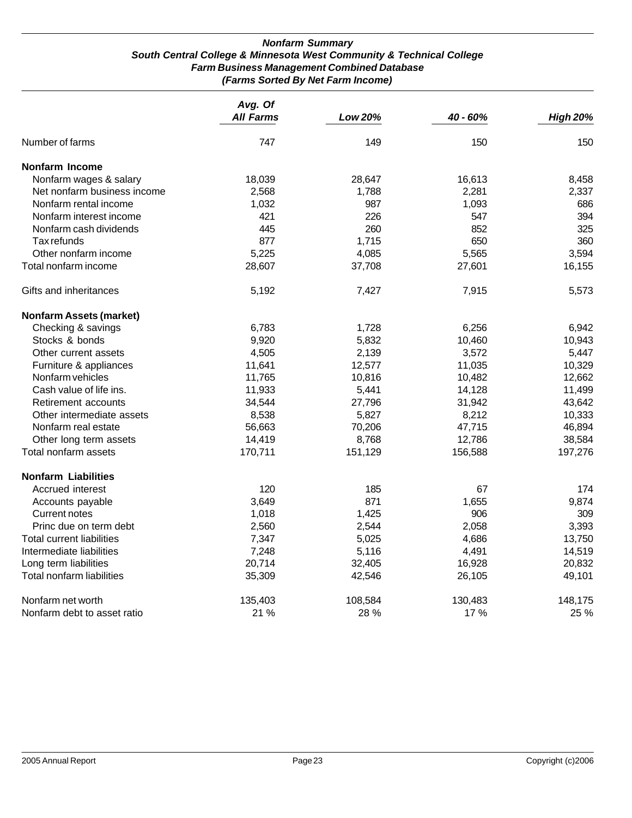#### *Nonfarm Summary South Central College & Minnesota West Community & Technical College Farm Business Management Combined Database (Farms Sorted By Net Farm Income)*

|                                  | Avg. Of<br><b>All Farms</b> | <b>Low 20%</b> | 40 - 60% | <b>High 20%</b> |
|----------------------------------|-----------------------------|----------------|----------|-----------------|
|                                  |                             |                |          |                 |
| Number of farms                  | 747                         | 149            | 150      | 150             |
| Nonfarm Income                   |                             |                |          |                 |
| Nonfarm wages & salary           | 18,039                      | 28,647         | 16,613   | 8,458           |
| Net nonfarm business income      | 2,568                       | 1,788          | 2,281    | 2,337           |
| Nonfarm rental income            | 1,032                       | 987            | 1,093    | 686             |
| Nonfarm interest income          | 421                         | 226            | 547      | 394             |
| Nonfarm cash dividends           | 445                         | 260            | 852      | 325             |
| Tax refunds                      | 877                         | 1,715          | 650      | 360             |
| Other nonfarm income             | 5,225                       | 4,085          | 5,565    | 3,594           |
| Total nonfarm income             | 28,607                      | 37,708         | 27,601   | 16,155          |
| Gifts and inheritances           | 5,192                       | 7,427          | 7,915    | 5,573           |
| <b>Nonfarm Assets (market)</b>   |                             |                |          |                 |
| Checking & savings               | 6,783                       | 1,728          | 6,256    | 6,942           |
| Stocks & bonds                   | 9,920                       | 5,832          | 10,460   | 10,943          |
| Other current assets             | 4,505                       | 2,139          | 3,572    | 5,447           |
| Furniture & appliances           | 11,641                      | 12,577         | 11,035   | 10,329          |
| Nonfarm vehicles                 | 11,765                      | 10,816         | 10,482   | 12,662          |
| Cash value of life ins.          | 11,933                      | 5,441          | 14,128   | 11,499          |
| Retirement accounts              | 34,544                      | 27,796         | 31,942   | 43,642          |
| Other intermediate assets        | 8,538                       | 5,827          | 8,212    | 10,333          |
| Nonfarm real estate              | 56,663                      | 70,206         | 47,715   | 46,894          |
| Other long term assets           | 14,419                      | 8,768          | 12,786   | 38,584          |
| Total nonfarm assets             | 170,711                     | 151,129        | 156,588  | 197,276         |
| <b>Nonfarm Liabilities</b>       |                             |                |          |                 |
| Accrued interest                 | 120                         | 185            | 67       | 174             |
| Accounts payable                 | 3,649                       | 871            | 1,655    | 9,874           |
| <b>Current notes</b>             | 1,018                       | 1,425          | 906      | 309             |
| Princ due on term debt           | 2,560                       | 2,544          | 2,058    | 3,393           |
| <b>Total current liabilities</b> | 7,347                       | 5,025          | 4,686    | 13,750          |
| Intermediate liabilities         | 7,248                       | 5,116          | 4,491    | 14,519          |
| Long term liabilities            | 20,714                      | 32,405         | 16,928   | 20,832          |
| Total nonfarm liabilities        | 35,309                      | 42,546         | 26,105   | 49,101          |
| Nonfarm net worth                | 135,403                     | 108,584        | 130,483  | 148,175         |
| Nonfarm debt to asset ratio      | 21 %                        | 28 %           | 17%      | 25 %            |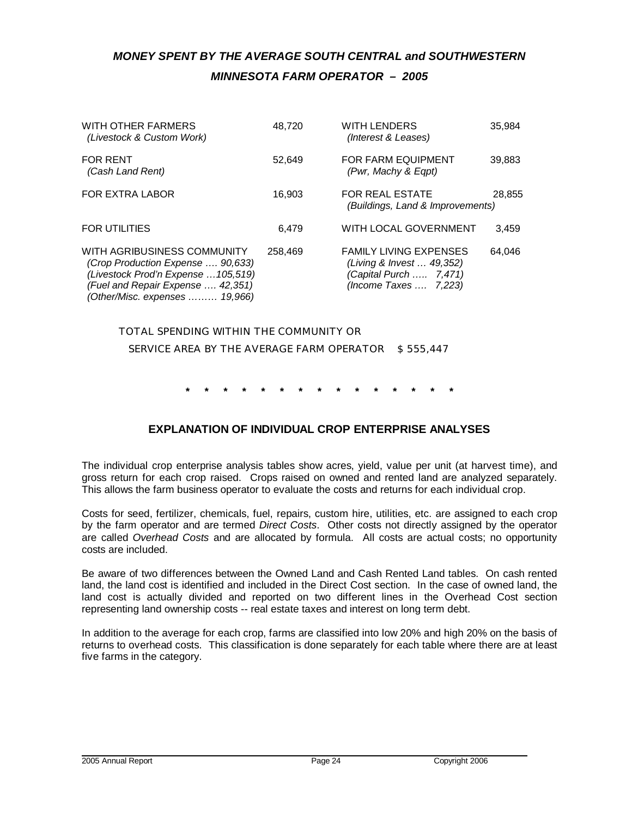# *MONEY SPENT BY THE AVERAGE SOUTH CENTRAL and SOUTHWESTERN MINNESOTA FARM OPERATOR – 2005*

| WITH OTHER FARMERS<br>(Livestock & Custom Work)                                                                                                                                | 48,720  | <b>WITH LENDERS</b><br>(Interest & Leases)                                                                    | 35.984 |
|--------------------------------------------------------------------------------------------------------------------------------------------------------------------------------|---------|---------------------------------------------------------------------------------------------------------------|--------|
| <b>FOR RENT</b><br>(Cash Land Rent)                                                                                                                                            | 52.649  | <b>FOR FARM EQUIPMENT</b><br>(Pwr, Machy & Eqpt)                                                              | 39,883 |
| <b>FOR EXTRA LABOR</b>                                                                                                                                                         | 16.903  | <b>FOR REAL ESTATE</b><br>(Buildings, Land & Improvements)                                                    | 28,855 |
| <b>FOR UTILITIES</b>                                                                                                                                                           | 6.479   | WITH LOCAL GOVERNMENT                                                                                         | 3,459  |
| WITH AGRIBUSINESS COMMUNITY<br>(Crop Production Expense  90,633)<br>(Livestock Prod'n Expense  105,519)<br>(Fuel and Repair Expense  42,351)<br>(Other/Misc. expenses  19,966) | 258,469 | <b>FAMILY LIVING EXPENSES</b><br>(Living & Invest  49,352)<br>(Capital Purch  7,471)<br>(Income Taxes  7,223) | 64.046 |

*TOTAL SPENDING WITHIN THE COMMUNITY OR SERVICE AREA BY THE AVERAGE FARM OPERATOR \$ 555,447*

**\* \* \* \* \* \* \* \* \* \* \* \* \* \* \***

# **EXPLANATION OF INDIVIDUAL CROP ENTERPRISE ANALYSES**

The individual crop enterprise analysis tables show acres, yield, value per unit (at harvest time), and gross return for each crop raised. Crops raised on owned and rented land are analyzed separately. This allows the farm business operator to evaluate the costs and returns for each individual crop.

Costs for seed, fertilizer, chemicals, fuel, repairs, custom hire, utilities, etc. are assigned to each crop by the farm operator and are termed *Direct Costs*. Other costs not directly assigned by the operator are called *Overhead Costs* and are allocated by formula. All costs are actual costs; no opportunity costs are included.

Be aware of two differences between the Owned Land and Cash Rented Land tables. On cash rented land, the land cost is identified and included in the Direct Cost section. In the case of owned land, the land cost is actually divided and reported on two different lines in the Overhead Cost section representing land ownership costs -- real estate taxes and interest on long term debt.

In addition to the average for each crop, farms are classified into low 20% and high 20% on the basis of returns to overhead costs. This classification is done separately for each table where there are at least five farms in the category.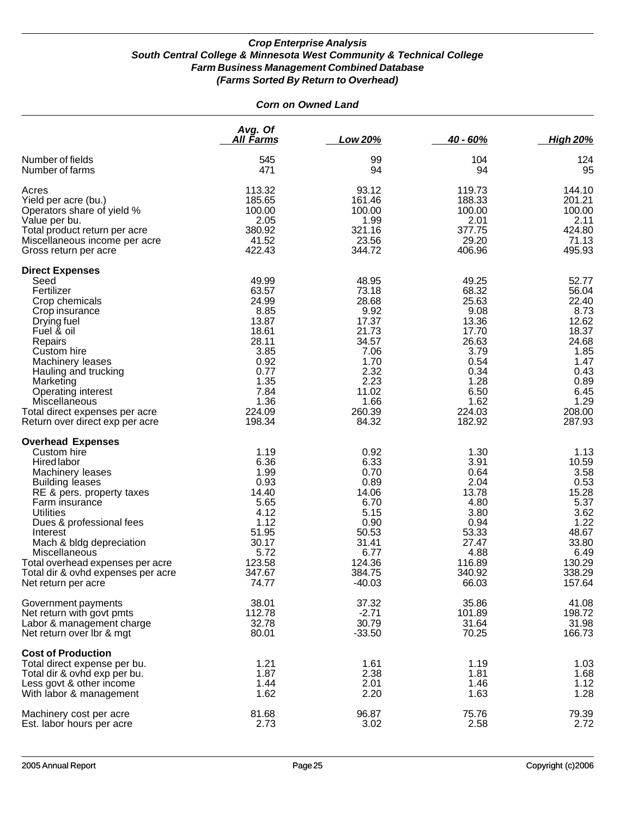| <b>Corn on Owned Land</b>                                                                                                                                                                                                                                                                                                                                     |                                                                                                                                |                                                                                                                                |                                                                                                                                |                                                                                                                                |
|---------------------------------------------------------------------------------------------------------------------------------------------------------------------------------------------------------------------------------------------------------------------------------------------------------------------------------------------------------------|--------------------------------------------------------------------------------------------------------------------------------|--------------------------------------------------------------------------------------------------------------------------------|--------------------------------------------------------------------------------------------------------------------------------|--------------------------------------------------------------------------------------------------------------------------------|
|                                                                                                                                                                                                                                                                                                                                                               | Avg. Of<br><u>All Farms</u>                                                                                                    | Low 20%                                                                                                                        | $40 - 60%$                                                                                                                     | <b>High 20%</b>                                                                                                                |
| Number of fields<br>Number of farms                                                                                                                                                                                                                                                                                                                           | 545<br>471                                                                                                                     | 99<br>94                                                                                                                       | 104<br>94                                                                                                                      | 124<br>95                                                                                                                      |
| Acres<br>Yield per acre (bu.)<br>Operators share of yield %<br>Value per bu.<br>Total product return per acre<br>Miscellaneous income per acre<br>Gross return per acre                                                                                                                                                                                       | 113.32<br>185.65<br>100.00<br>2.05<br>380.92<br>41.52<br>422.43                                                                | 93.12<br>161.46<br>100.00<br>1.99<br>321.16<br>23.56<br>344.72                                                                 | 119.73<br>188.33<br>100.00<br>2.01<br>377.75<br>29.20<br>406.96                                                                | 144.10<br>201.21<br>100.00<br>2.11<br>424.80<br>71.13<br>495.93                                                                |
| <b>Direct Expenses</b><br>Seed<br>Fertilizer<br>Crop chemicals<br>Crop insurance<br>Drying fuel<br>Fuel & oil<br>Repairs<br>Custom hire<br>Machinery leases<br>Hauling and trucking<br>Marketing<br><b>Operating interest</b><br>Miscellaneous<br>Total direct expenses per acre<br>Return over direct exp per acre                                           | 49.99<br>63.57<br>24.99<br>8.85<br>13.87<br>18.61<br>28.11<br>3.85<br>0.92<br>0.77<br>1.35<br>7.84<br>1.36<br>224.09<br>198.34 | 48.95<br>73.18<br>28.68<br>9.92<br>17.37<br>21.73<br>34.57<br>7.06<br>1.70<br>2.32<br>2.23<br>11.02<br>1.66<br>260.39<br>84.32 | 49.25<br>68.32<br>25.63<br>9.08<br>13.36<br>17.70<br>26.63<br>3.79<br>0.54<br>0.34<br>1.28<br>6.50<br>1.62<br>224.03<br>182.92 | 52.77<br>56.04<br>22.40<br>8.73<br>12.62<br>18.37<br>24.68<br>1.85<br>1.47<br>0.43<br>0.89<br>6.45<br>1.29<br>208.00<br>287.93 |
| <b>Overhead Expenses</b><br>Custom hire<br>Hired labor<br>Machinery leases<br><b>Building leases</b><br>RE & pers. property taxes<br>Farm insurance<br><b>Utilities</b><br>Dues & professional fees<br>Interest<br>Mach & bldg depreciation<br>Miscellaneous<br>Total overhead expenses per acre<br>Total dir & ovhd expenses per acre<br>Net return per acre | 1.19<br>6.36<br>1.99<br>0.93<br>14.40<br>5.65<br>4.12<br>1.12<br>51.95<br>30.17<br>5.72<br>123.58<br>347.67<br>74.77           | 0.92<br>6.33<br>0.70<br>0.89<br>14.06<br>6.70<br>5.15<br>0.90<br>50.53<br>31.41<br>6.77<br>124.36<br>384.75<br>$-40.03$        | 1.30<br>3.91<br>0.64<br>2.04<br>13.78<br>4.80<br>3.80<br>0.94<br>53.33<br>27.47<br>4.88<br>116.89<br>340.92<br>66.03           | 1.13<br>10.59<br>3.58<br>0.53<br>15.28<br>5.37<br>3.62<br>1.22<br>48.67<br>33.80<br>6.49<br>130.29<br>338.29<br>157.64         |
| Government payments<br>Net return with govt pmts<br>Labor & management charge<br>Net return over Ibr & mgt                                                                                                                                                                                                                                                    | 38.01<br>112.78<br>32.78<br>80.01                                                                                              | 37.32<br>$-2.71$<br>30.79<br>$-33.50$                                                                                          | 35.86<br>101.89<br>31.64<br>70.25                                                                                              | 41.08<br>198.72<br>31.98<br>166.73                                                                                             |
| <b>Cost of Production</b><br>Total direct expense per bu.<br>Total dir & ovhd exp per bu.<br>Less govt & other income<br>With labor & management                                                                                                                                                                                                              | 1.21<br>1.87<br>1.44<br>1.62                                                                                                   | 1.61<br>2.38<br>2.01<br>2.20                                                                                                   | 1.19<br>1.81<br>1.46<br>1.63                                                                                                   | 1.03<br>1.68<br>1.12<br>1.28                                                                                                   |
| Machinery cost per acre<br>Est. labor hours per acre                                                                                                                                                                                                                                                                                                          | 81.68<br>2.73                                                                                                                  | 96.87<br>3.02                                                                                                                  | 75.76<br>2.58                                                                                                                  | 79.39<br>2.72                                                                                                                  |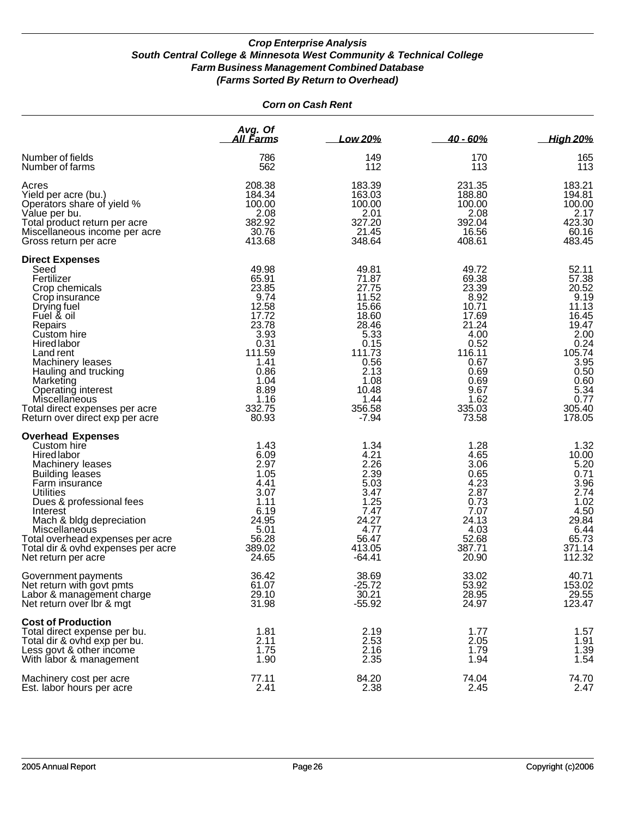#### *Corn on Cash Rent*

|                                                                                                                                                                                                                                                                                                                                                 | Avg. Of<br>All Farms                                                                                                                            | Low 20%                                                                                                                                             | 40 - 60%                                                                                                                                        | <b>High 20%</b>                                                                                                                                  |
|-------------------------------------------------------------------------------------------------------------------------------------------------------------------------------------------------------------------------------------------------------------------------------------------------------------------------------------------------|-------------------------------------------------------------------------------------------------------------------------------------------------|-----------------------------------------------------------------------------------------------------------------------------------------------------|-------------------------------------------------------------------------------------------------------------------------------------------------|--------------------------------------------------------------------------------------------------------------------------------------------------|
| Number of fields                                                                                                                                                                                                                                                                                                                                | 786                                                                                                                                             | 149                                                                                                                                                 | 170                                                                                                                                             | 165                                                                                                                                              |
| Number of farms                                                                                                                                                                                                                                                                                                                                 | 562                                                                                                                                             | 112                                                                                                                                                 | 113                                                                                                                                             | 113                                                                                                                                              |
| Acres                                                                                                                                                                                                                                                                                                                                           | 208.38                                                                                                                                          | 183.39                                                                                                                                              | 231.35                                                                                                                                          | 183.21                                                                                                                                           |
| Yield per acre (bu.)                                                                                                                                                                                                                                                                                                                            | 184.34                                                                                                                                          | 163.03                                                                                                                                              | 188.80                                                                                                                                          | 194.81                                                                                                                                           |
| Operators share of yield %                                                                                                                                                                                                                                                                                                                      | 100.00                                                                                                                                          | 100.00                                                                                                                                              | 100.00                                                                                                                                          | 100.00                                                                                                                                           |
| Value per bu.                                                                                                                                                                                                                                                                                                                                   | 2.08                                                                                                                                            | 2.01                                                                                                                                                | 2.08                                                                                                                                            | 2.17                                                                                                                                             |
| Total product return per acre                                                                                                                                                                                                                                                                                                                   | 382.92                                                                                                                                          | 327.20                                                                                                                                              | 392.04                                                                                                                                          | 423.30                                                                                                                                           |
| Miscellaneous income per acre                                                                                                                                                                                                                                                                                                                   | 30.76                                                                                                                                           | 21.45                                                                                                                                               | 16.56                                                                                                                                           | 60.16                                                                                                                                            |
| Gross return per acre                                                                                                                                                                                                                                                                                                                           | 413.68                                                                                                                                          | 348.64                                                                                                                                              | 408.61                                                                                                                                          | 483.45                                                                                                                                           |
| <b>Direct Expenses</b><br>Seed<br>Fertilizer<br>Crop chemicals<br>Crop insurance<br>Drying fuel<br>Fuel & oil<br>Repairs<br>Custom hire<br><b>Hired labor</b><br>Land rent<br>Machinery leases<br>Hauling and trucking<br>Marketing<br>Operating interest<br>Miscellaneous<br>Total direct expenses per acre<br>Return over direct exp per acre | 49.98<br>65.91<br>23.85<br>9.74<br>12.58<br>17.72<br>23.78<br>3.93<br>0.31<br>111.59<br>1.41<br>0.86<br>1.04<br>8.89<br>1.16<br>332.75<br>80.93 | 49.81<br>71.87<br>27.75<br>11.52<br>15.66<br>18.60<br>28.46<br>5.33<br>0.15<br>111.73<br>0.56<br>2.13<br>1.08<br>10.48<br>1.44<br>356.58<br>$-7.94$ | 49.72<br>69.38<br>23.39<br>8.92<br>10.71<br>17.69<br>21.24<br>4.00<br>0.52<br>116.11<br>0.67<br>0.69<br>0.69<br>9.67<br>1.62<br>335.03<br>73.58 | 52.11<br>57.38<br>20.52<br>9.19<br>11.13<br>16.45<br>19.47<br>2.00<br>0.24<br>105.74<br>3.95<br>0.50<br>0.60<br>5.34<br>0.77<br>305.40<br>178.05 |
| <b>Overhead Expenses</b><br>Custom hire<br><b>Hired labor</b><br>Machinery leases<br><b>Building leases</b><br>Farm insurance<br>Utilities<br>Dues & professional fees<br>Interest<br>Mach & bldg depreciation<br>Miscellaneous<br>Total overhead expenses per acre<br>Total dir & ovhd expenses per acre<br>Net return per acre                | 1.43<br>6.09<br>2.97<br>1.05<br>4.41<br>3.07<br>1.11<br>6.19<br>24.95<br>5.01<br>56.28<br>389.02<br>24.65                                       | 1.34<br>4.21<br>2.26<br>2.39<br>5.03<br>3.47<br>1.25<br>7.47<br>24.27<br>4.77<br>56.47<br>413.05<br>-64.41                                          | 1.28<br>4.65<br>3.06<br>0.65<br>4.23<br>2.87<br>0.73<br>7.07<br>24.13<br>4.03<br>52.68<br>387.71<br>20.90                                       | 1.32<br>10.00<br>5.20<br>0.71<br>3.96<br>2.74<br>1.02<br>4.50<br>29.84<br>6.44<br>65.73<br>371.14<br>112.32                                      |
| Government payments                                                                                                                                                                                                                                                                                                                             | 36.42                                                                                                                                           | 38.69                                                                                                                                               | 33.02                                                                                                                                           | 40.71                                                                                                                                            |
| Net return with govt pmts                                                                                                                                                                                                                                                                                                                       | 61.07                                                                                                                                           | $-25.72$                                                                                                                                            | 53.92                                                                                                                                           | 153.02                                                                                                                                           |
| Labor & management charge                                                                                                                                                                                                                                                                                                                       | 29.10                                                                                                                                           | 30.21                                                                                                                                               | 28.95                                                                                                                                           | 29.55                                                                                                                                            |
| Net return over Ibr & mgt                                                                                                                                                                                                                                                                                                                       | 31.98                                                                                                                                           | $-55.92$                                                                                                                                            | 24.97                                                                                                                                           | 123.47                                                                                                                                           |
| <b>Cost of Production</b><br>Total direct expense per bu.<br>Total dir & ovhd exp per bu.<br>Less govt & other income<br>With labor & management                                                                                                                                                                                                | 1.81<br>2.11<br>1.75<br>1.90                                                                                                                    | 2.19<br>2.53<br>2.16<br>2.35                                                                                                                        | 1.77<br>2.05<br>1.79<br>1.94                                                                                                                    | 1.57<br>1.91<br>$1.\overline{39}$<br>1.54                                                                                                        |
| Machinery cost per acre                                                                                                                                                                                                                                                                                                                         | 77.11                                                                                                                                           | 84.20                                                                                                                                               | 74.04                                                                                                                                           | 74.70                                                                                                                                            |
| Est. labor hours per acre                                                                                                                                                                                                                                                                                                                       | 2.41                                                                                                                                            | 2.38                                                                                                                                                | 2.45                                                                                                                                            | 2.47                                                                                                                                             |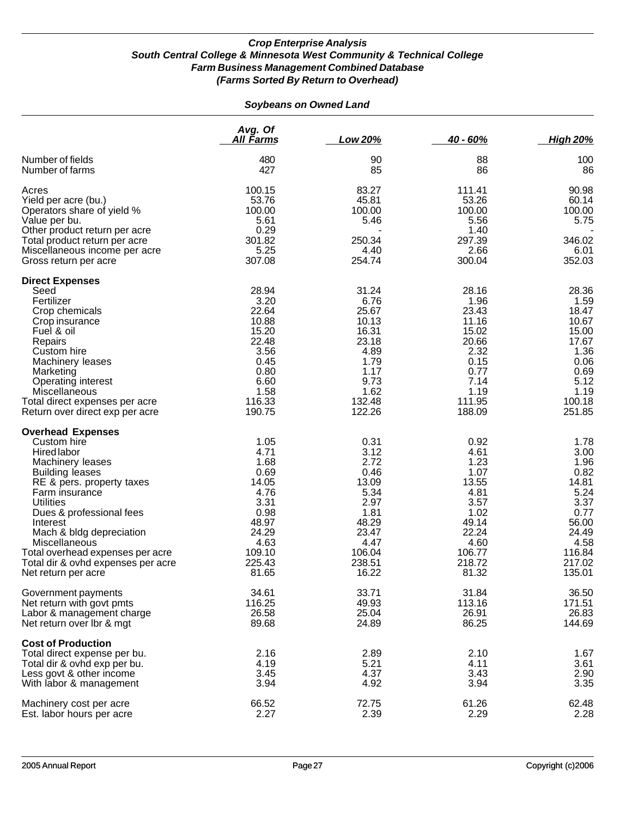#### *Soybeans on Owned Land*

|                                                                                                                                                                                                                                                                                                                                                                      | Avg. Of<br>All Farms                                                                                                 | Low 20%                                                                                                              | $40 - 60%$                                                                                                           | <b>High 20%</b>                                                                                                       |
|----------------------------------------------------------------------------------------------------------------------------------------------------------------------------------------------------------------------------------------------------------------------------------------------------------------------------------------------------------------------|----------------------------------------------------------------------------------------------------------------------|----------------------------------------------------------------------------------------------------------------------|----------------------------------------------------------------------------------------------------------------------|-----------------------------------------------------------------------------------------------------------------------|
| Number of fields<br>Number of farms                                                                                                                                                                                                                                                                                                                                  | 480<br>427                                                                                                           | 90<br>85                                                                                                             | 88<br>86                                                                                                             | 100<br>86                                                                                                             |
| Acres<br>Yield per acre (bu.)<br>Operators share of yield %<br>Value per bu.<br>Other product return per acre<br>Total product return per acre<br>Miscellaneous income per acre<br>Gross return per acre                                                                                                                                                             | 100.15<br>53.76<br>100.00<br>5.61<br>0.29<br>301.82<br>5.25<br>307.08                                                | 83.27<br>45.81<br>100.00<br>5.46<br>250.34<br>4.40<br>254.74                                                         | 111.41<br>53.26<br>100.00<br>5.56<br>1.40<br>297.39<br>2.66<br>300.04                                                | 90.98<br>60.14<br>100.00<br>5.75<br>346.02<br>6.01<br>352.03                                                          |
| <b>Direct Expenses</b><br>Seed<br>Fertilizer<br>Crop chemicals<br>Crop insurance<br>Fuel & oil<br>Repairs<br>Custom hire<br>Machinery leases<br>Marketing<br><b>Operating interest</b><br>Miscellaneous<br>Total direct expenses per acre<br>Return over direct exp per acre                                                                                         | 28.94<br>3.20<br>22.64<br>10.88<br>15.20<br>22.48<br>3.56<br>0.45<br>0.80<br>6.60<br>1.58<br>116.33<br>190.75        | 31.24<br>6.76<br>25.67<br>10.13<br>16.31<br>23.18<br>4.89<br>1.79<br>1.17<br>9.73<br>1.62<br>132.48<br>122.26        | 28.16<br>1.96<br>23.43<br>11.16<br>15.02<br>20.66<br>2.32<br>0.15<br>0.77<br>7.14<br>1.19<br>111.95<br>188.09        | 28.36<br>1.59<br>18.47<br>10.67<br>15.00<br>17.67<br>1.36<br>0.06<br>0.69<br>5.12<br>1.19<br>100.18<br>251.85         |
| <b>Overhead Expenses</b><br>Custom hire<br><b>Hired labor</b><br>Machinery leases<br><b>Building leases</b><br>RE & pers. property taxes<br>Farm insurance<br><b>Utilities</b><br>Dues & professional fees<br>Interest<br>Mach & bldg depreciation<br>Miscellaneous<br>Total overhead expenses per acre<br>Total dir & ovhd expenses per acre<br>Net return per acre | 1.05<br>4.71<br>1.68<br>0.69<br>14.05<br>4.76<br>3.31<br>0.98<br>48.97<br>24.29<br>4.63<br>109.10<br>225.43<br>81.65 | 0.31<br>3.12<br>2.72<br>0.46<br>13.09<br>5.34<br>2.97<br>1.81<br>48.29<br>23.47<br>4.47<br>106.04<br>238.51<br>16.22 | 0.92<br>4.61<br>1.23<br>1.07<br>13.55<br>4.81<br>3.57<br>1.02<br>49.14<br>22.24<br>4.60<br>106.77<br>218.72<br>81.32 | 1.78<br>3.00<br>1.96<br>0.82<br>14.81<br>5.24<br>3.37<br>0.77<br>56.00<br>24.49<br>4.58<br>116.84<br>217.02<br>135.01 |
| Government payments<br>Net return with govt pmts<br>Labor & management charge<br>Net return over Ibr & mgt                                                                                                                                                                                                                                                           | 34.61<br>116.25<br>26.58<br>89.68                                                                                    | 33.71<br>49.93<br>25.04<br>24.89                                                                                     | 31.84<br>113.16<br>26.91<br>86.25                                                                                    | 36.50<br>171.51<br>26.83<br>144.69                                                                                    |
| <b>Cost of Production</b><br>Total direct expense per bu.<br>Total dir & ovhd exp per bu.<br>Less govt & other income<br>With labor & management                                                                                                                                                                                                                     | 2.16<br>4.19<br>3.45<br>3.94                                                                                         | 2.89<br>5.21<br>4.37<br>4.92                                                                                         | 2.10<br>4.11<br>3.43<br>3.94                                                                                         | 1.67<br>3.61<br>2.90<br>3.35                                                                                          |
| Machinery cost per acre<br>Est. labor hours per acre                                                                                                                                                                                                                                                                                                                 | 66.52<br>2.27                                                                                                        | 72.75<br>2.39                                                                                                        | 61.26<br>2.29                                                                                                        | 62.48<br>2.28                                                                                                         |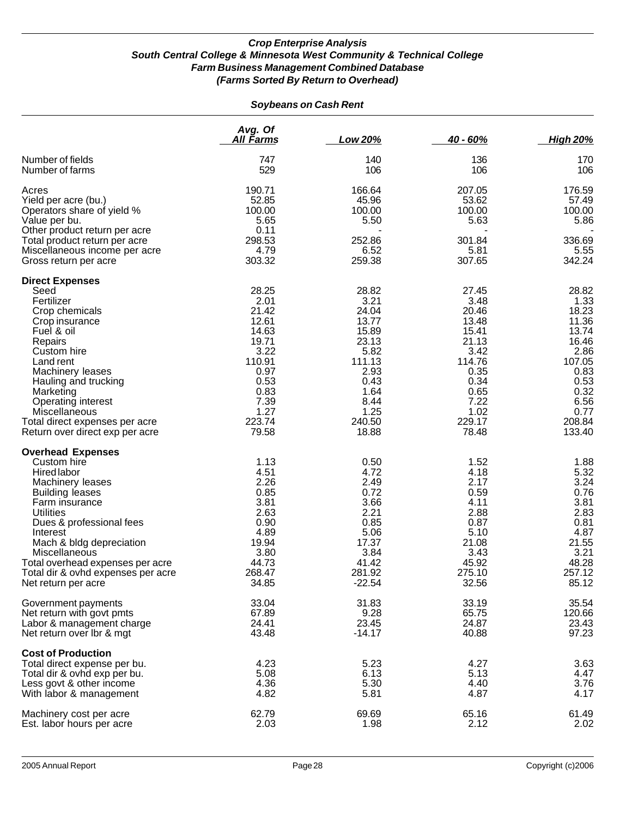|                                                                                                                                                                                                                                                                                                                                                                            | Avg. Of<br>All Farms                                                                                      | Low 20%                                                                                                      | $40 - 60%$                                                                                                | <b>High 20%</b>                                                                                           |
|----------------------------------------------------------------------------------------------------------------------------------------------------------------------------------------------------------------------------------------------------------------------------------------------------------------------------------------------------------------------------|-----------------------------------------------------------------------------------------------------------|--------------------------------------------------------------------------------------------------------------|-----------------------------------------------------------------------------------------------------------|-----------------------------------------------------------------------------------------------------------|
| Number of fields                                                                                                                                                                                                                                                                                                                                                           | 747                                                                                                       | 140                                                                                                          | 136                                                                                                       | 170                                                                                                       |
| Number of farms                                                                                                                                                                                                                                                                                                                                                            | 529                                                                                                       | 106                                                                                                          | 106                                                                                                       | 106                                                                                                       |
| Acres<br>Yield per acre (bu.)<br>Operators share of yield %<br>Value per bu.<br>Other product return per acre                                                                                                                                                                                                                                                              | 190.71<br>52.85<br>100.00<br>5.65<br>0.11                                                                 | 166.64<br>45.96<br>100.00<br>5.50                                                                            | 207.05<br>53.62<br>100.00<br>5.63                                                                         | 176.59<br>57.49<br>100.00<br>5.86                                                                         |
| Total product return per acre                                                                                                                                                                                                                                                                                                                                              | 298.53                                                                                                    | 252.86                                                                                                       | 301.84                                                                                                    | 336.69                                                                                                    |
| Miscellaneous income per acre                                                                                                                                                                                                                                                                                                                                              | 4.79                                                                                                      | 6.52                                                                                                         | 5.81                                                                                                      | 5.55                                                                                                      |
| Gross return per acre                                                                                                                                                                                                                                                                                                                                                      | 303.32                                                                                                    | 259.38                                                                                                       | 307.65                                                                                                    | 342.24                                                                                                    |
| <b>Direct Expenses</b>                                                                                                                                                                                                                                                                                                                                                     | 28.25                                                                                                     | 28.82                                                                                                        | 27.45                                                                                                     | 28.82                                                                                                     |
| Seed                                                                                                                                                                                                                                                                                                                                                                       | 2.01                                                                                                      | 3.21                                                                                                         | 3.48                                                                                                      | 1.33                                                                                                      |
| Fertilizer                                                                                                                                                                                                                                                                                                                                                                 | 21.42                                                                                                     | 24.04                                                                                                        | 20.46                                                                                                     | 18.23                                                                                                     |
| Crop chemicals                                                                                                                                                                                                                                                                                                                                                             | 12.61                                                                                                     | 13.77                                                                                                        | 13.48                                                                                                     | 11.36                                                                                                     |
| Crop insurance                                                                                                                                                                                                                                                                                                                                                             | 14.63                                                                                                     | 15.89                                                                                                        | 15.41                                                                                                     | 13.74                                                                                                     |
| Fuel & oil                                                                                                                                                                                                                                                                                                                                                                 | 19.71                                                                                                     | 23.13                                                                                                        | 21.13                                                                                                     | 16.46                                                                                                     |
| Repairs                                                                                                                                                                                                                                                                                                                                                                    | 3.22                                                                                                      | 5.82                                                                                                         | 3.42                                                                                                      | 2.86                                                                                                      |
| Custom hire                                                                                                                                                                                                                                                                                                                                                                | 110.91                                                                                                    | 111.13                                                                                                       | 114.76                                                                                                    | 107.05                                                                                                    |
| Land rent                                                                                                                                                                                                                                                                                                                                                                  | 0.97                                                                                                      | 2.93                                                                                                         | 0.35                                                                                                      | 0.83                                                                                                      |
| Machinery leases                                                                                                                                                                                                                                                                                                                                                           | 0.53                                                                                                      | 0.43                                                                                                         | 0.34                                                                                                      | 0.53                                                                                                      |
| Hauling and trucking                                                                                                                                                                                                                                                                                                                                                       | 0.83                                                                                                      | 1.64                                                                                                         | 0.65                                                                                                      | 0.32                                                                                                      |
| Marketing                                                                                                                                                                                                                                                                                                                                                                  | 7.39                                                                                                      | 8.44                                                                                                         | 7.22                                                                                                      | 6.56                                                                                                      |
| <b>Operating interest</b>                                                                                                                                                                                                                                                                                                                                                  | 1.27                                                                                                      | 1.25                                                                                                         | 1.02                                                                                                      | 0.77                                                                                                      |
| Miscellaneous                                                                                                                                                                                                                                                                                                                                                              | 223.74                                                                                                    | 240.50                                                                                                       | 229.17                                                                                                    | 208.84                                                                                                    |
| Total direct expenses per acre                                                                                                                                                                                                                                                                                                                                             | 79.58                                                                                                     | 18.88                                                                                                        | 78.48                                                                                                     | 133.40                                                                                                    |
| Return over direct exp per acre<br><b>Overhead Expenses</b><br>Custom hire<br>Hired labor<br>Machinery leases<br><b>Building leases</b><br>Farm insurance<br><b>Utilities</b><br>Dues & professional fees<br>Interest<br>Mach & bldg depreciation<br><b>Miscellaneous</b><br>Total overhead expenses per acre<br>Total dir & ovhd expenses per acre<br>Net return per acre | 1.13<br>4.51<br>2.26<br>0.85<br>3.81<br>2.63<br>0.90<br>4.89<br>19.94<br>3.80<br>44.73<br>268.47<br>34.85 | 0.50<br>4.72<br>2.49<br>0.72<br>3.66<br>2.21<br>0.85<br>5.06<br>17.37<br>3.84<br>41.42<br>281.92<br>$-22.54$ | 1.52<br>4.18<br>2.17<br>0.59<br>4.11<br>2.88<br>0.87<br>5.10<br>21.08<br>3.43<br>45.92<br>275.10<br>32.56 | 1.88<br>5.32<br>3.24<br>0.76<br>3.81<br>2.83<br>0.81<br>4.87<br>21.55<br>3.21<br>48.28<br>257.12<br>85.12 |
| Government payments                                                                                                                                                                                                                                                                                                                                                        | 33.04                                                                                                     | 31.83                                                                                                        | 33.19                                                                                                     | 35.54                                                                                                     |
| Net return with govt pmts                                                                                                                                                                                                                                                                                                                                                  | 67.89                                                                                                     | 9.28                                                                                                         | 65.75                                                                                                     | 120.66                                                                                                    |
| Labor & management charge                                                                                                                                                                                                                                                                                                                                                  | 24.41                                                                                                     | 23.45                                                                                                        | 24.87                                                                                                     | 23.43                                                                                                     |
| Net return over Ibr & mgt                                                                                                                                                                                                                                                                                                                                                  | 43.48                                                                                                     | $-14.17$                                                                                                     | 40.88                                                                                                     | 97.23                                                                                                     |
| <b>Cost of Production</b><br>Total direct expense per bu.<br>Total dir & ovhd exp per bu.<br>Less govt & other income<br>With labor & management                                                                                                                                                                                                                           | 4.23<br>5.08<br>4.36<br>4.82                                                                              | 5.23<br>6.13<br>5.30<br>5.81                                                                                 | 4.27<br>5.13<br>4.40<br>4.87                                                                              | 3.63<br>4.47<br>3.76<br>4.17                                                                              |
| Machinery cost per acre                                                                                                                                                                                                                                                                                                                                                    | 62.79                                                                                                     | 69.69                                                                                                        | 65.16                                                                                                     | 61.49                                                                                                     |
| Est. labor hours per acre                                                                                                                                                                                                                                                                                                                                                  | 2.03                                                                                                      | 1.98                                                                                                         | 2.12                                                                                                      | 2.02                                                                                                      |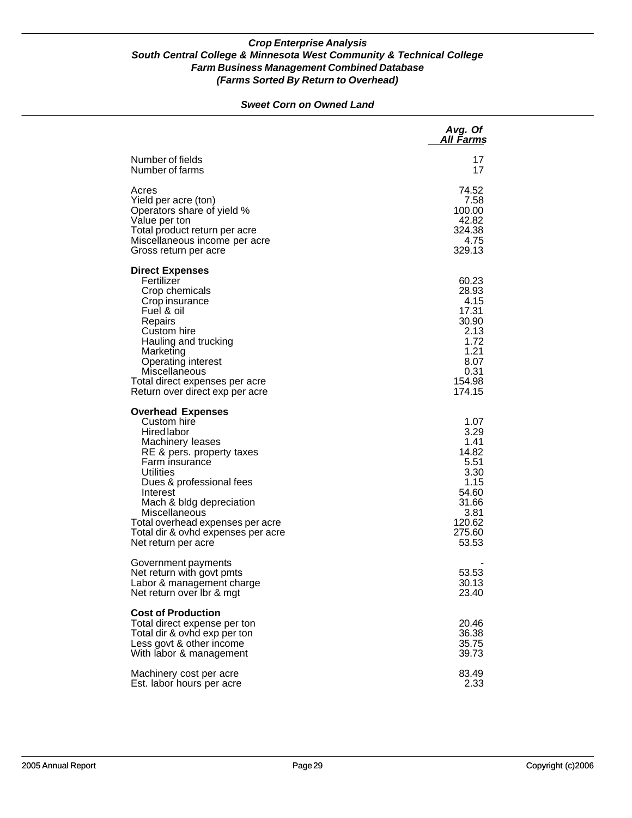#### *Sweet Corn on Owned Land*

|                                                                                                                                                                                                                                                                                                                                            | Avg. Of<br>All Farms                                                                                         |
|--------------------------------------------------------------------------------------------------------------------------------------------------------------------------------------------------------------------------------------------------------------------------------------------------------------------------------------------|--------------------------------------------------------------------------------------------------------------|
| Number of fields<br>Number of farms                                                                                                                                                                                                                                                                                                        | 17<br>17                                                                                                     |
| Acres<br>Yield per acre (ton)<br>Operators share of yield %<br>Value per ton<br>Total product return per acre<br>Miscellaneous income per acre<br>Gross return per acre                                                                                                                                                                    | 74.52<br>7.58<br>100.00<br>42.82<br>324.38<br>4.75<br>329.13                                                 |
| <b>Direct Expenses</b><br>Fertilizer<br>Crop chemicals<br>Crop insurance<br>Fuel & oil<br>Repairs<br>Custom hire<br>Hauling and trucking<br>Marketing<br><b>Operating interest</b><br>Miscellaneous<br>Total direct expenses per acre<br>Return over direct exp per acre                                                                   | 60.23<br>28.93<br>4.15<br>17.31<br>30.90<br>2.13<br>1.72<br>1.21<br>8.07<br>0.31<br>154.98<br>174.15         |
| <b>Overhead Expenses</b><br>Custom hire<br><b>Hired</b> labor<br>Machinery leases<br>RE & pers. property taxes<br>Farm insurance<br><b>Utilities</b><br>Dues & professional fees<br>Interest<br>Mach & bldg depreciation<br>Miscellaneous<br>Total overhead expenses per acre<br>Total dir & ovhd expenses per acre<br>Net return per acre | 1.07<br>3.29<br>1.41<br>14.82<br>5.51<br>3.30<br>1.15<br>54.60<br>31.66<br>3.81<br>120.62<br>275.60<br>53.53 |
| Government payments<br>Net return with govt pmts<br>Labor & management charge<br>Net return over Ibr & mgt                                                                                                                                                                                                                                 | 53.53<br>30.13<br>23.40                                                                                      |
| <b>Cost of Production</b><br>Total direct expense per ton<br>Total dir & ovhd exp per ton<br>Less govt & other income<br>With labor & management                                                                                                                                                                                           | 20.46<br>36.38<br>35.75<br>39.73                                                                             |
| Machinery cost per acre<br>Est. labor hours per acre                                                                                                                                                                                                                                                                                       | 83.49<br>2.33                                                                                                |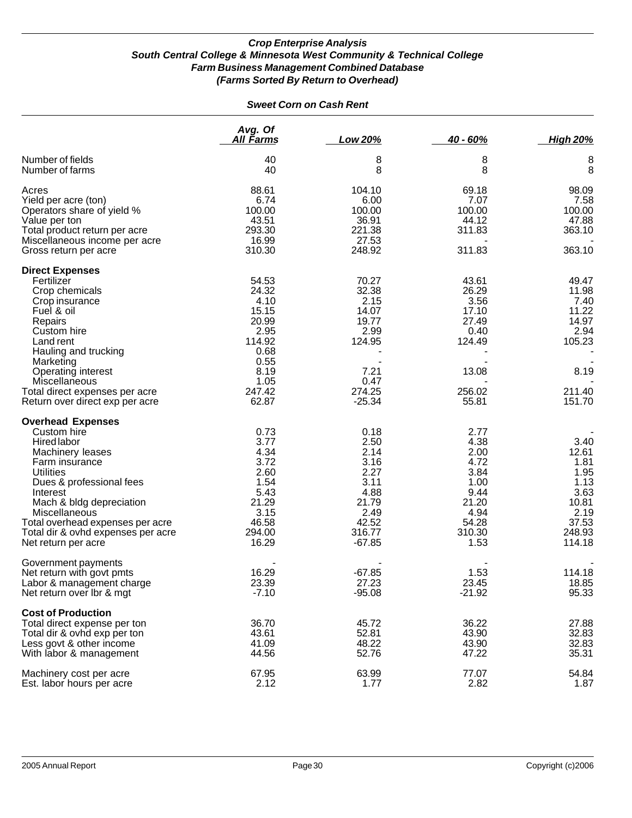| <b>Sweet Corn on Cash Rent</b>                                                                                                                                                                                                                                                                         |                                                                                                   |                                                                                                      |                                                                                                  |                                                                                             |
|--------------------------------------------------------------------------------------------------------------------------------------------------------------------------------------------------------------------------------------------------------------------------------------------------------|---------------------------------------------------------------------------------------------------|------------------------------------------------------------------------------------------------------|--------------------------------------------------------------------------------------------------|---------------------------------------------------------------------------------------------|
|                                                                                                                                                                                                                                                                                                        | Avg. Of<br><u>All Farms</u>                                                                       | Low 20%                                                                                              | 40 - 60%                                                                                         | <b>High 20%</b>                                                                             |
| Number of fields<br>Number of farms                                                                                                                                                                                                                                                                    | 40<br>40                                                                                          | 8<br>8                                                                                               | 8<br>8                                                                                           | 8<br>8                                                                                      |
| Acres<br>Yield per acre (ton)<br>Operators share of yield %<br>Value per ton<br>Total product return per acre<br>Miscellaneous income per acre<br>Gross return per acre                                                                                                                                | 88.61<br>6.74<br>100.00<br>43.51<br>293.30<br>16.99<br>310.30                                     | 104.10<br>6.00<br>100.00<br>36.91<br>221.38<br>27.53<br>248.92                                       | 69.18<br>7.07<br>100.00<br>44.12<br>311.83<br>311.83                                             | 98.09<br>7.58<br>100.00<br>47.88<br>363.10<br>363.10                                        |
| <b>Direct Expenses</b><br>Fertilizer<br>Crop chemicals<br>Crop insurance<br>Fuel & oil<br>Repairs<br>Custom hire<br>Land rent<br>Hauling and trucking                                                                                                                                                  | 54.53<br>24.32<br>4.10<br>15.15<br>20.99<br>2.95<br>114.92<br>0.68                                | 70.27<br>32.38<br>2.15<br>14.07<br>19.77<br>2.99<br>124.95                                           | 43.61<br>26.29<br>3.56<br>17.10<br>27.49<br>0.40<br>124.49                                       | 49.47<br>11.98<br>7.40<br>11.22<br>14.97<br>2.94<br>105.23                                  |
| Marketing<br>Operating interest<br>Miscellaneous<br>Total direct expenses per acre<br>Return over direct exp per acre                                                                                                                                                                                  | 0.55<br>8.19<br>1.05<br>247.42<br>62.87                                                           | 7.21<br>0.47<br>274.25<br>$-25.34$                                                                   | 13.08<br>256.02<br>55.81                                                                         | 8.19<br>211.40<br>151.70                                                                    |
| <b>Overhead Expenses</b><br>Custom hire<br>Hired labor<br>Machinery leases<br>Farm insurance<br><b>Utilities</b><br>Dues & professional fees<br>Interest<br>Mach & bldg depreciation<br>Miscellaneous<br>Total overhead expenses per acre<br>Total dir & ovhd expenses per acre<br>Net return per acre | 0.73<br>3.77<br>4.34<br>3.72<br>2.60<br>1.54<br>5.43<br>21.29<br>3.15<br>46.58<br>294.00<br>16.29 | 0.18<br>2.50<br>2.14<br>3.16<br>2.27<br>3.11<br>4.88<br>21.79<br>2.49<br>42.52<br>316.77<br>$-67.85$ | 2.77<br>4.38<br>2.00<br>4.72<br>3.84<br>1.00<br>9.44<br>21.20<br>4.94<br>54.28<br>310.30<br>1.53 | 3.40<br>12.61<br>1.81<br>1.95<br>1.13<br>3.63<br>10.81<br>2.19<br>37.53<br>248.93<br>114.18 |
| Government payments<br>Net return with govt pmts<br>Labor & management charge<br>Net return over Ibr & mgt                                                                                                                                                                                             | 16.29<br>23.39<br>$-7.10$                                                                         | $-67.85$<br>27.23<br>$-95.08$                                                                        | 1.53<br>23.45<br>$-21.92$                                                                        | 114.18<br>18.85<br>95.33                                                                    |
| <b>Cost of Production</b><br>Total direct expense per ton<br>Total dir & ovhd exp per ton<br>Less govt & other income<br>With labor & management                                                                                                                                                       | 36.70<br>43.61<br>41.09<br>44.56                                                                  | 45.72<br>52.81<br>48.22<br>52.76                                                                     | 36.22<br>43.90<br>43.90<br>47.22                                                                 | 27.88<br>32.83<br>32.83<br>35.31                                                            |
| Machinery cost per acre<br>Est. labor hours per acre                                                                                                                                                                                                                                                   | 67.95<br>2.12                                                                                     | 63.99<br>1.77                                                                                        | 77.07<br>2.82                                                                                    | 54.84<br>1.87                                                                               |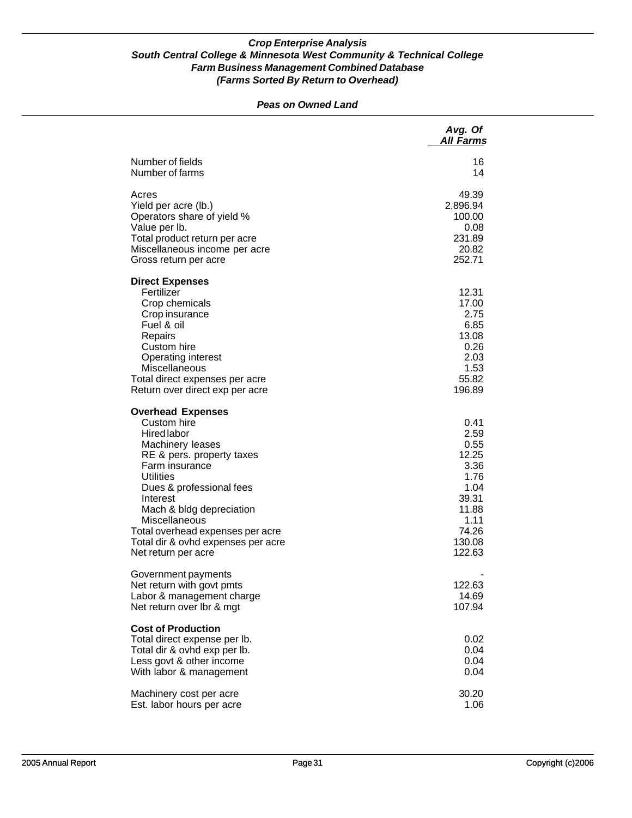#### *Peas on Owned Land*

|                                                                                                                                                                                                                                                                                                                                            | Avg. Of<br><b>All Farms</b>                                                                                  |
|--------------------------------------------------------------------------------------------------------------------------------------------------------------------------------------------------------------------------------------------------------------------------------------------------------------------------------------------|--------------------------------------------------------------------------------------------------------------|
| Number of fields<br>Number of farms                                                                                                                                                                                                                                                                                                        | 16<br>14                                                                                                     |
| Acres<br>Yield per acre (lb.)<br>Operators share of yield %<br>Value per lb.<br>Total product return per acre<br>Miscellaneous income per acre<br>Gross return per acre                                                                                                                                                                    | 49.39<br>2,896.94<br>100.00<br>0.08<br>231.89<br>20.82<br>252.71                                             |
| <b>Direct Expenses</b><br>Fertilizer<br>Crop chemicals<br>Crop insurance<br>Fuel & oil<br>Repairs<br>Custom hire<br>Operating interest<br>Miscellaneous<br>Total direct expenses per acre<br>Return over direct exp per acre                                                                                                               | 12.31<br>17.00<br>2.75<br>6.85<br>13.08<br>0.26<br>2.03<br>1.53<br>55.82<br>196.89                           |
| <b>Overhead Expenses</b><br>Custom hire<br><b>Hired labor</b><br>Machinery leases<br>RE & pers. property taxes<br>Farm insurance<br><b>Utilities</b><br>Dues & professional fees<br>Interest<br>Mach & bldg depreciation<br>Miscellaneous<br>Total overhead expenses per acre<br>Total dir & ovhd expenses per acre<br>Net return per acre | 0.41<br>2.59<br>0.55<br>12.25<br>3.36<br>1.76<br>1.04<br>39.31<br>11.88<br>1.11<br>74.26<br>130.08<br>122.63 |
| Government payments<br>Net return with govt pmts<br>Labor & management charge<br>Net return over Ibr & mgt                                                                                                                                                                                                                                 | 122.63<br>14.69<br>107.94                                                                                    |
| <b>Cost of Production</b><br>Total direct expense per lb.<br>Total dir & ovhd exp per lb.<br>Less govt & other income<br>With labor & management                                                                                                                                                                                           | 0.02<br>0.04<br>0.04<br>0.04                                                                                 |
| Machinery cost per acre<br>Est. labor hours per acre                                                                                                                                                                                                                                                                                       | 30.20<br>1.06                                                                                                |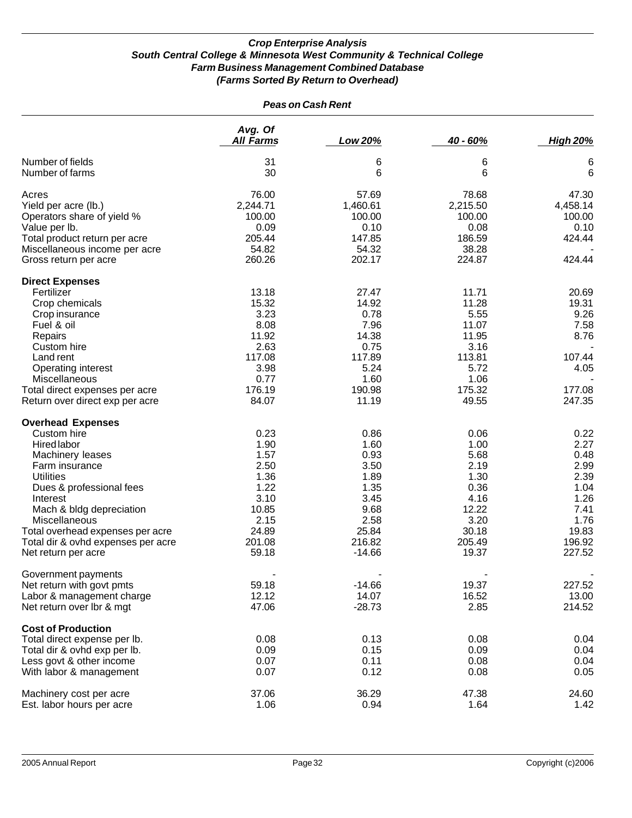| <b>Peas on Cash Rent</b>                                  |                             |               |               |                 |
|-----------------------------------------------------------|-----------------------------|---------------|---------------|-----------------|
|                                                           | Avg. Of<br><b>All Farms</b> | Low 20%       | 40 - 60%      | <b>High 20%</b> |
| Number of fields                                          | 31                          | 6             | 6             | 6               |
| Number of farms                                           | 30                          | 6             | 6             | 6               |
| Acres                                                     | 76.00                       | 57.69         | 78.68         | 47.30           |
| Yield per acre (lb.)                                      | 2,244.71                    | 1,460.61      | 2,215.50      | 4,458.14        |
| Operators share of yield %                                | 100.00                      | 100.00        | 100.00        | 100.00          |
| Value per lb.                                             | 0.09                        | 0.10          | 0.08          | 0.10            |
| Total product return per acre                             | 205.44                      | 147.85        | 186.59        | 424.44          |
| Miscellaneous income per acre                             | 54.82                       | 54.32         | 38.28         |                 |
| Gross return per acre                                     | 260.26                      | 202.17        | 224.87        | 424.44          |
| <b>Direct Expenses</b>                                    |                             |               |               |                 |
| Fertilizer                                                | 13.18                       | 27.47         | 11.71         | 20.69           |
| Crop chemicals                                            | 15.32                       | 14.92         | 11.28         | 19.31           |
| Crop insurance                                            | 3.23                        | 0.78          | 5.55          | 9.26            |
| Fuel & oil                                                | 8.08                        | 7.96          | 11.07         | 7.58            |
| Repairs                                                   | 11.92                       | 14.38         | 11.95         | 8.76            |
| Custom hire                                               | 2.63                        | 0.75          | 3.16          |                 |
| Land rent                                                 | 117.08                      | 117.89        | 113.81        | 107.44          |
| Operating interest                                        | 3.98                        | 5.24          | 5.72          | 4.05            |
| Miscellaneous                                             | 0.77                        | 1.60          | 1.06          |                 |
| Total direct expenses per acre                            | 176.19                      | 190.98        | 175.32        | 177.08          |
| Return over direct exp per acre                           | 84.07                       | 11.19         | 49.55         | 247.35          |
| <b>Overhead Expenses</b>                                  |                             |               |               |                 |
| Custom hire                                               | 0.23                        | 0.86          | 0.06          | 0.22            |
| Hired labor                                               | 1.90                        | 1.60          | 1.00          | 2.27            |
| Machinery leases                                          | 1.57                        | 0.93          | 5.68          | 0.48            |
| Farm insurance                                            | 2.50                        | 3.50          | 2.19          | 2.99            |
| <b>Utilities</b>                                          | 1.36                        | 1.89          | 1.30          | 2.39            |
| Dues & professional fees                                  | 1.22                        | 1.35          | 0.36          | 1.04            |
| Interest                                                  | 3.10                        | 3.45          | 4.16          | 1.26            |
| Mach & bldg depreciation                                  | 10.85                       | 9.68          | 12.22<br>3.20 | 7.41            |
| Miscellaneous                                             | 2.15<br>24.89               | 2.58<br>25.84 | 30.18         | 1.76<br>19.83   |
| Total overhead expenses per acre                          | 201.08                      | 216.82        | 205.49        | 196.92          |
| Total dir & ovhd expenses per acre<br>Net return per acre | 59.18                       | $-14.66$      | 19.37         | 227.52          |
|                                                           |                             |               |               |                 |
| Government payments                                       |                             |               |               |                 |
| Net return with govt pmts                                 | 59.18                       | $-14.66$      | 19.37         | 227.52          |
| Labor & management charge                                 | 12.12                       | 14.07         | 16.52         | 13.00           |
| Net return over lbr & mgt                                 | 47.06                       | $-28.73$      | 2.85          | 214.52          |
| <b>Cost of Production</b>                                 |                             |               |               |                 |
| Total direct expense per lb.                              | 0.08                        | 0.13          | 0.08          | 0.04            |
| Total dir & ovhd exp per lb.                              | 0.09                        | 0.15          | 0.09          | 0.04            |
| Less govt & other income                                  | 0.07                        | 0.11          | 0.08          | 0.04            |
| With labor & management                                   | 0.07                        | 0.12          | 0.08          | 0.05            |
| Machinery cost per acre                                   | 37.06                       | 36.29         | 47.38         | 24.60           |
| Est. labor hours per acre                                 | 1.06                        | 0.94          | 1.64          | 1.42            |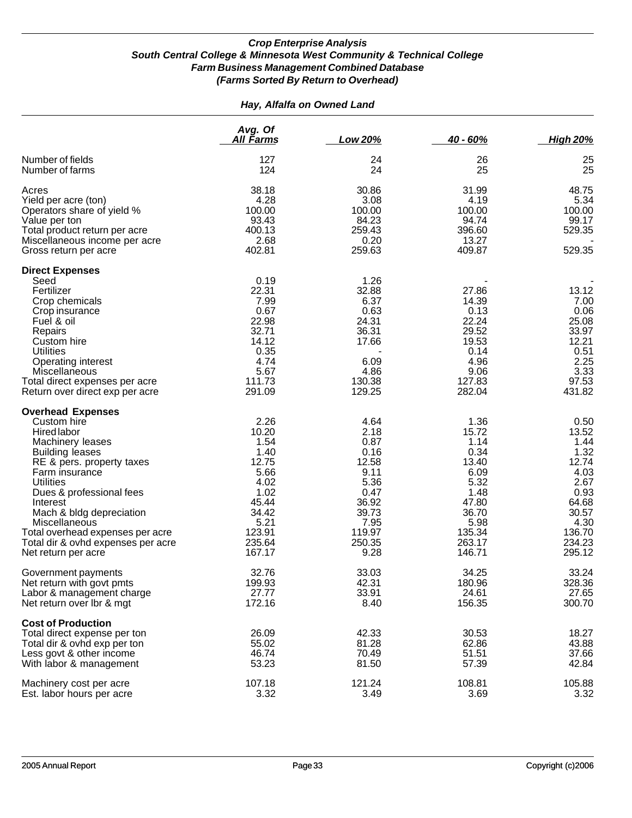#### *Hay, Alfalfa on Owned Land*

|                                                                                                                                                                                                                                                                                                                                                                      | Avg. Of<br>All Farms                                                                                                   | Low 20%                                                                                                             | $40 - 60%$                                                                                                             | <b>High 20%</b>                                                                                                        |
|----------------------------------------------------------------------------------------------------------------------------------------------------------------------------------------------------------------------------------------------------------------------------------------------------------------------------------------------------------------------|------------------------------------------------------------------------------------------------------------------------|---------------------------------------------------------------------------------------------------------------------|------------------------------------------------------------------------------------------------------------------------|------------------------------------------------------------------------------------------------------------------------|
| Number of fields<br>Number of farms                                                                                                                                                                                                                                                                                                                                  | 127<br>124                                                                                                             | 24<br>24                                                                                                            | 26<br>25                                                                                                               | 25<br>25                                                                                                               |
| Acres<br>Yield per acre (ton)<br>Operators share of yield %<br>Value per ton<br>Total product return per acre<br>Miscellaneous income per acre<br>Gross return per acre                                                                                                                                                                                              | 38.18<br>4.28<br>100.00<br>93.43<br>400.13<br>2.68<br>402.81                                                           | 30.86<br>3.08<br>100.00<br>84.23<br>259.43<br>0.20<br>259.63                                                        | 31.99<br>4.19<br>100.00<br>94.74<br>396.60<br>13.27<br>409.87                                                          | 48.75<br>5.34<br>100.00<br>99.17<br>529.35<br>529.35                                                                   |
| <b>Direct Expenses</b><br>Seed<br>Fertilizer<br>Crop chemicals<br>Crop insurance<br>Fuel & oil<br>Repairs<br>Custom hire<br><b>Utilities</b><br><b>Operating interest</b><br>Miscellaneous<br>Total direct expenses per acre<br>Return over direct exp per acre                                                                                                      | 0.19<br>22.31<br>7.99<br>0.67<br>22.98<br>32.71<br>14.12<br>0.35<br>4.74<br>5.67<br>111.73<br>291.09                   | 1.26<br>32.88<br>6.37<br>0.63<br>24.31<br>36.31<br>17.66<br>6.09<br>4.86<br>130.38<br>129.25                        | 27.86<br>14.39<br>0.13<br>22.24<br>29.52<br>19.53<br>0.14<br>4.96<br>9.06<br>127.83<br>282.04                          | 13.12<br>7.00<br>0.06<br>25.08<br>33.97<br>12.21<br>0.51<br>2.25<br>3.33<br>97.53<br>431.82                            |
| <b>Overhead Expenses</b><br>Custom hire<br><b>Hired labor</b><br>Machinery leases<br><b>Building leases</b><br>RE & pers. property taxes<br>Farm insurance<br><b>Utilities</b><br>Dues & professional fees<br>Interest<br>Mach & bldg depreciation<br>Miscellaneous<br>Total overhead expenses per acre<br>Total dir & ovhd expenses per acre<br>Net return per acre | 2.26<br>10.20<br>1.54<br>1.40<br>12.75<br>5.66<br>4.02<br>1.02<br>45.44<br>34.42<br>5.21<br>123.91<br>235.64<br>167.17 | 4.64<br>2.18<br>0.87<br>0.16<br>12.58<br>9.11<br>5.36<br>0.47<br>36.92<br>39.73<br>7.95<br>119.97<br>250.35<br>9.28 | 1.36<br>15.72<br>1.14<br>0.34<br>13.40<br>6.09<br>5.32<br>1.48<br>47.80<br>36.70<br>5.98<br>135.34<br>263.17<br>146.71 | 0.50<br>13.52<br>1.44<br>1.32<br>12.74<br>4.03<br>2.67<br>0.93<br>64.68<br>30.57<br>4.30<br>136.70<br>234.23<br>295.12 |
| Government payments<br>Net return with govt pmts<br>Labor & management charge<br>Net return over Ibr & mgt                                                                                                                                                                                                                                                           | 32.76<br>199.93<br>27.77<br>172.16                                                                                     | 33.03<br>42.31<br>33.91<br>8.40                                                                                     | 34.25<br>180.96<br>24.61<br>156.35                                                                                     | 33.24<br>328.36<br>27.65<br>300.70                                                                                     |
| <b>Cost of Production</b><br>Total direct expense per ton<br>Total dir & ovhd exp per ton<br>Less govt & other income<br>With labor & management                                                                                                                                                                                                                     | 26.09<br>55.02<br>46.74<br>53.23                                                                                       | 42.33<br>81.28<br>70.49<br>81.50                                                                                    | 30.53<br>62.86<br>51.51<br>57.39                                                                                       | 18.27<br>43.88<br>37.66<br>42.84                                                                                       |
| Machinery cost per acre<br>Est. labor hours per acre                                                                                                                                                                                                                                                                                                                 | 107.18<br>3.32                                                                                                         | 121.24<br>3.49                                                                                                      | 108.81<br>3.69                                                                                                         | 105.88<br>3.32                                                                                                         |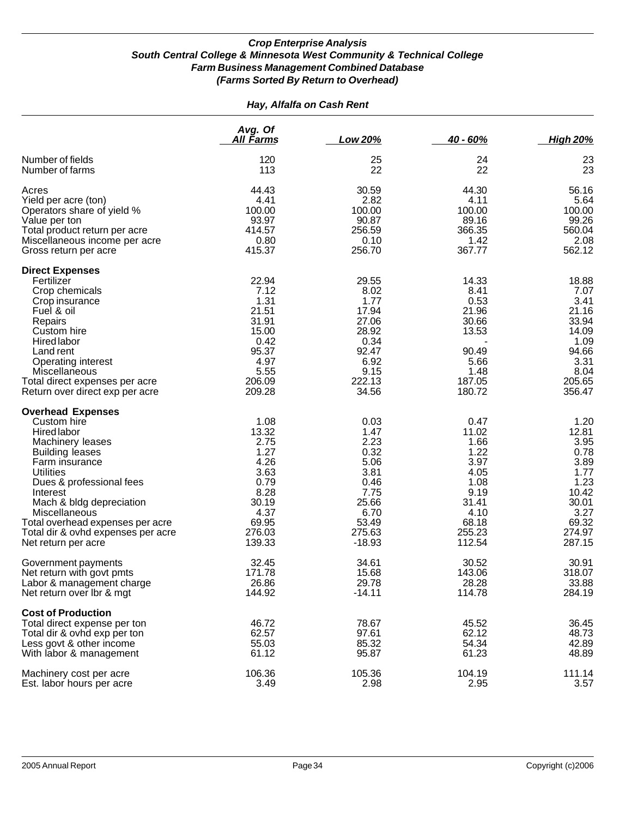| Hay, Alfalfa on Cash Rent                                                                                                                                                                                                                                                                                                 |                                                                                                             |                                                                                                              |                                                                                                             |                                                                                                              |
|---------------------------------------------------------------------------------------------------------------------------------------------------------------------------------------------------------------------------------------------------------------------------------------------------------------------------|-------------------------------------------------------------------------------------------------------------|--------------------------------------------------------------------------------------------------------------|-------------------------------------------------------------------------------------------------------------|--------------------------------------------------------------------------------------------------------------|
|                                                                                                                                                                                                                                                                                                                           | Avg. Of<br><u>All Farms</u>                                                                                 | Low 20%                                                                                                      | $40 - 60%$                                                                                                  | <b>High 20%</b>                                                                                              |
| Number of fields<br>Number of farms                                                                                                                                                                                                                                                                                       | 120<br>113                                                                                                  | 25<br>22                                                                                                     | 24<br>22                                                                                                    | 23<br>23                                                                                                     |
| Acres<br>Yield per acre (ton)<br>Operators share of yield %<br>Value per ton<br>Total product return per acre<br>Miscellaneous income per acre<br>Gross return per acre                                                                                                                                                   | 44.43<br>4.41<br>100.00<br>93.97<br>414.57<br>0.80<br>415.37                                                | 30.59<br>2.82<br>100.00<br>90.87<br>256.59<br>0.10<br>256.70                                                 | 44.30<br>4.11<br>100.00<br>89.16<br>366.35<br>1.42<br>367.77                                                | 56.16<br>5.64<br>100.00<br>99.26<br>560.04<br>2.08<br>562.12                                                 |
| <b>Direct Expenses</b><br>Fertilizer<br>Crop chemicals<br>Crop insurance<br>Fuel & oil<br>Repairs<br>Custom hire<br>Hired labor<br>Land rent<br>Operating interest<br>Miscellaneous<br>Total direct expenses per acre<br>Return over direct exp per acre                                                                  | 22.94<br>7.12<br>1.31<br>21.51<br>31.91<br>15.00<br>0.42<br>95.37<br>4.97<br>5.55<br>206.09<br>209.28       | 29.55<br>8.02<br>1.77<br>17.94<br>27.06<br>28.92<br>0.34<br>92.47<br>6.92<br>9.15<br>222.13<br>34.56         | 14.33<br>8.41<br>0.53<br>21.96<br>30.66<br>13.53<br>90.49<br>5.66<br>1.48<br>187.05<br>180.72               | 18.88<br>7.07<br>3.41<br>21.16<br>33.94<br>14.09<br>1.09<br>94.66<br>3.31<br>8.04<br>205.65<br>356.47        |
| <b>Overhead Expenses</b><br>Custom hire<br>Hired labor<br>Machinery leases<br><b>Building leases</b><br>Farm insurance<br>Utilities<br>Dues & professional fees<br>Interest<br>Mach & bldg depreciation<br>Miscellaneous<br>Total overhead expenses per acre<br>Total dir & ovhd expenses per acre<br>Net return per acre | 1.08<br>13.32<br>2.75<br>1.27<br>4.26<br>3.63<br>0.79<br>8.28<br>30.19<br>4.37<br>69.95<br>276.03<br>139.33 | 0.03<br>1.47<br>2.23<br>0.32<br>5.06<br>3.81<br>0.46<br>7.75<br>25.66<br>6.70<br>53.49<br>275.63<br>$-18.93$ | 0.47<br>11.02<br>1.66<br>1.22<br>3.97<br>4.05<br>1.08<br>9.19<br>31.41<br>4.10<br>68.18<br>255.23<br>112.54 | 1.20<br>12.81<br>3.95<br>0.78<br>3.89<br>1.77<br>1.23<br>10.42<br>30.01<br>3.27<br>69.32<br>274.97<br>287.15 |
| Government payments<br>Net return with govt pmts<br>Labor & management charge<br>Net return over Ibr & mgt                                                                                                                                                                                                                | 32.45<br>171.78<br>26.86<br>144.92                                                                          | 34.61<br>15.68<br>29.78<br>$-14.11$                                                                          | 30.52<br>143.06<br>28.28<br>114.78                                                                          | 30.91<br>318.07<br>33.88<br>284.19                                                                           |
| <b>Cost of Production</b><br>Total direct expense per ton<br>Total dir & ovhd exp per ton<br>Less govt & other income<br>With labor & management                                                                                                                                                                          | 46.72<br>62.57<br>55.03<br>61.12                                                                            | 78.67<br>97.61<br>85.32<br>95.87                                                                             | 45.52<br>62.12<br>54.34<br>61.23                                                                            | 36.45<br>48.73<br>42.89<br>48.89                                                                             |
| Machinery cost per acre<br>Est. labor hours per acre                                                                                                                                                                                                                                                                      | 106.36<br>3.49                                                                                              | 105.36<br>2.98                                                                                               | 104.19<br>2.95                                                                                              | 111.14<br>3.57                                                                                               |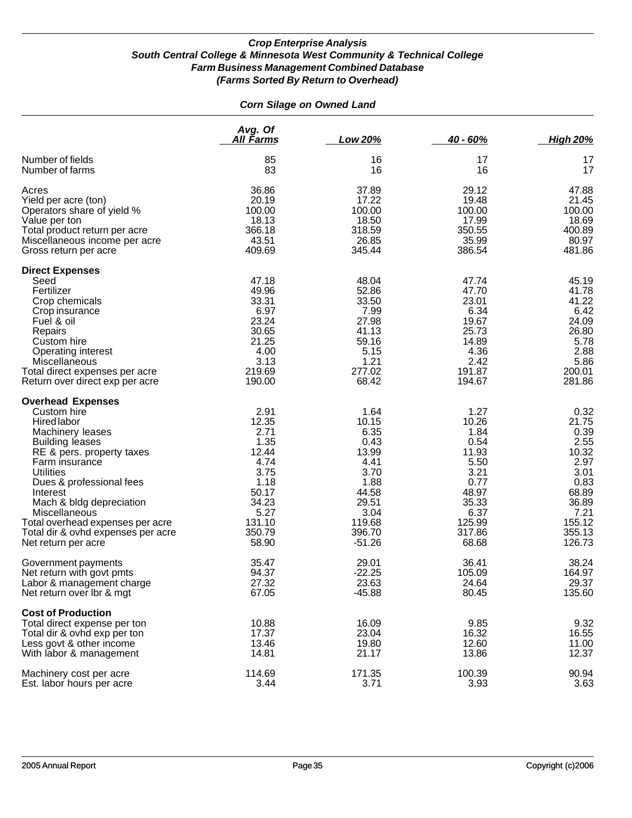### *Corn Silage on Owned Land*

|                                                                                                                                                                                                                                                                                                                                                                      | Avg. Of<br>All Farms                                                                                                  | Low 20%                                                                                                                  | $40 - 60%$                                                                                                            | <b>High 20%</b>                                                                                                        |
|----------------------------------------------------------------------------------------------------------------------------------------------------------------------------------------------------------------------------------------------------------------------------------------------------------------------------------------------------------------------|-----------------------------------------------------------------------------------------------------------------------|--------------------------------------------------------------------------------------------------------------------------|-----------------------------------------------------------------------------------------------------------------------|------------------------------------------------------------------------------------------------------------------------|
| Number of fields                                                                                                                                                                                                                                                                                                                                                     | 85                                                                                                                    | 16                                                                                                                       | 17                                                                                                                    | 17                                                                                                                     |
| Number of farms                                                                                                                                                                                                                                                                                                                                                      | 83                                                                                                                    | 16                                                                                                                       | 16                                                                                                                    | 17                                                                                                                     |
| Acres                                                                                                                                                                                                                                                                                                                                                                | 36.86                                                                                                                 | 37.89                                                                                                                    | 29.12                                                                                                                 | 47.88                                                                                                                  |
| Yield per acre (ton)                                                                                                                                                                                                                                                                                                                                                 | 20.19                                                                                                                 | 17.22                                                                                                                    | 19.48                                                                                                                 | 21.45                                                                                                                  |
| Operators share of yield %                                                                                                                                                                                                                                                                                                                                           | 100.00                                                                                                                | 100.00                                                                                                                   | 100.00                                                                                                                | 100.00                                                                                                                 |
| Value per ton                                                                                                                                                                                                                                                                                                                                                        | 18.13                                                                                                                 | 18.50                                                                                                                    | 17.99                                                                                                                 | 18.69                                                                                                                  |
| Total product return per acre                                                                                                                                                                                                                                                                                                                                        | 366.18                                                                                                                | 318.59                                                                                                                   | 350.55                                                                                                                | 400.89                                                                                                                 |
| Miscellaneous income per acre                                                                                                                                                                                                                                                                                                                                        | 43.51                                                                                                                 | 26.85                                                                                                                    | 35.99                                                                                                                 | 80.97                                                                                                                  |
| Gross return per acre                                                                                                                                                                                                                                                                                                                                                | 409.69                                                                                                                | 345.44                                                                                                                   | 386.54                                                                                                                | 481.86                                                                                                                 |
| <b>Direct Expenses</b><br>Seed<br>Fertilizer<br>Crop chemicals<br>Crop insurance<br>Fuel & oil<br>Repairs<br>Custom hire<br>Operating interest<br>Miscellaneous<br>Total direct expenses per acre<br>Return over direct exp per acre                                                                                                                                 | 47.18<br>49.96<br>33.31<br>6.97<br>23.24<br>30.65<br>21.25<br>4.00<br>3.13<br>219.69<br>190.00                        | 48.04<br>52.86<br>33.50<br>7.99<br>27.98<br>41.13<br>59.16<br>5.15<br>1.21<br>277.02<br>68.42                            | 47.74<br>47.70<br>23.01<br>6.34<br>19.67<br>25.73<br>14.89<br>4.36<br>2.42<br>191.87<br>194.67                        | 45.19<br>41.78<br>41.22<br>6.42<br>24.09<br>26.80<br>5.78<br>2.88<br>5.86<br>200.01<br>281.86                          |
| <b>Overhead Expenses</b><br>Custom hire<br><b>Hired labor</b><br>Machinery leases<br><b>Building leases</b><br>RE & pers. property taxes<br>Farm insurance<br><b>Utilities</b><br>Dues & professional fees<br>Interest<br>Mach & bldg depreciation<br>Miscellaneous<br>Total overhead expenses per acre<br>Total dir & ovhd expenses per acre<br>Net return per acre | 2.91<br>12.35<br>2.71<br>1.35<br>12.44<br>4.74<br>3.75<br>1.18<br>50.17<br>34.23<br>5.27<br>131.10<br>350.79<br>58.90 | 1.64<br>10.15<br>6.35<br>0.43<br>13.99<br>4.41<br>3.70<br>1.88<br>44.58<br>29.51<br>3.04<br>119.68<br>396.70<br>$-51.26$ | 1.27<br>10.26<br>1.84<br>0.54<br>11.93<br>5.50<br>3.21<br>0.77<br>48.97<br>35.33<br>6.37<br>125.99<br>317.86<br>68.68 | 0.32<br>21.75<br>0.39<br>2.55<br>10.32<br>2.97<br>3.01<br>0.83<br>68.89<br>36.89<br>7.21<br>155.12<br>355.13<br>126.73 |
| Government payments                                                                                                                                                                                                                                                                                                                                                  | 35.47                                                                                                                 | 29.01                                                                                                                    | 36.41                                                                                                                 | 38.24                                                                                                                  |
| Net return with govt pmts                                                                                                                                                                                                                                                                                                                                            | 94.37                                                                                                                 | $-22.25$                                                                                                                 | 105.09                                                                                                                | 164.97                                                                                                                 |
| Labor & management charge                                                                                                                                                                                                                                                                                                                                            | 27.32                                                                                                                 | 23.63                                                                                                                    | 24.64                                                                                                                 | 29.37                                                                                                                  |
| Net return over Ibr & mgt                                                                                                                                                                                                                                                                                                                                            | 67.05                                                                                                                 | $-45.88$                                                                                                                 | 80.45                                                                                                                 | 135.60                                                                                                                 |
| <b>Cost of Production</b><br>Total direct expense per ton<br>Total dir & ovhd exp per ton<br>Less govt & other income<br>With labor & management                                                                                                                                                                                                                     | 10.88<br>17.37<br>13.46<br>14.81                                                                                      | 16.09<br>23.04<br>19.80<br>21.17                                                                                         | 9.85<br>16.32<br>12.60<br>13.86                                                                                       | 9.32<br>16.55<br>11.00<br>12.37                                                                                        |
| Machinery cost per acre                                                                                                                                                                                                                                                                                                                                              | 114.69                                                                                                                | 171.35                                                                                                                   | 100.39                                                                                                                | 90.94                                                                                                                  |
| Est. labor hours per acre                                                                                                                                                                                                                                                                                                                                            | 3.44                                                                                                                  | 3.71                                                                                                                     | 3.93                                                                                                                  | 3.63                                                                                                                   |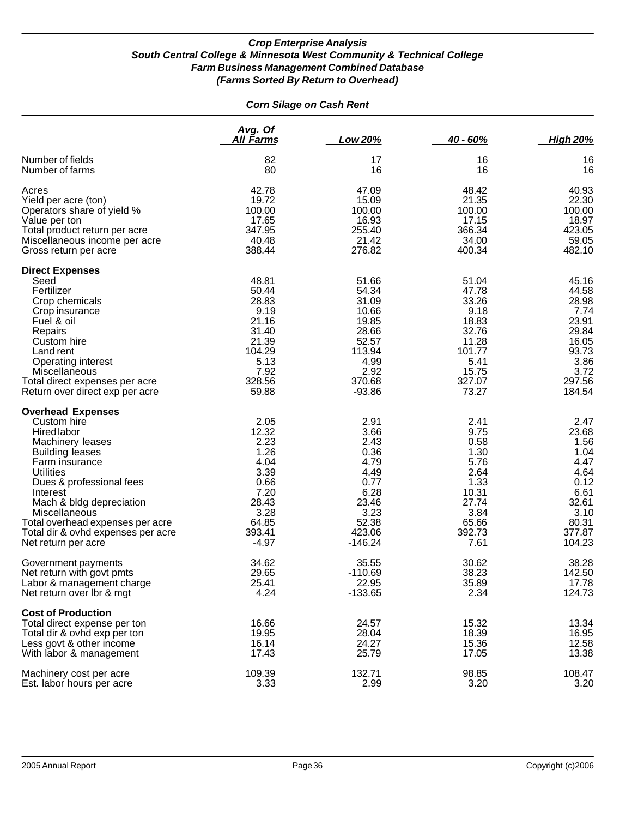| <b>Corn Silage on Cash Rent</b>                                                                                                                                                                                                                                                                                                                |                                                                                                              |                                                                                                               |                                                                                                           |                                                                                                             |  |
|------------------------------------------------------------------------------------------------------------------------------------------------------------------------------------------------------------------------------------------------------------------------------------------------------------------------------------------------|--------------------------------------------------------------------------------------------------------------|---------------------------------------------------------------------------------------------------------------|-----------------------------------------------------------------------------------------------------------|-------------------------------------------------------------------------------------------------------------|--|
|                                                                                                                                                                                                                                                                                                                                                | Avg. Of<br><u>All Farms</u>                                                                                  | Low 20%                                                                                                       | 40 - 60%                                                                                                  | <b>High 20%</b>                                                                                             |  |
| Number of fields<br>Number of farms                                                                                                                                                                                                                                                                                                            | 82<br>80                                                                                                     | 17<br>16                                                                                                      | 16<br>16                                                                                                  | 16<br>16                                                                                                    |  |
| Acres<br>Yield per acre (ton)<br>Operators share of yield %<br>Value per ton<br>Total product return per acre<br>Miscellaneous income per acre<br>Gross return per acre                                                                                                                                                                        | 42.78<br>19.72<br>100.00<br>17.65<br>347.95<br>40.48<br>388.44                                               | 47.09<br>15.09<br>100.00<br>16.93<br>255.40<br>21.42<br>276.82                                                | 48.42<br>21.35<br>100.00<br>17.15<br>366.34<br>34.00<br>400.34                                            | 40.93<br>22.30<br>100.00<br>18.97<br>423.05<br>59.05<br>482.10                                              |  |
| <b>Direct Expenses</b><br>Seed<br>Fertilizer<br>Crop chemicals<br>Crop insurance<br>Fuel & oil<br>Repairs<br>Custom hire<br>Land rent<br><b>Operating interest</b><br>Miscellaneous<br>Total direct expenses per acre<br>Return over direct exp per acre                                                                                       | 48.81<br>50.44<br>28.83<br>9.19<br>21.16<br>31.40<br>21.39<br>104.29<br>5.13<br>7.92<br>328.56<br>59.88      | 51.66<br>54.34<br>31.09<br>10.66<br>19.85<br>28.66<br>52.57<br>113.94<br>4.99<br>2.92<br>370.68<br>$-93.86$   | 51.04<br>47.78<br>33.26<br>9.18<br>18.83<br>32.76<br>11.28<br>101.77<br>5.41<br>15.75<br>327.07<br>73.27  | 45.16<br>44.58<br>28.98<br>7.74<br>23.91<br>29.84<br>16.05<br>93.73<br>3.86<br>3.72<br>297.56<br>184.54     |  |
| <b>Overhead Expenses</b><br>Custom hire<br><b>Hired labor</b><br>Machinery leases<br><b>Building leases</b><br>Farm insurance<br><b>Utilities</b><br>Dues & professional fees<br>Interest<br>Mach & bldg depreciation<br><b>Miscellaneous</b><br>Total overhead expenses per acre<br>Total dir & ovhd expenses per acre<br>Net return per acre | 2.05<br>12.32<br>2.23<br>1.26<br>4.04<br>3.39<br>0.66<br>7.20<br>28.43<br>3.28<br>64.85<br>393.41<br>$-4.97$ | 2.91<br>3.66<br>2.43<br>0.36<br>4.79<br>4.49<br>0.77<br>6.28<br>23.46<br>3.23<br>52.38<br>423.06<br>$-146.24$ | 2.41<br>9.75<br>0.58<br>1.30<br>5.76<br>2.64<br>1.33<br>10.31<br>27.74<br>3.84<br>65.66<br>392.73<br>7.61 | 2.47<br>23.68<br>1.56<br>1.04<br>4.47<br>4.64<br>0.12<br>6.61<br>32.61<br>3.10<br>80.31<br>377.87<br>104.23 |  |
| Government payments<br>Net return with govt pmts<br>Labor & management charge<br>Net return over lbr & mgt                                                                                                                                                                                                                                     | 34.62<br>29.65<br>25.41<br>4.24                                                                              | 35.55<br>$-110.69$<br>22.95<br>$-133.65$                                                                      | 30.62<br>38.23<br>35.89<br>2.34                                                                           | 38.28<br>142.50<br>17.78<br>124.73                                                                          |  |
| <b>Cost of Production</b><br>Total direct expense per ton<br>Total dir & ovhd exp per ton<br>Less govt & other income<br>With labor & management                                                                                                                                                                                               | 16.66<br>19.95<br>16.14<br>17.43                                                                             | 24.57<br>28.04<br>24.27<br>25.79                                                                              | 15.32<br>18.39<br>15.36<br>17.05                                                                          | 13.34<br>16.95<br>12.58<br>13.38                                                                            |  |
| Machinery cost per acre<br>Est. labor hours per acre                                                                                                                                                                                                                                                                                           | 109.39<br>3.33                                                                                               | 132.71<br>2.99                                                                                                | 98.85<br>3.20                                                                                             | 108.47<br>3.20                                                                                              |  |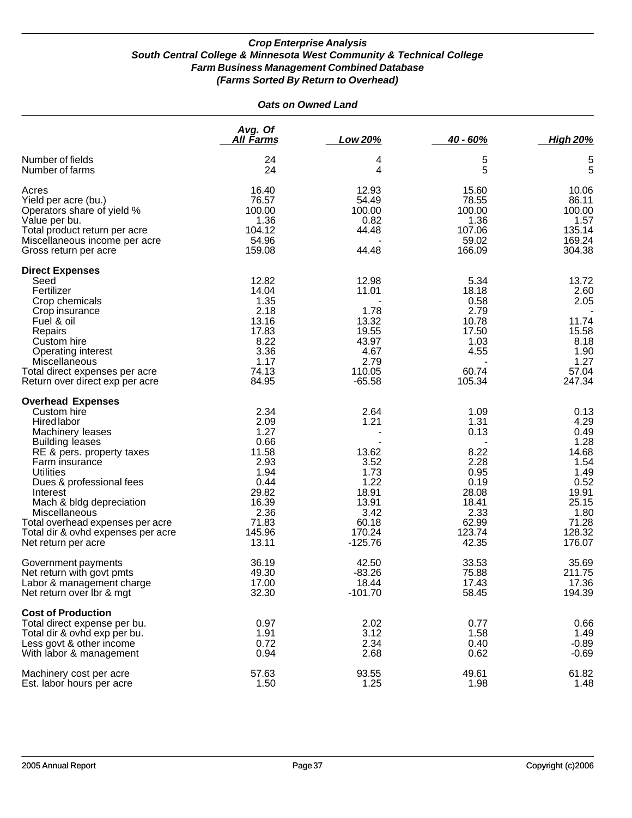|                                                                                                                                                                                                                                                                                                                                                                      | <b>Oats on Owned Land</b>                                                                                           |                                                                                                         |                                                                                                            |                                                                                                                      |
|----------------------------------------------------------------------------------------------------------------------------------------------------------------------------------------------------------------------------------------------------------------------------------------------------------------------------------------------------------------------|---------------------------------------------------------------------------------------------------------------------|---------------------------------------------------------------------------------------------------------|------------------------------------------------------------------------------------------------------------|----------------------------------------------------------------------------------------------------------------------|
|                                                                                                                                                                                                                                                                                                                                                                      | Avg. Of<br><u>All Farms</u>                                                                                         | Low 20%                                                                                                 | 40 - 60%                                                                                                   | <b>High 20%</b>                                                                                                      |
| Number of fields<br>Number of farms                                                                                                                                                                                                                                                                                                                                  | 24<br>24                                                                                                            | 4<br>4                                                                                                  | 5<br>5                                                                                                     | 5<br>5                                                                                                               |
| Acres<br>Yield per acre (bu.)<br>Operators share of yield %<br>Value per bu.<br>Total product return per acre<br>Miscellaneous income per acre<br>Gross return per acre                                                                                                                                                                                              | 16.40<br>76.57<br>100.00<br>1.36<br>104.12<br>54.96<br>159.08                                                       | 12.93<br>54.49<br>100.00<br>0.82<br>44.48<br>44.48                                                      | 15.60<br>78.55<br>100.00<br>1.36<br>107.06<br>59.02<br>166.09                                              | 10.06<br>86.11<br>100.00<br>1.57<br>135.14<br>169.24<br>304.38                                                       |
| <b>Direct Expenses</b><br>Seed<br>Fertilizer<br>Crop chemicals<br>Crop insurance<br>Fuel & oil<br>Repairs<br>Custom hire<br><b>Operating interest</b><br>Miscellaneous<br>Total direct expenses per acre<br>Return over direct exp per acre                                                                                                                          | 12.82<br>14.04<br>1.35<br>2.18<br>13.16<br>17.83<br>8.22<br>3.36<br>1.17<br>74.13<br>84.95                          | 12.98<br>11.01<br>1.78<br>13.32<br>19.55<br>43.97<br>4.67<br>2.79<br>110.05<br>$-65.58$                 | 5.34<br>18.18<br>0.58<br>2.79<br>10.78<br>17.50<br>1.03<br>4.55<br>60.74<br>105.34                         | 13.72<br>2.60<br>2.05<br>11.74<br>15.58<br>8.18<br>1.90<br>1.27<br>57.04<br>247.34                                   |
| <b>Overhead Expenses</b><br>Custom hire<br><b>Hired labor</b><br>Machinery leases<br><b>Building leases</b><br>RE & pers. property taxes<br>Farm insurance<br><b>Utilities</b><br>Dues & professional fees<br>Interest<br>Mach & bldg depreciation<br>Miscellaneous<br>Total overhead expenses per acre<br>Total dir & ovhd expenses per acre<br>Net return per acre | 2.34<br>2.09<br>1.27<br>0.66<br>11.58<br>2.93<br>1.94<br>0.44<br>29.82<br>16.39<br>2.36<br>71.83<br>145.96<br>13.11 | 2.64<br>1.21<br>13.62<br>3.52<br>1.73<br>1.22<br>18.91<br>13.91<br>3.42<br>60.18<br>170.24<br>$-125.76$ | 1.09<br>1.31<br>0.13<br>8.22<br>2.28<br>0.95<br>0.19<br>28.08<br>18.41<br>2.33<br>62.99<br>123.74<br>42.35 | 0.13<br>4.29<br>0.49<br>1.28<br>14.68<br>1.54<br>1.49<br>0.52<br>19.91<br>25.15<br>1.80<br>71.28<br>128.32<br>176.07 |
| Government payments<br>Net return with govt pmts<br>Labor & management charge<br>Net return over lbr & mgt                                                                                                                                                                                                                                                           | 36.19<br>49.30<br>17.00<br>32.30                                                                                    | 42.50<br>$-83.26$<br>18.44<br>$-101.70$                                                                 | 33.53<br>75.88<br>17.43<br>58.45                                                                           | 35.69<br>211.75<br>17.36<br>194.39                                                                                   |
| <b>Cost of Production</b><br>Total direct expense per bu.<br>Total dir & ovhd exp per bu.<br>Less govt & other income<br>With labor & management                                                                                                                                                                                                                     | 0.97<br>1.91<br>0.72<br>0.94                                                                                        | 2.02<br>3.12<br>2.34<br>2.68                                                                            | 0.77<br>1.58<br>0.40<br>0.62                                                                               | 0.66<br>1.49<br>$-0.89$<br>$-0.69$                                                                                   |
| Machinery cost per acre<br>Est. labor hours per acre                                                                                                                                                                                                                                                                                                                 | 57.63<br>1.50                                                                                                       | 93.55<br>1.25                                                                                           | 49.61<br>1.98                                                                                              | 61.82<br>1.48                                                                                                        |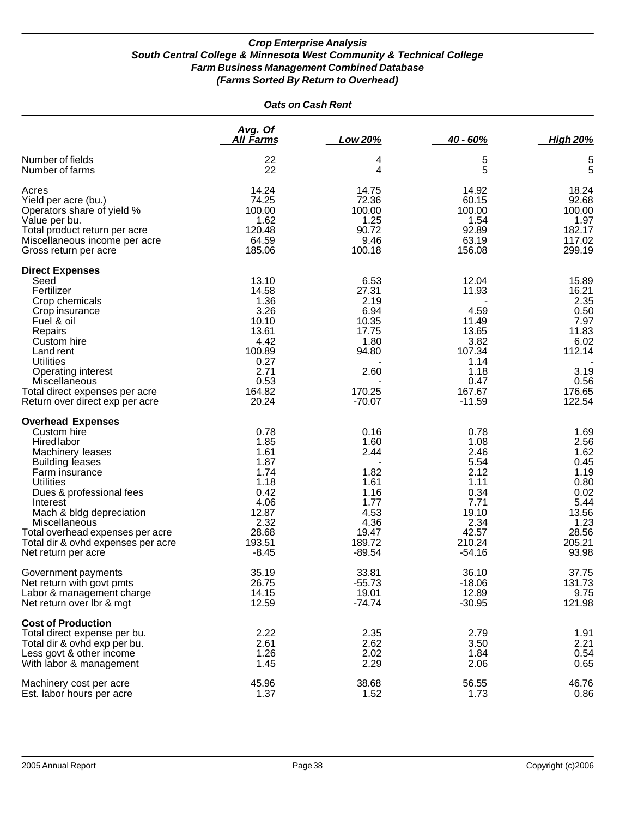|                                                        | <b>Oats on Cash Rent</b> |                |                 |                  |  |  |
|--------------------------------------------------------|--------------------------|----------------|-----------------|------------------|--|--|
|                                                        | Avg. Of<br>All Farms     | Low 20%        | 40 - 60%        | <b>High 20%</b>  |  |  |
| Number of fields                                       | 22                       | 4              | 5               | 5                |  |  |
| Number of farms                                        | 22                       | 4              | 5               | 5                |  |  |
| Acres                                                  | 14.24                    | 14.75          | 14.92           | 18.24            |  |  |
| Yield per acre (bu.)                                   | 74.25                    | 72.36          | 60.15           | 92.68            |  |  |
| Operators share of yield %                             | 100.00                   | 100.00         | 100.00          | 100.00           |  |  |
| Value per bu.                                          | 1.62                     | 1.25           | 1.54            | 1.97             |  |  |
| Total product return per acre                          | 120.48                   | 90.72          | 92.89           | 182.17           |  |  |
| Miscellaneous income per acre<br>Gross return per acre | 64.59<br>185.06          | 9.46<br>100.18 | 63.19<br>156.08 | 117.02<br>299.19 |  |  |
|                                                        |                          |                |                 |                  |  |  |
| <b>Direct Expenses</b>                                 |                          |                |                 |                  |  |  |
| Seed                                                   | 13.10                    | 6.53           | 12.04           | 15.89            |  |  |
| Fertilizer                                             | 14.58                    | 27.31          | 11.93           | 16.21            |  |  |
| Crop chemicals                                         | 1.36                     | 2.19           |                 | 2.35             |  |  |
| Crop insurance                                         | 3.26                     | 6.94           | 4.59            | 0.50             |  |  |
| Fuel & oil                                             | 10.10                    | 10.35          | 11.49           | 7.97             |  |  |
| Repairs                                                | 13.61                    | 17.75          | 13.65           | 11.83            |  |  |
| Custom hire                                            | 4.42<br>100.89           | 1.80           | 3.82            | 6.02             |  |  |
| Land rent<br><b>Utilities</b>                          |                          | 94.80          | 107.34          | 112.14           |  |  |
|                                                        | 0.27<br>2.71             | 2.60           | 1.14<br>1.18    | 3.19             |  |  |
| <b>Operating interest</b><br>Miscellaneous             | 0.53                     |                | 0.47            | 0.56             |  |  |
| Total direct expenses per acre                         | 164.82                   | 170.25         | 167.67          | 176.65           |  |  |
| Return over direct exp per acre                        | 20.24                    | $-70.07$       | $-11.59$        | 122.54           |  |  |
| <b>Overhead Expenses</b>                               |                          |                |                 |                  |  |  |
| Custom hire                                            | 0.78                     | 0.16           | 0.78            | 1.69             |  |  |
| <b>Hired labor</b>                                     | 1.85                     | 1.60           | 1.08            | 2.56             |  |  |
| Machinery leases                                       | 1.61                     | 2.44           | 2.46            | 1.62             |  |  |
| <b>Building leases</b>                                 | 1.87                     |                | 5.54            | 0.45             |  |  |
| Farm insurance                                         | 1.74                     | 1.82           | 2.12            | 1.19             |  |  |
| <b>Utilities</b>                                       | 1.18                     | 1.61           | 1.11            | 0.80             |  |  |
| Dues & professional fees                               | 0.42                     | 1.16           | 0.34            | 0.02             |  |  |
| Interest                                               | 4.06                     | 1.77           | 7.71            | 5.44             |  |  |
| Mach & bldg depreciation                               | 12.87                    | 4.53           | 19.10           | 13.56            |  |  |
| Miscellaneous                                          | 2.32                     | 4.36           | 2.34            | 1.23             |  |  |
| Total overhead expenses per acre                       | 28.68                    | 19.47          | 42.57           | 28.56            |  |  |
| Total dir & ovhd expenses per acre                     | 193.51                   | 189.72         | 210.24          | 205.21           |  |  |
| Net return per acre                                    | $-8.45$                  | $-89.54$       | $-54.16$        | 93.98            |  |  |
| Government payments                                    | 35.19                    | 33.81          | 36.10           | 37.75            |  |  |
| Net return with govt pmts                              | 26.75                    | $-55.73$       | $-18.06$        | 131.73           |  |  |
| Labor & management charge                              | 14.15                    | 19.01          | 12.89           | 9.75             |  |  |
| Net return over Ibr & mgt                              | 12.59                    | $-74.74$       | $-30.95$        | 121.98           |  |  |
| <b>Cost of Production</b>                              |                          |                |                 |                  |  |  |
| Total direct expense per bu.                           | 2.22                     | 2.35           | 2.79            | 1.91             |  |  |
| Total dir & ovhd exp per bu.                           | 2.61                     | 2.62           | 3.50            | 2.21             |  |  |
| Less govt & other income                               | 1.26                     | 2.02           | 1.84            | 0.54             |  |  |
| With labor & management                                | 1.45                     | 2.29           | 2.06            | 0.65             |  |  |
| Machinery cost per acre                                | 45.96                    | 38.68          | 56.55           | 46.76            |  |  |
| Est. labor hours per acre                              | 1.37                     | 1.52           | 1.73            | 0.86             |  |  |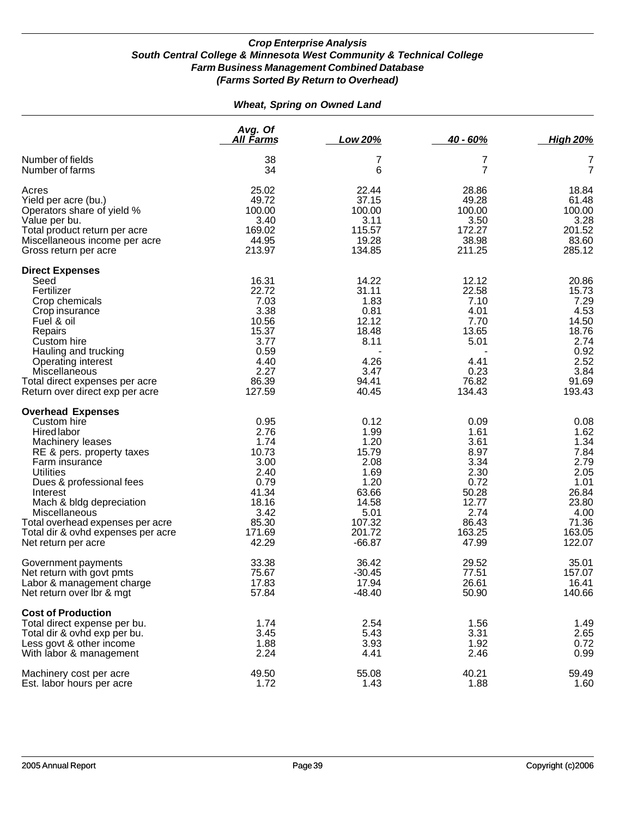### *Wheat, Spring on Owned Land*

|                                                                                                                                                                                                                                                                                                                                            | Avg. Of<br><u>All Farms</u>                                                                                 | Low 20%                                                                                                         | $40 - 60%$                                                                                                 | <b>High 20%</b>                                                                                             |
|--------------------------------------------------------------------------------------------------------------------------------------------------------------------------------------------------------------------------------------------------------------------------------------------------------------------------------------------|-------------------------------------------------------------------------------------------------------------|-----------------------------------------------------------------------------------------------------------------|------------------------------------------------------------------------------------------------------------|-------------------------------------------------------------------------------------------------------------|
| Number of fields                                                                                                                                                                                                                                                                                                                           | 38                                                                                                          | 7                                                                                                               | 7                                                                                                          | 7                                                                                                           |
| Number of farms                                                                                                                                                                                                                                                                                                                            | 34                                                                                                          | 6                                                                                                               | 7                                                                                                          | 7                                                                                                           |
| Acres                                                                                                                                                                                                                                                                                                                                      | 25.02                                                                                                       | 22.44                                                                                                           | 28.86                                                                                                      | 18.84                                                                                                       |
| Yield per acre (bu.)                                                                                                                                                                                                                                                                                                                       | 49.72                                                                                                       | 37.15                                                                                                           | 49.28                                                                                                      | 61.48                                                                                                       |
| Operators share of yield %                                                                                                                                                                                                                                                                                                                 | 100.00                                                                                                      | 100.00                                                                                                          | 100.00                                                                                                     | 100.00                                                                                                      |
| Value per bu.                                                                                                                                                                                                                                                                                                                              | 3.40                                                                                                        | 3.11                                                                                                            | 3.50                                                                                                       | 3.28                                                                                                        |
| Total product return per acre                                                                                                                                                                                                                                                                                                              | 169.02                                                                                                      | 115.57                                                                                                          | 172.27                                                                                                     | 201.52                                                                                                      |
| Miscellaneous income per acre                                                                                                                                                                                                                                                                                                              | 44.95                                                                                                       | 19.28                                                                                                           | 38.98                                                                                                      | 83.60                                                                                                       |
| Gross return per acre                                                                                                                                                                                                                                                                                                                      | 213.97                                                                                                      | 134.85                                                                                                          | 211.25                                                                                                     | 285.12                                                                                                      |
| <b>Direct Expenses</b><br>Seed<br>Fertilizer<br>Crop chemicals<br>Crop insurance<br>Fuel & oil<br>Repairs<br>Custom hire<br>Hauling and trucking<br><b>Operating interest</b><br>Miscellaneous<br>Total direct expenses per acre<br>Return over direct exp per acre                                                                        | 16.31<br>22.72<br>7.03<br>3.38<br>10.56<br>15.37<br>3.77<br>0.59<br>4.40<br>2.27<br>86.39<br>127.59         | 14.22<br>31.11<br>1.83<br>0.81<br>12.12<br>18.48<br>8.11<br>4.26<br>3.47<br>94.41<br>40.45                      | 12.12<br>22.58<br>7.10<br>4.01<br>7.70<br>13.65<br>5.01<br>4.41<br>0.23<br>76.82<br>134.43                 | 20.86<br>15.73<br>7.29<br>4.53<br>14.50<br>18.76<br>2.74<br>0.92<br>2.52<br>3.84<br>91.69<br>193.43         |
| <b>Overhead Expenses</b><br>Custom hire<br><b>Hired labor</b><br>Machinery leases<br>RE & pers. property taxes<br>Farm insurance<br><b>Utilities</b><br>Dues & professional fees<br>Interest<br>Mach & bldg depreciation<br>Miscellaneous<br>Total overhead expenses per acre<br>Total dir & ovhd expenses per acre<br>Net return per acre | 0.95<br>2.76<br>1.74<br>10.73<br>3.00<br>2.40<br>0.79<br>41.34<br>18.16<br>3.42<br>85.30<br>171.69<br>42.29 | 0.12<br>1.99<br>1.20<br>15.79<br>2.08<br>1.69<br>1.20<br>63.66<br>14.58<br>5.01<br>107.32<br>201.72<br>$-66.87$ | 0.09<br>1.61<br>3.61<br>8.97<br>3.34<br>2.30<br>0.72<br>50.28<br>12.77<br>2.74<br>86.43<br>163.25<br>47.99 | 0.08<br>1.62<br>1.34<br>7.84<br>2.79<br>2.05<br>1.01<br>26.84<br>23.80<br>4.00<br>71.36<br>163.05<br>122.07 |
| Government payments                                                                                                                                                                                                                                                                                                                        | 33.38                                                                                                       | 36.42                                                                                                           | 29.52                                                                                                      | 35.01                                                                                                       |
| Net return with govt pmts                                                                                                                                                                                                                                                                                                                  | 75.67                                                                                                       | $-30.45$                                                                                                        | 77.51                                                                                                      | 157.07                                                                                                      |
| Labor & management charge                                                                                                                                                                                                                                                                                                                  | 17.83                                                                                                       | 17.94                                                                                                           | 26.61                                                                                                      | 16.41                                                                                                       |
| Net return over Ibr & mgt                                                                                                                                                                                                                                                                                                                  | 57.84                                                                                                       | $-48.40$                                                                                                        | 50.90                                                                                                      | 140.66                                                                                                      |
| <b>Cost of Production</b><br>Total direct expense per bu.<br>Total dir & ovhd exp per bu.<br>Less govt & other income<br>With labor & management                                                                                                                                                                                           | 1.74<br>3.45<br>1.88<br>2.24                                                                                | 2.54<br>5.43<br>3.93<br>4.41                                                                                    | 1.56<br>3.31<br>1.92<br>2.46                                                                               | 1.49<br>2.65<br>0.72<br>0.99                                                                                |
| Machinery cost per acre                                                                                                                                                                                                                                                                                                                    | 49.50                                                                                                       | 55.08                                                                                                           | 40.21                                                                                                      | 59.49                                                                                                       |
| Est. labor hours per acre                                                                                                                                                                                                                                                                                                                  | 1.72                                                                                                        | 1.43                                                                                                            | 1.88                                                                                                       | 1.60                                                                                                        |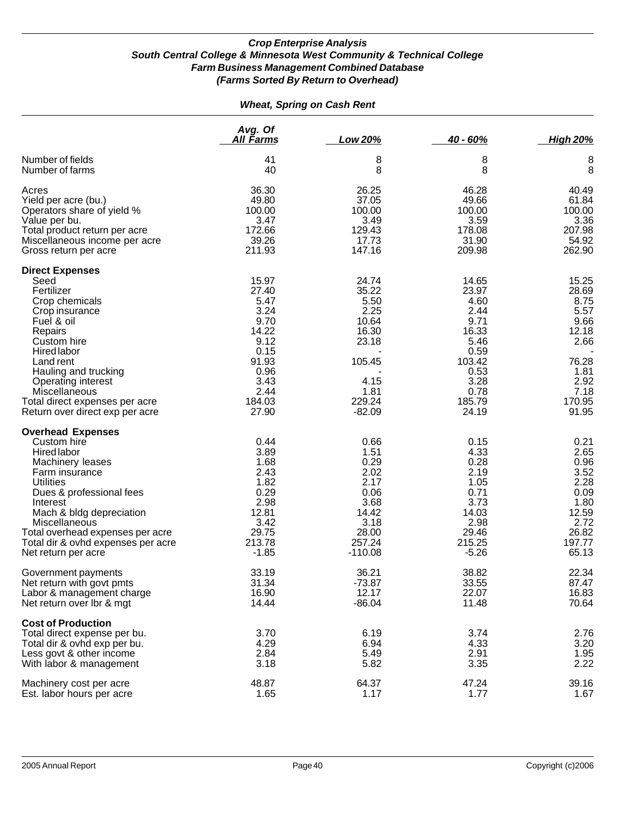|                                                                                                                                                                                                                                                                                                        |                                                                                                                     | <b>Wheat, Spring on Cash Rent</b>                                                                         |                                                                                                                      |                                                                                                             |
|--------------------------------------------------------------------------------------------------------------------------------------------------------------------------------------------------------------------------------------------------------------------------------------------------------|---------------------------------------------------------------------------------------------------------------------|-----------------------------------------------------------------------------------------------------------|----------------------------------------------------------------------------------------------------------------------|-------------------------------------------------------------------------------------------------------------|
|                                                                                                                                                                                                                                                                                                        | Avg. Of<br><u>All Farms</u>                                                                                         | Low 20%                                                                                                   | $40 - 60%$                                                                                                           | <b>High 20%</b>                                                                                             |
| Number of fields<br>Number of farms                                                                                                                                                                                                                                                                    | 41<br>40                                                                                                            | 8<br>8                                                                                                    | 8<br>8                                                                                                               | 8<br>8                                                                                                      |
| Acres<br>Yield per acre (bu.)<br>Operators share of yield %<br>Value per bu.<br>Total product return per acre<br>Miscellaneous income per acre<br>Gross return per acre                                                                                                                                | 36.30<br>49.80<br>100.00<br>3.47<br>172.66<br>39.26<br>211.93                                                       | 26.25<br>37.05<br>100.00<br>3.49<br>129.43<br>17.73<br>147.16                                             | 46.28<br>49.66<br>100.00<br>3.59<br>178.08<br>31.90<br>209.98                                                        | 40.49<br>61.84<br>100.00<br>3.36<br>207.98<br>54.92<br>262.90                                               |
| <b>Direct Expenses</b><br>Seed<br>Fertilizer<br>Crop chemicals<br>Crop insurance<br>Fuel & oil<br>Repairs<br>Custom hire<br>Hired labor<br>Land rent<br>Hauling and trucking<br><b>Operating interest</b><br><b>Miscellaneous</b><br>Total direct expenses per acre<br>Return over direct exp per acre | 15.97<br>27.40<br>5.47<br>3.24<br>9.70<br>14.22<br>9.12<br>0.15<br>91.93<br>0.96<br>3.43<br>2.44<br>184.03<br>27.90 | 24.74<br>35.22<br>5.50<br>2.25<br>10.64<br>16.30<br>23.18<br>105.45<br>4.15<br>1.81<br>229.24<br>$-82.09$ | 14.65<br>23.97<br>4.60<br>2.44<br>9.71<br>16.33<br>5.46<br>0.59<br>103.42<br>0.53<br>3.28<br>0.78<br>185.79<br>24.19 | 15.25<br>28.69<br>8.75<br>5.57<br>9.66<br>12.18<br>2.66<br>76.28<br>1.81<br>2.92<br>7.18<br>170.95<br>91.95 |
| <b>Overhead Expenses</b><br>Custom hire<br>Hired labor<br>Machinery leases<br>Farm insurance<br><b>Utilities</b><br>Dues & professional fees<br>Interest<br>Mach & bldg depreciation<br>Miscellaneous<br>Total overhead expenses per acre<br>Total dir & ovhd expenses per acre<br>Net return per acre | 0.44<br>3.89<br>1.68<br>2.43<br>1.82<br>0.29<br>2.98<br>12.81<br>3.42<br>29.75<br>213.78<br>$-1.85$                 | 0.66<br>1.51<br>0.29<br>2.02<br>2.17<br>0.06<br>3.68<br>14.42<br>3.18<br>28.00<br>257.24<br>$-110.08$     | 0.15<br>4.33<br>0.28<br>2.19<br>1.05<br>0.71<br>3.73<br>14.03<br>2.98<br>29.46<br>215.25<br>$-5.26$                  | 0.21<br>2.65<br>0.96<br>3.52<br>2.28<br>0.09<br>1.80<br>12.59<br>2.72<br>26.82<br>197.77<br>65.13           |
| Government payments<br>Net return with govt pmts<br>Labor & management charge<br>Net return over Ibr & mgt                                                                                                                                                                                             | 33.19<br>31.34<br>16.90<br>14.44                                                                                    | 36.21<br>$-73.87$<br>12.17<br>$-86.04$                                                                    | 38.82<br>33.55<br>22.07<br>11.48                                                                                     | 22.34<br>87.47<br>16.83<br>70.64                                                                            |
| <b>Cost of Production</b><br>Total direct expense per bu.<br>Total dir & ovhd exp per bu.<br>Less govt & other income<br>With labor & management                                                                                                                                                       | 3.70<br>4.29<br>2.84<br>3.18                                                                                        | 6.19<br>6.94<br>5.49<br>5.82                                                                              | 3.74<br>4.33<br>2.91<br>3.35                                                                                         | 2.76<br>3.20<br>1.95<br>2.22                                                                                |
| Machinery cost per acre<br>Est. labor hours per acre                                                                                                                                                                                                                                                   | 48.87<br>1.65                                                                                                       | 64.37<br>1.17                                                                                             | 47.24<br>1.77                                                                                                        | 39.16<br>1.67                                                                                               |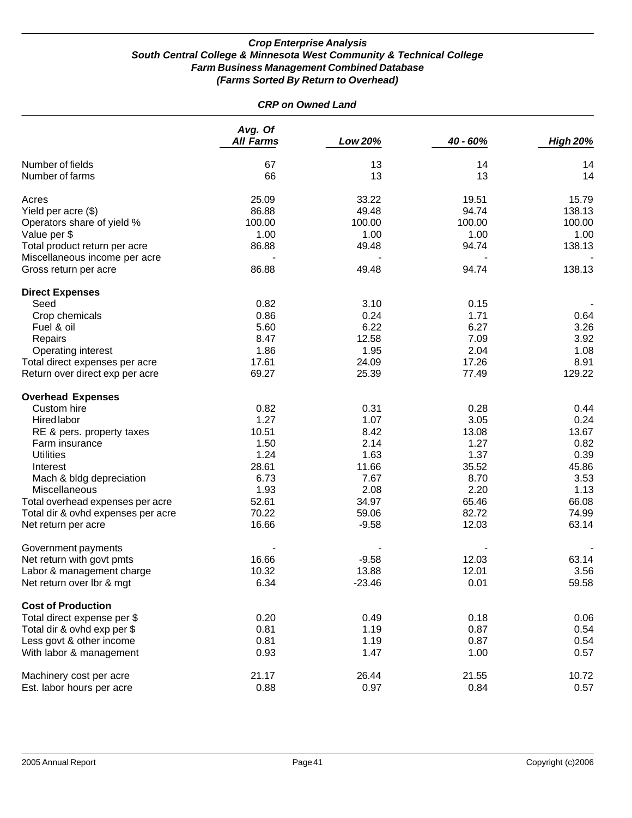| <b>CRP on Owned Land</b>           |                             |          |          |                 |  |
|------------------------------------|-----------------------------|----------|----------|-----------------|--|
|                                    | Avg. Of<br><b>All Farms</b> | Low 20%  | 40 - 60% | <b>High 20%</b> |  |
| Number of fields                   | 67                          | 13       | 14       | 14              |  |
| Number of farms                    | 66                          | 13       | 13       | 14              |  |
| Acres                              | 25.09                       | 33.22    | 19.51    | 15.79           |  |
| Yield per acre (\$)                | 86.88                       | 49.48    | 94.74    | 138.13          |  |
| Operators share of yield %         | 100.00                      | 100.00   | 100.00   | 100.00          |  |
| Value per \$                       | 1.00                        | 1.00     | 1.00     | 1.00            |  |
| Total product return per acre      | 86.88                       | 49.48    | 94.74    | 138.13          |  |
| Miscellaneous income per acre      |                             |          |          |                 |  |
| Gross return per acre              | 86.88                       | 49.48    | 94.74    | 138.13          |  |
| <b>Direct Expenses</b>             |                             |          |          |                 |  |
| Seed                               | 0.82                        | 3.10     | 0.15     |                 |  |
| Crop chemicals                     | 0.86                        | 0.24     | 1.71     | 0.64            |  |
| Fuel & oil                         | 5.60                        | 6.22     | 6.27     | 3.26            |  |
| Repairs                            | 8.47                        | 12.58    | 7.09     | 3.92            |  |
| Operating interest                 | 1.86                        | 1.95     | 2.04     | 1.08            |  |
| Total direct expenses per acre     | 17.61                       | 24.09    | 17.26    | 8.91            |  |
| Return over direct exp per acre    | 69.27                       | 25.39    | 77.49    | 129.22          |  |
| <b>Overhead Expenses</b>           |                             |          |          |                 |  |
| Custom hire                        | 0.82                        | 0.31     | 0.28     | 0.44            |  |
| <b>Hired labor</b>                 | 1.27                        | 1.07     | 3.05     | 0.24            |  |
| RE & pers. property taxes          | 10.51                       | 8.42     | 13.08    | 13.67           |  |
| Farm insurance                     | 1.50                        | 2.14     | 1.27     | 0.82            |  |
| <b>Utilities</b>                   | 1.24                        | 1.63     | 1.37     | 0.39            |  |
| Interest                           | 28.61                       | 11.66    | 35.52    | 45.86           |  |
| Mach & bldg depreciation           | 6.73                        | 7.67     | 8.70     | 3.53            |  |
| <b>Miscellaneous</b>               | 1.93                        | 2.08     | 2.20     | 1.13            |  |
| Total overhead expenses per acre   | 52.61                       | 34.97    | 65.46    | 66.08           |  |
| Total dir & ovhd expenses per acre | 70.22                       | 59.06    | 82.72    | 74.99           |  |
| Net return per acre                | 16.66                       | $-9.58$  | 12.03    | 63.14           |  |
| Government payments                |                             |          |          |                 |  |
| Net return with govt pmts          | 16.66                       | $-9.58$  | 12.03    | 63.14           |  |
| Labor & management charge          | 10.32                       | 13.88    | 12.01    | 3.56            |  |
| Net return over lbr & mgt          | 6.34                        | $-23.46$ | 0.01     | 59.58           |  |
| <b>Cost of Production</b>          |                             |          |          |                 |  |
| Total direct expense per \$        | 0.20                        | 0.49     | 0.18     | 0.06            |  |
| Total dir & ovhd exp per \$        | 0.81                        | 1.19     | 0.87     | 0.54            |  |
| Less govt & other income           | 0.81                        | 1.19     | 0.87     | 0.54            |  |
| With labor & management            | 0.93                        | 1.47     | 1.00     | 0.57            |  |
| Machinery cost per acre            | 21.17                       | 26.44    | 21.55    | 10.72           |  |
| Est. labor hours per acre          | 0.88                        | 0.97     | 0.84     | 0.57            |  |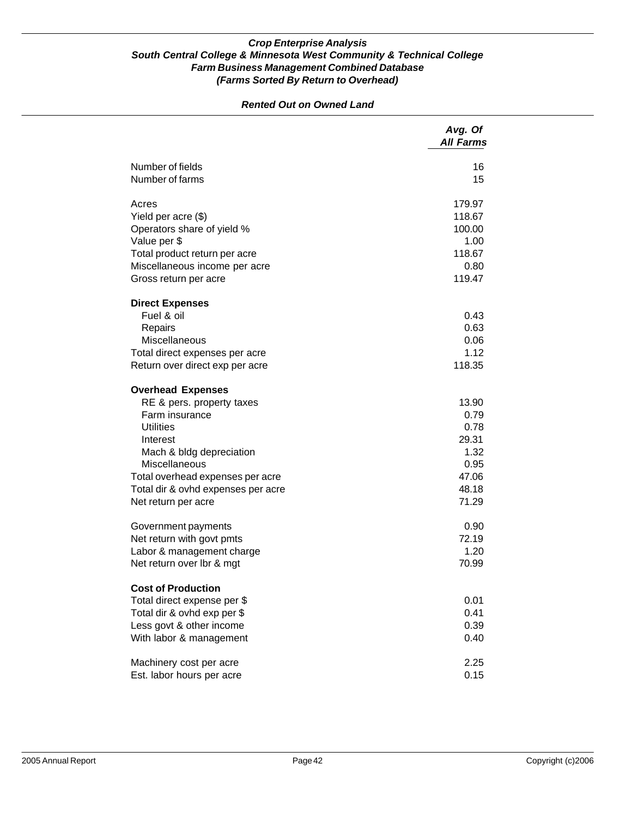|                                    | Avg. Of<br><b>All Farms</b> |
|------------------------------------|-----------------------------|
| Number of fields                   | 16                          |
| Number of farms                    | 15                          |
| Acres                              | 179.97                      |
| Yield per acre (\$)                | 118.67                      |
| Operators share of yield %         | 100.00                      |
| Value per \$                       | 1.00                        |
| Total product return per acre      | 118.67                      |
| Miscellaneous income per acre      | 0.80                        |
| Gross return per acre              | 119.47                      |
| <b>Direct Expenses</b>             |                             |
| Fuel & oil                         | 0.43                        |
| Repairs                            | 0.63                        |
| Miscellaneous                      | 0.06                        |
| Total direct expenses per acre     | 1.12                        |
| Return over direct exp per acre    | 118.35                      |
| <b>Overhead Expenses</b>           |                             |
| RE & pers. property taxes          | 13.90                       |
| Farm insurance                     | 0.79                        |
| <b>Utilities</b>                   | 0.78                        |
| Interest                           | 29.31                       |
| Mach & bldg depreciation           | 1.32                        |
| Miscellaneous                      | 0.95                        |
| Total overhead expenses per acre   | 47.06                       |
| Total dir & ovhd expenses per acre | 48.18                       |
| Net return per acre                | 71.29                       |
| Government payments                | 0.90                        |
| Net return with govt pmts          | 72.19                       |
| Labor & management charge          | 1.20                        |
| Net return over Ibr & mgt          | 70.99                       |
| <b>Cost of Production</b>          |                             |
| Total direct expense per \$        | 0.01                        |
| Total dir & ovhd exp per \$        | 0.41                        |
| Less govt & other income           | 0.39                        |
| With labor & management            | 0.40                        |
| Machinery cost per acre            | 2.25                        |
| Est. labor hours per acre          | 0.15                        |

### *Rented Out on Owned Land*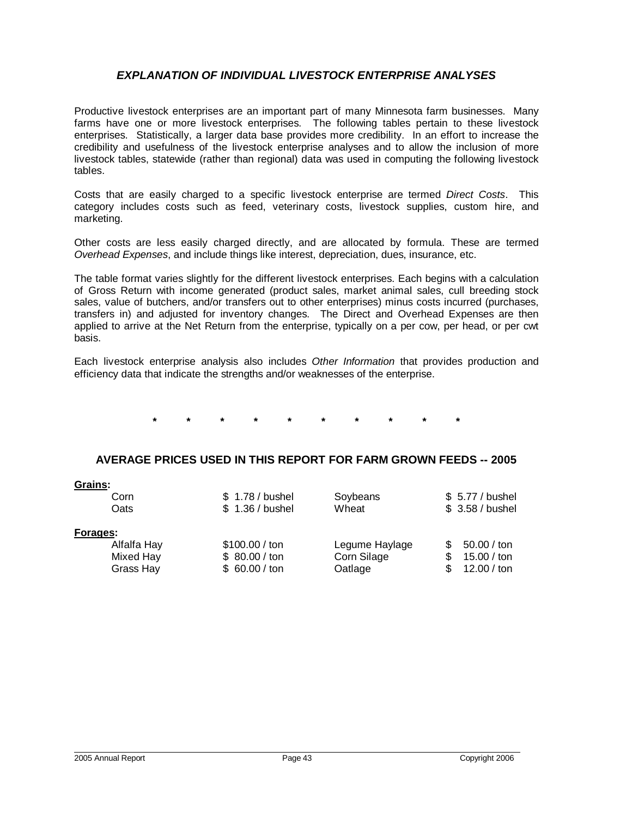# *EXPLANATION OF INDIVIDUAL LIVESTOCK ENTERPRISE ANALYSES*

Productive livestock enterprises are an important part of many Minnesota farm businesses. Many farms have one or more livestock enterprises. The following tables pertain to these livestock enterprises. Statistically, a larger data base provides more credibility. In an effort to increase the credibility and usefulness of the livestock enterprise analyses and to allow the inclusion of more livestock tables, statewide (rather than regional) data was used in computing the following livestock tables.

Costs that are easily charged to a specific livestock enterprise are termed *Direct Costs*. This category includes costs such as feed, veterinary costs, livestock supplies, custom hire, and marketing.

Other costs are less easily charged directly, and are allocated by formula. These are termed *Overhead Expenses*, and include things like interest, depreciation, dues, insurance, etc.

The table format varies slightly for the different livestock enterprises. Each begins with a calculation of Gross Return with income generated (product sales, market animal sales, cull breeding stock sales, value of butchers, and/or transfers out to other enterprises) minus costs incurred (purchases, transfers in) and adjusted for inventory changes. The Direct and Overhead Expenses are then applied to arrive at the Net Return from the enterprise, typically on a per cow, per head, or per cwt basis.

Each livestock enterprise analysis also includes *Other Information* that provides production and efficiency data that indicate the strengths and/or weaknesses of the enterprise.

**\* \* \* \* \* \* \* \* \* \***

### **AVERAGE PRICES USED IN THIS REPORT FOR FARM GROWN FEEDS -- 2005**

| Grains:<br>Corn<br>Oats                           | \$ 1.78 / bushel<br>\$1.36 / bushel              | Soybeans<br>Wheat                        | \$ 5.77 / bushel<br>\$ 3.58 / bushel      |
|---------------------------------------------------|--------------------------------------------------|------------------------------------------|-------------------------------------------|
| Forages:<br>Alfalfa Hay<br>Mixed Hay<br>Grass Hay | \$100.00 / ton<br>\$80.00 / ton<br>\$60.00 / ton | Legume Haylage<br>Corn Silage<br>Oatlage | 50.00 / ton<br>15.00 / ton<br>12.00 / ton |

**Grains:**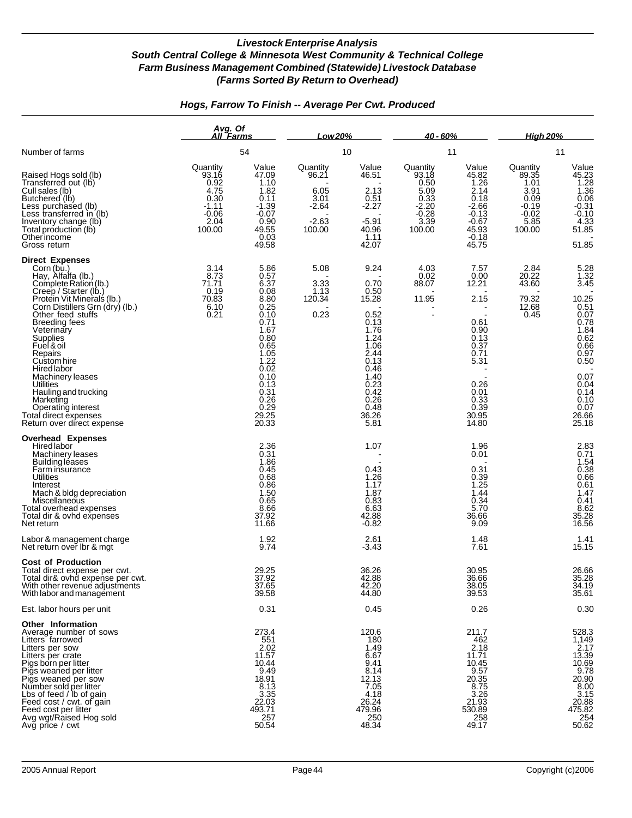|                                                                                                                                                                                                                                                                                                                                                                                                                                                                | Avg. Of<br>All Farms                                                              |                                                                                                                                                                                                           | Low 20%                                                           |                                                                                                                                                        | <u>40 - 60% </u>                                                                  |                                                                                                                                     | <u>High 20% </u>                                                                  |                                                                                                                                                                     |
|----------------------------------------------------------------------------------------------------------------------------------------------------------------------------------------------------------------------------------------------------------------------------------------------------------------------------------------------------------------------------------------------------------------------------------------------------------------|-----------------------------------------------------------------------------------|-----------------------------------------------------------------------------------------------------------------------------------------------------------------------------------------------------------|-------------------------------------------------------------------|--------------------------------------------------------------------------------------------------------------------------------------------------------|-----------------------------------------------------------------------------------|-------------------------------------------------------------------------------------------------------------------------------------|-----------------------------------------------------------------------------------|---------------------------------------------------------------------------------------------------------------------------------------------------------------------|
| Number of farms                                                                                                                                                                                                                                                                                                                                                                                                                                                |                                                                                   | 54                                                                                                                                                                                                        |                                                                   | 10                                                                                                                                                     |                                                                                   | 11                                                                                                                                  |                                                                                   | 11                                                                                                                                                                  |
| Raised Hogs sold (lb)<br>Transferred out (lb)<br>Cull sales (lb)<br>Butchered (lb)<br>Less purchased (lb)<br>Less transferred in (lb)<br>Inventory change (lb)<br>Total production (lb)<br>Otherincome<br>Gross return                                                                                                                                                                                                                                         | Quantity<br>93.16<br>0.92<br>4.75<br>0.30<br>$-1.11$<br>$-0.06$<br>2.04<br>100.00 | Value<br>47.09<br>1.10<br>1.82<br>0.11<br>$-1.39$<br>$-0.07$<br>0.90<br>49.55<br>0.03<br>49.58                                                                                                            | Quantity<br>96.21<br>6.05<br>3.01<br>$-2.64$<br>$-2.63$<br>100.00 | Value<br>46.51<br>2.13<br>0.51<br>$-2.27$<br>$-5.91$<br>40.96<br>1.11<br>42.07                                                                         | Quantity<br>93.18<br>0.50<br>5.09<br>0.33<br>$-2.20$<br>$-0.28$<br>3.39<br>100.00 | Value<br>45.82<br>1.26<br>2.14<br>0.18<br>$-2.66$<br>$-0.13$<br>$-0.67$<br>$45.93$<br>$0.18$<br>45.75                               | Quantity<br>89.35<br>1.01<br>3.91<br>0.09<br>$-0.19$<br>$-0.02$<br>5.85<br>100.00 | Value<br>45.23<br>45.23<br>1.28<br>1.36<br>0.06<br>-0.31<br>-0.10<br>4.33<br>51.85<br>51.85                                                                         |
| <b>Direct Expenses</b><br>Corn (bu.)<br>Hay, Alfalfa (lb.)<br>Complete Ration (lb.)<br>Creep / Starter (lb.)<br>Protein Vit Minerals (lb.)<br>Corn Distillers Grn (dry) (lb.)<br>Other feed stuffs<br><b>Breeding fees</b><br>Veterinary<br>Supplies<br>Fuel & oil<br>Repairs<br>Custom hire<br>Hired labor<br>Machinery leases<br>Utilities<br>Hauling and trucking<br>Marketing<br>Operating interest<br>Total direct expenses<br>Return over direct expense | 3.14<br>8.73<br>71.71<br>0.19<br>70.83<br>$6.10$<br>$0.21$                        | 5.86<br>0.57<br>6.37<br>0.08<br>$\begin{array}{c} 8.80 \\ 0.25 \end{array}$<br>0.70<br>0.71<br>1.67<br>0.80<br>0.65<br>1.05<br>1.22<br>0.02<br>0.10<br>0.13<br>$0.31$<br>$0.26$<br>0.29<br>29.25<br>20.33 | 5.08<br>3.33<br>1.13<br>120.34<br>0.23                            | 9.24<br>0.70<br>0.50<br>15.28<br>0.52<br>0.13<br>1.76<br>1.24<br>1.06<br>2.44<br>0.13<br>0.46<br>1.40<br>0.23<br>0.42<br>0.26<br>0.48<br>36.26<br>5.81 | 4.03<br>0.02<br>88.07<br>11.95                                                    | $7.57$<br>$0.00$<br>12.21<br>2.15<br>0.61<br>0.90<br>0.13<br>0.37<br>0.71<br>5.31<br>0.26<br>0.01<br>0.33<br>0.39<br>30.95<br>14.80 | 2.84<br>20.22<br>43.60<br>79.32<br>12.68<br>0.45                                  | 5.28<br>1.32<br>3.45<br>$10.25$<br>0.51<br>0.07<br>0.78<br>0.78<br>1.84<br>0.62<br>0.66<br>0.97<br>0.50<br>0.07<br>0.04<br>0.14<br>$0.10$<br>0.07<br>26.66<br>25.18 |
| Overhead Expenses<br>Hired labor<br>Machinery leases<br>Building leases<br>Farm insurance<br>Utilities<br>Interest<br>Mach & bldg depreciation<br>Miscellaneous<br>Total overhead expenses<br>Total dir & ovhd expenses<br>Net return<br>Labor & management charge                                                                                                                                                                                             |                                                                                   | 2.36<br>0.31<br>1.86<br>0.45<br>0.68<br>0.86<br>$1.50$<br>$0.65$<br>8.66<br>37.92<br>11.66<br>1.92                                                                                                        |                                                                   | 1.07<br>0.43<br>1.26<br>1.17<br>1.87<br>0.83<br>6.63<br>42.88<br>$-0.82$<br>2.61                                                                       |                                                                                   | 1.96<br>0.01<br>0.31<br>0.39<br>1.25<br>1.44<br>0.34<br>5.70<br>36.66<br>9.09<br>1.48                                               |                                                                                   | 2.83<br>0.71<br>1.54<br>0.66<br>0.61<br>1.47<br>0.41<br>8.52<br>35.28<br>16.56<br>1.41                                                                              |
| Net return over Ibr & mgt<br><b>Cost of Production</b><br>Total direct expense per cwt.<br>Total dir& ovhd expense per cwt.<br>vvitn other revenue adjustments<br>With labor and management<br>Est. labor hours per unit                                                                                                                                                                                                                                       |                                                                                   | 9.74<br>29.25<br>37.92<br>37.65<br>39.58<br>0.31                                                                                                                                                          |                                                                   | $-3.43$<br>36.26<br>42.88<br>42.ZU<br>44.80<br>0.45                                                                                                    |                                                                                   | 7.61<br>30.95<br>36.66<br>38.05<br>39.53<br>0.26                                                                                    |                                                                                   | 15.15<br>26.66<br>35.28<br>34.19<br>35.61<br>0.30                                                                                                                   |
| Other Information<br>Average number of sows<br>Litters farrowed<br>Litters per sow<br>Litters per crate<br>Pigs born per litter<br>Pigs weaned per litter<br>Pigs weaned per sow<br>Number sold per litter<br>Lbs of feed / lb of gain<br>Eeed cost / cwt. of gain<br>Feed cost per litter<br>Avg wgt/Raised Hog sold<br>Avg price / cwt                                                                                                                       |                                                                                   | 273.4<br>$551$<br>$2.02$<br>11.57<br>10.44<br>9.49<br>18.91<br>8.13<br>3.35<br>22.03<br>493.71<br>257<br>50.54                                                                                            |                                                                   | 120.6<br>180<br>1.49<br>6.67<br>9.41<br>8.14<br>12.13<br>7.05<br>4.18<br>26.24<br>479.96<br>250<br>48.34                                               |                                                                                   | 211.7<br>$^{462}_{2.18}$<br>11.71<br>10.45<br>$9.57$<br>20.35<br>8.75<br>3.26<br>21.93<br>530.89<br>258<br>49.17                    |                                                                                   | 528.3<br>1,149<br>2.17<br>13.39<br>10.69<br>$\frac{9.78}{20.90}$<br>8.00<br>3.15<br>20.88<br>475.82<br>254<br>50.62                                                 |

# *Hogs, Farrow To Finish -- Average Per Cwt. Produced*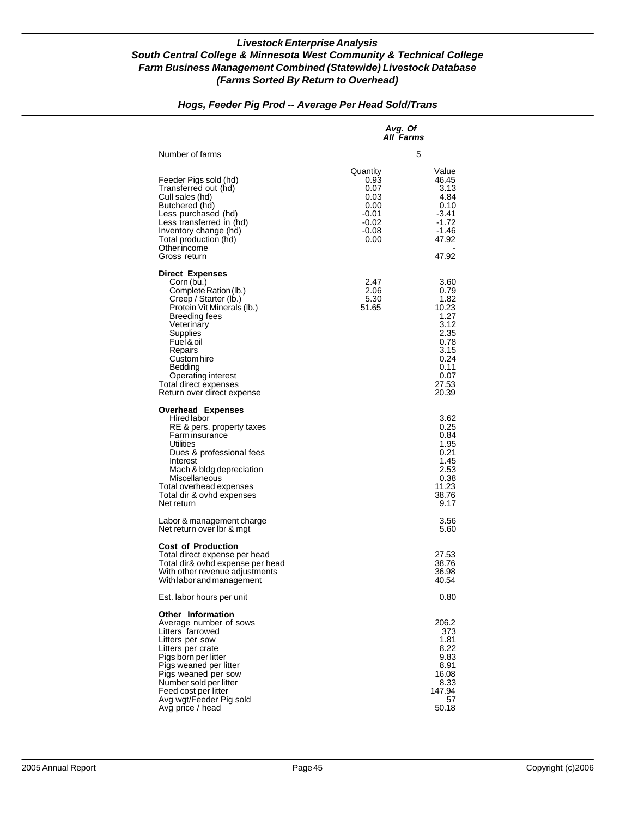|                                                                                                                                                                                                                                                                                                 | Avg. Of<br>All Farms                                                          |                                                                                                                 |
|-------------------------------------------------------------------------------------------------------------------------------------------------------------------------------------------------------------------------------------------------------------------------------------------------|-------------------------------------------------------------------------------|-----------------------------------------------------------------------------------------------------------------|
| Number of farms                                                                                                                                                                                                                                                                                 |                                                                               | 5                                                                                                               |
| Feeder Pigs sold (hd)<br>Transferred out (hd)<br>Cull sales (hd)<br>Butchered (hd)<br>Less purchased (hd)<br>Less transferred in (hd)<br>Inventory change (hd)<br>Total production (hd)<br>Other income<br>Gross return                                                                         | Quantity<br>0.93<br>0.07<br>0.03<br>0.00<br>-0.01<br>$-0.02$<br>-0.08<br>0.00 | Value<br>46.45<br>3.13<br>4.84<br>0.10<br>-3.41<br>$-1.72$<br>-1.46<br>47.92<br>47.92                           |
| <b>Direct Expenses</b><br>Corn (bu.)<br>Complete Ration (lb.)<br>Creep / Starter (lb.)<br>Protein Vit Minerals (lb.)<br>Breeding fees<br>Veterinary<br>Supplies<br>Fuel & oil<br>Repairs<br>Custom hire<br>Bedding<br>Operating interest<br>Total direct expenses<br>Return over direct expense | 2.47<br>2.06<br>5.30<br>51.65                                                 | 3.60<br>0.79<br>1.82<br>10.23<br>1.27<br>3.12<br>2.35<br>0.78<br>3.15<br>0.24<br>0.11<br>0.07<br>27.53<br>20.39 |
| <b>Overhead Expenses</b><br>Hired labor<br>RE & pers. property taxes<br>Farm insurance<br>Utilities<br>Dues & professional fees<br>Interest<br>Mach & bldg depreciation<br>Miscellaneous<br>Total overhead expenses<br>Total dir & ovhd expenses<br>Net return                                  |                                                                               | 3.62<br>0.25<br>0.84<br>1.95<br>0.21<br>1.45<br>2.53<br>0.38<br>11.23<br>38.76<br>9.17                          |
| Labor & management charge<br>Net return over Ibr & mgt                                                                                                                                                                                                                                          |                                                                               | 3.56<br>5.60                                                                                                    |
| <b>Cost of Production</b><br>Total direct expense per head<br>Total dir& ovhd expense per head<br>With other revenue adjustments<br>With labor and management                                                                                                                                   |                                                                               | 27.53<br>38.76<br>36.98<br>40.54                                                                                |
| Est. labor hours per unit                                                                                                                                                                                                                                                                       |                                                                               | 0.80                                                                                                            |
| <b>Other Information</b><br>Average number of sows<br>Litters farrowed<br>Litters per sow<br>Litters per crate<br>Pigs born per litter<br>Pigs weaned per litter<br>Pigs weaned per sow<br>Number sold per litter<br>Feed cost per litter<br>Avg wgt/Feeder Pig sold<br>Avg price / head        |                                                                               | 206.2<br>373<br>1.81<br>8.22<br>9.83<br>8.91<br>16.08<br>8.33<br>147.94<br>57<br>50.18                          |

# *Hogs, Feeder Pig Prod -- Average Per Head Sold/Trans*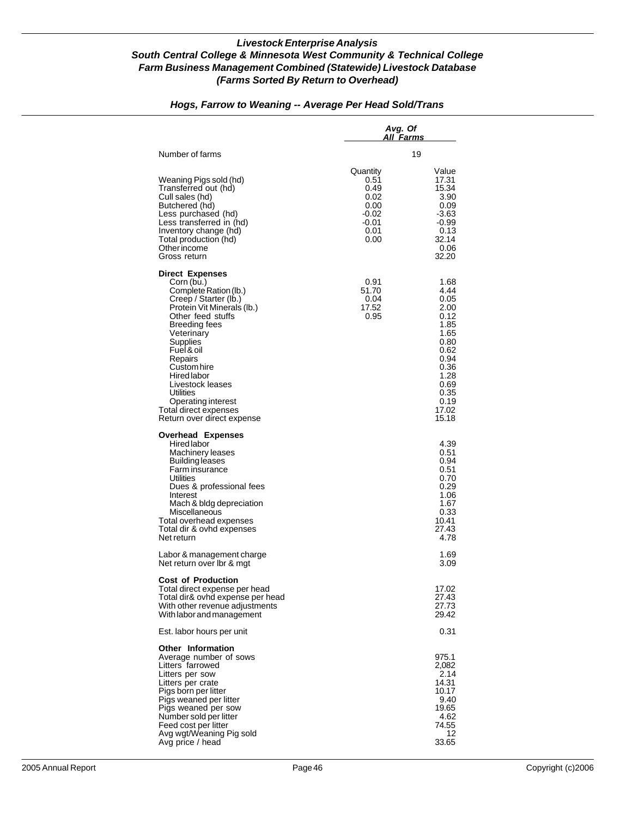|                                                                                                                                                                                                                                                                                                                                                                  | Avg. Of<br>All Farms                                                       |                                                                                                                                        |
|------------------------------------------------------------------------------------------------------------------------------------------------------------------------------------------------------------------------------------------------------------------------------------------------------------------------------------------------------------------|----------------------------------------------------------------------------|----------------------------------------------------------------------------------------------------------------------------------------|
| Number of farms                                                                                                                                                                                                                                                                                                                                                  |                                                                            | 19                                                                                                                                     |
| Weaning Pigs sold (hd)<br>Transferred out (hd)<br>Cull sales (hd)<br>Butchered (hd)<br>Less purchased (hd)<br>Less transferred in (hd)<br>Inventory change (hd)<br>Total production (hd)<br><b>Other income</b><br>Gross return                                                                                                                                  | Quantity<br>0.51<br>0.49<br>0.02<br>0.00<br>-0.02<br>-0.01<br>0.01<br>0.00 | Value<br>17.31<br>15.34<br>3.90<br>0.09<br>-3.63<br>$-0.99$<br>0.13<br>32.14<br>0.06<br>32.20                                          |
| <b>Direct Expenses</b><br>Corn (bu.)<br>Complete Ration (lb.)<br>Creep / Starter (lb.)<br>Protein Vit Minerals (lb.)<br>Other feed stuffs<br><b>Breeding fees</b><br>Veterinary<br>Supplies<br>Fuel & oil<br>Repairs<br>Custom hire<br>Hired labor<br>Livestock leases<br>Utilities<br>Operating interest<br>Total direct expenses<br>Return over direct expense | 0.91<br>51.70<br>0.04<br>17.52<br>0.95                                     | 1.68<br>4.44<br>0.05<br>2.00<br>0.12<br>1.85<br>1.65<br>0.80<br>0.62<br>0.94<br>0.36<br>1.28<br>0.69<br>0.35<br>0.19<br>17.02<br>15.18 |
| <b>Overhead Expenses</b><br>Hired labor<br>Machinery leases<br>Building leases<br>Farm insurance<br>Utilities<br>Dues & professional fees<br>Interest<br>Mach & bldg depreciation<br>Miscellaneous<br>Total overhead expenses<br>Total dir & ovhd expenses<br>Net return                                                                                         |                                                                            | 4.39<br>0.51<br>0.94<br>0.51<br>0.70<br>0.29<br>1.06<br>1.67<br>0.33<br>10.41<br>27.43<br>4.78                                         |
| Labor & management charge<br>Net return over Ibr & mgt                                                                                                                                                                                                                                                                                                           |                                                                            | 1.69<br>3.09                                                                                                                           |
| <b>Cost of Production</b><br>Total direct expense per head<br>Total dir& ovhd expense per head<br>With other revenue adjustments<br>With labor and management                                                                                                                                                                                                    |                                                                            | 17.02<br>27.43<br>27.73<br>29.42                                                                                                       |
| Est. labor hours per unit                                                                                                                                                                                                                                                                                                                                        |                                                                            | 0.31                                                                                                                                   |
| <b>Other Information</b><br>Average number of sows<br>Litters farrowed<br>Litters per sow<br>Litters per crate<br>Pigs born per litter<br>Pigs weaned per litter<br>Pigs weaned per sow<br>Number sold per litter<br>Feed cost per litter<br>Avg wgt/Weaning Pig sold<br>Avg price / head                                                                        |                                                                            | 975.1<br>2,082<br>2.14<br>14.31<br>10.17<br>9.40<br>19.65<br>4.62<br>74.55<br>12<br>33.65                                              |

## *Hogs, Farrow to Weaning -- Average Per Head Sold/Trans*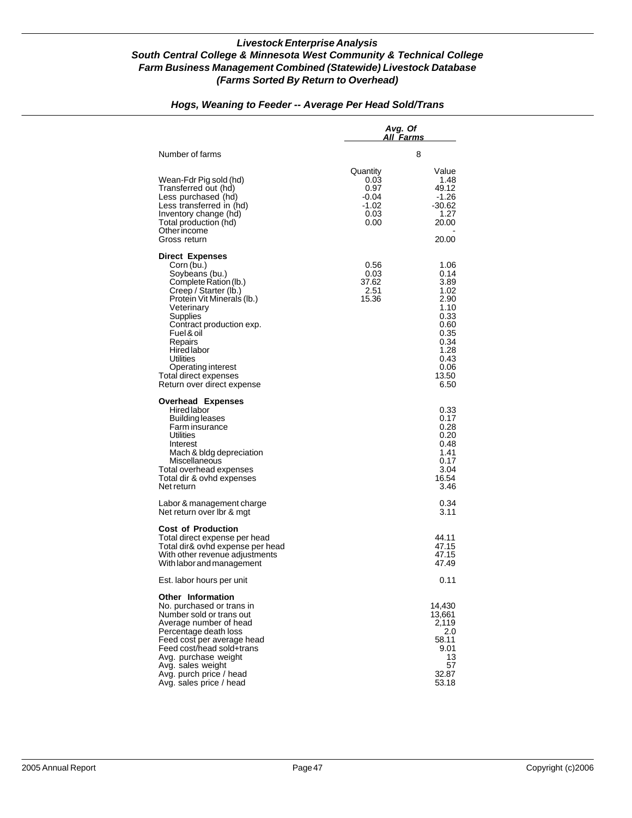|                                                                                                                                                                                                                                                                                                                                | Avg. Of                                                    | All Farms                                                                                                             |
|--------------------------------------------------------------------------------------------------------------------------------------------------------------------------------------------------------------------------------------------------------------------------------------------------------------------------------|------------------------------------------------------------|-----------------------------------------------------------------------------------------------------------------------|
| Number of farms                                                                                                                                                                                                                                                                                                                |                                                            | 8                                                                                                                     |
| Wean-Fdr Pig sold (hd)<br>Transferred out (hd)<br>Less purchased (hd)<br>Less transferred in (hd)<br>Inventory change (hd)<br>Total production (hd)<br>Other income<br>Gross return                                                                                                                                            | Quantity<br>0.03<br>0.97<br>-0.04<br>-1.02<br>0.03<br>0.00 | Value<br>1.48<br>49.12<br>-1.26<br>$-30.62$<br>1.27<br>20.00<br>20.00                                                 |
| <b>Direct Expenses</b><br>Corn (bu.)<br>Soybeans (bu.)<br>Complete Ration (lb.)<br>Creep / Starter (lb.)<br>Protein Vit Minerals (lb.)<br>Veterinary<br>Supplies<br>Contract production exp.<br>Fuel & oil<br>Repairs<br>Hired labor<br>Utilities<br>Operating interest<br>Total direct expenses<br>Return over direct expense | 0.56<br>0.03<br>37.62<br>2.51<br>15.36                     | 1.06<br>0.14<br>3.89<br>1.02<br>2.90<br>1.10<br>0.33<br>0.60<br>0.35<br>0.34<br>1.28<br>0.43<br>0.06<br>13.50<br>6.50 |
| <b>Overhead Expenses</b><br>Hired labor<br>Building leases<br>Farm insurance<br>Utilities<br>Interest<br>Mach & bldg depreciation<br>Miscellaneous<br>Total overhead expenses<br>Total dir & ovhd expenses<br>Net return                                                                                                       |                                                            | 0.33<br>0.17<br>0.28<br>0.20<br>0.48<br>1.41<br>0.17<br>3.04<br>16.54<br>3.46                                         |
| Labor & management charge<br>Net return over Ibr & mgt                                                                                                                                                                                                                                                                         |                                                            | 0.34<br>3.11                                                                                                          |
| <b>Cost of Production</b><br>Total direct expense per head<br>Total dir& ovhd expense per head<br>With other revenue adjustments<br>With labor and management                                                                                                                                                                  |                                                            | 44.11<br>47.15<br>47.15<br>47.49                                                                                      |
| Est. labor hours per unit                                                                                                                                                                                                                                                                                                      |                                                            | 0.11                                                                                                                  |
| <b>Other Information</b><br>No. purchased or trans in<br>Number sold or trans out<br>Average number of head<br>Percentage death loss<br>Feed cost per average head<br>Feed cost/head sold+trans<br>Avg. purchase weight<br>Avg. sales weight<br>Avg. purch price / head<br>Avg. sales price / head                             |                                                            | 14,430<br>13,661<br>2,119<br>2.0<br>58.11<br>9.01<br>13<br>57<br>32.87<br>53.18                                       |

# *Hogs, Weaning to Feeder -- Average Per Head Sold/Trans*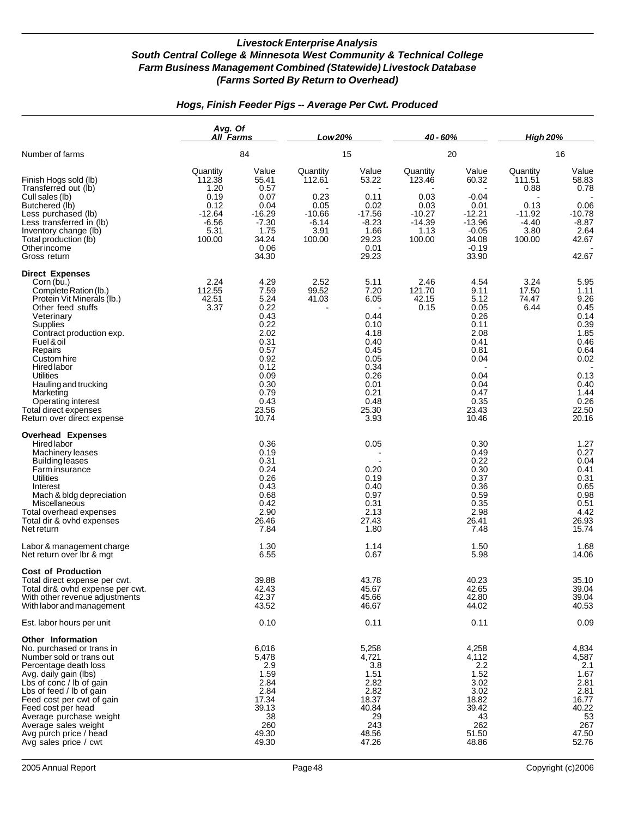|                                                                                                                                                                                                                                                                                                                                                              | Avg. Of<br>All Farms                                                                |                                                                                                                                        | Low 20%                                                                     |                                                                                                                               | 40 - 60%                                                                     |                                                                                                                                | <b>High 20%</b>                                                             |                                                                                                                                |
|--------------------------------------------------------------------------------------------------------------------------------------------------------------------------------------------------------------------------------------------------------------------------------------------------------------------------------------------------------------|-------------------------------------------------------------------------------------|----------------------------------------------------------------------------------------------------------------------------------------|-----------------------------------------------------------------------------|-------------------------------------------------------------------------------------------------------------------------------|------------------------------------------------------------------------------|--------------------------------------------------------------------------------------------------------------------------------|-----------------------------------------------------------------------------|--------------------------------------------------------------------------------------------------------------------------------|
| Number of farms                                                                                                                                                                                                                                                                                                                                              |                                                                                     | 84                                                                                                                                     |                                                                             | 15                                                                                                                            |                                                                              | 20                                                                                                                             | 16                                                                          |                                                                                                                                |
| Finish Hogs sold (lb)<br>Transferred out (lb)<br>Cull sales (lb)<br>Butchered (lb)<br>Less purchased (lb)<br>Less transferred in (lb)<br>Inventory change (lb)<br>Total production (lb)<br>Other income<br>Gross return                                                                                                                                      | Quantity<br>112.38<br>1.20<br>0.19<br>0.12<br>$-12.64$<br>$-6.56$<br>5.31<br>100.00 | Value<br>55.41<br>0.57<br>0.07<br>0.04<br>$-16.29$<br>$-7.30$<br>1.75<br>34.24<br>0.06<br>34.30                                        | Quantity<br>112.61<br>0.23<br>0.05<br>$-10.66$<br>$-6.14$<br>3.91<br>100.00 | Value<br>53.22<br>0.11<br>0.02<br>$-17.56$<br>$-8.23$<br>1.66<br>29.23<br>0.01<br>29.23                                       | Quantity<br>123.46<br>0.03<br>0.03<br>$-10.27$<br>$-14.39$<br>1.13<br>100.00 | Value<br>60.32<br>$-0.04$<br>0.01<br>$-12.21$<br>$-13.96$<br>$-0.05$<br>34.08<br>$-0.19$<br>33.90                              | Quantity<br>111.51<br>0.88<br>0.13<br>$-11.92$<br>$-4.40$<br>3.80<br>100.00 | Value<br>58.83<br>0.78<br>0.06<br>$-10.78$<br>$-8.87$<br>2.64<br>42.67<br>42.67                                                |
| <b>Direct Expenses</b><br>Corn (bu.)<br>Complete Ration (lb.)<br>Protein Vit Minerals (lb.)<br>Other feed stuffs<br>Veterinary<br>Supplies<br>Contract production exp.<br>Fuel & oil<br>Repairs<br>Custom hire<br>Hired labor<br>Utilities<br>Hauling and trucking<br>Marketing<br>Operating interest<br>Total direct expenses<br>Return over direct expense | 2.24<br>112.55<br>42.51<br>3.37                                                     | 4.29<br>7.59<br>5.24<br>0.22<br>0.43<br>0.22<br>2.02<br>0.31<br>0.57<br>0.92<br>0.12<br>0.09<br>0.30<br>0.79<br>0.43<br>23.56<br>10.74 | 2.52<br>99.52<br>41.03                                                      | 5.11<br>7.20<br>6.05<br>0.44<br>0.10<br>4.18<br>0.40<br>0.45<br>0.05<br>0.34<br>0.26<br>0.01<br>0.21<br>0.48<br>25.30<br>3.93 | 2.46<br>121.70<br>42.15<br>0.15                                              | 4.54<br>9.11<br>5.12<br>0.05<br>0.26<br>0.11<br>2.08<br>0.41<br>0.81<br>0.04<br>0.04<br>0.04<br>0.47<br>0.35<br>23.43<br>10.46 | 3.24<br>17.50<br>74.47<br>6.44                                              | 5.95<br>1.11<br>9.26<br>0.45<br>0.14<br>0.39<br>1.85<br>0.46<br>0.64<br>0.02<br>0.13<br>0.40<br>1.44<br>0.26<br>22.50<br>20.16 |
| <b>Overhead Expenses</b><br>Hired labor<br>Machinery leases<br><b>Building leases</b><br>Farm insurance<br><b>Utilities</b><br>Interest<br>Mach & bldg depreciation<br>Miscellaneous<br>Total overhead expenses<br>Total dir & ovhd expenses<br>Net return                                                                                                   |                                                                                     | 0.36<br>0.19<br>0.31<br>0.24<br>0.26<br>0.43<br>0.68<br>0.42<br>2.90<br>26.46<br>7.84                                                  |                                                                             | 0.05<br>0.20<br>0.19<br>0.40<br>0.97<br>0.31<br>2.13<br>27.43<br>1.80                                                         |                                                                              | 0.30<br>0.49<br>0.22<br>0.30<br>0.37<br>0.36<br>0.59<br>0.35<br>2.98<br>26.41<br>7.48                                          |                                                                             | 1.27<br>0.27<br>0.04<br>0.41<br>0.31<br>0.65<br>0.98<br>0.51<br>4.42<br>26.93<br>15.74                                         |
| Labor & management charge<br>Net return over Ibr & mgt                                                                                                                                                                                                                                                                                                       |                                                                                     | 1.30<br>6.55                                                                                                                           |                                                                             | 1.14<br>0.67                                                                                                                  |                                                                              | 1.50<br>5.98                                                                                                                   |                                                                             | 1.68<br>14.06                                                                                                                  |
| <b>Cost of Production</b><br>Total direct expense per cwt.<br>Total dir& ovhd expense per cwt.<br>With other revenue adjustments<br>With labor and management                                                                                                                                                                                                |                                                                                     | 39.88<br>42.43<br>42.37<br>43.52                                                                                                       |                                                                             | 43.78<br>45.67<br>45.66<br>46.67                                                                                              |                                                                              | 40.23<br>42.65<br>42.80<br>44.02                                                                                               |                                                                             | 35.10<br>39.04<br>39.04<br>40.53                                                                                               |
| Est. labor hours per unit                                                                                                                                                                                                                                                                                                                                    |                                                                                     | 0.10                                                                                                                                   |                                                                             | 0.11                                                                                                                          |                                                                              | 0.11                                                                                                                           |                                                                             | 0.09                                                                                                                           |
| Other Information<br>No. purchased or trans in<br>Number sold or trans out<br>Percentage death loss<br>Avg. daily gain (lbs)<br>Lbs of conc / lb of gain<br>Lbs of feed / lb of gain<br>Feed cost per cwt of gain<br>Feed cost per head<br>Average purchase weight<br>Average sales weight<br>Avg purch price / head<br>Avg sales price / cwt                |                                                                                     | 6,016<br>5,478<br>2.9<br>1.59<br>2.84<br>2.84<br>17.34<br>39.13<br>38<br>260<br>49.30<br>49.30                                         |                                                                             | 5,258<br>4,721<br>3.8<br>1.51<br>2.82<br>2.82<br>18.37<br>40.84<br>29<br>243<br>48.56<br>47.26                                |                                                                              | 4,258<br>4,112<br>2.2<br>1.52<br>3.02<br>3.02<br>18.82<br>39.42<br>43<br>262<br>51.50<br>48.86                                 |                                                                             | 4,834<br>4,587<br>2.1<br>1.67<br>2.81<br>2.81<br>16.77<br>40.22<br>53<br>267<br>47.50<br>52.76                                 |

# *Hogs, Finish Feeder Pigs -- Average Per Cwt. Produced*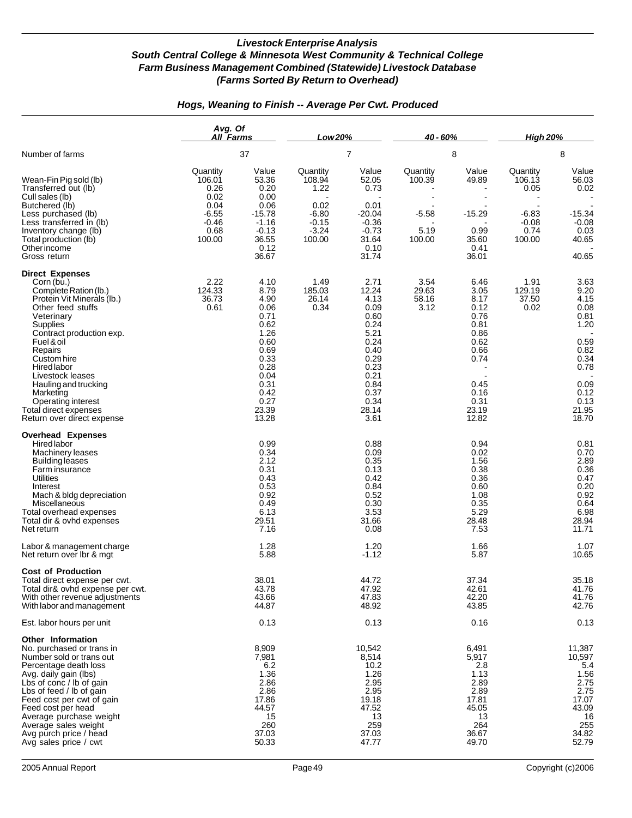|                                                                                                                                                                                                                                                                                                                                                                            | Avg. Of<br>All Farms                                                               |                                                                                                                                        | Low 20%                                                                       |                                                                                                                                        | 40 - 60%                                        |                                                                                                                        | <b>High 20%</b>                                                    |                                                                                                                        |
|----------------------------------------------------------------------------------------------------------------------------------------------------------------------------------------------------------------------------------------------------------------------------------------------------------------------------------------------------------------------------|------------------------------------------------------------------------------------|----------------------------------------------------------------------------------------------------------------------------------------|-------------------------------------------------------------------------------|----------------------------------------------------------------------------------------------------------------------------------------|-------------------------------------------------|------------------------------------------------------------------------------------------------------------------------|--------------------------------------------------------------------|------------------------------------------------------------------------------------------------------------------------|
| Number of farms                                                                                                                                                                                                                                                                                                                                                            |                                                                                    | 37                                                                                                                                     |                                                                               | 7                                                                                                                                      |                                                 | 8                                                                                                                      | 8                                                                  |                                                                                                                        |
| Wean-Fin Pig sold (lb)<br>Transferred out (lb)<br>Cull sales (lb)<br>Butchered (lb)<br>Less purchased (lb)<br>Less transferred in (lb)<br>Inventory change (lb)<br>Total production (lb)<br>Other income<br>Gross return                                                                                                                                                   | Quantity<br>106.01<br>0.26<br>0.02<br>0.04<br>$-6.55$<br>$-0.46$<br>0.68<br>100.00 | Value<br>53.36<br>0.20<br>0.00<br>0.06<br>$-15.78$<br>$-1.16$<br>$-0.13$<br>36.55<br>0.12<br>36.67                                     | Quantity<br>108.94<br>1.22<br>0.02<br>$-6.80$<br>$-0.15$<br>$-3.24$<br>100.00 | Value<br>52.05<br>0.73<br>0.01<br>$-20.04$<br>$-0.36$<br>$-0.73$<br>31.64<br>0.10<br>31.74                                             | Quantity<br>100.39<br>$-5.58$<br>5.19<br>100.00 | Value<br>49.89<br>$-15.29$<br>0.99<br>35.60<br>0.41<br>36.01                                                           | Quantity<br>106.13<br>0.05<br>$-6.83$<br>$-0.08$<br>0.74<br>100.00 | Value<br>56.03<br>0.02<br>$-15.34$<br>$-0.08$<br>0.03<br>40.65<br>40.65                                                |
| <b>Direct Expenses</b><br>Corn (bu.)<br>Complete Ration (lb.)<br>Protein Vit Minerals (lb.)<br>Other feed stuffs<br>Veterinary<br>Supplies<br>Contract production exp.<br>Fuel & oil<br>Repairs<br>Custom hire<br><b>Hired labor</b><br>Livestock leases<br>Hauling and trucking<br>Marketing<br>Operating interest<br>Total direct expenses<br>Return over direct expense | 2.22<br>124.33<br>36.73<br>0.61                                                    | 4.10<br>8.79<br>4.90<br>0.06<br>0.71<br>0.62<br>1.26<br>0.60<br>0.69<br>0.33<br>0.28<br>0.04<br>0.31<br>0.42<br>0.27<br>23.39<br>13.28 | 1.49<br>185.03<br>26.14<br>0.34                                               | 2.71<br>12.24<br>4.13<br>0.09<br>0.60<br>0.24<br>5.21<br>0.24<br>0.40<br>0.29<br>0.23<br>0.21<br>0.84<br>0.37<br>0.34<br>28.14<br>3.61 | 3.54<br>29.63<br>58.16<br>3.12                  | 6.46<br>3.05<br>8.17<br>0.12<br>0.76<br>0.81<br>0.86<br>0.62<br>0.66<br>0.74<br>0.45<br>0.16<br>0.31<br>23.19<br>12.82 | 1.91<br>129.19<br>37.50<br>0.02                                    | 3.63<br>9.20<br>4.15<br>0.08<br>0.81<br>1.20<br>0.59<br>0.82<br>0.34<br>0.78<br>0.09<br>0.12<br>0.13<br>21.95<br>18.70 |
| <b>Overhead Expenses</b><br><b>Hired labor</b><br>Machinery leases<br><b>Building leases</b><br>Farm insurance<br>Utilities<br>Interest<br>Mach & bldg depreciation<br>Miscellaneous<br>Total overhead expenses<br>Total dir & ovhd expenses<br>Net return<br>Labor & management charge                                                                                    |                                                                                    | 0.99<br>0.34<br>2.12<br>0.31<br>0.43<br>0.53<br>0.92<br>0.49<br>6.13<br>29.51<br>7.16<br>1.28                                          |                                                                               | 0.88<br>0.09<br>0.35<br>0.13<br>0.42<br>0.84<br>0.52<br>0.30<br>3.53<br>31.66<br>0.08<br>1.20                                          |                                                 | 0.94<br>0.02<br>1.56<br>0.38<br>0.36<br>0.60<br>1.08<br>0.35<br>5.29<br>28.48<br>7.53<br>1.66                          |                                                                    | 0.81<br>0.70<br>2.89<br>0.36<br>0.47<br>0.20<br>0.92<br>0.64<br>6.98<br>28.94<br>11.71<br>1.07                         |
| Net return over Ibr & mgt<br><b>Cost of Production</b><br>Total direct expense per cwt.<br>Total dir& ovhd expense per cwt.<br>With other revenue adjustments<br>With labor and management                                                                                                                                                                                 |                                                                                    | 5.88<br>38.01<br>43.78<br>43.66<br>44.87                                                                                               |                                                                               | $-1.12$<br>44.72<br>47.92<br>47.83<br>48.92                                                                                            |                                                 | 5.87<br>37.34<br>42.61<br>42.20<br>43.85                                                                               |                                                                    | 10.65<br>35.18<br>41.76<br>41.76<br>42.76                                                                              |
| Est. labor hours per unit<br>Other Information<br>No. purchased or trans in<br>Number sold or trans out<br>Percentage death loss<br>Avg. daily gain (lbs)<br>Lbs of conc / lb of gain<br>Lbs of feed / lb of gain<br>Feed cost per cwt of gain<br>Feed cost per head<br>Average purchase weight<br>Average sales weight<br>Avg purch price / head<br>Avg sales price / cwt |                                                                                    | 0.13<br>8,909<br>7,981<br>6.2<br>1.36<br>2.86<br>2.86<br>17.86<br>44.57<br>15<br>260<br>37.03<br>50.33                                 |                                                                               | 0.13<br>10,542<br>8,514<br>10.2<br>1.26<br>2.95<br>2.95<br>19.18<br>47.52<br>13<br>259<br>37.03<br>47.77                               |                                                 | 0.16<br>6,491<br>5,917<br>2.8<br>1.13<br>2.89<br>2.89<br>17.81<br>45.05<br>13<br>264<br>36.67<br>49.70                 |                                                                    | 0.13<br>11,387<br>10,597<br>5.4<br>1.56<br>2.75<br>2.75<br>17.07<br>43.09<br>16<br>255<br>34.82<br>52.79               |

## *Hogs, Weaning to Finish -- Average Per Cwt. Produced*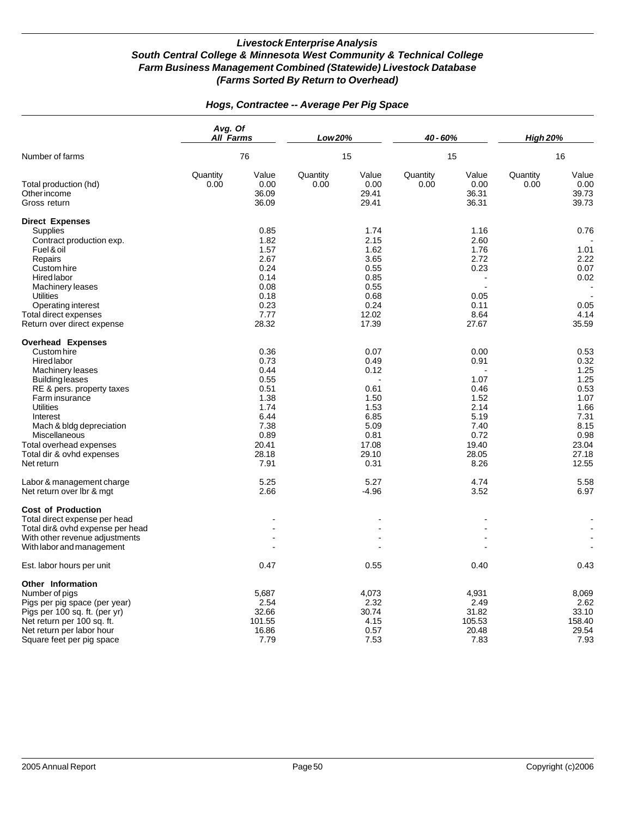|                                                                                                                                                                                                                                                                                                                                                                         | Avg. Of<br>All Farms |                                                                                                                        | Low 20%          |                                                                                                                   | 40 - 60%         |                                                                                                                | <b>High 20%</b><br>16 |                                                                                                                         |
|-------------------------------------------------------------------------------------------------------------------------------------------------------------------------------------------------------------------------------------------------------------------------------------------------------------------------------------------------------------------------|----------------------|------------------------------------------------------------------------------------------------------------------------|------------------|-------------------------------------------------------------------------------------------------------------------|------------------|----------------------------------------------------------------------------------------------------------------|-----------------------|-------------------------------------------------------------------------------------------------------------------------|
| Number of farms                                                                                                                                                                                                                                                                                                                                                         |                      | 76                                                                                                                     | 15               |                                                                                                                   | 15               |                                                                                                                |                       |                                                                                                                         |
| Total production (hd)<br>Other income<br>Gross return                                                                                                                                                                                                                                                                                                                   | Quantity<br>0.00     | Value<br>0.00<br>36.09<br>36.09                                                                                        | Quantity<br>0.00 | Value<br>0.00<br>29.41<br>29.41                                                                                   | Quantity<br>0.00 | Value<br>0.00<br>36.31<br>36.31                                                                                | Quantity<br>0.00      | Value<br>0.00<br>39.73<br>39.73                                                                                         |
| <b>Direct Expenses</b><br><b>Supplies</b><br>Contract production exp.<br>Fuel & oil<br>Repairs<br>Custom hire<br><b>Hired labor</b><br><b>Machinery leases</b><br><b>Utilities</b><br>Operating interest<br>Total direct expenses                                                                                                                                       |                      | 0.85<br>1.82<br>1.57<br>2.67<br>0.24<br>0.14<br>0.08<br>0.18<br>0.23<br>7.77                                           |                  | 1.74<br>2.15<br>1.62<br>3.65<br>0.55<br>0.85<br>0.55<br>0.68<br>0.24<br>12.02                                     |                  | 1.16<br>2.60<br>1.76<br>2.72<br>0.23<br>0.05<br>0.11<br>8.64                                                   |                       | 0.76<br>1.01<br>2.22<br>0.07<br>0.02<br>0.05<br>4.14                                                                    |
| Return over direct expense                                                                                                                                                                                                                                                                                                                                              |                      | 28.32                                                                                                                  |                  | 17.39                                                                                                             |                  | 27.67                                                                                                          |                       | 35.59                                                                                                                   |
| <b>Overhead Expenses</b><br>Custom hire<br><b>Hired</b> labor<br>Machinery leases<br><b>Building leases</b><br>RE & pers. property taxes<br>Farm insurance<br><b>Utilities</b><br>Interest<br>Mach & bldg depreciation<br>Miscellaneous<br>Total overhead expenses<br>Total dir & ovhd expenses<br>Net return<br>Labor & management charge<br>Net return over Ibr & mgt |                      | 0.36<br>0.73<br>0.44<br>0.55<br>0.51<br>1.38<br>1.74<br>6.44<br>7.38<br>0.89<br>20.41<br>28.18<br>7.91<br>5.25<br>2.66 |                  | 0.07<br>0.49<br>0.12<br>0.61<br>1.50<br>1.53<br>6.85<br>5.09<br>0.81<br>17.08<br>29.10<br>0.31<br>5.27<br>$-4.96$ |                  | 0.00<br>0.91<br>1.07<br>0.46<br>1.52<br>2.14<br>5.19<br>7.40<br>0.72<br>19.40<br>28.05<br>8.26<br>4.74<br>3.52 |                       | 0.53<br>0.32<br>1.25<br>1.25<br>0.53<br>1.07<br>1.66<br>7.31<br>8.15<br>0.98<br>23.04<br>27.18<br>12.55<br>5.58<br>6.97 |
| <b>Cost of Production</b><br>Total direct expense per head<br>Total dir& ovhd expense per head<br>With other revenue adjustments<br>With labor and management<br>Est. labor hours per unit                                                                                                                                                                              |                      | 0.47                                                                                                                   |                  | 0.55                                                                                                              |                  | 0.40                                                                                                           |                       | 0.43                                                                                                                    |
| <b>Other Information</b><br>Number of pigs<br>Pigs per pig space (per year)<br>Pigs per 100 sq. ft. (per yr)<br>Net return per 100 sq. ft.<br>Net return per labor hour<br>Square feet per pig space                                                                                                                                                                    |                      | 5,687<br>2.54<br>32.66<br>101.55<br>16.86<br>7.79                                                                      |                  | 4,073<br>2.32<br>30.74<br>4.15<br>0.57<br>7.53                                                                    |                  | 4,931<br>2.49<br>31.82<br>105.53<br>20.48<br>7.83                                                              |                       | 8,069<br>2.62<br>33.10<br>158.40<br>29.54<br>7.93                                                                       |

## *Hogs, Contractee -- Average Per Pig Space*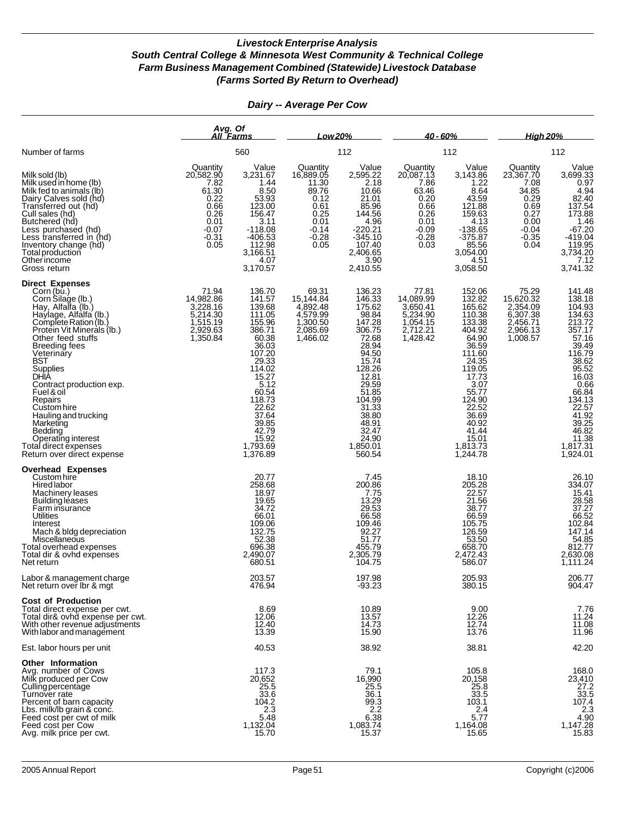|                                                                                                                                                                                                                                                                                                                                                                                                                                                                | Avg. Of<br><u>All Farms</u>                                                                          |                                                                                                                                                                                                                           | Low 20%                                                                                               |                                                                                                                                                                                                      | $40 - 60%$                                                                                           |                                                                                                                                                                                                         | <b>High 20%</b>                                                                                      |                                                                                                                                                                                                                                                                                    |
|----------------------------------------------------------------------------------------------------------------------------------------------------------------------------------------------------------------------------------------------------------------------------------------------------------------------------------------------------------------------------------------------------------------------------------------------------------------|------------------------------------------------------------------------------------------------------|---------------------------------------------------------------------------------------------------------------------------------------------------------------------------------------------------------------------------|-------------------------------------------------------------------------------------------------------|------------------------------------------------------------------------------------------------------------------------------------------------------------------------------------------------------|------------------------------------------------------------------------------------------------------|---------------------------------------------------------------------------------------------------------------------------------------------------------------------------------------------------------|------------------------------------------------------------------------------------------------------|------------------------------------------------------------------------------------------------------------------------------------------------------------------------------------------------------------------------------------------------------------------------------------|
| Number of farms                                                                                                                                                                                                                                                                                                                                                                                                                                                |                                                                                                      | 560                                                                                                                                                                                                                       |                                                                                                       | 112                                                                                                                                                                                                  |                                                                                                      | 112                                                                                                                                                                                                     | 112                                                                                                  |                                                                                                                                                                                                                                                                                    |
| Milk sold (lb)<br>Milk used in home (lb)<br>Milk fed to animals (lb)<br>Dairy Calves sold (hd)<br>Transferred out (hd)<br>Cull sales (hd)<br>Butchered (hd)<br>Less purchased (hd)<br>Less transferred in (hd)<br>Inventory change (hd)<br>Total production<br>Other income<br>Gross return                                                                                                                                                                    | Quantity<br>20,582.90<br>7.82<br>61.30<br>0.22<br>0.66<br>0.26<br>0.01<br>$-0.07$<br>$-0.31$<br>0.05 | Value<br>3,231.67<br>1.44<br>8.50<br>53.93<br>123.00<br>156.47<br>3.11<br>$-118.08$<br>$-406.53$<br>112.98<br>3,166.51<br>4.07<br>3,170.57                                                                                | Quantity<br>16,889.05<br>11.30<br>89.76<br>0.12<br>0.61<br>0.25<br>0.01<br>$-0.14$<br>$-0.28$<br>0.05 | Value<br>2,595.22<br>2.18<br>10.66<br>21.01<br>85.96<br>144.56<br>4.96<br>$-220.21$<br>$-345.10$<br>107.40<br>2,406.65<br>3.90<br>2,410.55                                                           | Quantity<br>20,087.13<br>7.86<br>63.46<br>0.20<br>0.66<br>0.26<br>0.01<br>$-0.09$<br>$-0.28$<br>0.03 | Value<br>3,143.86<br>1.22<br>8.64<br>43.59<br>121.88<br>159.63<br>4.13<br>$-138.65$<br>$-375.87$<br>85.56<br>3,054.00<br>4.51<br>3,058.50                                                               | Quantity<br>23,367.70<br>7.08<br>34.85<br>0.29<br>0.69<br>0.27<br>0.00<br>$-0.04$<br>$-0.35$<br>0.04 | Value<br>$3,699.33$<br>0.97<br>4.94<br>82.40<br>137.54<br>173.88<br>1.46<br>$-67.20$<br>$-419.04$<br>119.95<br>3,734.20<br>7.12<br>3,741.32                                                                                                                                        |
| <b>Direct Expenses</b><br>Corn (bu.)<br>Corn Silage (lb.)<br>Hay, Alfalfa (lb.)<br>Haylage, Alfalfa (lb.)<br>Complete Ration (lb.)<br>Protein Vit Minerals (lb.)<br>Other feed stuffs<br><b>Breeding fees</b><br>Veterinary<br><b>BST</b><br>Supplies<br>DHIA<br>Contract production exp.<br>Fuel & oil<br>Repairs<br>Custom hire<br>Hauling and trucking<br>Marketing<br>Bedding<br>Operating interest<br>Total direct expenses<br>Return over direct expense | 71.94<br>14,982.86<br>3,228.16<br>5,214.30<br>1,515.19<br>1,350.84                                   | 136.70<br>141.57<br>139.68<br>111.05<br>155.96<br>386.71<br>60.38<br>36.03<br>107.20<br>29.33<br>114.02<br>$15.27$<br>5.12<br>60.54<br>118.73<br>$\frac{22.62}{37.64}$<br>39.85<br>42.79<br>15.92<br>1,793.69<br>1,376.89 | 69.31<br>15, 144.84<br>4,892.48<br>4,579.99<br>2,085.69<br>1,466.02                                   | 136.23<br>146.33<br>175.62<br>98.84<br>147.28<br>306.75<br>28.94<br>94.50<br>15.74<br>128.26<br>12.81<br>29.59<br>51.85<br>104.99<br>31.33<br>38.80<br>48.91<br>32.47<br>24.90<br>1,850.01<br>560.54 | 77.81<br>14,089.99<br>3,650.41<br>5,234.90<br>1,054.15<br>2,712.21<br>1,428.42                       | 152.06<br>132.82<br>165.62<br>110.38<br>133.38<br>404.92<br>36.59<br>111.60<br>24.35<br>119.05<br>17.73<br>3.07<br>55.77<br>124.90<br>22.52<br>36.69<br>40.92<br>41.44<br>15.01<br>1,813.73<br>1,244.78 | 75.29<br>15,620.32<br>2,354.09<br>6,307.38<br>2,966.13<br>1,008.57                                   | 141.48<br>138.18<br>$\begin{array}{c} 104.93 \\ 134.63 \\ 213.72 \\ 357.17 \\ \end{array}$<br>$57.16$<br>39.49<br>116.79<br>$\begin{array}{c} 38.62 \\ 95.52 \\ 16.03 \end{array}$<br>0.66<br>66.84<br>134.13<br>22.57<br>41.92<br>39.25<br>46.82<br>11.38<br>1,817.31<br>1,924.01 |
| Overhead Expenses<br>Custom hire<br>Hired labor<br>Machinery leases<br><b>Building léases</b><br>Farm insurance<br>Utilities<br>Interest<br>Mach & bldg depreciation<br>Miscellaneous<br>Total overhead expenses<br>Total dir & ovhd expenses<br>Net return                                                                                                                                                                                                    |                                                                                                      | 20.77<br>258.68<br>18.97<br>19.65<br>34.72<br>66.01<br>109.06<br>132.75<br>52.38<br>696.38<br>2,490.07<br>680.51                                                                                                          |                                                                                                       | 7.45<br>200.86<br>7.75<br>13.29<br>29.53<br>66.58<br>109.46<br>92.27<br>51.77<br>455.79<br>2,305.79<br>104.75                                                                                        |                                                                                                      | 18.10<br>205.28<br>22.57<br>21.56<br>38.77<br>66.59<br>105.75<br>126.59<br>53.50<br>658.70<br>2,472.43<br>586.07                                                                                        |                                                                                                      | 26.10<br>334.07<br>15.41<br>$\frac{28.58}{37.27}$<br>66.52<br>102.84<br>147.14<br>54.85<br>812.77<br>2,630.08<br>1,111.24                                                                                                                                                          |
| Labor & management charge<br>Net return over Ibr & mgt                                                                                                                                                                                                                                                                                                                                                                                                         |                                                                                                      | 203.57<br>476.94                                                                                                                                                                                                          |                                                                                                       | 197.98<br>-93.23                                                                                                                                                                                     |                                                                                                      | 205.93<br>380.15                                                                                                                                                                                        |                                                                                                      | 206.77<br>904.47                                                                                                                                                                                                                                                                   |
| <b>Cost of Production</b><br>Total direct expense per cwt.<br>Total dir& ovhd expense per cwt.<br>With other revenue adjustments<br>With labor and management                                                                                                                                                                                                                                                                                                  |                                                                                                      | 8.69<br>12.06<br>12.40<br>13.39                                                                                                                                                                                           |                                                                                                       | 10.89<br>13.57<br>14.73<br>15.90                                                                                                                                                                     |                                                                                                      | 9.00<br>12.26<br>12.74<br>13.76                                                                                                                                                                         |                                                                                                      | 7.76<br>11.24<br>11.08<br>11.96                                                                                                                                                                                                                                                    |
| Est. labor hours per unit                                                                                                                                                                                                                                                                                                                                                                                                                                      |                                                                                                      | 40.53                                                                                                                                                                                                                     |                                                                                                       | 38.92                                                                                                                                                                                                |                                                                                                      | 38.81                                                                                                                                                                                                   |                                                                                                      | 42.20                                                                                                                                                                                                                                                                              |
| <b>Other Information</b><br>Avg. number of Cows<br>Milk produced per Cow<br>Culling percentage<br>Turnover rate<br>Percent of barn capacity<br>Lbs. milk/lb grain & conc.<br>Feed cost per cwt of milk<br>Feed cost per Cow<br>Avg. milk price per cwt.                                                                                                                                                                                                        |                                                                                                      | 117.3<br>20,652<br>25.5<br>33.6<br>104.2<br>2.3<br>5.48<br>1,132.04<br>15.70                                                                                                                                              |                                                                                                       | 79.1<br>16,990<br>25.5<br>36.1<br>$\frac{99.3}{2.2}$<br>6.38<br>1,083.74<br>15.37                                                                                                                    |                                                                                                      | 105.8<br>20,158<br>25.8<br>33.5<br>103.1<br>2.4<br>5.77<br>1,164.08<br>15.65                                                                                                                            |                                                                                                      | 168.0<br>23,410<br>27.2<br>$\frac{33.5}{107.4}$<br>2.3<br>4.90<br>1,147.28<br>15.83                                                                                                                                                                                                |

### *Dairy -- Average Per Cow*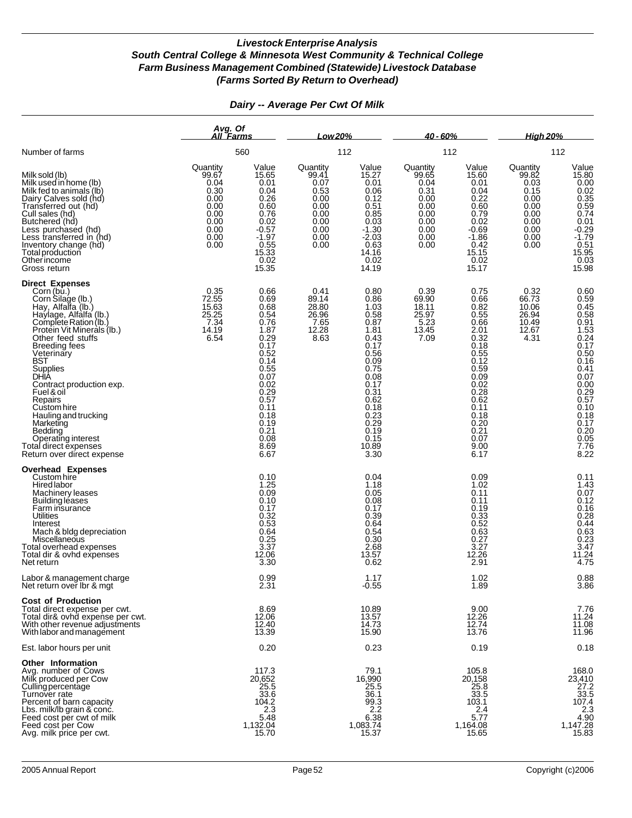|                                                                                                                                                                                                                                                                                                                                                                                                                                                         | Avg. Of<br>All Farms                                                                      |                                                                                                                                                                                  | Low 20%                                                                                                                      |                                                                                                                                                                               | $40 - 60%$                                                                                |                                                                                                                                                                                  | <u>High 20%</u>                                                                           |                                                                                                                                                                                                          |
|---------------------------------------------------------------------------------------------------------------------------------------------------------------------------------------------------------------------------------------------------------------------------------------------------------------------------------------------------------------------------------------------------------------------------------------------------------|-------------------------------------------------------------------------------------------|----------------------------------------------------------------------------------------------------------------------------------------------------------------------------------|------------------------------------------------------------------------------------------------------------------------------|-------------------------------------------------------------------------------------------------------------------------------------------------------------------------------|-------------------------------------------------------------------------------------------|----------------------------------------------------------------------------------------------------------------------------------------------------------------------------------|-------------------------------------------------------------------------------------------|----------------------------------------------------------------------------------------------------------------------------------------------------------------------------------------------------------|
| Number of farms                                                                                                                                                                                                                                                                                                                                                                                                                                         |                                                                                           | 560                                                                                                                                                                              |                                                                                                                              | 112                                                                                                                                                                           | 112                                                                                       |                                                                                                                                                                                  | 112                                                                                       |                                                                                                                                                                                                          |
| Milk sold (lb)<br>Milk used in home (lb)<br>Milk fed to animals (lb)<br>Dairy Calves sold (hd)<br>Transferred out (hd)<br>Cull sales (hd)<br>Butchered (hd)<br>Less purchased (hd)<br>Less transferred in (hd)<br>Inventory change (hd)<br>Total production<br>Other income<br>Gross return                                                                                                                                                             | Quantity<br>99.67<br>0.04<br>0.30<br>0.00<br>0.00<br>0.00<br>0.00<br>0.00<br>0.00<br>0.00 | Value<br>15.65<br>0.01<br>0.04<br>$0.26$<br>$0.60$<br>0.76<br>0.02<br>$-0.57$<br>$-1.97$<br>$0.55$<br>$15.33$<br>$0.02$<br>15.35                                                 | Quantity<br>99.41<br>0.07<br>$\begin{array}{c} 0.53 \\ 0.00 \\ 0.00 \end{array}$<br>0.00<br>0.00<br>$0.00$<br>$0.00$<br>0.00 | Value<br>15.27<br>0.01<br>0.06<br>0.12<br>$0.51$<br>$0.85$<br>0.03<br>$-1.30$<br>$-2.03$<br>0.63<br>14.16<br>0.02<br>14.19                                                    | Quantity<br>99.65<br>0.04<br>0.31<br>0.00<br>0.00<br>0.00<br>0.00<br>0.00<br>0.00<br>0.00 | Value<br>15.60<br>0.01<br>0.04<br>0.22<br>0.60<br>0.79<br>0.02<br>$-0.69$<br>$-1.86$<br>0.42<br>15.15<br>0.02<br>15.17                                                           | Quantity<br>99.82<br>0.03<br>0.15<br>0.00<br>0.00<br>0.00<br>0.00<br>0.00<br>0.00<br>0.00 | Value<br>15.80<br>0.00<br>0.02<br>0.35<br>0.74<br>0.74<br>0.74<br>0.07<br>1.79<br>0.51<br>15.95<br>0.03<br>15.98                                                                                         |
| <b>Direct Expenses</b><br>Corn (bu.)<br>Corn Silage (lb.)<br>Hay, Alfalfa (lb.)<br>Haylage, Alfalfa (lb.)<br>Complete Ration (lb.)<br>Protein Vit Minerals (lb.)<br>Other feed stuffs<br><b>Breeding fees</b><br>Veterinary<br>BST<br>Supplies<br>DHIA<br>Contract production exp.<br>Fuel & oil<br>Repairs<br>Custom hire<br>Hauling and trucking<br>Marketing<br>Bedding<br>Operating interest<br>Total direct expenses<br>Return over direct expense | 0.35<br>72.55<br>15.63<br>25.25<br>7.34<br>14.19<br>6.54                                  | 0.66<br>0.69<br>0.68<br>0.54<br>0.76<br>1.87<br>0.29<br>0.17<br>0.52<br>0.14<br>0.55<br>0.07<br>0.02<br>$0.29$<br>$0.57$<br>0.11<br>0.18<br>0.19<br>0.21<br>0.08<br>8.69<br>6.67 | 0.41<br>89.14<br>28.80<br>26.96<br>$7.65$<br>12.28<br>8.63                                                                   | 0.80<br>0.86<br>1.03<br>0.58<br>0.87<br>1.81<br>0.43<br>0.17<br>0.56<br>0.09<br>0.75<br>0.08<br>0.17<br>0.31<br>0.62<br>0.18<br>0.23<br>0.29<br>0.19<br>0.15<br>10.89<br>3.30 | 0.39<br>69.90<br>18.11<br>25.97<br>5.23<br>13.45<br>7.09                                  | 0.75<br>0.66<br>0.82<br>0.55<br>0.66<br>$2.01$<br>$0.32$<br>0.18<br>0.55<br>0.12<br>0.59<br>0.09<br>0.02<br>0.28<br>0.62<br>0.11<br>0.18<br>0.20<br>0.21<br>0.07<br>9.00<br>6.17 | 0.32<br>66.73<br>10.06<br>26.94<br>10.49<br>12.67<br>4.31                                 | 0.60<br>0.59<br>0.45<br>0.58<br>0.58<br>1.53<br>0.24<br>0.17<br>$0.50$<br>$0.16$<br>$0.41$<br>$0.07$<br>$0.00$<br>$0.29$<br>$0.57$<br>$0.10$<br>$0.18$<br>$0.17$<br>$0.20$<br>$0.05$<br>$7.76$<br>$8.22$ |
| <b>Overhead Expenses</b><br>Custom hire<br>Hired labor<br>Machinery leases<br>Building leases<br>Farm insurance<br>Utilities<br>Interest<br>Mach & bldg depreciation<br>Miscellaneous<br>Total overhead expenses<br>Total dir & ovhd expenses<br>Net return                                                                                                                                                                                             |                                                                                           | 0.10<br>1.25<br>0.09<br>0.10<br>0.17<br>$0.32 \\ 0.53$<br>0.64<br>$\frac{0.25}{3.37}$<br>12.06<br>3.30                                                                           |                                                                                                                              | 0.04<br>1.18<br>0.05<br>0.08<br>0.17<br>0.39<br>0.64<br>0.54<br>0.30<br>2.68<br>13.57<br>0.62                                                                                 |                                                                                           | 0.09<br>1.02<br>0.11<br>0.11<br>0.19<br>$0.33$<br>$0.52$<br>0.63<br>0.27<br>$\frac{3.27}{12.26}$<br>2.91                                                                         |                                                                                           | 0.11<br>1.43<br>0.07<br>0.12<br>0.16<br>0.28<br>0.44<br>0.63<br>0.23<br>3.47<br>11.24<br>4.75                                                                                                            |
| Labor & management charge<br>Net return over ibr & mgt                                                                                                                                                                                                                                                                                                                                                                                                  |                                                                                           | 0.99<br>2.31                                                                                                                                                                     |                                                                                                                              | 1.17<br>-0.55                                                                                                                                                                 |                                                                                           | 1.02<br>1.89                                                                                                                                                                     |                                                                                           | 0.88<br>3.86                                                                                                                                                                                             |
| <b>Cost of Production</b><br>Total direct expense per cwt.<br>Total dir& ovhd expense per cwt.<br>With other revenue adjustments<br>With labor and management                                                                                                                                                                                                                                                                                           |                                                                                           | 8.69<br>12.06<br>12.40<br>13.39                                                                                                                                                  |                                                                                                                              | 10.89<br>13.57<br>14.73<br>15.90                                                                                                                                              |                                                                                           | 9.00<br>12.26<br>12.74<br>13.76                                                                                                                                                  |                                                                                           | 7.76<br>11.24<br>$11.08$<br>11.96                                                                                                                                                                        |
| Est. labor hours per unit                                                                                                                                                                                                                                                                                                                                                                                                                               |                                                                                           | 0.20                                                                                                                                                                             |                                                                                                                              | 0.23                                                                                                                                                                          |                                                                                           | 0.19                                                                                                                                                                             |                                                                                           | 0.18                                                                                                                                                                                                     |
| <b>Other Information</b><br>Avg. number of Cows<br>Milk produced per Cow<br>Culling percentage<br>Turnover rate<br>Percent of barn capacity<br>Lbs. milk/lb grain & conc.<br>Feed cost per cwt of milk<br>Feed cost per Cow<br>Avg. milk price per cwt.                                                                                                                                                                                                 |                                                                                           | 117.3<br>20,652<br>$\frac{25.5}{33.6}$<br>104.2<br>$2.\overline{3}$<br>5.48<br>1,132.04<br>15.70                                                                                 |                                                                                                                              | 79.1<br>16,990<br>$\frac{25.5}{36.1}$<br>$\frac{99.3}{2.2}$<br>6.38<br>1,083.74<br>15.37                                                                                      |                                                                                           | 105.8<br>20,158<br>25.8<br>33.5<br>103.1<br>2.4<br>5.77<br>1,164.08<br>15.65                                                                                                     |                                                                                           | 168.0<br>23,410<br>$\frac{27.2}{33.5}$<br>107.4<br>$\begin{array}{c} 2.3 \\ 4.90 \end{array}$<br>1,147.28<br>15.83                                                                                       |

#### *Dairy -- Average Per Cwt Of Milk*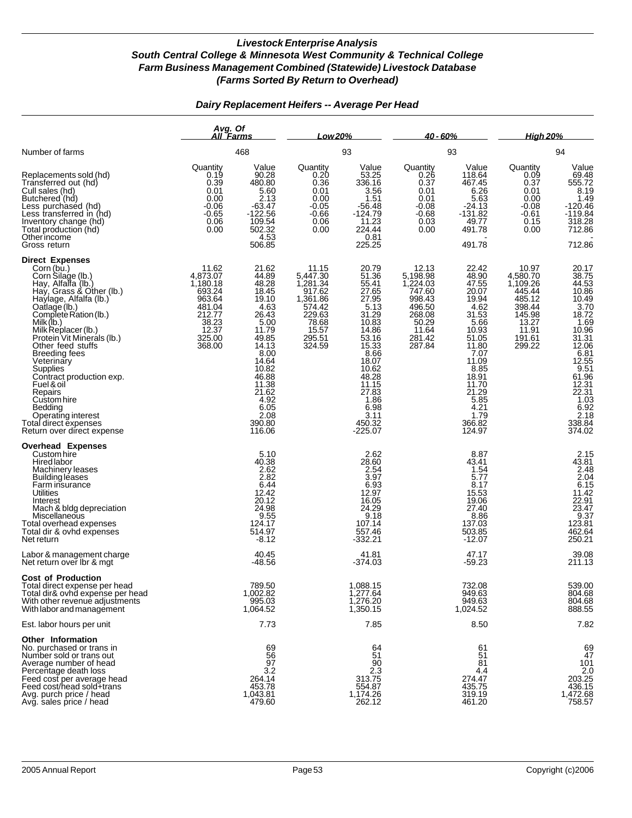#### *Dairy Replacement Heifers -- Average Per Head*

|                                                                                                                                                                                                                                                                                                                                                                                                                                                                                       | Avg. Of<br>All Farms                                                                                                     |                                                                                                                                                                                       | Low 20%                                                                                                              |                                                                                                                                                                                                                  | <u>40 - 60% </u>                                                                                            |                                                                                                                                                                                               | <b>High 20%</b>                                                                                             |                                                                                                                                                                                                                                      |
|---------------------------------------------------------------------------------------------------------------------------------------------------------------------------------------------------------------------------------------------------------------------------------------------------------------------------------------------------------------------------------------------------------------------------------------------------------------------------------------|--------------------------------------------------------------------------------------------------------------------------|---------------------------------------------------------------------------------------------------------------------------------------------------------------------------------------|----------------------------------------------------------------------------------------------------------------------|------------------------------------------------------------------------------------------------------------------------------------------------------------------------------------------------------------------|-------------------------------------------------------------------------------------------------------------|-----------------------------------------------------------------------------------------------------------------------------------------------------------------------------------------------|-------------------------------------------------------------------------------------------------------------|--------------------------------------------------------------------------------------------------------------------------------------------------------------------------------------------------------------------------------------|
| Number of farms                                                                                                                                                                                                                                                                                                                                                                                                                                                                       |                                                                                                                          | 468                                                                                                                                                                                   |                                                                                                                      | 93                                                                                                                                                                                                               |                                                                                                             | 93                                                                                                                                                                                            |                                                                                                             | 94                                                                                                                                                                                                                                   |
| Replacements sold (hd)<br>Transferred out (hd)<br>Cull sales (hd)<br>Butchered (hd)<br>Less purchased (hd)<br>Less transferred in (hd)<br>Inventory change (hd)<br>Total production (hd)<br>Other income<br>Gross return                                                                                                                                                                                                                                                              | Quantity<br>0.19<br>0.39<br>0.01<br>0.00<br>$-0.06$<br>$-0.65$<br>0.06<br>0.00                                           | Value<br>90.28<br>480.80<br>5.60<br>2.13<br>$-63.47$<br>$-122.56$<br>109.54<br>502.32<br>4.53<br>506.85                                                                               | Quantity<br>0.20<br>0.36<br>0.01<br>0.00<br>$-0.05$<br>$-0.66$<br>0.06<br>0.00                                       | Value<br>53.25<br>336.16<br>3.56<br>1.51<br>$-56.48$<br>$-124.79$<br>11.23<br>224.44<br>0.81<br>225.25                                                                                                           | Quantity<br>0.26<br>0.37<br>0.01<br>0.01<br>$-0.08$<br>$-0.68$<br>0.03<br>0.00                              | Value<br>118.64<br>467.45<br>6.26<br>5.63<br>$-24.13$<br>$-131.82$<br>49.77<br>491.78<br>491.78                                                                                               | Quantity<br>0.09<br>0.37<br>0.01<br>0.00<br>$-0.08$<br>$-0.61$<br>0.15<br>0.00                              | Value<br>$69.48$<br>555.72<br>8.19<br>1.49<br>$-120.46$<br>$-119.84$<br>318.28<br>712.86<br>712.86                                                                                                                                   |
| <b>Direct Expenses</b><br>Corn (bu.)<br>Corn Silage (lb.)<br>Hay, Alfalfa (lb.)<br>Hay, Grass & Other (lb.)<br>Haylage, Alfalfa (lb.)<br>Oatlage (lb.)<br>Complete Ration (lb.)<br>Milk (lb.)<br>Milk Replacer (lb.)<br>Protein Vit Minerals (lb.)<br>Other feed stuffs<br><b>Breeding fees</b><br>Veterinary<br>Supplies<br>Contract production exp.<br>Fuel & oil<br>Repairs<br>Custom hire<br>Bedding<br>Operating interest<br>Total direct expenses<br>Return over direct expense | 11.62<br>4,873.07<br>1,180.18<br>693.24<br>963.64<br>481.04<br>212.77<br>$\frac{12}{38.23}$<br>12.37<br>325.00<br>368.00 | 21.62<br>44.89<br>48.28<br>18.45<br>19.10<br>4.63<br>26.43<br>5.00<br>11.79<br>49.85<br>14.13<br>8.00<br>14.64<br>10.82<br>46.88<br>11.38<br>4.92<br>6.05<br>2.08<br>390.80<br>116.06 | 11.15<br>5,447.30<br>1,281.34<br>917.62<br>1,361.86<br>574.42<br>229.63<br>78.68<br>$\frac{15.57}{295.51}$<br>324.59 | 20.79<br>51.36<br>55.41<br>27.65<br>27.95<br>$\frac{5.13}{31.29}$<br>10.83<br>14.86<br>$\frac{13.38}{15.33}$<br>8.66<br>18.07<br>10.62<br>48.28<br>11.15<br>27.83<br>1.86<br>6.98<br>3.11<br>450.32<br>$-225.07$ | 12.13<br>5,198.98<br>1,224.03<br>747.60<br>998.43<br>496.50<br>268.08<br>50.29<br>11.64<br>281.42<br>287.84 | 22.42<br>48.90<br>47.55<br>20.07<br>19.94<br>4.62<br>31.53<br>5.66<br>10.93<br>51.05<br>11.80<br>7.07<br>11.09<br>8.85<br>18.91<br>11.70<br>21.29<br>5.85<br>4.21<br>1.79<br>366.82<br>124.97 | 10.97<br>4,580.70<br>1,109.26<br>445.44<br>485.12<br>398.44<br>145.98<br>13.27<br>11.91<br>191.61<br>299.22 | 20.17<br>38.75<br>44.53<br>10.86<br>10.49<br>13.72<br>18.72<br>10.96<br>31.31<br>31.31<br>$\frac{6.81}{12.55}$<br>9.51<br>61.96<br>12.31<br>22.31<br>$\begin{array}{c} 7.03 \\ 1.03 \\ 6.92 \\ 2.18 \end{array}$<br>338.84<br>374.02 |
| <b>Overhead Expenses</b><br>Custom hire<br>Hired labor<br>Machinery leases<br><b>Building leases</b><br>Farm insurance<br><b>Utilities</b><br>Interest<br>Mach & bldg depreciation<br>Miscellaneous<br>Total overhead expenses<br>Total dir & ovhd expenses<br>Net return                                                                                                                                                                                                             |                                                                                                                          | 5.10<br>40.38<br>2.62<br>2.82<br>$\frac{6.44}{12.42}$<br>20.12<br>24.98<br>9.55<br>124.17<br>514.97<br>$-8.12$                                                                        |                                                                                                                      | 2.62<br>28.60<br>2.54<br>3.97<br>6.93<br>12.97<br>16.05<br>24.29<br>9.18<br>107.14<br>557.46<br>$-332.21$                                                                                                        |                                                                                                             | 8.87<br>43.41<br>1.54<br>5.77<br>8.17<br>15.53<br>19.06<br>27.40<br>8.86<br>137.03<br>503.85<br>$-12.07$                                                                                      |                                                                                                             | 2.15<br>43.81<br>2.48<br>2.04<br>$6.15$<br>$11.42$<br>$22.91$<br>23.47<br>9.37<br>123.81<br>462.64<br>250.21                                                                                                                         |
| Labor & management charge<br>Net return over Ibr & mgt                                                                                                                                                                                                                                                                                                                                                                                                                                |                                                                                                                          | 40.45<br>-48.56                                                                                                                                                                       |                                                                                                                      | 41.81<br>-374.03                                                                                                                                                                                                 |                                                                                                             | 47.17<br>$-59.23$                                                                                                                                                                             |                                                                                                             | 39.08<br>211.13                                                                                                                                                                                                                      |
| <b>Cost of Production</b><br>Total direct expense per head<br>Total dir& ovhd expense per head<br>With other revenue adjustments<br>With labor and management                                                                                                                                                                                                                                                                                                                         |                                                                                                                          | 789.50<br>1,002.82<br>995.03<br>1,064.52                                                                                                                                              |                                                                                                                      | 1,088.15<br>1,277.64<br>1,276.20<br>1,350.15                                                                                                                                                                     |                                                                                                             | 732.08<br>949.63<br>949.63<br>1,024.52                                                                                                                                                        |                                                                                                             | 539.00<br>804.68<br>804.68<br>888.55                                                                                                                                                                                                 |
| Est. labor hours per unit                                                                                                                                                                                                                                                                                                                                                                                                                                                             |                                                                                                                          | 7.73                                                                                                                                                                                  |                                                                                                                      | 7.85                                                                                                                                                                                                             |                                                                                                             | 8.50                                                                                                                                                                                          |                                                                                                             | 7.82                                                                                                                                                                                                                                 |
| <b>Other Information</b><br>No. purchased or trans in<br>Number sold or trans out<br>Average number of head<br>Percentage death loss<br>Feed cost per average head<br>Feed cost/head sold+trans<br>Avg. purch price / head<br>Avg. sales price / head                                                                                                                                                                                                                                 |                                                                                                                          | 69<br>56<br>97<br>3.2<br>264.14<br>453.78<br>1,043.81<br>479.60                                                                                                                       |                                                                                                                      | 64<br>51<br>90<br>$2.\overline{3}$<br>313.75<br>554.87<br>1,174.26<br>262.12                                                                                                                                     |                                                                                                             | 61<br>51<br>81<br>4.4<br>274.47<br>435.75<br>319.19<br>461.20                                                                                                                                 |                                                                                                             | 69<br>47<br>101<br>203.25<br>436.15<br>1,472.68<br>758.57                                                                                                                                                                            |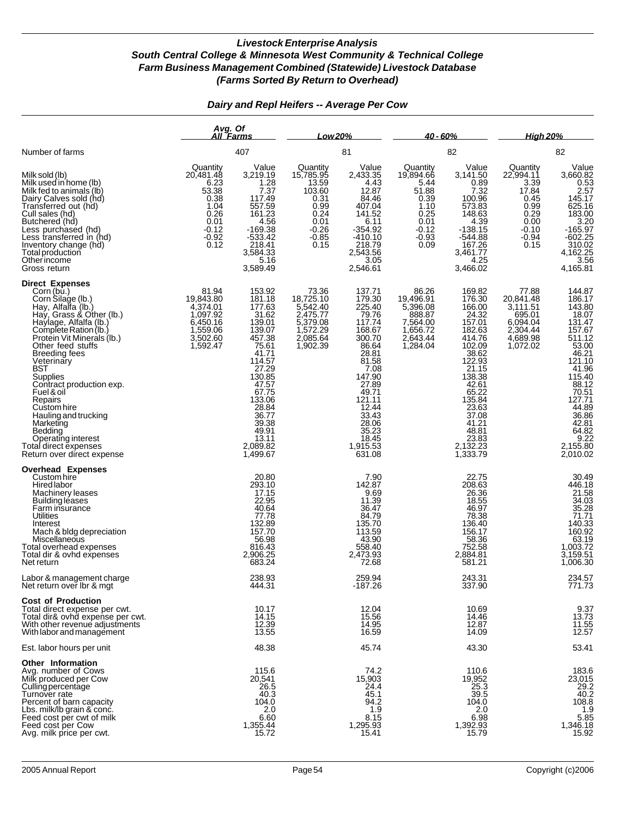#### *Dairy and Repl Heifers -- Average Per Cow*

|                                                                                                                                                                                                                                                                                                                                                                                                                                                                                    | Avg. Of<br>All Farms                                                                                   |                                                                                                                                                                                                                   | Low 20%                                                                                                                                 |                                                                                                                                                                                                               | $40 - 60%$                                                                                             |                                                                                                                                                                                                                    | <u>High 20%</u>                                                                                      |                                                                                                                                                                                                             |
|------------------------------------------------------------------------------------------------------------------------------------------------------------------------------------------------------------------------------------------------------------------------------------------------------------------------------------------------------------------------------------------------------------------------------------------------------------------------------------|--------------------------------------------------------------------------------------------------------|-------------------------------------------------------------------------------------------------------------------------------------------------------------------------------------------------------------------|-----------------------------------------------------------------------------------------------------------------------------------------|---------------------------------------------------------------------------------------------------------------------------------------------------------------------------------------------------------------|--------------------------------------------------------------------------------------------------------|--------------------------------------------------------------------------------------------------------------------------------------------------------------------------------------------------------------------|------------------------------------------------------------------------------------------------------|-------------------------------------------------------------------------------------------------------------------------------------------------------------------------------------------------------------|
| Number of farms                                                                                                                                                                                                                                                                                                                                                                                                                                                                    |                                                                                                        | 407                                                                                                                                                                                                               |                                                                                                                                         | 81                                                                                                                                                                                                            |                                                                                                        | 82                                                                                                                                                                                                                 |                                                                                                      | 82                                                                                                                                                                                                          |
| Milk sold (lb)<br>Milk used in home (lb)<br>Milk fed to animals (lb)<br>Dairy Calves sold (hd)<br>Transferred out (hd)<br>Cull sales (hd)<br>Butchered (hd)<br>Less purchased (hd)<br>Less transferred in (hd)<br>Inventory change (hd)<br>Total production<br>Otherincome<br>Gross return                                                                                                                                                                                         | Quantity<br>20,481.48<br>6.23<br>53.38<br>0.38<br>1.04<br>0.26<br>0.01<br>$-0.12$<br>$-0.92$<br>$0.12$ | Value<br>3,219.19<br>1.28<br>7.37<br>117.49<br>557.59<br>161.23<br>4.56<br>$-169.38$<br>$-533.42$<br>218.41<br>3,584.33<br>5.16<br>3,589.49                                                                       | Quantity<br>15,785.95<br>13.59<br>103.60<br>$\begin{array}{c} 0.31 \\ 0.99 \end{array}$<br>0.24<br>0.01<br>$-0.26$<br>$-0.85$<br>$0.15$ | Value<br>2,433.35<br>4.43<br>12.87<br>84.46<br>407.04<br>141.52<br>6.11<br>$-354.92$<br>$-410.10$<br>218.79<br>2,543.56<br>3.05<br>2,546.61                                                                   | Quantity<br>19,894.66<br>5.44<br>51.88<br>0.39<br>1.10<br>0.25<br>0.01<br>$-0.12$<br>$-0.93$<br>$0.09$ | Value<br>3,141.50<br>0.89<br>7.32<br>100.96<br>573.83<br>148.63<br>4.39<br>$-138.15$<br>$-544.88$<br>167.26<br>3,461.77<br>4.25<br>3,466.02                                                                        | Quantity<br>22,994.11<br>3.39<br>17.84<br>0.45<br>0.99<br>0.29<br>0.00<br>$-0.10$<br>$-0.94$<br>0.15 | Value<br>3,660.82<br>0.53<br>2.57<br>145.17<br>625.16<br>$\begin{array}{r} 623.16 \\ 183.00 \\ 3.20 \\ -165.97 \\ -602.25 \\ 310.02 \\ 4,162.25 \end{array}$<br>3.56<br>4,165.81                            |
| <b>Direct Expenses</b><br>Corn (bu.)<br>Corn Silage (lb.)<br>Hay, Alfalfa (lb.)<br>Hay, Grass & Other (lb.)<br>Haylage, Alfalfa (lb.)<br>Complete Ration (lb.)<br>Protein Vit Minerals (lb.)<br>Other feed stuffs<br><b>Breeding fees</b><br>Veterinary<br><b>BST</b><br>Supplies<br>Contract production exp.<br>Fuel & oil<br>Repairs<br>Custom hire<br>Hauling and trucking<br>Marketing<br>Bedding<br>Operating interest<br>Total direct expenses<br>Return over direct expense | 81.94<br>19,843.80<br>4,374.01<br>1,097.92<br>6,450.16<br>1,559.06<br>3,502.60<br>1,592.47             | 153.92<br>181.18<br>177.63<br>31.62<br>139.01<br>139.07<br>457.38<br>75.61<br>41.71<br>114.57<br>27.29<br>130.85<br>47.57<br>67.75<br>133.06<br>28.84<br>36.77<br>39.38<br>49.91<br>13.11<br>2,089.82<br>1,499.67 | 73.36<br>18,725.10<br>5,542.40<br>2,475.77<br>5,379.08<br>5,379.08<br>1,572.29<br>2,085.64<br>1,902.39                                  | 137.71<br>179.30<br>225.40<br>79.76<br>117.74<br>168.67<br>300.70<br>86.64<br>28.81<br>81.58<br>7.08<br>147.90<br>27.89<br>49.71<br>121.11<br>12.44<br>33.43<br>28.06<br>35.23<br>18.45<br>1,915.53<br>631.08 | 86.26<br>19,496.91<br>5,396.08<br>888.87<br>7,564.00<br>1,656.72<br>2,643.44<br>1,284.04               | 169.82<br>176.30<br>166.00<br>24.32<br>157.01<br>182.63<br>414.76<br>102.09<br>38.62<br>122.93<br>21.15<br>138.38<br>42.61<br>65.22<br>135.84<br>23.63<br>37.08<br>41.21<br>48.81<br>23.83<br>2,132.23<br>1,333.79 | 77.88<br>20,841.48<br>3,111.51<br>695.01<br>6,094.04<br>2,304.44<br>4,689.98<br>1,072.02             | 144.87<br>186.17<br>143.80<br>131.47<br>$157.67511.1253.0046.21121.10$<br>41.96<br>115.40<br>$\frac{88.12}{70.51}$<br>127.71<br>$\frac{44.89}{36.86}$<br>42.81<br>$64.82$<br>$9.22$<br>2,155.80<br>2,010.02 |
| <b>Overhead Expenses</b><br>Custom hire<br>Hired labor<br>Machinery leases<br>Building leases<br>Farm insurance<br>Utilities<br>Interest<br>Mach & bldg depreciation<br>Miscellaneous<br>Total overhead expenses<br>Total dir & ovhd expenses<br>Net return                                                                                                                                                                                                                        |                                                                                                        | 20.80<br>293.10<br>17.15<br>22.95<br>40.64<br>77.78<br>132.89<br>157.70<br>56.98<br>816.43<br>2,906.25<br>683.24                                                                                                  |                                                                                                                                         | 7.90<br>142.87<br>9.69<br>11.39<br>36.47<br>84.79<br>135.70<br>113.59<br>43.90<br>558.40<br>2,473.93<br>72.68                                                                                                 |                                                                                                        | 22.75<br>208.63<br>26.36<br>18.55<br>46.97<br>78.38<br>136.40<br>156.17<br>58.36<br>752.58<br>2,884.81<br>581.21                                                                                                   |                                                                                                      | 30.49<br>446.18<br>$\frac{21.58}{34.03}$<br>35.28<br>71.71<br>$140.33$<br>160.92<br>63.19<br>1,003.72<br>3,159.51<br>1,006.30                                                                               |
| Labor & management charge<br>Net return over Ibr & mgt                                                                                                                                                                                                                                                                                                                                                                                                                             |                                                                                                        | 238.93<br>444.31                                                                                                                                                                                                  |                                                                                                                                         | 259.94<br>$-187.26$                                                                                                                                                                                           |                                                                                                        | 243.31<br>337.90                                                                                                                                                                                                   |                                                                                                      | 234.57<br>771.73                                                                                                                                                                                            |
| <b>Cost of Production</b><br>Total direct expense per cwt.<br>Total dir& ovhd expense per cwt.<br>With other revenue adjustments<br>With labor and management                                                                                                                                                                                                                                                                                                                      |                                                                                                        | 10.17<br>14.15<br>12.39<br>13.55                                                                                                                                                                                  |                                                                                                                                         | 12.04<br>15.56<br>14.95<br>16.59                                                                                                                                                                              |                                                                                                        | 10.69<br>14.46<br>12.87<br>14.09                                                                                                                                                                                   |                                                                                                      | $9.37$<br>$13.73$<br>$11.55$<br>12.57                                                                                                                                                                       |
| Est. labor hours per unit                                                                                                                                                                                                                                                                                                                                                                                                                                                          |                                                                                                        | 48.38                                                                                                                                                                                                             |                                                                                                                                         | 45.74                                                                                                                                                                                                         |                                                                                                        | 43.30                                                                                                                                                                                                              |                                                                                                      | 53.41                                                                                                                                                                                                       |
| <b>Other Information</b><br>Avg. number of Cows<br>Milk produced per Cow<br>Culling percentage<br>Turnover rate<br>Percent of barn capacity<br>Lbs. milk/lb grain & conc.<br>Feed cost per cwt of milk<br>Feed cost per Cow<br>Avg. milk price per cwt.                                                                                                                                                                                                                            |                                                                                                        | 115.6<br>20,541<br>26.5<br>40.3<br>104.0<br>2.0<br>6.60<br>1,355.44<br>15.72                                                                                                                                      |                                                                                                                                         | 74.2<br>15,903<br>24.4<br>45.1<br>94.2<br>1.9<br>8.15<br>1,295.93<br>15.41                                                                                                                                    |                                                                                                        | 110.6<br>19,952<br>25.3<br>39.5<br>104.0<br>2.0<br>6.98<br>1,392.93<br>15.79                                                                                                                                       |                                                                                                      | 183.6<br>23,015<br>$^{29.2}_{40.2}$<br>108.8<br>1.9<br>5.85<br>1,346.18<br>15.92                                                                                                                            |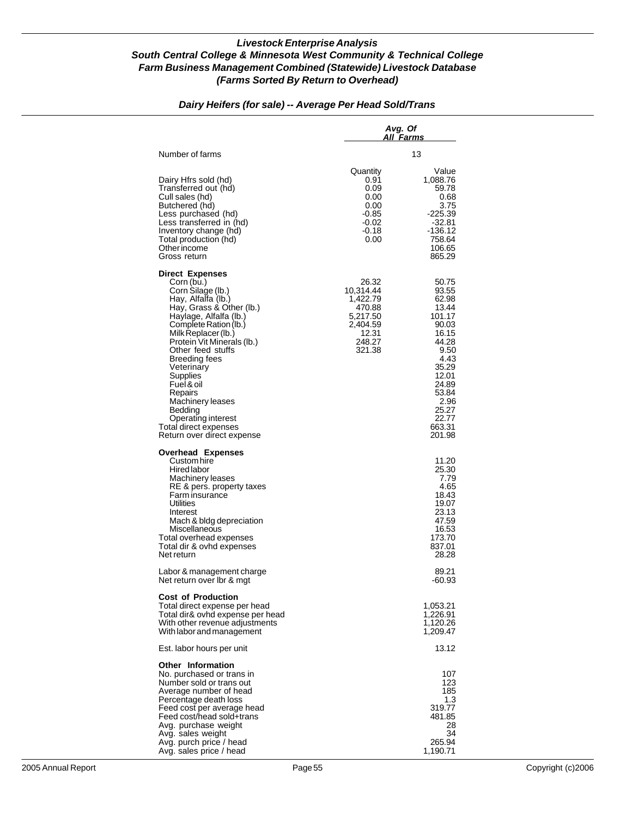#### *Avg. Of All Farms* Number of farms 13 Quantity Value<br>0.91 1,088.76 Dairy Hfrs sold (hd)  $0.91$  1,088.76<br>Transferred out (hd)  $0.09$  59.78 Transferred out (hd) 0.09 59.78 Cull sales (hd)  $0.68$ <br>Butchered (hd)  $0.00$  0.00 0.75 Butchered (hd) 0.00 3.75 Less purchased (hd) -0.85 -225.39 Less transferred in (hd)  $-0.02$  -32.81<br>Inventory change (hd)  $-0.18$  -136.12 Inventory change (hd)  $\overline{1}$  -0.18 -136.12<br>Total production (hd) -10.00 - 158.64 Total production (hd)  $\frac{758.64}{0.00}$  758.64 Other income the contract of the contract of the contract of the contract of the contract of the contract of the contract of the contract of the contract of the contract of the contract of the contract of the contract of t Gross return **Direct Expenses** Corn (bu.) 26.32 50.75<br>
Corn Silage (lb.) 26.32 50.75 Corn Silage (lb.) 10,314.44 93.55 Hay, Alfalfa (lb.) 1,422.79 62.98 Hay, Grass & Other (lb.) 470.88 13.44 Haylage, Alfalfa (lb.)  $\qquad \qquad 5,217.50$  101.17<br>Complete Ration (lb.) 2,404.59 90.03 Complete Ration (lb.) 2,404.59 90.03 Milk Replacer (lb.) 12.31 16.15 Protein Vit Minerals (lb.) 248.27 44.28 Other feed stuffs  $\sim$  321.38 9.50<br>Breeding fees 4.43 Breeding fees 4.43<br>
Veterinary 1990 - 1990 - 1991 - 1992 - 1993 - 1994 - 1995 - 1998 - 1999 - 1999 - 1999 - 1999 - 1999 - 1999 - 1<br>
25.29 Veterinary 35.29 Supplies 12.01 (12.01 Supplies 12.01 Supplies 12.01 Supplies 12.01 Supplies 12.01 Supplies 12.01 Supplies 12.01 Supplies 12.01 Supplies 12.01 Supplies 12.01 Supplies 12.01 Supplies 12.01 Supplies 12.01 Supplies 12.01 Suppl Fuel & oil 24.89 Repairs 53.84 Machinery leases 2.96<br>Bedding 25.27 Bedding 25.27 Operating interest 22.77<br>tal direct expenses 663.31 Total direct expenses 663.31 Return over direct expense **Overhead Expenses** Custom hire 11.20<br>
Hired labor 11.20<br>
Machinery leases 7.79 Hired labor Machinery leases 7.79<br>RE & pers. property taxes 7.79 RE & pers. property taxes 4.65 Farm insurance 18.43<br>Utilities 19.07 Utilities **19.07** Interest 23.13 Mach & bldg depreciation 47.59<br>Miscellaneous 16.53 Miscellaneous 16.53<br>And overhead expenses the contract of the contract of the 173.70 Total overhead expenses 173.70<br>Total dir & ovhd expenses 1837.01 Total dir & ovhd expenses 837.01 Net return Labor & management charge 89.21 and 89.21 and 89.21 and 89.21 and 89.21 and 89.21 and 89.21 and 89.21 and 89.21 and 89.21 and 89.93 and 89.93 and 89.93 and 89.93 and 89.93 and 89.93 and 89.93 and 89.93 and 89.93 and 89.93 Net return over lbr & mgt **Cost of Production** Total direct expense per head<br>
1,053.21<br>
1,226.91<br>
1,226.91 Total dir& ovhd expense per head 1,226.91<br>With other revenue adjustments 1,120.26 With other revenue adjustments 1,120.26 and 1,120.26 and 1,120.26<br>With labor and management With labor and management Est. labor hours per unit 13.12 **Other Information** No. purchased or trans in 107<br>Number sold or trans out 123 Number sold or trans out 123<br>Average number of head 185 Average number of head 185 and 185 and 186 and 186 and 186 and 185 and 186 and 186 and 186 and 186 and 186 and<br>Percentage death loss 1.3 and 1.3 and 1.3 and 1.3 and 1.3 and 1.3 and 1.3 and 1.3 and 1.3 and 1.3 and 1.3 and 1 Percentage death loss 1.3<br>
Peed cost per average head 1.319.77 Feed cost per average head 319.77 Feed cost/head sold+trans 481.85 Avg. purchase weight 28<br>
Avg. sales weight 29<br>
28<br>
29 Avg. sales weight  $\frac{34}{265.94}$ Avg. purch price / head 265.94<br>Avg. sales price / head 1,190.71 Avg. sales price / head

#### *Dairy Heifers (for sale) -- Average Per Head Sold/Trans*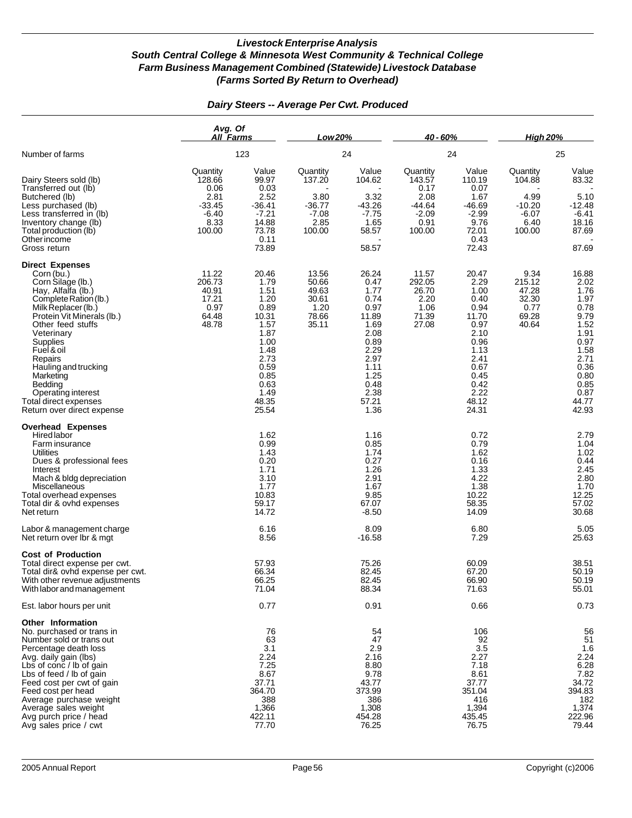|                                                                                                                                                                                                                                                                                                                                                                    | Avg. Of<br>All Farms                                                        |                                                                                                                                          | Low 20%                                                             |                                                                                                                                         | 40 - 60%                                                                  |                                                                                                                                          | <b>High 20%</b>                                                     |                                                                                                                                         |
|--------------------------------------------------------------------------------------------------------------------------------------------------------------------------------------------------------------------------------------------------------------------------------------------------------------------------------------------------------------------|-----------------------------------------------------------------------------|------------------------------------------------------------------------------------------------------------------------------------------|---------------------------------------------------------------------|-----------------------------------------------------------------------------------------------------------------------------------------|---------------------------------------------------------------------------|------------------------------------------------------------------------------------------------------------------------------------------|---------------------------------------------------------------------|-----------------------------------------------------------------------------------------------------------------------------------------|
| Number of farms                                                                                                                                                                                                                                                                                                                                                    |                                                                             | 123                                                                                                                                      |                                                                     | 24                                                                                                                                      | 24                                                                        |                                                                                                                                          | 25                                                                  |                                                                                                                                         |
| Dairy Steers sold (lb)<br>Transferred out (lb)<br>Butchered (lb)<br>Less purchased (lb)<br>Less transferred in (lb)<br>Inventory change (lb)<br>Total production (lb)<br>Other income<br>Gross return                                                                                                                                                              | Quantity<br>128.66<br>0.06<br>2.81<br>$-33.45$<br>$-6.40$<br>8.33<br>100.00 | Value<br>99.97<br>0.03<br>2.52<br>$-36.41$<br>$-7.21$<br>14.88<br>73.78<br>0.11<br>73.89                                                 | Quantity<br>137.20<br>3.80<br>$-36.77$<br>$-7.08$<br>2.85<br>100.00 | Value<br>104.62<br>3.32<br>$-43.26$<br>$-7.75$<br>1.65<br>58.57<br>58.57                                                                | Quantity<br>143.57<br>0.17<br>2.08<br>-44.64<br>$-2.09$<br>0.91<br>100.00 | Value<br>110.19<br>0.07<br>1.67<br>$-46.69$<br>$-2.99$<br>9.76<br>72.01<br>0.43<br>72.43                                                 | Quantity<br>104.88<br>4.99<br>$-10.20$<br>$-6.07$<br>6.40<br>100.00 | Value<br>83.32<br>5.10<br>$-12.48$<br>$-6.41$<br>18.16<br>87.69<br>87.69                                                                |
| <b>Direct Expenses</b><br>Corn (bu.)<br>Corn Silage (lb.)<br>Hay, Alfalfa (lb.)<br>Complete Ration (lb.)<br>Milk Replacer (lb.)<br>Protein Vit Minerals (lb.)<br>Other feed stuffs<br>Veterinary<br>Supplies<br>Fuel & oil<br>Repairs<br>Hauling and trucking<br>Marketing<br>Bedding<br>Operating interest<br>Total direct expenses<br>Return over direct expense | 11.22<br>206.73<br>40.91<br>17.21<br>0.97<br>64.48<br>48.78                 | 20.46<br>1.79<br>1.51<br>1.20<br>0.89<br>10.31<br>1.57<br>1.87<br>1.00<br>1.48<br>2.73<br>0.59<br>0.85<br>0.63<br>1.49<br>48.35<br>25.54 | 13.56<br>50.66<br>49.63<br>30.61<br>1.20<br>78.66<br>35.11          | 26.24<br>0.47<br>1.77<br>0.74<br>0.97<br>11.89<br>1.69<br>2.08<br>0.89<br>2.29<br>2.97<br>1.11<br>1.25<br>0.48<br>2.38<br>57.21<br>1.36 | 11.57<br>292.05<br>26.70<br>2.20<br>1.06<br>71.39<br>27.08                | 20.47<br>2.29<br>1.00<br>0.40<br>0.94<br>11.70<br>0.97<br>2.10<br>0.96<br>1.13<br>2.41<br>0.67<br>0.45<br>0.42<br>2.22<br>48.12<br>24.31 | 9.34<br>215.12<br>47.28<br>32.30<br>0.77<br>69.28<br>40.64          | 16.88<br>2.02<br>1.76<br>1.97<br>0.78<br>9.79<br>1.52<br>1.91<br>0.97<br>1.58<br>2.71<br>0.36<br>0.80<br>0.85<br>0.87<br>44.77<br>42.93 |
| <b>Overhead Expenses</b><br>Hired labor<br>Farm insurance<br>Utilities<br>Dues & professional fees<br>Interest<br>Mach & bldg depreciation<br>Miscellaneous<br>Total overhead expenses<br>Total dir & ovhd expenses<br>Net return                                                                                                                                  |                                                                             | 1.62<br>0.99<br>1.43<br>0.20<br>1.71<br>3.10<br>1.77<br>10.83<br>59.17<br>14.72                                                          |                                                                     | 1.16<br>0.85<br>1.74<br>0.27<br>1.26<br>2.91<br>1.67<br>9.85<br>67.07<br>$-8.50$                                                        |                                                                           | 0.72<br>0.79<br>1.62<br>0.16<br>1.33<br>4.22<br>1.38<br>10.22<br>58.35<br>14.09                                                          |                                                                     | 2.79<br>1.04<br>1.02<br>0.44<br>2.45<br>2.80<br>1.70<br>12.25<br>57.02<br>30.68                                                         |
| Labor & management charge<br>Net return over Ibr & mgt                                                                                                                                                                                                                                                                                                             |                                                                             | 6.16<br>8.56                                                                                                                             |                                                                     | 8.09<br>$-16.58$                                                                                                                        |                                                                           | 6.80<br>7.29                                                                                                                             |                                                                     | 5.05<br>25.63                                                                                                                           |
| <b>Cost of Production</b><br>Total direct expense per cwt.<br>Total dir& ovhd expense per cwt.<br>With other revenue adjustments<br>With labor and management                                                                                                                                                                                                      |                                                                             | 57.93<br>66.34<br>66.25<br>71.04                                                                                                         |                                                                     | 75.26<br>82.45<br>82.45<br>88.34                                                                                                        |                                                                           | 60.09<br>67.20<br>66.90<br>71.63                                                                                                         |                                                                     | 38.51<br>50.19<br>50.19<br>55.01                                                                                                        |
| Est. labor hours per unit                                                                                                                                                                                                                                                                                                                                          |                                                                             | 0.77                                                                                                                                     |                                                                     | 0.91                                                                                                                                    |                                                                           | 0.66                                                                                                                                     |                                                                     | 0.73                                                                                                                                    |
| Other Information<br>No. purchased or trans in<br>Number sold or trans out<br>Percentage death loss<br>Avg. daily gain (lbs)<br>Lbs of conc / lb of gain<br>Lbs of feed / lb of gain<br>Feed cost per cwt of gain<br>Feed cost per head<br>Average purchase weight<br>Average sales weight<br>Avg purch price / head<br>Avg sales price / cwt                      |                                                                             | 76<br>63<br>3.1<br>2.24<br>7.25<br>8.67<br>37.71<br>364.70<br>388<br>1,366<br>422.11<br>77.70                                            |                                                                     | 54<br>47<br>2.9<br>2.16<br>8.80<br>9.78<br>43.77<br>373.99<br>386<br>1,308<br>454.28<br>76.25                                           |                                                                           | 106<br>92<br>3.5<br>2.27<br>7.18<br>8.61<br>37.77<br>351.04<br>416<br>1,394<br>435.45<br>76.75                                           |                                                                     | 56<br>51<br>1.6<br>2.24<br>6.28<br>7.82<br>34.72<br>394.83<br>182<br>1,374<br>222.96<br>79.44                                           |

### *Dairy Steers -- Average Per Cwt. Produced*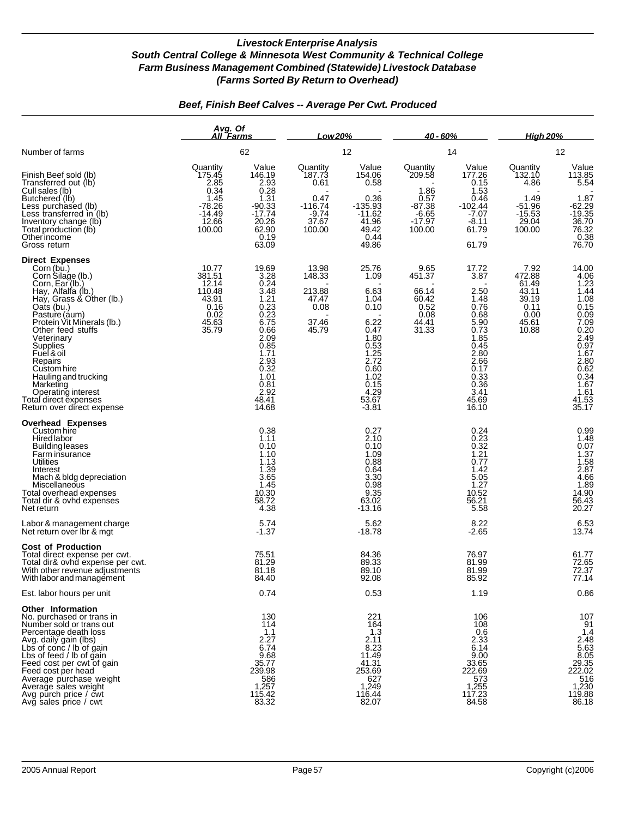### *Beef, Finish Beef Calves -- Average Per Cwt. Produced*

|                                                                                                                                                                                                                                                                                                                                                                                                      | Avg. Of<br>All Farms                                                                  |                                                                                                                                                                      | Low 20%                                                                       |                                                                                                                                                  | $40 - 60%$                                                                      |                                                                                                                                                 | <u>High 20%</u>                                                               |                                                                                                                                                                               |
|------------------------------------------------------------------------------------------------------------------------------------------------------------------------------------------------------------------------------------------------------------------------------------------------------------------------------------------------------------------------------------------------------|---------------------------------------------------------------------------------------|----------------------------------------------------------------------------------------------------------------------------------------------------------------------|-------------------------------------------------------------------------------|--------------------------------------------------------------------------------------------------------------------------------------------------|---------------------------------------------------------------------------------|-------------------------------------------------------------------------------------------------------------------------------------------------|-------------------------------------------------------------------------------|-------------------------------------------------------------------------------------------------------------------------------------------------------------------------------|
| Number of farms                                                                                                                                                                                                                                                                                                                                                                                      |                                                                                       | 62                                                                                                                                                                   |                                                                               | 12                                                                                                                                               |                                                                                 | 14                                                                                                                                              | 12                                                                            |                                                                                                                                                                               |
| Finish Beef sold (lb)<br>Transferred out (lb)<br>Cull sales (lb)<br>Butchered (lb)<br>Less purchased (lb)<br>Less transferred in (lb)<br>Inventory change (lb)<br>Total production (lb)<br>Otherincome<br>Gross return                                                                                                                                                                               | Quantity<br>175.45<br>2.85<br>0.34<br>1.45<br>$-78.26$<br>$-14.49$<br>12.66<br>100.00 | Value<br>146.19<br>2.93<br>0.28<br>1.31<br>$-90.33$<br>$-17.74$<br>20.26<br>62.90<br>0.19<br>63.09                                                                   | Quantity<br>187.73<br>0.61<br>0.47<br>$-116.74$<br>$-9.74$<br>37.67<br>100.00 | Value<br>154.06<br>0.58<br>0.36<br>$-135.93$<br>$-11.62$<br>41.96<br>49.42<br>0.44<br>49.86                                                      | Quantity<br>209.58<br>1.86<br>0.57<br>$-87.38$<br>$-6.65$<br>$-17.97$<br>100.00 | Value<br>177.26<br>0.15<br>1.53<br>0.46<br>$-102.44$<br>$-7.07$<br>-8.11<br>61.79<br>61.79                                                      | Quantity<br>132.10<br>4.86<br>1.49<br>$-51.96$<br>$-15.53$<br>29.04<br>100.00 | Value<br>113.85<br>5.54<br>1.87<br>$-62.29$<br>$-19.35$<br>$36.70$<br>$76.32$<br>$0.38$<br>$76.70$                                                                            |
| <b>Direct Expenses</b><br>Corn (bu.)<br>Corn Silage (lb.)<br>Corn, Ear (lb.)<br>Hay, Alfalfa (lb.)<br>Hay, Grass & Other (lb.)<br>Oats (bu.)<br>Pasture (aum)<br>Protein Vit Minerals (lb.)<br>Other feed stuffs<br>Veterinary<br>Supplies<br>Fuel & oil<br>Repairs<br>Custom hire<br>Hauling and trucking<br>Marketing<br>Operating interest<br>Total direct expenses<br>Return over direct expense | 10.77<br>381.51<br>12.14<br>110.48<br>43.91<br>0.16<br>0.02<br>45.63<br>35.79         | 19.69<br>3.28<br>0.24<br>3.48<br>1.21<br>$0.\overline{2}3$<br>0.23<br>6.75<br>0.66<br>2.09<br>0.85<br>1.71<br>2.93<br>0.32<br>1.01<br>0.81<br>2.92<br>48.41<br>14.68 | 13.98<br>148.33<br>213.88<br>47.47<br>0.08<br>37.46<br>45.79                  | 25.76<br>1.09<br>6.63<br>1.04<br>0.10<br>6.22<br>0.47<br>1.80<br>0.53<br>$\frac{1.25}{2.72}$<br>0.60<br>1.02<br>0.15<br>4.29<br>53.67<br>$-3.81$ | 9.65<br>451.37<br>66.14<br>60.42<br>0.52<br>0.08<br>44.41<br>31.33              | 17.72<br>3.87<br>2.50<br>1.48<br>0.76<br>0.68<br>5.90<br>0.73<br>1.85<br>0.45<br>2.80<br>2.66<br>0.17<br>0.33<br>0.36<br>3.41<br>45.69<br>16.10 | 7.92<br>472.88<br>61.49<br>43.11<br>39.19<br>0.11<br>0.00<br>45.61<br>10.88   | 14.00<br>$4.06$<br>$1.23$<br>$1.44$<br>1.08<br>$0.15$<br>$0.09$<br>$7.09$<br>$0.20$<br>$2.49$<br>$0.97$<br>$1.67$<br>$2.80$<br>0.62<br>0.34<br>1.67<br>1.61<br>41.53<br>35.17 |
| <b>Overhead Expenses</b><br>Custom hire<br>Hired labor<br>Building leases<br>Farm insurance<br>Utilities<br>Interest<br>Mach & bldg depreciation<br>Miscellaneous<br>Total overhead expenses<br>Total dir & ovhd expenses<br>Net return                                                                                                                                                              |                                                                                       | 0.38<br>1.11<br>0.10<br>1.10<br>1.13<br>1.39<br>3.65<br>1.45<br>10.30<br>58.72<br>4.38                                                                               |                                                                               | 0.27<br>2.10<br>0.10<br>1.09<br>0.88<br>0.64<br>3.30<br>0.98<br>9.35<br>63.02<br>$-13.16$                                                        |                                                                                 | 0.24<br>0.23<br>0.32<br>1.21<br>0.77<br>1.42<br>5.05<br>1.27<br>10.52<br>56.21<br>5.58                                                          |                                                                               | $0.99$<br>$1.48$<br>$0.07$<br>$1.37$<br>$1.58$<br>$2.87$<br>4.66<br>1.89<br>14.90<br>56.43<br>20.27                                                                           |
| Labor & management charge<br>Net return over Ibr & mgt                                                                                                                                                                                                                                                                                                                                               |                                                                                       | 5.74<br>$-1.37$                                                                                                                                                      |                                                                               | 5.62<br>$-18.78$                                                                                                                                 |                                                                                 | 8.22<br>$-2.65$                                                                                                                                 |                                                                               | 6.53<br>13.74                                                                                                                                                                 |
| <b>Cost of Production</b><br>Total direct expense per cwt.<br>Total dir& ovhd expense per cwt.<br>With other revenue adjustments<br>With labor and management                                                                                                                                                                                                                                        |                                                                                       | 75.51<br>81.29<br>81.18<br>84.40                                                                                                                                     |                                                                               | 84.36<br>89.33<br>89.10<br>92.08                                                                                                                 |                                                                                 | 76.97<br>81.99<br>81.99<br>85.92                                                                                                                |                                                                               | 61.77<br>72.65<br>72.37<br>77.14                                                                                                                                              |
| Est. labor hours per unit                                                                                                                                                                                                                                                                                                                                                                            |                                                                                       | 0.74                                                                                                                                                                 |                                                                               | 0.53                                                                                                                                             |                                                                                 | 1.19                                                                                                                                            |                                                                               | 0.86                                                                                                                                                                          |
| Other Information<br>No. purchased or trans in<br>Number sold or trans out<br>Percentage death loss<br>Avg. daily gain (lbs)<br>Lbs of conc / lb of gain<br>Lbs of feed / lb of gain<br>Feed cost per cwt of gain<br>Feed cost per head<br>Average purchase weight<br>Average sales weight<br>Avg purch price / cwt<br>Avg sales price / cwt                                                         |                                                                                       | 130<br>114<br>1.1<br>2.27<br>6.74<br>9.68<br>35.77<br>239.98<br>586<br>1,257<br>115.42<br>83.32                                                                      |                                                                               | 221<br>164<br>1.3<br>2.11<br>8.23<br>11.49<br>41.31<br>253.69<br>627<br>1,249<br>116.44<br>82.07                                                 |                                                                                 | 106<br>108<br>0.6<br>2.33<br>6.14<br>9.00<br>33.65<br>222.69<br>573<br>1,255<br>117.23<br>84.58                                                 |                                                                               | 107<br>91<br>1.4<br>$2.\overline{48}$<br>5.63<br>8.05<br>29.35<br>222.02<br>516<br>1,230<br>119.88<br>86.18                                                                   |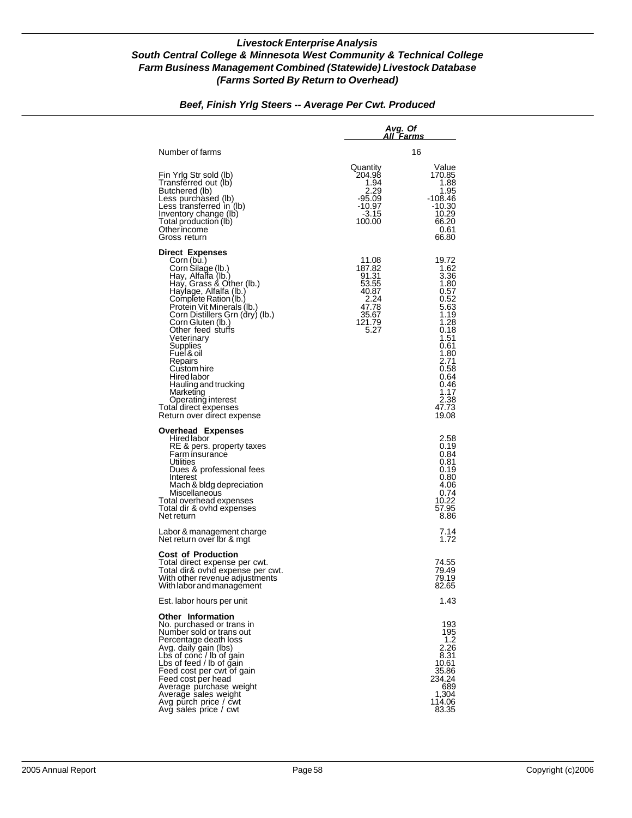### *Beef, Finish Yrlg Steers -- Average Per Cwt. Produced*

|                                                                                                                                                                                                                                                                                                                                                                                                                                                                              | Avg. Of                                                                                | All Farms                                                                                                                                                               |
|------------------------------------------------------------------------------------------------------------------------------------------------------------------------------------------------------------------------------------------------------------------------------------------------------------------------------------------------------------------------------------------------------------------------------------------------------------------------------|----------------------------------------------------------------------------------------|-------------------------------------------------------------------------------------------------------------------------------------------------------------------------|
| Number of farms                                                                                                                                                                                                                                                                                                                                                                                                                                                              |                                                                                        | 16                                                                                                                                                                      |
| Fin Yrig Str sold (lb)<br>Transferred out (lb)<br>Butchered (lb)<br>Less purchased (lb)<br>Less transferred in (lb)<br>Inventory change (lb)<br>Total production (lb)<br>Other income<br>Gross return                                                                                                                                                                                                                                                                        | Quantity<br>204.98<br>1.94<br>2.29<br>$-95.09$<br>-10.97<br>-3.15<br>100.00            | Value<br>170.85<br>1.88<br>1.95<br>-108.46<br>$-10.30$<br>10.29<br>66.20<br>0.61<br>66.80                                                                               |
| <b>Direct Expenses</b><br>Corn (bu.)<br>Corn Silage (lb.)<br>Hay, Alfalfa (lb.)<br>Hay, Grass & Other (lb.)<br>Haylage, Alfalfa (lb.)<br>Complete Ration (lb.)<br>Protein Vit Minerals (Ib.)<br>Corn Distillers Grn (dry) (lb.)<br>Corn Gluten (lb.)<br>Other feed stuffs<br>Veterinary<br>Supplies<br>Fuel & oil<br>Repairs<br>Custom hire<br>Hired labor<br>Hauling and trucking<br>Marketing<br>Operating interest<br>Total direct expenses<br>Return over direct expense | 11.08<br>187.82<br>91.31<br>53.55<br>40.87<br>2.24<br>47.78<br>35.67<br>121.79<br>5.27 | 19.72<br>1.62<br>3.36<br>1.80<br>0.57<br>0.52<br>5.63<br>1.19<br>1.28<br>0.18<br>1.51<br>0.61<br>1.80<br>2.71<br>0.58<br>0.64<br>0.46<br>1.17<br>2.38<br>47.73<br>19.08 |
| <b>Overhead Expenses</b><br>Hired labor<br>RE & pers. property taxes<br>Farm insurance<br>Utilities<br>Dues & professional fees<br>Interest<br>Mach & bidg depreciation<br>Miscellaneous<br>Total overhead expenses<br>Total dir & ovhd expenses<br>Net return                                                                                                                                                                                                               |                                                                                        | 2.58<br>0.19<br>0.84<br>0.81<br>0.19<br>0.80<br>4.06<br>0.74<br>10.22<br>57.95<br>8.86                                                                                  |
| Labor & management charge<br>Net return over Ibr & mgt                                                                                                                                                                                                                                                                                                                                                                                                                       |                                                                                        | 7.14<br>1.72                                                                                                                                                            |
| <b>Cost of Production</b><br>Total direct expense per cwt.<br>Total dir& ovhd expense per cwt.<br>With other revenue adjustments<br>With labor and management                                                                                                                                                                                                                                                                                                                |                                                                                        | 74.55<br>79.49<br>79.19<br>82.65                                                                                                                                        |
| Est. labor hours per unit                                                                                                                                                                                                                                                                                                                                                                                                                                                    |                                                                                        | 1.43                                                                                                                                                                    |
| <b>Other Information</b><br>No. purchased or trans in<br>Number sold or trans out<br>Percentage death loss<br>Avg. daily gain (lbs)<br>Lbs of conc / lb of gain<br>Lbs of feed / lb of gain<br>Feed cost per cwt of gain<br>Feed cost per head<br>Average purchase weight<br>Average sales weight<br>Avg purch price / cwt<br>Avg sales price / cwt                                                                                                                          |                                                                                        | 193<br>195<br>1.2<br>2.26<br>8.31<br>10.61<br>35.86<br>234.24<br>689<br>1,304<br>114.06<br>83.35                                                                        |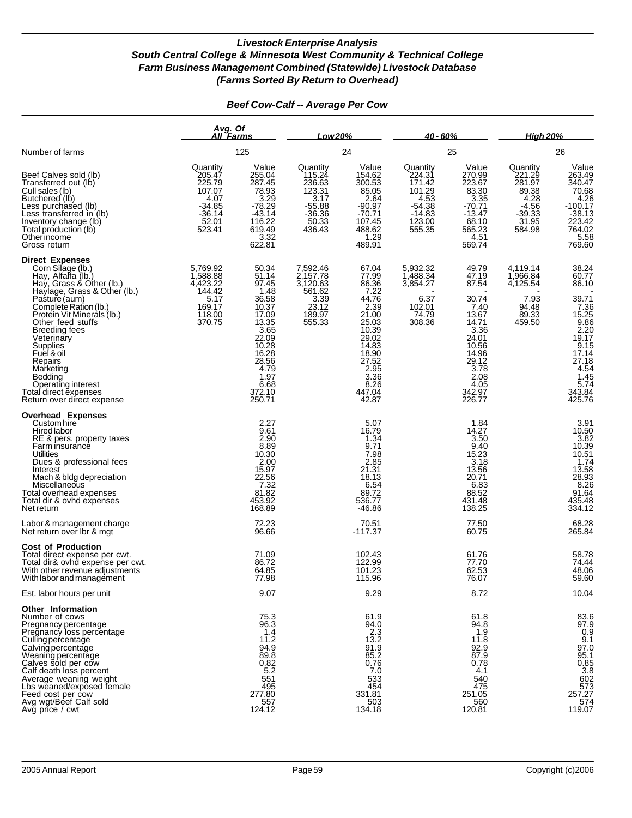|                                                                                                                                                                                                                                                                                                                                       | Avg. Of<br>All Farms                                                                      |                                                                                                               | Low 20%                                                                                   |                                                                                                                     | $40 - 60%$                                                                                   |                                                                                                         | <b>High 20%</b><br>26                                                                   |                                                                                                                                           |  |
|---------------------------------------------------------------------------------------------------------------------------------------------------------------------------------------------------------------------------------------------------------------------------------------------------------------------------------------|-------------------------------------------------------------------------------------------|---------------------------------------------------------------------------------------------------------------|-------------------------------------------------------------------------------------------|---------------------------------------------------------------------------------------------------------------------|----------------------------------------------------------------------------------------------|---------------------------------------------------------------------------------------------------------|-----------------------------------------------------------------------------------------|-------------------------------------------------------------------------------------------------------------------------------------------|--|
| Number of farms<br>Beef Calves sold (lb)<br>Transferred out (lb)<br>Cull sales (lb)<br>Butchered (lb)<br>Less purchased (lb)<br>Less transferred in (lb)<br>Inventory change (lb)<br>Total production (lb)<br>Other income<br>Gross return                                                                                            |                                                                                           | 125                                                                                                           |                                                                                           | 24                                                                                                                  |                                                                                              | 25                                                                                                      |                                                                                         |                                                                                                                                           |  |
|                                                                                                                                                                                                                                                                                                                                       | Quantity<br>205.47<br>225.79<br>107.07<br>4.07<br>$-34.85$<br>$-36.14$<br>52.01<br>523.41 | Value<br>255.04<br>287.45<br>78.93<br>3.29<br>$-78.29$<br>$-43.14$<br>116.22<br>619.49<br>3.32<br>622.81      | Quantity<br>115.24<br>236.63<br>123.31<br>3.17<br>$-55.88$<br>$-36.36$<br>50.33<br>436.43 | Value<br>154.62<br>300.53<br>85.05<br>2.64<br>$-90.97$<br>$-70.71$<br>107.45<br>488.62<br>1.29<br>489.91            | Quantity<br>224.31<br>171.42<br>$101.29$<br>4.53<br>$-54.38$<br>$-14.83$<br>123.00<br>555.35 | Value<br>270.99<br>223.67<br>83.30<br>3.35<br>$-70.71$<br>$-13.47$<br>68.10<br>565.23<br>4.51<br>569.74 | Quantity<br>221.29<br>281.97<br>89.38<br>4.28<br>$-4.56$<br>$-39.33$<br>31.95<br>584.98 | Value<br>263.49<br>340.47<br>70.68<br>4.26<br>$-100.17$<br>$-38.13$<br>223.42<br>764.02<br>5.58<br>769.60                                 |  |
| <b>Direct Expenses</b><br>Corn Silage (lb.)<br>Hay, Alfalfa (lb.)<br>Hay, Grass & Other (lb.)<br>Haylage, Grass & Other (lb.)<br>Pasture (aum)<br>Complete Ration (lb.)<br>Protein Vit Minerals (lb.)                                                                                                                                 | 5,769.92<br>1,588.88<br>4,423.22<br>144.42<br>5.17<br>169.17                              | 50.34<br>51.14<br>97.45<br>1.48<br>36.58<br>10.37                                                             | 7,592.46<br>2,157.78<br>3,120.63<br>561.62<br>$\frac{3.39}{23.12}$                        | 67.04<br>77.99<br>86.36<br>7.22<br>44.76<br>2.39                                                                    | 5,932.32<br>1,488.34<br>3,854.27<br>6.37<br>102.01                                           | 49.79<br>47.19<br>87.54<br>30.74<br>7.40                                                                | 4,119.14<br>1,966.84<br>4,125.54<br>7.93<br>94.48                                       | 38.24<br>60.77<br>86.10<br>39.71                                                                                                          |  |
| Other feed stuffs<br><b>Breeding fees</b><br>Veterinary<br>Supplies<br>Fuel & oil<br>Repairs<br>Marketing<br>Bedding<br>Operating interest<br>Total direct expenses<br>Return over direct expense                                                                                                                                     | 118.00<br>370.75                                                                          | 17.09<br>$\frac{13.35}{3.65}$<br>22.09<br>10.28<br>16.28<br>28.56<br>4.79<br>1.97<br>6.68<br>372.10<br>250.71 | 189.97<br>555.33                                                                          | 21.00<br>25.03<br>10.39<br>29.02<br>14.83<br>18.90<br>27.52<br>2.95<br>$3.\overline{36}$<br>8.26<br>447.04<br>42.87 | 74.79<br>308.36                                                                              | 13.67<br>14.71<br>3.36<br>24.01<br>10.56<br>14.96<br>29.12<br>3.78<br>2.08<br>4.05<br>342.97<br>226.77  | 89.33<br>459.50                                                                         | 7.36<br>7.36<br>15.25<br>9.86<br>2.20<br>19.17<br>$\frac{9.15}{17.14}$<br>27.18<br>4.54<br>$\frac{1.45}{5.74}$<br>343.84<br>425.76        |  |
| <b>Overhead Expenses</b><br>Custom hire<br>Hired labor<br>RE & pers. property taxes<br>Farm insurance<br>Utilities<br>Dues & professional fees<br>Interest<br>Mach & bldg depreciation<br>Miscellaneous<br>Total overhead expenses<br>Total dir & ovhd expenses<br>Net return                                                         |                                                                                           | 2.27<br>9.61<br>2.90<br>8.89<br>10.30<br>2.00<br>15.97<br>7.32<br>81.82<br>453.92<br>168.89                   |                                                                                           | 5.07<br>16.79<br>1.34<br>9.71<br>7.98<br>2.85<br>21.31<br>18.13<br>6.54<br>89.72<br>536.77<br>$-46.86$              |                                                                                              | 1.84<br>14.27<br>3.50<br>9.40<br>15.23<br>3.18<br>13.56<br>20.71<br>6.83<br>88.52<br>431.48<br>138.25   |                                                                                         | 3.91<br>10.50<br>3.82<br>10.39<br>$10.51$<br>$1.74$<br>$\begin{array}{c} 13.58 \\ 28.93 \\ 8.26 \end{array}$<br>91.64<br>435.48<br>334.12 |  |
| Labor & management charge<br>Net return over Ibr & mgt                                                                                                                                                                                                                                                                                |                                                                                           | 72.23<br>96.66                                                                                                |                                                                                           | 70.51<br>$-117.37$                                                                                                  |                                                                                              | 77.50<br>60.75                                                                                          |                                                                                         | 68.28<br>265.84                                                                                                                           |  |
| <b>Cost of Production</b><br>Total direct expense per cwt.<br>Total dir& ovhd expense per cwt.<br>With other revenue adjustments<br>With labor and management                                                                                                                                                                         |                                                                                           | 71.09<br>86.72<br>64.85<br>77.98                                                                              |                                                                                           | 102.43<br>122.99<br>101.23<br>115.96                                                                                |                                                                                              | 61.76<br>77.70<br>62.53<br>76.07                                                                        |                                                                                         | 58.78<br>74.44<br>48.06<br>59.60                                                                                                          |  |
| Est. labor hours per unit                                                                                                                                                                                                                                                                                                             |                                                                                           | 9.07                                                                                                          |                                                                                           | 9.29                                                                                                                |                                                                                              | 8.72                                                                                                    |                                                                                         | 10.04                                                                                                                                     |  |
| Other Information<br>Number of cows<br>Pregnancy percentage<br>Pregnancy loss percentage<br>Culling percentage<br>Calving percentage<br>Weaning percentage<br>Calves sold per cow<br>Calf death loss percent<br>Average weaning weight<br>Lbs weaned/exposed female<br>Feed cost per cow<br>Avg wgt/Beef Calf sold<br>Avg price / cwt |                                                                                           | 75.3<br>96.3<br>1.4<br>11.2<br>94.9<br>89.8<br>0.82<br>5.2<br>551<br>495<br>277.80<br>557<br>124.12           |                                                                                           | 61.9<br>94.0<br>2.3<br>13.2<br>$\frac{91.9}{85.2}$<br>0.76<br>7.0<br>533<br>454<br>331.81<br>503<br>134.18          |                                                                                              | 61.8<br>94.8<br>1.9<br>11.8<br>92.9<br>87.9<br>0.78<br>4.1<br>540<br>475<br>251.05<br>560<br>120.81     |                                                                                         | 83.6<br>97.9<br>$\frac{0.9}{9.1}$<br>$97.0$<br>$95.1$<br>$0.85$<br>$3.8$<br>$602$<br>573<br>257.27<br>574<br>119.07                       |  |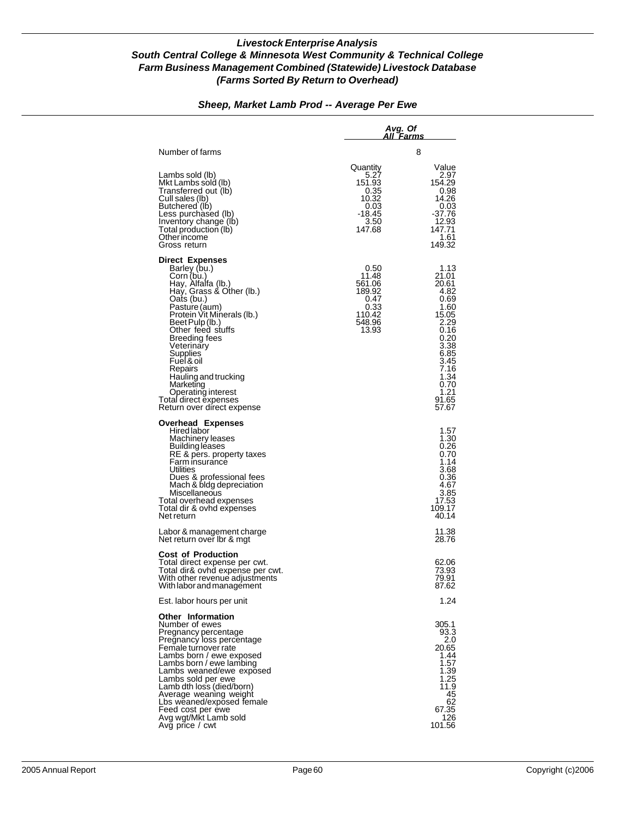#### *Sheep, Market Lamb Prod -- Average Per Ewe*

|                                                                                                                                                                                                                                                                                                                                                                                                   | Avg. Of<br>All Farms                                                            |                                                                                                                                                           |
|---------------------------------------------------------------------------------------------------------------------------------------------------------------------------------------------------------------------------------------------------------------------------------------------------------------------------------------------------------------------------------------------------|---------------------------------------------------------------------------------|-----------------------------------------------------------------------------------------------------------------------------------------------------------|
| Number of farms                                                                                                                                                                                                                                                                                                                                                                                   |                                                                                 | 8                                                                                                                                                         |
| Lambs sold (lb)<br>Mkt Lambs sold (lb)<br>Transferred out (lb)<br>Cull sales (lb)<br>Butchered (lb)<br>Less purchased (lb)<br>Inventory change (lb)<br>Total production (lb)<br>Other income<br>Gross return                                                                                                                                                                                      | Quantity<br>5.27<br>151.93<br>0.35<br>10.32<br>0.03<br>-18.45<br>3.50<br>147.68 | Value<br>2.97<br>154.29<br>0.98<br>14.26<br>0.03<br>-37.76<br>12.93<br>147.71<br>1.61<br>149.32                                                           |
| <b>Direct Expenses</b><br>Barley (bu.)<br>Corn (bu.)<br>Hay, Alfalfa (lb.)<br>Hay, Grass & Other (lb.)<br>Oats (bu.)<br>Pasture (aum)<br>Protein Vit Minerals (Ib.)<br>Beet Pulp (lb.)<br>Other feed stuffs<br>Breeding fees<br>Veterinary<br>Supplies<br>Fuel & oil<br>Repairs<br>Hauling and trucking<br>Marketing<br>Operating interest<br>Total direct expenses<br>Return over direct expense | 0.50<br>11.48<br>561.06<br>189.92<br>0.47<br>0.33<br>110.42<br>548.96<br>13.93  | 1.13<br>21.01<br>20.61<br>4.82<br>0.69<br>1.60<br>15.05<br>2.29<br>0.16<br>0.20<br>3.38<br>6.85<br>3.45<br>7.16<br>1.34<br>0.70<br>1.21<br>91.65<br>57.67 |
| <b>Overhead Expenses</b><br><b>Hired labor</b><br>Machinery leases<br>Building leases<br>RE & pers. property taxes<br>Farm insurance<br>Utilities<br>Dues & professional fees<br>Mach & bldg depreciation<br>Miscellaneous<br>Total overhead expenses<br>Total dir & ovhd expenses<br>Net return                                                                                                  |                                                                                 | 1.57<br>1.30<br>0.26<br>0.70<br>1.14<br>3.68<br>0.36<br>4.67<br>3.85<br>17.53<br>109.17<br>40.14                                                          |
| Labor & management charge<br>Net return over Ibr & mgt                                                                                                                                                                                                                                                                                                                                            |                                                                                 | 11.38<br>28.76                                                                                                                                            |
| <b>Cost of Production</b><br>Total direct expense per cwt.<br>Total dir& ovhd expense per cwt.<br>With other revenue adjustments<br>With labor and management                                                                                                                                                                                                                                     |                                                                                 | 62.06<br>73.93<br>79.91<br>87.62                                                                                                                          |
| Est. labor hours per unit                                                                                                                                                                                                                                                                                                                                                                         |                                                                                 | 1.24                                                                                                                                                      |
| <b>Other Information</b><br>Number of ewes<br>Pregnancy percentage<br>Pregnancy loss percentage<br>Female turnover rate<br>Lambs born / ewe exposed<br>Lambs born / ewe lambing<br>Lambs weaned/ewe exposed<br>Lambs sold per ewe<br>Lamb dth loss (died/born)<br>Average weaning weight<br>Lbs weaned/exposed temale<br>Feed cost per ewe<br>Avg wgt/Mkt Lamb sold<br>Avg price / cwt            |                                                                                 | 305.1<br>93.3<br>2.0<br>20.65<br>1.44<br>1.57<br>1.39<br>1.25<br>11.9<br>45<br>62<br>67.35<br>126<br>101.56                                               |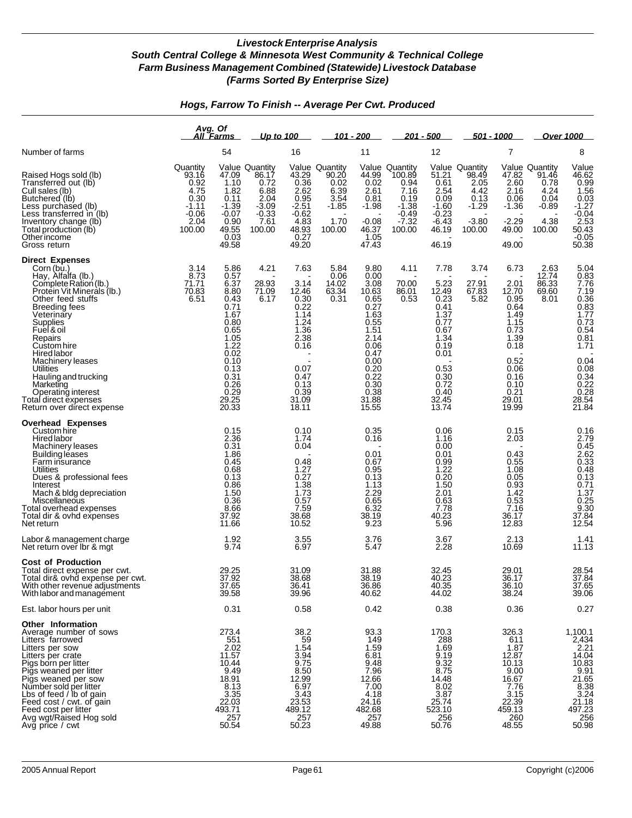### *Hogs, Farrow To Finish -- Average Per Cwt. Produced*

|                                                                                                                                                                                                                                                                                                                                                                                             |                                                                                   | Avg. Of<br>All Farms                                                                                                                                   | Up to 100                                                                                      |                                                                                                                                 |                                                                              | <u> 101 - 200</u>                                                                                                                                       |                                                                                             | <u> 201 - 500</u>                                                                                                                       |                                                                                       | 501 - 1000                                                                                                                              |                                                                                     | Over 1000                                                                                                                                                    |
|---------------------------------------------------------------------------------------------------------------------------------------------------------------------------------------------------------------------------------------------------------------------------------------------------------------------------------------------------------------------------------------------|-----------------------------------------------------------------------------------|--------------------------------------------------------------------------------------------------------------------------------------------------------|------------------------------------------------------------------------------------------------|---------------------------------------------------------------------------------------------------------------------------------|------------------------------------------------------------------------------|---------------------------------------------------------------------------------------------------------------------------------------------------------|---------------------------------------------------------------------------------------------|-----------------------------------------------------------------------------------------------------------------------------------------|---------------------------------------------------------------------------------------|-----------------------------------------------------------------------------------------------------------------------------------------|-------------------------------------------------------------------------------------|--------------------------------------------------------------------------------------------------------------------------------------------------------------|
| Number of farms                                                                                                                                                                                                                                                                                                                                                                             |                                                                                   | 54                                                                                                                                                     |                                                                                                | 16                                                                                                                              |                                                                              | 11                                                                                                                                                      |                                                                                             | 12                                                                                                                                      |                                                                                       | 7                                                                                                                                       |                                                                                     | 8                                                                                                                                                            |
| Raised Hogs sold (lb)<br>Transferred out (lb)<br>Cull sales (lb)<br>Butchered (lb)<br>Less purchased (lb)<br>Less transferred in (lb)<br>Inventory change (lb)<br>Total production (lb)<br>Otherincome<br>Gross return                                                                                                                                                                      | Quantity<br>93.16<br>0.92<br>4.75<br>0.30<br>$-1.11$<br>$-0.06$<br>2.04<br>100.00 | 47.09<br>1.10<br>1.82<br>0.11<br>$-1.39$<br>-0.07<br>0.90<br>49.55<br>0.03<br>49.58                                                                    | <b>Value Quantity</b><br>86.17<br>0.72<br>6.88<br>2.04<br>$-3.09$<br>$-0.33$<br>7.61<br>100.00 | 43.29<br>0.36<br>2.62<br>0.95<br>$-2.51$<br>$-0.62$<br>4.83<br>48.93<br>0.27<br>49.20                                           | Value Quantity<br>90.20<br>0.02<br>6.39<br>3.54<br>$-1.85$<br>1.70<br>100.00 | 44.99<br>0.02<br>2.61<br>0.81<br>$-1.98$<br>$-0.08$<br>46.37<br>1.05<br>47.43                                                                           | Value Quantity<br>100.89<br>0.94<br>7.16<br>0.19<br>$-1.38$<br>$-0.49$<br>$-7.32$<br>100.00 | 0.61<br>2.54<br>0.09<br>$-1.60$<br>$-0.23$<br>$-6.43$<br>46.19<br>46.19                                                                 | Value Quantity<br>51.21 98.49<br>2.05<br>4.42<br>0.13<br>$-1.29$<br>$-3.80$<br>100.00 | 47.82<br>2.60<br>2.16<br>0.06<br>$-1.36$<br>$-2.29$<br>49.00<br>49.00                                                                   | <b>Value Quantity</b><br>91.46<br>0.78<br>4.24<br>0.04<br>$-0.89$<br>4.38<br>100.00 | Value<br>46.62<br>0.99<br>1.56<br>0.03<br>1.27<br>0.03<br>2.53<br>50.43<br>0.05<br>50.38                                                                     |
| <b>Direct Expenses</b><br>Corn (bu.)<br>Hay, Alfalfa (lb.)<br>Complete Ration (lb.)<br>Protein Vit Minerals (lb.)<br>Other feed stuffs<br>Breeding fees<br>Veterinary<br>Supplies<br>Fuel & oil<br>Repairs<br>Custom hire<br>Hired labor<br>Machinery leases<br>Utilities<br>Hauling and trucking<br>Marketing<br>Operating interest<br>Total direct expenses<br>Return over direct expense | 3.14<br>8.73<br>71.71<br>70.83<br>6.51                                            | 5.86<br>0.57<br>6.37<br>8.80<br>0.43<br>0.71<br>1.67<br>0.80<br>0.65<br>1.05<br>1.22<br>0.02<br>0.10<br>0.13<br>0.31<br>0.26<br>0.29<br>29.25<br>20.33 | 4.21<br>28.93<br>71.09<br>6.17                                                                 | 7.63<br>3.14<br>12.46<br>0.30<br>0.22<br>1.14<br>1.24<br>1.36<br>2.38<br>0.16<br>0.07<br>0.47<br>0.13<br>0.39<br>31.09<br>18.11 | 5.84<br>0.06<br>14.02<br>63.34<br>0.31                                       | 9.80<br>0.00<br>3.08<br>10.63<br>0.65<br>0.27<br>1.63<br>0.55<br>1.51<br>2.14<br>0.06<br>0.47<br>0.00<br>0.20<br>0.22<br>0.30<br>0.38<br>31.88<br>15.55 | 4.11<br>70.00<br>86.01<br>0.53                                                              | 7.78<br>5.23<br>12.49<br>0.23<br>0.41<br>1.37<br>0.77<br>0.67<br>1.34<br>0.19<br>0.01<br>0.53<br>0.30<br>0.72<br>0.40<br>32.45<br>13.74 | 3.74<br>27.91<br>67.83<br>5.82                                                        | 6.73<br>2.01<br>12.70<br>0.95<br>0.64<br>1.49<br>1.15<br>0.73<br>1.39<br>0.18<br>0.52<br>0.06<br>0.16<br>0.10<br>0.21<br>29.01<br>19.99 | 2.63<br>12.74<br>86.33<br>69.60<br>8.01                                             | 5.04<br>0.83<br>7.76<br>7.19<br>0.36<br>0.83<br>1.77<br>$0.73$<br>$0.54$<br>0.81<br>1.71<br>0.04<br>0.08<br>$0.34$<br>$0.22$<br>$0.28$<br>$28.54$<br>$21.84$ |
| <b>Overhead Expenses</b><br>Custom hire<br>Hired labor<br>Machinery leases<br>Building leases<br>Farm insurance<br>Utilities<br>Dues & professional fees<br>Interest<br>Mach & bldg depreciation<br>Miscellaneous<br>Total overhead expenses<br>Total dir & ovhd expenses<br>Net return<br>Labor & management charge                                                                        |                                                                                   | 0.15<br>2.36<br>0.31<br>1.86<br>0.45<br>0.68<br>0.13<br>0.86<br>1.50<br>0.36<br>8.66<br>37.92<br>11.66<br>1.92                                         |                                                                                                | 0.10<br>1.74<br>0.04<br>0.48<br>1.27<br>0.27<br>1.38<br>1.73<br>0.57<br>7.59<br>38.68<br>10.52<br>3.55                          |                                                                              | 0.35<br>0.16<br>0.01<br>0.67<br>0.95<br>0.13<br>1.13<br>2.29<br>0.65<br>6.32<br>38.19<br>9.23<br>3.76                                                   |                                                                                             | 0.06<br>1.16<br>0.00<br>0.01<br>0.99<br>1.22<br>0.20<br>1.50<br>2.01<br>0.63<br>7.78<br>40.23<br>5.96<br>3.67                           |                                                                                       | 0.15<br>2.03<br>0.43<br>0.55<br>1.08<br>0.05<br>0.93<br>1.42<br>0.53<br>7.16<br>36.17<br>12.83<br>2.13                                  |                                                                                     | $0.16$<br>$2.79$<br>$0.45$<br>$2.62$<br>$0.33$<br>$0.48$<br>$0.13$<br>$0.74$<br>0.71<br>1.37<br>$0.25$<br>9.30<br>37.84<br>12.54<br>1.41                     |
| Net return over Ibr & mgt<br><b>Cost of Production</b><br>Total direct expense per cwt.<br>Total dir& ovhd expense per cwt.<br>With other revenue adjustments                                                                                                                                                                                                                               |                                                                                   | 9.74<br>29.25<br>37.92<br>37.65                                                                                                                        |                                                                                                | 6.97<br>31.09<br>38.68<br>36.41                                                                                                 |                                                                              | 5.47<br>31.88<br>38.19<br>36.86                                                                                                                         |                                                                                             | 2.28<br>32.45<br>40.23<br>40.35                                                                                                         |                                                                                       | 10.69<br>29.01<br>36.17<br>36.10                                                                                                        |                                                                                     | 11.13<br>28.54<br>37.84<br>37.65<br>39.06                                                                                                                    |
| With labor and management<br>Est. labor hours per unit                                                                                                                                                                                                                                                                                                                                      |                                                                                   | 39.58<br>0.31                                                                                                                                          |                                                                                                | 39.96<br>0.58                                                                                                                   |                                                                              | 40.62<br>0.42                                                                                                                                           |                                                                                             | 44.02<br>0.38                                                                                                                           |                                                                                       | 38.24<br>0.36                                                                                                                           |                                                                                     | 0.27                                                                                                                                                         |
| Other Information<br>Average number of sows<br>Litters farrowed<br>Litters per sow<br>Litters per crate<br>Pigs born per litter<br>Pigs weaned per litter<br>Pigs weaned per sow<br>Number sold per litter<br>Lbs of feed / lb of gain<br>Feed cost / cwt. of gain<br>Feed cost per litter<br>Avg wgt/Raised Hog sold<br>Avg price / cwt                                                    |                                                                                   | 273.4<br>551<br>2.02<br>11.57<br>10.44<br>9.49<br>18.91<br>8.13<br>3.35<br>22.03<br>493.71<br>257<br>50.54                                             |                                                                                                | 38.2<br>59<br>1.54<br>3.94<br>9.75<br>8.50<br>12.99<br>6.97<br>3.43<br>23.53<br>$\frac{489.12}{257}$<br>50.23                   |                                                                              | 93.3<br>149<br>1.59<br>6.81<br>9.48<br>7.96<br>12.66<br>7.00<br>4.18<br>24.16<br>482.68<br>257<br>49.88                                                 |                                                                                             | 170.3<br>288<br>1.69<br>9.19<br>9.32<br>8.75<br>14.48<br>8.02<br>3.87<br>25.74<br>523.10<br>256<br>50.76                                |                                                                                       | 326.3<br>611<br>1.87<br>12.87<br>10.13<br>9.00<br>16.67<br>7.76<br>3.15<br>22.39<br>459.13<br>260<br>48.55                              |                                                                                     | $1,100.1$<br>2,434<br>2.21<br>2.21<br>14.04<br>10.83<br>9.91.65<br>21.65<br>8.38<br>3.24<br>21.18<br>256<br>256<br>50.98                                     |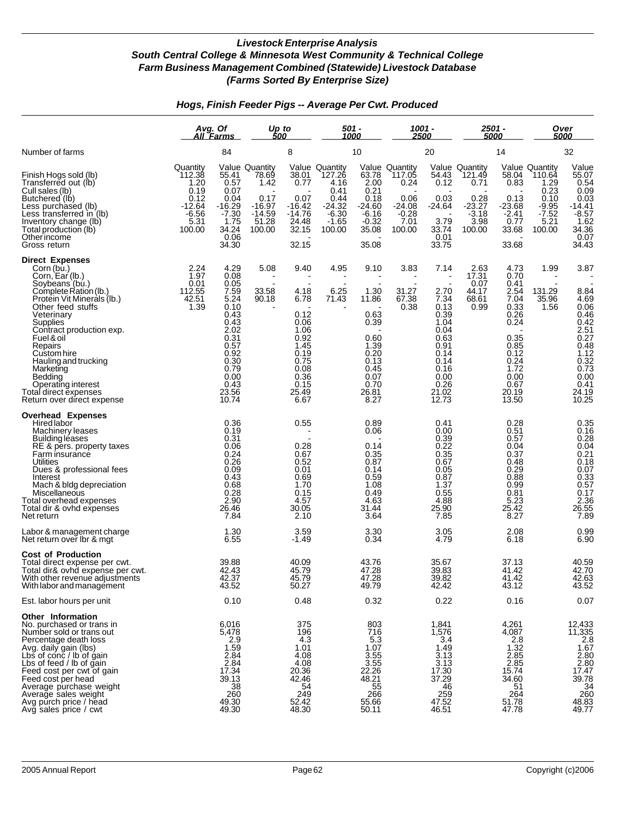### *Hogs, Finish Feeder Pigs -- Average Per Cwt. Produced*

|                                                                                                                                                                                                                                                                                                                                                                                  |                                                                                     | Avg. Of<br>Up to<br>500<br>All Farms                                                                                                           |                                                                                       |                                                                                                                                         | 501 -<br>1000                                                                                |                                                                                                                                | 1001 -<br>2500                                                                    |                                                                                                                                | 2501 -<br>5000                                                                    |                                                                                                                                        | Over<br>5000                                                                                    |                                                                                                                          |
|----------------------------------------------------------------------------------------------------------------------------------------------------------------------------------------------------------------------------------------------------------------------------------------------------------------------------------------------------------------------------------|-------------------------------------------------------------------------------------|------------------------------------------------------------------------------------------------------------------------------------------------|---------------------------------------------------------------------------------------|-----------------------------------------------------------------------------------------------------------------------------------------|----------------------------------------------------------------------------------------------|--------------------------------------------------------------------------------------------------------------------------------|-----------------------------------------------------------------------------------|--------------------------------------------------------------------------------------------------------------------------------|-----------------------------------------------------------------------------------|----------------------------------------------------------------------------------------------------------------------------------------|-------------------------------------------------------------------------------------------------|--------------------------------------------------------------------------------------------------------------------------|
| Number of farms                                                                                                                                                                                                                                                                                                                                                                  |                                                                                     | 84                                                                                                                                             |                                                                                       | 8                                                                                                                                       |                                                                                              | 10                                                                                                                             |                                                                                   | 20                                                                                                                             |                                                                                   | 14                                                                                                                                     | 32                                                                                              |                                                                                                                          |
| Finish Hogs sold (lb)<br>Transferred out (lb)<br>Cull sales (lb)<br>Butchered (lb)<br>Less purchased (lb)<br>Less transferred in (lb)<br>Inventory change (lb)<br>Total production (lb)<br>Otherincome<br>Gross return                                                                                                                                                           | Quantity<br>112.38<br>1.20<br>0.19<br>0.12<br>$-12.64$<br>$-6.56$<br>5.31<br>100.00 | 55.41<br>0.57<br>0.07<br>0.04<br>-16.29<br>7.30-<br>1.75<br>34.24<br>0.06<br>34.30                                                             | <b>Value Quantity</b><br>78.69<br>1.42<br>0.17<br>-16.97<br>-14.59<br>51.28<br>100.00 | 38.01<br>0.77<br>0.07<br>$-16.42$<br>$-14.76$<br>24.48<br>32.15<br>32.15                                                                | Value Quantity<br>127.26<br>4.16<br>0.41<br>0.44<br>$-24.32$<br>$-6.30$<br>$-1.65$<br>100.00 | $63.78$<br>2.00<br>0.21<br>0.18<br>-24.60<br>$-6.16$<br>$-0.32$<br>35.08<br>35.08                                              | Value Quantity<br>117.05<br>0.24<br>0.06<br>$-24.08$<br>$-0.28$<br>7.01<br>100.00 | $54.43$<br>$0.12$<br>0.03<br>$-24.64$<br>3.79<br>33.74<br>0.01<br>33.75                                                        | Value Quantity<br>121.49<br>0.71<br>0.28<br>$-23.27$<br>$-3.18$<br>3.98<br>100.00 | 58.04<br>0.83<br>0.13<br>$-23.68$<br>$-2.41$<br>0.77<br>33.68<br>33.68                                                                 | <b>Value Quantity</b><br>110.64<br>1.29<br>0.23<br>0.10<br>$-9.95$<br>$-7.52$<br>5.21<br>100.00 | Value<br>$65.07$<br>$0.54$<br>$0.09$<br>$0.03$<br>$14.41$<br>$-8.57$<br>$1.62$<br>$34.36$<br>$0.07$<br>34.43             |
| <b>Direct Expenses</b><br>Corn (bu.)<br>Corn, Ear (lb.)<br>Soybeans (bu.)<br>Complete Ration (lb.)<br>Protein Vit Minerals (lb.)<br>Other feed stuffs<br>Veterinary<br>Supplies<br>Contract production exp.<br>Fuel & oil<br>Repairs<br>Custom hire<br>Hauling and trucking<br>Marketing<br>Bedding<br>Operating interest<br>Total direct expenses<br>Return over direct expense | 2.24<br>$\overline{1.97}$<br>0.01<br>112.55<br>42.51<br>1.39                        | 4.29<br>0.08<br>0.05<br>7.59<br>5.24<br>0.10<br>0.43<br>0.43<br>2.02<br>0.31<br>0.57<br>0.92<br>0.30<br>0.79<br>0.00<br>0.43<br>23.56<br>10.74 | 5.08<br>33.58<br>90.18                                                                | 9.40<br>$\blacksquare$<br>4.18<br>6.78<br>0.12<br>0.06<br>1.06<br>0.92<br>1.45<br>0.19<br>0.75<br>0.08<br>0.36<br>0.15<br>25.49<br>6.67 | 4.95<br>6.25<br>71.43                                                                        | 9.10<br>1.30<br>11.86<br>0.63<br>0.39<br>0.60<br>1.39<br>0.20<br>0.13<br>0.45<br>0.07<br>0.70<br>26.81<br>8.27                 | 3.83<br>31.27<br>67.38<br>0.38                                                    | 7.14<br>2.70<br>7.34<br>0.13<br>0.39<br>1.04<br>0.04<br>0.63<br>0.91<br>0.14<br>0.14<br>0.16<br>0.00<br>0.26<br>21.02<br>12.73 | 2.63<br>17.31<br>0.07<br>44.17<br>68.61<br>0.99                                   | 4.73<br>0.70<br>0.41<br>2.54<br>7.04<br>0.33<br>0.26<br>0.24<br>0.35<br>0.85<br>0.12<br>0.24<br>1.72<br>0.00<br>0.67<br>20.19<br>13.50 | 1.99<br>131.29<br>35.96<br>1.56                                                                 | 3.87<br>8.84<br>4.69<br>0.06<br>0.46<br>0.42<br>2.51<br>0.27<br>0.27<br>0.32<br>0.73<br>0.00<br>$0.41$<br>24.19<br>10.25 |
| <b>Overhead Expenses</b><br>Hired labor<br>Machinery leases<br>Building leases<br>RE & pers. property taxes<br>Farm insurance<br><b>Utilities</b><br>Dues & professional fees<br>Interest<br>Mach & bldg depreciation<br>Miscellaneous<br>Total overhead expenses<br>Total dir & ovhd expenses<br>Net return                                                                     |                                                                                     | 0.36<br>0.19<br>0.31<br>0.06<br>0.24<br>0.26<br>0.09<br>0.43<br>0.68<br>0.28<br>2.90<br>26.46<br>7.84                                          |                                                                                       | 0.55<br>0.28<br>0.67<br>0.52<br>0.01<br>0.69<br>1.70<br>0.15<br>4.57<br>30.05<br>2.10                                                   |                                                                                              | 0.89<br>0.06<br>0.14<br>0.35<br>0.87<br>0.14<br>0.59<br>1.08<br>0.49<br>4.63<br>31.44<br>3.64                                  |                                                                                   | 0.41<br>0.00<br>0.39<br>$0.22$<br>$0.35$<br>0.67<br>0.05<br>0.87<br>1.37<br>0.55<br>4.88<br>25.90<br>7.85                      |                                                                                   | 0.28<br>0.51<br>0.57<br>0.04<br>0.37<br>0.48<br>0.29<br>0.88<br>0.99<br>0.81<br>5.23<br>25.42<br>8.27                                  |                                                                                                 | 0.35<br>0.16<br>0.28<br>0.04<br>0.04<br>0.18<br>0.07<br>0.33<br>0.57<br>0.17<br>2.36<br>26.55<br>7.89                    |
| Labor & management charge<br>Net return over Ibr & mgt                                                                                                                                                                                                                                                                                                                           |                                                                                     | 1.30<br>6.55                                                                                                                                   |                                                                                       | 3.59<br>-1.49                                                                                                                           |                                                                                              | 3.30<br>0.34                                                                                                                   |                                                                                   | 3.05<br>4.79                                                                                                                   |                                                                                   | 2.08<br>6.18                                                                                                                           |                                                                                                 | $0.99$<br>$6.90$                                                                                                         |
| <b>Cost of Production</b><br>Total direct expense per cwt.<br>Total dir& ovhd expense per cwt.<br>With other revenue adjustments<br>With labor and management                                                                                                                                                                                                                    |                                                                                     | 39.88<br>42.43<br>42.37<br>43.52                                                                                                               |                                                                                       | 40.09<br>45.79<br>45.79<br>50.27                                                                                                        |                                                                                              | 43.76<br>47.28<br>47.28<br>49.79                                                                                               |                                                                                   | 35.67<br>39.83<br>39.82<br>42.42                                                                                               |                                                                                   | 37.13<br>41.42<br>41.42<br>43.12                                                                                                       |                                                                                                 | 40.59<br>42.70<br>42.63<br>43.52                                                                                         |
| Est. labor hours per unit                                                                                                                                                                                                                                                                                                                                                        |                                                                                     | 0.10                                                                                                                                           |                                                                                       | 0.48                                                                                                                                    |                                                                                              | 0.32                                                                                                                           |                                                                                   | 0.22                                                                                                                           |                                                                                   | 0.16                                                                                                                                   |                                                                                                 | 0.07                                                                                                                     |
| <b>Other Information</b><br>No. purchased or trans in<br>Number sold or trans out<br>Necesition death loss<br>Avg. daily gain (lbs)<br>Lbs of conc / lb of gain<br>Lbs of feed / lb of gain<br>Feed cost per cwt of gain<br>Feed cost per head<br>Average purchase weight<br>Average sales weight<br>Avg purch price / head<br>Avg sales price / cwt                             |                                                                                     | 6,016<br>5,478<br>$\begin{array}{c} 2.9 \\ 1.59 \end{array}$<br>2.84<br>$\frac{2.84}{17.34}$<br>$\frac{39.13}{38}$<br>260<br>49.30<br>49.30    |                                                                                       | 375<br>196<br>4.3<br>1.01<br>4.08<br>4.08<br>20.36<br>42.46<br>$\frac{54}{249}$<br>52.42<br>48.30                                       |                                                                                              | 803<br>716<br>$\begin{array}{r} 1.3 \\ 5.3 \\ 1.07 \\ 3.55 \\ 3.55 \\ 22.26 \end{array}$<br>48.21<br>$\frac{55}{266}$<br>50.11 |                                                                                   | 1,841<br>1,576<br>3.4<br>1.49<br>3.13<br>3.13<br>17.30<br>37.29<br>$46$<br>$259$<br>$47.52$<br>$46.51$                         |                                                                                   | 4,261<br>4,087<br>$2.8$<br>1.32<br>$2.85$<br>$2.85$<br>$15.74$<br>34.60<br>$\frac{51}{264}$<br>51.78<br>47.78                          |                                                                                                 | 12,433<br>11,335<br>2.87<br>2.80<br>2.80<br>2.80<br>2.80<br>3.47<br>3.9.34<br>46.83<br>49.77                             |